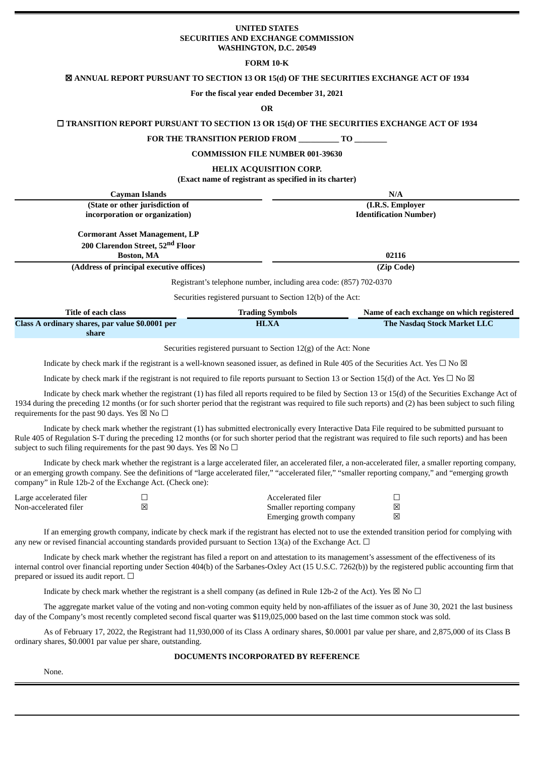### **UNITED STATES SECURITIES AND EXCHANGE COMMISSION WASHINGTON, D.C. 20549**

### **FORM 10-K**

### ☒ **ANNUAL REPORT PURSUANT TO SECTION 13 OR 15(d) OF THE SECURITIES EXCHANGE ACT OF 1934**

#### **For the fiscal year ended December 31, 2021**

**OR**

## ☐ **TRANSITION REPORT PURSUANT TO SECTION 13 OR 15(d) OF THE SECURITIES EXCHANGE ACT OF 1934**

**FOR THE TRANSITION PERIOD FROM \_\_\_\_\_\_\_\_\_\_ TO \_\_\_\_\_\_\_\_**

#### **COMMISSION FILE NUMBER 001-39630**

#### **HELIX ACQUISITION CORP.**

**(Exact name of registrant as specified in its charter)**

| <b>Cayman Islands</b>                                                                                      |                        | N/A                                       |  |  |
|------------------------------------------------------------------------------------------------------------|------------------------|-------------------------------------------|--|--|
| (State or other jurisdiction of                                                                            |                        | (I.R.S. Employer                          |  |  |
| incorporation or organization)                                                                             |                        | <b>Identification Number)</b>             |  |  |
| <b>Cormorant Asset Management, LP</b><br>200 Clarendon Street, 52 <sup>nd</sup> Floor<br><b>Boston, MA</b> |                        | 02116                                     |  |  |
| (Address of principal executive offices)                                                                   |                        | (Zip Code)                                |  |  |
|                                                                                                            |                        |                                           |  |  |
| Registrant's telephone number, including area code: (857) 702-0370                                         |                        |                                           |  |  |
| Securities registered pursuant to Section 12(b) of the Act:                                                |                        |                                           |  |  |
| <b>Title of each class</b>                                                                                 | <b>Trading Symbols</b> | Name of each exchange on which registered |  |  |

| THE OF CHEFT CHISS                              | rrading overcom | Theme of cache exemingle on which registered |  |
|-------------------------------------------------|-----------------|----------------------------------------------|--|
| Class A ordinary shares, par value \$0.0001 per | <b>HLXA</b>     | <b>The Nasdag Stock Market LLC</b>           |  |
| share                                           |                 |                                              |  |

Securities registered pursuant to Section 12(g) of the Act: None

Indicate by check mark if the registrant is a well-known seasoned issuer, as defined in Rule 405 of the Securities Act. Yes  $\Box$  No  $\boxtimes$ 

Indicate by check mark if the registrant is not required to file reports pursuant to Section 13 or Section 15(d) of the Act. Yes  $\Box$  No  $\boxtimes$ 

Indicate by check mark whether the registrant (1) has filed all reports required to be filed by Section 13 or 15(d) of the Securities Exchange Act of 1934 during the preceding 12 months (or for such shorter period that the registrant was required to file such reports) and (2) has been subject to such filing requirements for the past 90 days. Yes  $\boxtimes$  No  $\Box$ 

Indicate by check mark whether the registrant (1) has submitted electronically every Interactive Data File required to be submitted pursuant to Rule 405 of Regulation S-T during the preceding 12 months (or for such shorter period that the registrant was required to file such reports) and has been subject to such filing requirements for the past 90 days. Yes  $\overline{\boxtimes}$  No  $\Box$ 

Indicate by check mark whether the registrant is a large accelerated filer, an accelerated filer, a non-accelerated filer, a smaller reporting company, or an emerging growth company. See the definitions of "large accelerated filer," "accelerated filer," "smaller reporting company," and "emerging growth company" in Rule 12b-2 of the Exchange Act. (Check one):

| Large accelerated filer | Accelerated filer         |   |
|-------------------------|---------------------------|---|
| Non-accelerated filer   | Smaller reporting company | 図 |
|                         | Emerging growth company   | 冈 |

If an emerging growth company, indicate by check mark if the registrant has elected not to use the extended transition period for complying with any new or revised financial accounting standards provided pursuant to Section 13(a) of the Exchange Act.  $\Box$ 

Indicate by check mark whether the registrant has filed a report on and attestation to its management's assessment of the effectiveness of its internal control over financial reporting under Section 404(b) of the Sarbanes-Oxley Act (15 U.S.C. 7262(b)) by the registered public accounting firm that prepared or issued its audit report.  $□$ 

Indicate by check mark whether the registrant is a shell company (as defined in Rule 12b-2 of the Act). Yes  $\boxtimes$  No  $\Box$ 

The aggregate market value of the voting and non-voting common equity held by non-affiliates of the issuer as of June 30, 2021 the last business day of the Company's most recently completed second fiscal quarter was \$119,025,000 based on the last time common stock was sold.

As of February 17, 2022, the Registrant had 11,930,000 of its Class A ordinary shares, \$0.0001 par value per share, and 2,875,000 of its Class B ordinary shares, \$0.0001 par value per share, outstanding.

## **DOCUMENTS INCORPORATED BY REFERENCE**

None.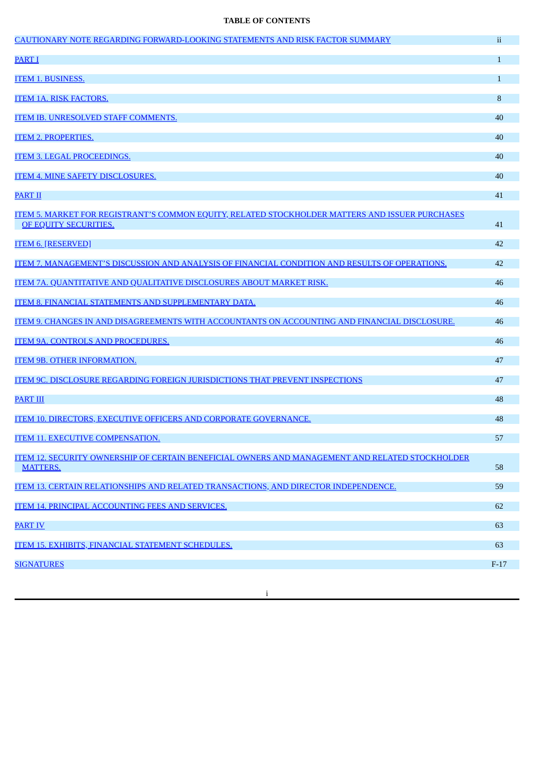# **TABLE OF CONTENTS**

| CAUTIONARY NOTE REGARDING FORWARD-LOOKING STATEMENTS AND RISK FACTOR SUMMARY                           | ii.          |
|--------------------------------------------------------------------------------------------------------|--------------|
| <b>PART I</b>                                                                                          | $\mathbf{1}$ |
| <b>ITEM 1. BUSINESS.</b>                                                                               | $\mathbf{1}$ |
| <b>ITEM 1A. RISK FACTORS.</b>                                                                          | 8            |
| <b>ITEM IB. UNRESOLVED STAFF COMMENTS.</b>                                                             | 40           |
| <b>ITEM 2. PROPERTIES.</b>                                                                             | 40           |
| <b>ITEM 3. LEGAL PROCEEDINGS.</b>                                                                      | 40           |
| <b>ITEM 4. MINE SAFETY DISCLOSURES.</b>                                                                | 40           |
| <b>PART II</b>                                                                                         | 41           |
| <u>ITEM 5. MARKET FOR REGISTRANT'S COMMON EQUITY, RELATED STOCKHOLDER MATTERS AND ISSUER PURCHASES</u> |              |
| OF EQUITY SECURITIES.                                                                                  | 41           |
| <b>ITEM 6. [RESERVED]</b>                                                                              | 42           |
| <u>ITEM 7. MANAGEMENT'S DISCUSSION AND ANALYSIS OF FINANCIAL CONDITION AND RESULTS OF OPERATIONS.</u>  | 42           |
| <b>ITEM 7A. QUANTITATIVE AND QUALITATIVE DISCLOSURES ABOUT MARKET RISK.</b>                            | 46           |
| <b>ITEM 8. FINANCIAL STATEMENTS AND SUPPLEMENTARY DATA.</b>                                            | 46           |
| ITEM 9. CHANGES IN AND DISAGREEMENTS WITH ACCOUNTANTS ON ACCOUNTING AND FINANCIAL DISCLOSURE.          | 46           |
| <b>ITEM 9A. CONTROLS AND PROCEDURES.</b>                                                               | 46           |
| <b>ITEM 9B. OTHER INFORMATION.</b>                                                                     | 47           |
| <b>ITEM 9C. DISCLOSURE REGARDING FOREIGN JURISDICTIONS THAT PREVENT INSPECTIONS</b>                    | 47           |
| <b>PART III</b>                                                                                        | 48           |
| ITEM 10. DIRECTORS, EXECUTIVE OFFICERS AND CORPORATE GOVERNANCE.                                       | 48           |
| <b>ITEM 11. EXECUTIVE COMPENSATION.</b>                                                                | 57           |
| <u>ITEM 12. SECURITY OWNERSHIP OF CERTAIN BENEFICIAL OWNERS AND MANAGEMENT AND RELATED STOCKHOLDER</u> |              |
| <b>MATTERS.</b>                                                                                        | 58           |
| ITEM 13. CERTAIN RELATIONSHIPS AND RELATED TRANSACTIONS, AND DIRECTOR INDEPENDENCE.                    | 59           |
| <b>ITEM 14. PRINCIPAL ACCOUNTING FEES AND SERVICES.</b>                                                | 62           |
| <b>PART IV</b>                                                                                         | 63           |
| ITEM 15. EXHIBITS, FINANCIAL STATEMENT SCHEDULES.                                                      | 63           |
| <b>SIGNATURES</b>                                                                                      | $F-17$       |
|                                                                                                        |              |

i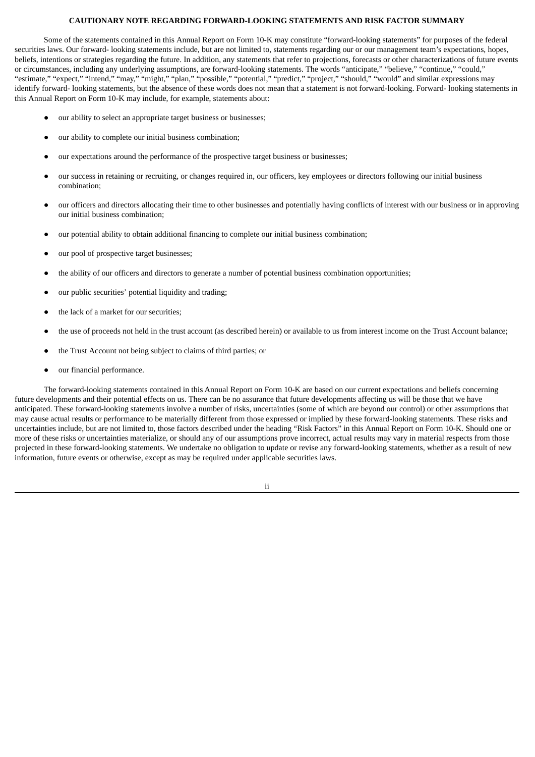#### **CAUTIONARY NOTE REGARDING FORWARD-LOOKING STATEMENTS AND RISK FACTOR SUMMARY**

<span id="page-2-0"></span>Some of the statements contained in this Annual Report on Form 10-K may constitute "forward-looking statements" for purposes of the federal securities laws. Our forward- looking statements include, but are not limited to, statements regarding our or our management team's expectations, hopes, beliefs, intentions or strategies regarding the future. In addition, any statements that refer to projections, forecasts or other characterizations of future events or circumstances, including any underlying assumptions, are forward-looking statements. The words "anticipate," "believe," "continue," "could," "estimate," "expect," "intend," "may," "might," "plan," "possible," "potential," "predict," "project," "should," "would" and similar expressions may identify forward- looking statements, but the absence of these words does not mean that a statement is not forward-looking. Forward- looking statements in this Annual Report on Form 10-K may include, for example, statements about:

- our ability to select an appropriate target business or businesses;
- our ability to complete our initial business combination;
- our expectations around the performance of the prospective target business or businesses;
- our success in retaining or recruiting, or changes required in, our officers, key employees or directors following our initial business combination;
- our officers and directors allocating their time to other businesses and potentially having conflicts of interest with our business or in approving our initial business combination;
- our potential ability to obtain additional financing to complete our initial business combination;
- our pool of prospective target businesses;
- the ability of our officers and directors to generate a number of potential business combination opportunities;
- our public securities' potential liquidity and trading;
- the lack of a market for our securities;
- the use of proceeds not held in the trust account (as described herein) or available to us from interest income on the Trust Account balance;
- the Trust Account not being subject to claims of third parties; or
- our financial performance.

The forward-looking statements contained in this Annual Report on Form 10-K are based on our current expectations and beliefs concerning future developments and their potential effects on us. There can be no assurance that future developments affecting us will be those that we have anticipated. These forward-looking statements involve a number of risks, uncertainties (some of which are beyond our control) or other assumptions that may cause actual results or performance to be materially different from those expressed or implied by these forward-looking statements. These risks and uncertainties include, but are not limited to, those factors described under the heading "Risk Factors" in this Annual Report on Form 10-K. Should one or more of these risks or uncertainties materialize, or should any of our assumptions prove incorrect, actual results may vary in material respects from those projected in these forward-looking statements. We undertake no obligation to update or revise any forward-looking statements, whether as a result of new information, future events or otherwise, except as may be required under applicable securities laws.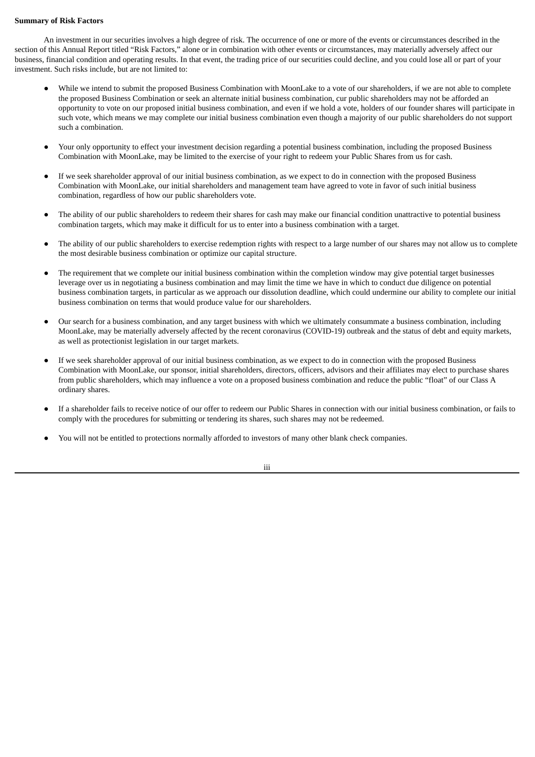### **Summary of Risk Factors**

An investment in our securities involves a high degree of risk. The occurrence of one or more of the events or circumstances described in the section of this Annual Report titled "Risk Factors," alone or in combination with other events or circumstances, may materially adversely affect our business, financial condition and operating results. In that event, the trading price of our securities could decline, and you could lose all or part of your investment. Such risks include, but are not limited to:

- While we intend to submit the proposed Business Combination with MoonLake to a vote of our shareholders, if we are not able to complete the proposed Business Combination or seek an alternate initial business combination, cur public shareholders may not be afforded an opportunity to vote on our proposed initial business combination, and even if we hold a vote, holders of our founder shares will participate in such vote, which means we may complete our initial business combination even though a majority of our public shareholders do not support such a combination.
- Your only opportunity to effect your investment decision regarding a potential business combination, including the proposed Business Combination with MoonLake, may be limited to the exercise of your right to redeem your Public Shares from us for cash.
- If we seek shareholder approval of our initial business combination, as we expect to do in connection with the proposed Business Combination with MoonLake, our initial shareholders and management team have agreed to vote in favor of such initial business combination, regardless of how our public shareholders vote.
- The ability of our public shareholders to redeem their shares for cash may make our financial condition unattractive to potential business combination targets, which may make it difficult for us to enter into a business combination with a target.
- The ability of our public shareholders to exercise redemption rights with respect to a large number of our shares may not allow us to complete the most desirable business combination or optimize our capital structure.
- The requirement that we complete our initial business combination within the completion window may give potential target businesses leverage over us in negotiating a business combination and may limit the time we have in which to conduct due diligence on potential business combination targets, in particular as we approach our dissolution deadline, which could undermine our ability to complete our initial business combination on terms that would produce value for our shareholders.
- Our search for a business combination, and any target business with which we ultimately consummate a business combination, including MoonLake, may be materially adversely affected by the recent coronavirus (COVID-19) outbreak and the status of debt and equity markets, as well as protectionist legislation in our target markets.
- If we seek shareholder approval of our initial business combination, as we expect to do in connection with the proposed Business Combination with MoonLake, our sponsor, initial shareholders, directors, officers, advisors and their affiliates may elect to purchase shares from public shareholders, which may influence a vote on a proposed business combination and reduce the public "float" of our Class A ordinary shares.
- If a shareholder fails to receive notice of our offer to redeem our Public Shares in connection with our initial business combination, or fails to comply with the procedures for submitting or tendering its shares, such shares may not be redeemed.
- You will not be entitled to protections normally afforded to investors of many other blank check companies.

iii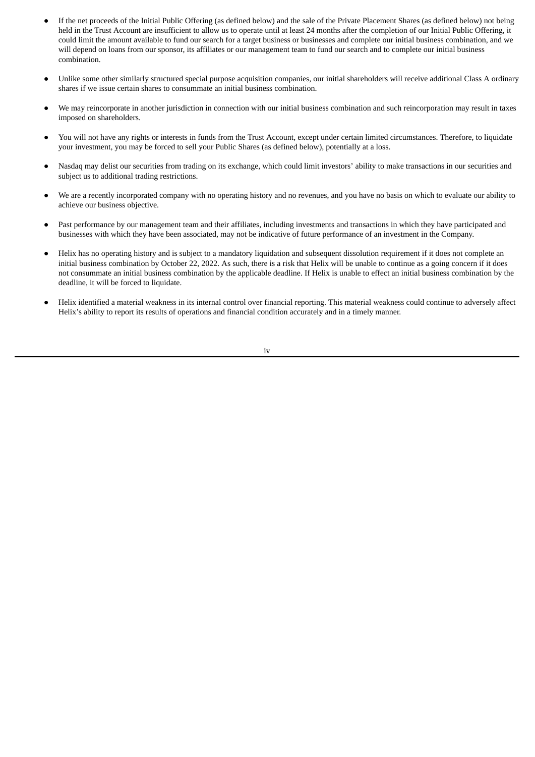- If the net proceeds of the Initial Public Offering (as defined below) and the sale of the Private Placement Shares (as defined below) not being held in the Trust Account are insufficient to allow us to operate until at least 24 months after the completion of our Initial Public Offering, it could limit the amount available to fund our search for a target business or businesses and complete our initial business combination, and we will depend on loans from our sponsor, its affiliates or our management team to fund our search and to complete our initial business combination.
- Unlike some other similarly structured special purpose acquisition companies, our initial shareholders will receive additional Class A ordinary shares if we issue certain shares to consummate an initial business combination.
- We may reincorporate in another jurisdiction in connection with our initial business combination and such reincorporation may result in taxes imposed on shareholders.
- You will not have any rights or interests in funds from the Trust Account, except under certain limited circumstances. Therefore, to liquidate your investment, you may be forced to sell your Public Shares (as defined below), potentially at a loss.
- Nasdaq may delist our securities from trading on its exchange, which could limit investors' ability to make transactions in our securities and subject us to additional trading restrictions.
- We are a recently incorporated company with no operating history and no revenues, and you have no basis on which to evaluate our ability to achieve our business objective.
- Past performance by our management team and their affiliates, including investments and transactions in which they have participated and businesses with which they have been associated, may not be indicative of future performance of an investment in the Company.
- Helix has no operating history and is subject to a mandatory liquidation and subsequent dissolution requirement if it does not complete an initial business combination by October 22, 2022. As such, there is a risk that Helix will be unable to continue as a going concern if it does not consummate an initial business combination by the applicable deadline. If Helix is unable to effect an initial business combination by the deadline, it will be forced to liquidate.
- Helix identified a material weakness in its internal control over financial reporting. This material weakness could continue to adversely affect Helix's ability to report its results of operations and financial condition accurately and in a timely manner.

iv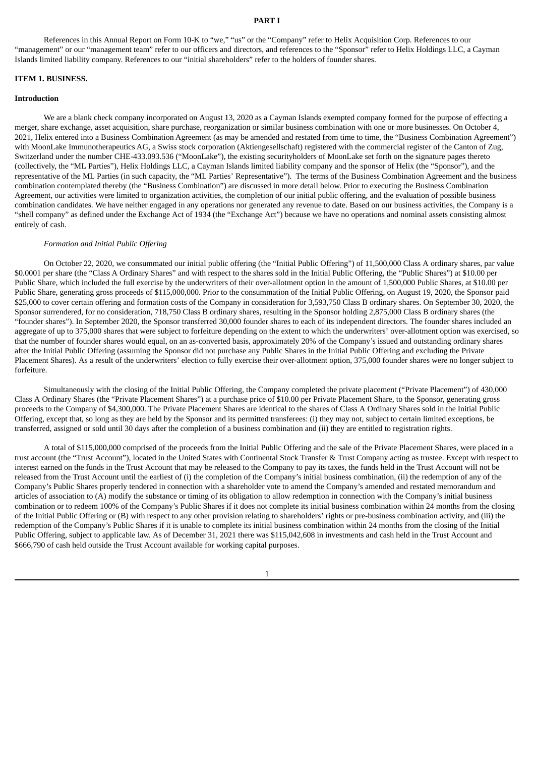#### **PART I**

<span id="page-5-0"></span>References in this Annual Report on Form 10-K to "we," "us" or the "Company" refer to Helix Acquisition Corp. References to our "management" or our "management team" refer to our officers and directors, and references to the "Sponsor" refer to Helix Holdings LLC, a Cayman Islands limited liability company. References to our "initial shareholders" refer to the holders of founder shares.

#### <span id="page-5-1"></span>**ITEM 1. BUSINESS.**

#### **Introduction**

We are a blank check company incorporated on August 13, 2020 as a Cayman Islands exempted company formed for the purpose of effecting a merger, share exchange, asset acquisition, share purchase, reorganization or similar business combination with one or more businesses. On October 4, 2021, Helix entered into a Business Combination Agreement (as may be amended and restated from time to time, the "Business Combination Agreement") with MoonLake Immunotherapeutics AG, a Swiss stock corporation (Aktiengesellschaft) registered with the commercial register of the Canton of Zug, Switzerland under the number CHE-433.093.536 ("MoonLake"), the existing securityholders of MoonLake set forth on the signature pages thereto (collectively, the "ML Parties"), Helix Holdings LLC, a Cayman Islands limited liability company and the sponsor of Helix (the "Sponsor"), and the representative of the ML Parties (in such capacity, the "ML Parties' Representative"). The terms of the Business Combination Agreement and the business combination contemplated thereby (the "Business Combination") are discussed in more detail below. Prior to executing the Business Combination Agreement, our activities were limited to organization activities, the completion of our initial public offering, and the evaluation of possible business combination candidates. We have neither engaged in any operations nor generated any revenue to date. Based on our business activities, the Company is a "shell company" as defined under the Exchange Act of 1934 (the "Exchange Act") because we have no operations and nominal assets consisting almost entirely of cash.

#### *Formation and Initial Public Offering*

On October 22, 2020, we consummated our initial public offering (the "Initial Public Offering") of 11,500,000 Class A ordinary shares, par value \$0.0001 per share (the "Class A Ordinary Shares" and with respect to the shares sold in the Initial Public Offering, the "Public Shares") at \$10.00 per Public Share, which included the full exercise by the underwriters of their over-allotment option in the amount of 1,500,000 Public Shares, at \$10.00 per Public Share, generating gross proceeds of \$115,000,000. Prior to the consummation of the Initial Public Offering, on August 19, 2020, the Sponsor paid \$25,000 to cover certain offering and formation costs of the Company in consideration for 3,593,750 Class B ordinary shares. On September 30, 2020, the Sponsor surrendered, for no consideration, 718,750 Class B ordinary shares, resulting in the Sponsor holding 2,875,000 Class B ordinary shares (the "founder shares"). In September 2020, the Sponsor transferred 30,000 founder shares to each of its independent directors. The founder shares included an aggregate of up to 375,000 shares that were subject to forfeiture depending on the extent to which the underwriters' over-allotment option was exercised, so that the number of founder shares would equal, on an as-converted basis, approximately 20% of the Company's issued and outstanding ordinary shares after the Initial Public Offering (assuming the Sponsor did not purchase any Public Shares in the Initial Public Offering and excluding the Private Placement Shares). As a result of the underwriters' election to fully exercise their over-allotment option, 375,000 founder shares were no longer subject to forfeiture.

Simultaneously with the closing of the Initial Public Offering, the Company completed the private placement ("Private Placement") of 430,000 Class A Ordinary Shares (the "Private Placement Shares") at a purchase price of \$10.00 per Private Placement Share, to the Sponsor, generating gross proceeds to the Company of \$4,300,000. The Private Placement Shares are identical to the shares of Class A Ordinary Shares sold in the Initial Public Offering, except that, so long as they are held by the Sponsor and its permitted transferees: (i) they may not, subject to certain limited exceptions, be transferred, assigned or sold until 30 days after the completion of a business combination and (ii) they are entitled to registration rights.

A total of \$115,000,000 comprised of the proceeds from the Initial Public Offering and the sale of the Private Placement Shares, were placed in a trust account (the "Trust Account"), located in the United States with Continental Stock Transfer & Trust Company acting as trustee. Except with respect to interest earned on the funds in the Trust Account that may be released to the Company to pay its taxes, the funds held in the Trust Account will not be released from the Trust Account until the earliest of (i) the completion of the Company's initial business combination, (ii) the redemption of any of the Company's Public Shares properly tendered in connection with a shareholder vote to amend the Company's amended and restated memorandum and articles of association to (A) modify the substance or timing of its obligation to allow redemption in connection with the Company's initial business combination or to redeem 100% of the Company's Public Shares if it does not complete its initial business combination within 24 months from the closing of the Initial Public Offering or (B) with respect to any other provision relating to shareholders' rights or pre-business combination activity, and (iii) the redemption of the Company's Public Shares if it is unable to complete its initial business combination within 24 months from the closing of the Initial Public Offering, subject to applicable law. As of December 31, 2021 there was \$115,042,608 in investments and cash held in the Trust Account and \$666,790 of cash held outside the Trust Account available for working capital purposes.

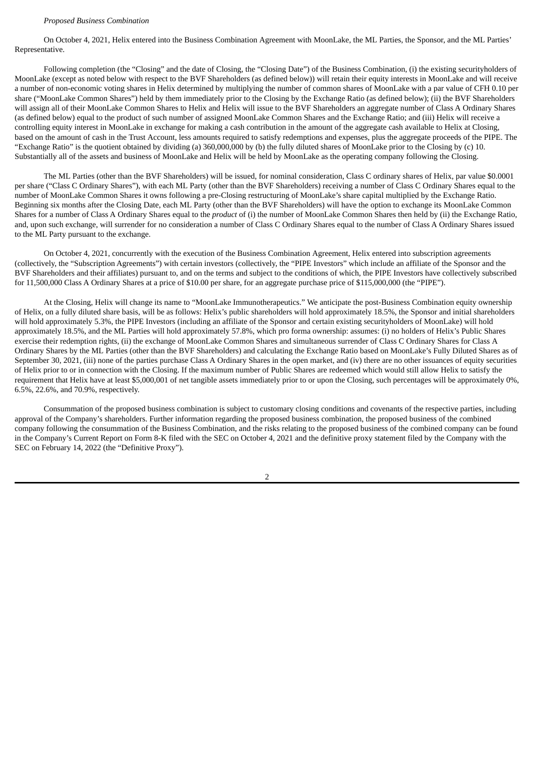#### *Proposed Business Combination*

On October 4, 2021, Helix entered into the Business Combination Agreement with MoonLake, the ML Parties, the Sponsor, and the ML Parties' Representative.

Following completion (the "Closing" and the date of Closing, the "Closing Date") of the Business Combination, (i) the existing securityholders of MoonLake (except as noted below with respect to the BVF Shareholders (as defined below)) will retain their equity interests in MoonLake and will receive a number of non-economic voting shares in Helix determined by multiplying the number of common shares of MoonLake with a par value of CFH 0.10 per share ("MoonLake Common Shares") held by them immediately prior to the Closing by the Exchange Ratio (as defined below); (ii) the BVF Shareholders will assign all of their MoonLake Common Shares to Helix and Helix will issue to the BVF Shareholders an aggregate number of Class A Ordinary Shares (as defined below) equal to the product of such number of assigned MoonLake Common Shares and the Exchange Ratio; and (iii) Helix will receive a controlling equity interest in MoonLake in exchange for making a cash contribution in the amount of the aggregate cash available to Helix at Closing, based on the amount of cash in the Trust Account, less amounts required to satisfy redemptions and expenses, plus the aggregate proceeds of the PIPE. The "Exchange Ratio" is the quotient obtained by dividing (a) 360,000,000 by (b) the fully diluted shares of MoonLake prior to the Closing by (c) 10. Substantially all of the assets and business of MoonLake and Helix will be held by MoonLake as the operating company following the Closing.

The ML Parties (other than the BVF Shareholders) will be issued, for nominal consideration, Class C ordinary shares of Helix, par value \$0.0001 per share ("Class C Ordinary Shares"), with each ML Party (other than the BVF Shareholders) receiving a number of Class C Ordinary Shares equal to the number of MoonLake Common Shares it owns following a pre-Closing restructuring of MoonLake's share capital multiplied by the Exchange Ratio. Beginning six months after the Closing Date, each ML Party (other than the BVF Shareholders) will have the option to exchange its MoonLake Common Shares for a number of Class A Ordinary Shares equal to the *product* of (i) the number of MoonLake Common Shares then held by (ii) the Exchange Ratio, and, upon such exchange, will surrender for no consideration a number of Class C Ordinary Shares equal to the number of Class A Ordinary Shares issued to the ML Party pursuant to the exchange.

On October 4, 2021, concurrently with the execution of the Business Combination Agreement, Helix entered into subscription agreements (collectively, the "Subscription Agreements") with certain investors (collectively, the "PIPE Investors" which include an affiliate of the Sponsor and the BVF Shareholders and their affiliates) pursuant to, and on the terms and subject to the conditions of which, the PIPE Investors have collectively subscribed for 11,500,000 Class A Ordinary Shares at a price of \$10.00 per share, for an aggregate purchase price of \$115,000,000 (the "PIPE").

At the Closing, Helix will change its name to "MoonLake Immunotherapeutics." We anticipate the post-Business Combination equity ownership of Helix, on a fully diluted share basis, will be as follows: Helix's public shareholders will hold approximately 18.5%, the Sponsor and initial shareholders will hold approximately 5.3%, the PIPE Investors (including an affiliate of the Sponsor and certain existing securityholders of MoonLake) will hold approximately 18.5%, and the ML Parties will hold approximately 57.8%, which pro forma ownership: assumes: (i) no holders of Helix's Public Shares exercise their redemption rights, (ii) the exchange of MoonLake Common Shares and simultaneous surrender of Class C Ordinary Shares for Class A Ordinary Shares by the ML Parties (other than the BVF Shareholders) and calculating the Exchange Ratio based on MoonLake's Fully Diluted Shares as of September 30, 2021, (iii) none of the parties purchase Class A Ordinary Shares in the open market, and (iv) there are no other issuances of equity securities of Helix prior to or in connection with the Closing. If the maximum number of Public Shares are redeemed which would still allow Helix to satisfy the requirement that Helix have at least \$5,000,001 of net tangible assets immediately prior to or upon the Closing, such percentages will be approximately 0%, 6.5%, 22.6%, and 70.9%, respectively.

Consummation of the proposed business combination is subject to customary closing conditions and covenants of the respective parties, including approval of the Company's shareholders. Further information regarding the proposed business combination, the proposed business of the combined company following the consummation of the Business Combination, and the risks relating to the proposed business of the combined company can be found in the Company's Current Report on Form 8-K filed with the SEC on October 4, 2021 and the definitive proxy statement filed by the Company with the SEC on February 14, 2022 (the "Definitive Proxy").

 $\overline{2}$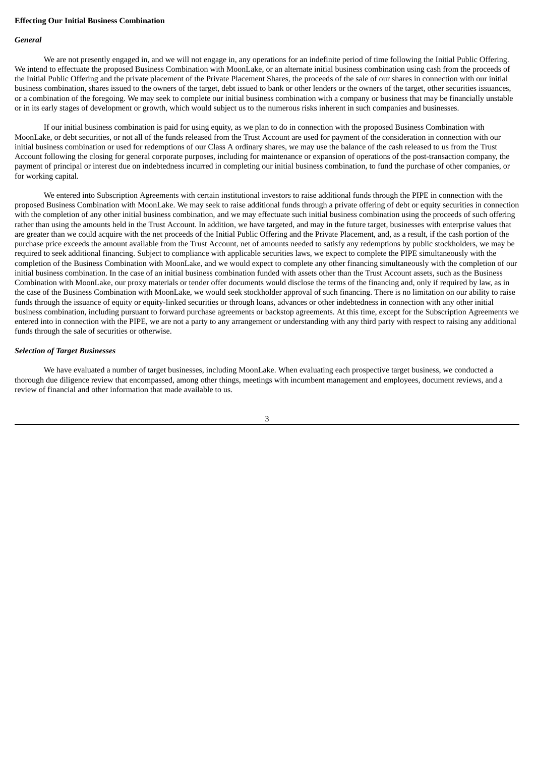#### **Effecting Our Initial Business Combination**

#### *General*

We are not presently engaged in, and we will not engage in, any operations for an indefinite period of time following the Initial Public Offering. We intend to effectuate the proposed Business Combination with MoonLake, or an alternate initial business combination using cash from the proceeds of the Initial Public Offering and the private placement of the Private Placement Shares, the proceeds of the sale of our shares in connection with our initial business combination, shares issued to the owners of the target, debt issued to bank or other lenders or the owners of the target, other securities issuances, or a combination of the foregoing. We may seek to complete our initial business combination with a company or business that may be financially unstable or in its early stages of development or growth, which would subject us to the numerous risks inherent in such companies and businesses.

If our initial business combination is paid for using equity, as we plan to do in connection with the proposed Business Combination with MoonLake, or debt securities, or not all of the funds released from the Trust Account are used for payment of the consideration in connection with our initial business combination or used for redemptions of our Class A ordinary shares, we may use the balance of the cash released to us from the Trust Account following the closing for general corporate purposes, including for maintenance or expansion of operations of the post-transaction company, the payment of principal or interest due on indebtedness incurred in completing our initial business combination, to fund the purchase of other companies, or for working capital.

We entered into Subscription Agreements with certain institutional investors to raise additional funds through the PIPE in connection with the proposed Business Combination with MoonLake. We may seek to raise additional funds through a private offering of debt or equity securities in connection with the completion of any other initial business combination, and we may effectuate such initial business combination using the proceeds of such offering rather than using the amounts held in the Trust Account. In addition, we have targeted, and may in the future target, businesses with enterprise values that are greater than we could acquire with the net proceeds of the Initial Public Offering and the Private Placement, and, as a result, if the cash portion of the purchase price exceeds the amount available from the Trust Account, net of amounts needed to satisfy any redemptions by public stockholders, we may be required to seek additional financing. Subject to compliance with applicable securities laws, we expect to complete the PIPE simultaneously with the completion of the Business Combination with MoonLake, and we would expect to complete any other financing simultaneously with the completion of our initial business combination. In the case of an initial business combination funded with assets other than the Trust Account assets, such as the Business Combination with MoonLake, our proxy materials or tender offer documents would disclose the terms of the financing and, only if required by law, as in the case of the Business Combination with MoonLake, we would seek stockholder approval of such financing. There is no limitation on our ability to raise funds through the issuance of equity or equity-linked securities or through loans, advances or other indebtedness in connection with any other initial business combination, including pursuant to forward purchase agreements or backstop agreements. At this time, except for the Subscription Agreements we entered into in connection with the PIPE, we are not a party to any arrangement or understanding with any third party with respect to raising any additional funds through the sale of securities or otherwise.

#### *Selection of Target Businesses*

We have evaluated a number of target businesses, including MoonLake. When evaluating each prospective target business, we conducted a thorough due diligence review that encompassed, among other things, meetings with incumbent management and employees, document reviews, and a review of financial and other information that made available to us.

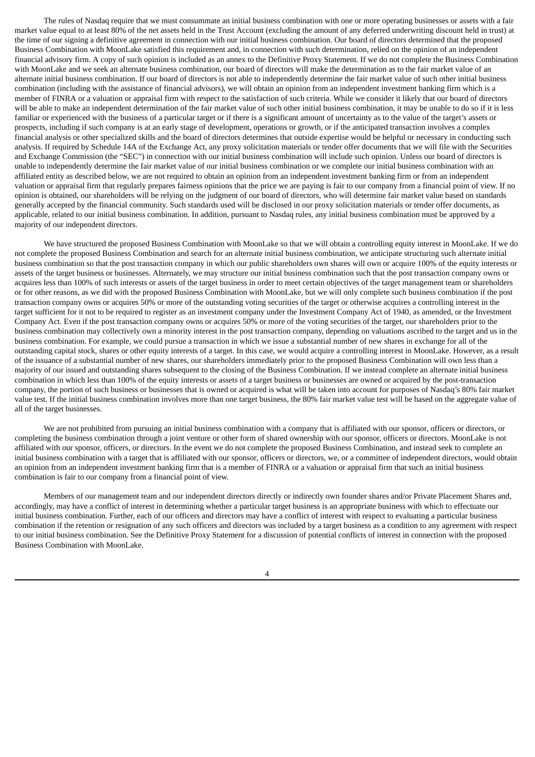The rules of Nasdaq require that we must consummate an initial business combination with one or more operating businesses or assets with a fair market value equal to at least 80% of the net assets held in the Trust Account (excluding the amount of any deferred underwriting discount held in trust) at the time of our signing a definitive agreement in connection with our initial business combination. Our board of directors determined that the proposed Business Combination with MoonLake satisfied this requirement and, in connection with such determination, relied on the opinion of an independent financial advisory firm. A copy of such opinion is included as an annex to the Definitive Proxy Statement. If we do not complete the Business Combination with MoonLake and we seek an alternate business combination, our board of directors will make the determination as to the fair market value of an alternate initial business combination. If our board of directors is not able to independently determine the fair market value of such other initial business combination (including with the assistance of financial advisors), we will obtain an opinion from an independent investment banking firm which is a member of FINRA or a valuation or appraisal firm with respect to the satisfaction of such criteria. While we consider it likely that our board of directors will be able to make an independent determination of the fair market value of such other initial business combination, it may be unable to do so if it is less familiar or experienced with the business of a particular target or if there is a significant amount of uncertainty as to the value of the target's assets or prospects, including if such company is at an early stage of development, operations or growth, or if the anticipated transaction involves a complex financial analysis or other specialized skills and the board of directors determines that outside expertise would be helpful or necessary in conducting such analysis. If required by Schedule 14A of the Exchange Act, any proxy solicitation materials or tender offer documents that we will file with the Securities and Exchange Commission (the "SEC") in connection with our initial business combination will include such opinion. Unless our board of directors is unable to independently determine the fair market value of our initial business combination or we complete our initial business combination with an affiliated entity as described below, we are not required to obtain an opinion from an independent investment banking firm or from an independent valuation or appraisal firm that regularly prepares fairness opinions that the price we are paying is fair to our company from a financial point of view. If no opinion is obtained, our shareholders will be relying on the judgment of our board of directors, who will determine fair market value based on standards generally accepted by the financial community. Such standards used will be disclosed in our proxy solicitation materials or tender offer documents, as applicable, related to our initial business combination. In addition, pursuant to Nasdaq rules, any initial business combination must be approved by a majority of our independent directors.

We have structured the proposed Business Combination with MoonLake so that we will obtain a controlling equity interest in MoonLake. If we do not complete the proposed Business Combination and search for an alternate initial business combination, we anticipate structuring such alternate initial business combination so that the post transaction company in which our public shareholders own shares will own or acquire 100% of the equity interests or assets of the target business or businesses. Alternately, we may structure our initial business combination such that the post transaction company owns or acquires less than 100% of such interests or assets of the target business in order to meet certain objectives of the target management team or shareholders or for other reasons, as we did with the proposed Business Combination with MoonLake, but we will only complete such business combination if the post transaction company owns or acquires 50% or more of the outstanding voting securities of the target or otherwise acquires a controlling interest in the target sufficient for it not to be required to register as an investment company under the Investment Company Act of 1940, as amended, or the Investment Company Act. Even if the post transaction company owns or acquires 50% or more of the voting securities of the target, our shareholders prior to the business combination may collectively own a minority interest in the post transaction company, depending on valuations ascribed to the target and us in the business combination. For example, we could pursue a transaction in which we issue a substantial number of new shares in exchange for all of the outstanding capital stock, shares or other equity interests of a target. In this case, we would acquire a controlling interest in MoonLake. However, as a result of the issuance of a substantial number of new shares, our shareholders immediately prior to the proposed Business Combination will own less than a majority of our issued and outstanding shares subsequent to the closing of the Business Combination. If we instead complete an alternate initial business combination in which less than 100% of the equity interests or assets of a target business or businesses are owned or acquired by the post-transaction company, the portion of such business or businesses that is owned or acquired is what will be taken into account for purposes of Nasdaq's 80% fair market value test. If the initial business combination involves more than one target business, the 80% fair market value test will be based on the aggregate value of all of the target businesses.

We are not prohibited from pursuing an initial business combination with a company that is affiliated with our sponsor, officers or directors, or completing the business combination through a joint venture or other form of shared ownership with our sponsor, officers or directors. MoonLake is not affiliated with our sponsor, officers, or directors. In the event we do not complete the proposed Business Combination, and instead seek to complete an initial business combination with a target that is affiliated with our sponsor, officers or directors, we, or a committee of independent directors, would obtain an opinion from an independent investment banking firm that is a member of FINRA or a valuation or appraisal firm that such an initial business combination is fair to our company from a financial point of view.

Members of our management team and our independent directors directly or indirectly own founder shares and/or Private Placement Shares and, accordingly, may have a conflict of interest in determining whether a particular target business is an appropriate business with which to effectuate our initial business combination. Further, each of our officers and directors may have a conflict of interest with respect to evaluating a particular business combination if the retention or resignation of any such officers and directors was included by a target business as a condition to any agreement with respect to our initial business combination. See the Definitive Proxy Statement for a discussion of potential conflicts of interest in connection with the proposed Business Combination with MoonLake.

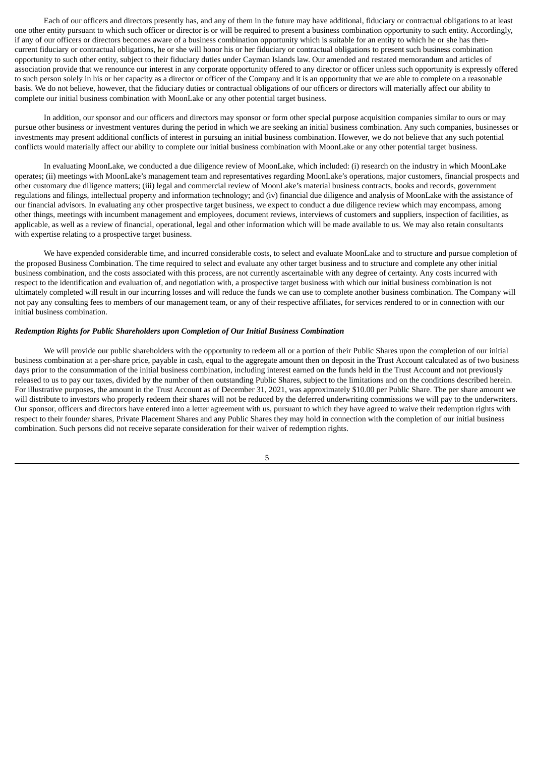Each of our officers and directors presently has, and any of them in the future may have additional, fiduciary or contractual obligations to at least one other entity pursuant to which such officer or director is or will be required to present a business combination opportunity to such entity. Accordingly, if any of our officers or directors becomes aware of a business combination opportunity which is suitable for an entity to which he or she has thencurrent fiduciary or contractual obligations, he or she will honor his or her fiduciary or contractual obligations to present such business combination opportunity to such other entity, subject to their fiduciary duties under Cayman Islands law. Our amended and restated memorandum and articles of association provide that we renounce our interest in any corporate opportunity offered to any director or officer unless such opportunity is expressly offered to such person solely in his or her capacity as a director or officer of the Company and it is an opportunity that we are able to complete on a reasonable basis. We do not believe, however, that the fiduciary duties or contractual obligations of our officers or directors will materially affect our ability to complete our initial business combination with MoonLake or any other potential target business.

In addition, our sponsor and our officers and directors may sponsor or form other special purpose acquisition companies similar to ours or may pursue other business or investment ventures during the period in which we are seeking an initial business combination. Any such companies, businesses or investments may present additional conflicts of interest in pursuing an initial business combination. However, we do not believe that any such potential conflicts would materially affect our ability to complete our initial business combination with MoonLake or any other potential target business.

In evaluating MoonLake, we conducted a due diligence review of MoonLake, which included: (i) research on the industry in which MoonLake operates; (ii) meetings with MoonLake's management team and representatives regarding MoonLake's operations, major customers, financial prospects and other customary due diligence matters; (iii) legal and commercial review of MoonLake's material business contracts, books and records, government regulations and filings, intellectual property and information technology; and (iv) financial due diligence and analysis of MoonLake with the assistance of our financial advisors. In evaluating any other prospective target business, we expect to conduct a due diligence review which may encompass, among other things, meetings with incumbent management and employees, document reviews, interviews of customers and suppliers, inspection of facilities, as applicable, as well as a review of financial, operational, legal and other information which will be made available to us. We may also retain consultants with expertise relating to a prospective target business.

We have expended considerable time, and incurred considerable costs, to select and evaluate MoonLake and to structure and pursue completion of the proposed Business Combination. The time required to select and evaluate any other target business and to structure and complete any other initial business combination, and the costs associated with this process, are not currently ascertainable with any degree of certainty. Any costs incurred with respect to the identification and evaluation of, and negotiation with, a prospective target business with which our initial business combination is not ultimately completed will result in our incurring losses and will reduce the funds we can use to complete another business combination. The Company will not pay any consulting fees to members of our management team, or any of their respective affiliates, for services rendered to or in connection with our initial business combination.

## *Redemption Rights for Public Shareholders upon Completion of Our Initial Business Combination*

We will provide our public shareholders with the opportunity to redeem all or a portion of their Public Shares upon the completion of our initial business combination at a per-share price, payable in cash, equal to the aggregate amount then on deposit in the Trust Account calculated as of two business days prior to the consummation of the initial business combination, including interest earned on the funds held in the Trust Account and not previously released to us to pay our taxes, divided by the number of then outstanding Public Shares, subject to the limitations and on the conditions described herein. For illustrative purposes, the amount in the Trust Account as of December 31, 2021, was approximately \$10.00 per Public Share. The per share amount we will distribute to investors who properly redeem their shares will not be reduced by the deferred underwriting commissions we will pay to the underwriters. Our sponsor, officers and directors have entered into a letter agreement with us, pursuant to which they have agreed to waive their redemption rights with respect to their founder shares, Private Placement Shares and any Public Shares they may hold in connection with the completion of our initial business combination. Such persons did not receive separate consideration for their waiver of redemption rights.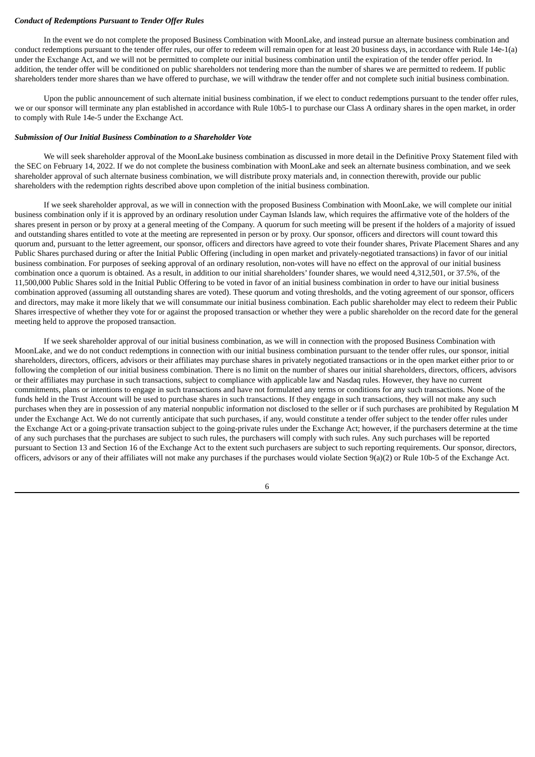#### *Conduct of Redemptions Pursuant to Tender Offer Rules*

In the event we do not complete the proposed Business Combination with MoonLake, and instead pursue an alternate business combination and conduct redemptions pursuant to the tender offer rules, our offer to redeem will remain open for at least 20 business days, in accordance with Rule 14e-1(a) under the Exchange Act, and we will not be permitted to complete our initial business combination until the expiration of the tender offer period. In addition, the tender offer will be conditioned on public shareholders not tendering more than the number of shares we are permitted to redeem. If public shareholders tender more shares than we have offered to purchase, we will withdraw the tender offer and not complete such initial business combination.

Upon the public announcement of such alternate initial business combination, if we elect to conduct redemptions pursuant to the tender offer rules, we or our sponsor will terminate any plan established in accordance with Rule 10b5-1 to purchase our Class A ordinary shares in the open market, in order to comply with Rule 14e-5 under the Exchange Act.

#### *Submission of Our Initial Business Combination to a Shareholder Vote*

We will seek shareholder approval of the MoonLake business combination as discussed in more detail in the Definitive Proxy Statement filed with the SEC on February 14, 2022. If we do not complete the business combination with MoonLake and seek an alternate business combination, and we seek shareholder approval of such alternate business combination, we will distribute proxy materials and, in connection therewith, provide our public shareholders with the redemption rights described above upon completion of the initial business combination.

If we seek shareholder approval, as we will in connection with the proposed Business Combination with MoonLake, we will complete our initial business combination only if it is approved by an ordinary resolution under Cayman Islands law, which requires the affirmative vote of the holders of the shares present in person or by proxy at a general meeting of the Company. A quorum for such meeting will be present if the holders of a majority of issued and outstanding shares entitled to vote at the meeting are represented in person or by proxy. Our sponsor, officers and directors will count toward this quorum and, pursuant to the letter agreement, our sponsor, officers and directors have agreed to vote their founder shares, Private Placement Shares and any Public Shares purchased during or after the Initial Public Offering (including in open market and privately-negotiated transactions) in favor of our initial business combination. For purposes of seeking approval of an ordinary resolution, non-votes will have no effect on the approval of our initial business combination once a quorum is obtained. As a result, in addition to our initial shareholders' founder shares, we would need 4,312,501, or 37.5%, of the 11,500,000 Public Shares sold in the Initial Public Offering to be voted in favor of an initial business combination in order to have our initial business combination approved (assuming all outstanding shares are voted). These quorum and voting thresholds, and the voting agreement of our sponsor, officers and directors, may make it more likely that we will consummate our initial business combination. Each public shareholder may elect to redeem their Public Shares irrespective of whether they vote for or against the proposed transaction or whether they were a public shareholder on the record date for the general meeting held to approve the proposed transaction.

If we seek shareholder approval of our initial business combination, as we will in connection with the proposed Business Combination with MoonLake, and we do not conduct redemptions in connection with our initial business combination pursuant to the tender offer rules, our sponsor, initial shareholders, directors, officers, advisors or their affiliates may purchase shares in privately negotiated transactions or in the open market either prior to or following the completion of our initial business combination. There is no limit on the number of shares our initial shareholders, directors, officers, advisors or their affiliates may purchase in such transactions, subject to compliance with applicable law and Nasdaq rules. However, they have no current commitments, plans or intentions to engage in such transactions and have not formulated any terms or conditions for any such transactions. None of the funds held in the Trust Account will be used to purchase shares in such transactions. If they engage in such transactions, they will not make any such purchases when they are in possession of any material nonpublic information not disclosed to the seller or if such purchases are prohibited by Regulation M under the Exchange Act. We do not currently anticipate that such purchases, if any, would constitute a tender offer subject to the tender offer rules under the Exchange Act or a going-private transaction subject to the going-private rules under the Exchange Act; however, if the purchasers determine at the time of any such purchases that the purchases are subject to such rules, the purchasers will comply with such rules. Any such purchases will be reported pursuant to Section 13 and Section 16 of the Exchange Act to the extent such purchasers are subject to such reporting requirements. Our sponsor, directors, officers, advisors or any of their affiliates will not make any purchases if the purchases would violate Section  $9(a)(2)$  or Rule 10b-5 of the Exchange Act.

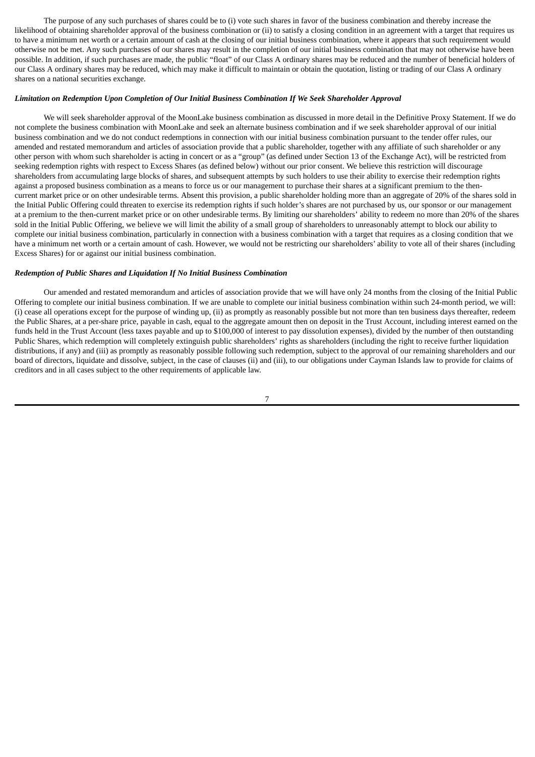The purpose of any such purchases of shares could be to (i) vote such shares in favor of the business combination and thereby increase the likelihood of obtaining shareholder approval of the business combination or (ii) to satisfy a closing condition in an agreement with a target that requires us to have a minimum net worth or a certain amount of cash at the closing of our initial business combination, where it appears that such requirement would otherwise not be met. Any such purchases of our shares may result in the completion of our initial business combination that may not otherwise have been possible. In addition, if such purchases are made, the public "float" of our Class A ordinary shares may be reduced and the number of beneficial holders of our Class A ordinary shares may be reduced, which may make it difficult to maintain or obtain the quotation, listing or trading of our Class A ordinary shares on a national securities exchange.

#### *Limitation on Redemption Upon Completion of Our Initial Business Combination If We Seek Shareholder Approval*

We will seek shareholder approval of the MoonLake business combination as discussed in more detail in the Definitive Proxy Statement. If we do not complete the business combination with MoonLake and seek an alternate business combination and if we seek shareholder approval of our initial business combination and we do not conduct redemptions in connection with our initial business combination pursuant to the tender offer rules, our amended and restated memorandum and articles of association provide that a public shareholder, together with any affiliate of such shareholder or any other person with whom such shareholder is acting in concert or as a "group" (as defined under Section 13 of the Exchange Act), will be restricted from seeking redemption rights with respect to Excess Shares (as defined below) without our prior consent. We believe this restriction will discourage shareholders from accumulating large blocks of shares, and subsequent attempts by such holders to use their ability to exercise their redemption rights against a proposed business combination as a means to force us or our management to purchase their shares at a significant premium to the thencurrent market price or on other undesirable terms. Absent this provision, a public shareholder holding more than an aggregate of 20% of the shares sold in the Initial Public Offering could threaten to exercise its redemption rights if such holder's shares are not purchased by us, our sponsor or our management at a premium to the then-current market price or on other undesirable terms. By limiting our shareholders' ability to redeem no more than 20% of the shares sold in the Initial Public Offering, we believe we will limit the ability of a small group of shareholders to unreasonably attempt to block our ability to complete our initial business combination, particularly in connection with a business combination with a target that requires as a closing condition that we have a minimum net worth or a certain amount of cash. However, we would not be restricting our shareholders' ability to vote all of their shares (including Excess Shares) for or against our initial business combination.

#### *Redemption of Public Shares and Liquidation If No Initial Business Combination*

Our amended and restated memorandum and articles of association provide that we will have only 24 months from the closing of the Initial Public Offering to complete our initial business combination. If we are unable to complete our initial business combination within such 24-month period, we will: (i) cease all operations except for the purpose of winding up, (ii) as promptly as reasonably possible but not more than ten business days thereafter, redeem the Public Shares, at a per-share price, payable in cash, equal to the aggregate amount then on deposit in the Trust Account, including interest earned on the funds held in the Trust Account (less taxes payable and up to \$100,000 of interest to pay dissolution expenses), divided by the number of then outstanding Public Shares, which redemption will completely extinguish public shareholders' rights as shareholders (including the right to receive further liquidation distributions, if any) and (iii) as promptly as reasonably possible following such redemption, subject to the approval of our remaining shareholders and our board of directors, liquidate and dissolve, subject, in the case of clauses (ii) and (iii), to our obligations under Cayman Islands law to provide for claims of creditors and in all cases subject to the other requirements of applicable law.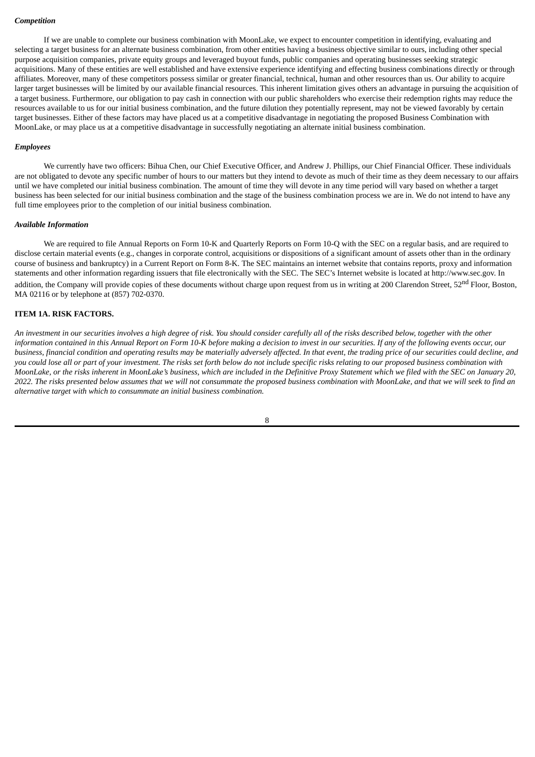#### *Competition*

If we are unable to complete our business combination with MoonLake, we expect to encounter competition in identifying, evaluating and selecting a target business for an alternate business combination, from other entities having a business objective similar to ours, including other special purpose acquisition companies, private equity groups and leveraged buyout funds, public companies and operating businesses seeking strategic acquisitions. Many of these entities are well established and have extensive experience identifying and effecting business combinations directly or through affiliates. Moreover, many of these competitors possess similar or greater financial, technical, human and other resources than us. Our ability to acquire larger target businesses will be limited by our available financial resources. This inherent limitation gives others an advantage in pursuing the acquisition of a target business. Furthermore, our obligation to pay cash in connection with our public shareholders who exercise their redemption rights may reduce the resources available to us for our initial business combination, and the future dilution they potentially represent, may not be viewed favorably by certain target businesses. Either of these factors may have placed us at a competitive disadvantage in negotiating the proposed Business Combination with MoonLake, or may place us at a competitive disadvantage in successfully negotiating an alternate initial business combination.

#### *Employees*

We currently have two officers: Bihua Chen, our Chief Executive Officer, and Andrew J. Phillips, our Chief Financial Officer. These individuals are not obligated to devote any specific number of hours to our matters but they intend to devote as much of their time as they deem necessary to our affairs until we have completed our initial business combination. The amount of time they will devote in any time period will vary based on whether a target business has been selected for our initial business combination and the stage of the business combination process we are in. We do not intend to have any full time employees prior to the completion of our initial business combination.

#### *Available Information*

We are required to file Annual Reports on Form 10-K and Quarterly Reports on Form 10-Q with the SEC on a regular basis, and are required to disclose certain material events (e.g., changes in corporate control, acquisitions or dispositions of a significant amount of assets other than in the ordinary course of business and bankruptcy) in a Current Report on Form 8-K. The SEC maintains an internet website that contains reports, proxy and information statements and other information regarding issuers that file electronically with the SEC. The SEC's Internet website is located at http://www.sec.gov. In addition, the Company will provide copies of these documents without charge upon request from us in writing at 200 Clarendon Street, 52<sup>nd</sup> Floor, Boston, MA 02116 or by telephone at (857) 702-0370.

## <span id="page-12-0"></span>**ITEM 1A. RISK FACTORS.**

An investment in our securities involves a high degree of risk. You should consider carefully all of the risks described below, together with the other information contained in this Annual Report on Form 10-K before making a decision to invest in our securities. If any of the following events occur, our business, financial condition and operating results may be materially adversely affected. In that event, the trading price of our securities could decline, and you could lose all or part of your investment. The risks set forth below do not include specific risks relating to our proposed business combination with MoonLake, or the risks inherent in MoonLake's business, which are included in the Definitive Proxy Statement which we filed with the SEC on January 20, 2022. The risks presented below assumes that we will not consummate the proposed business combination with MoonLake, and that we will seek to find an *alternative target with which to consummate an initial business combination.*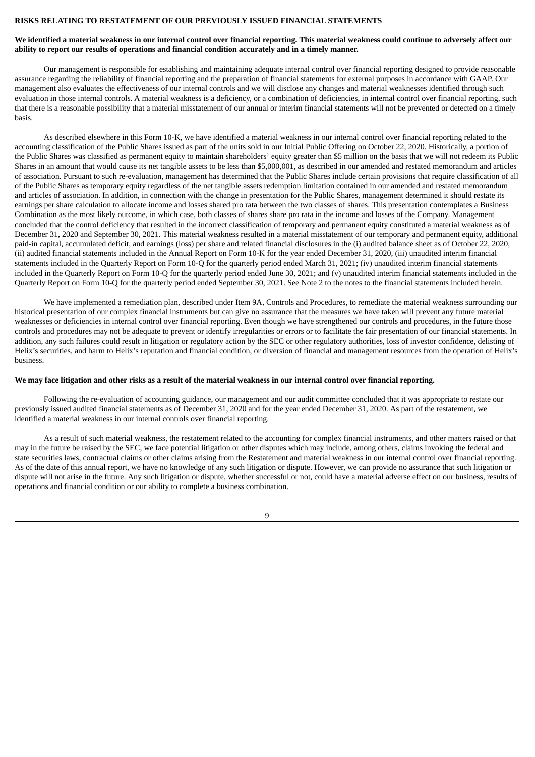#### **RISKS RELATING TO RESTATEMENT OF OUR PREVIOUSLY ISSUED FINANCIAL STATEMENTS**

#### We identified a material weakness in our internal control over financial reporting. This material weakness could continue to adversely affect our **ability to report our results of operations and financial condition accurately and in a timely manner.**

Our management is responsible for establishing and maintaining adequate internal control over financial reporting designed to provide reasonable assurance regarding the reliability of financial reporting and the preparation of financial statements for external purposes in accordance with GAAP. Our management also evaluates the effectiveness of our internal controls and we will disclose any changes and material weaknesses identified through such evaluation in those internal controls. A material weakness is a deficiency, or a combination of deficiencies, in internal control over financial reporting, such that there is a reasonable possibility that a material misstatement of our annual or interim financial statements will not be prevented or detected on a timely basis.

As described elsewhere in this Form 10-K, we have identified a material weakness in our internal control over financial reporting related to the accounting classification of the Public Shares issued as part of the units sold in our Initial Public Offering on October 22, 2020. Historically, a portion of the Public Shares was classified as permanent equity to maintain shareholders' equity greater than \$5 million on the basis that we will not redeem its Public Shares in an amount that would cause its net tangible assets to be less than \$5,000,001, as described in our amended and restated memorandum and articles of association. Pursuant to such re-evaluation, management has determined that the Public Shares include certain provisions that require classification of all of the Public Shares as temporary equity regardless of the net tangible assets redemption limitation contained in our amended and restated memorandum and articles of association. In addition, in connection with the change in presentation for the Public Shares, management determined it should restate its earnings per share calculation to allocate income and losses shared pro rata between the two classes of shares. This presentation contemplates a Business Combination as the most likely outcome, in which case, both classes of shares share pro rata in the income and losses of the Company. Management concluded that the control deficiency that resulted in the incorrect classification of temporary and permanent equity constituted a material weakness as of December 31, 2020 and September 30, 2021. This material weakness resulted in a material misstatement of our temporary and permanent equity, additional paid-in capital, accumulated deficit, and earnings (loss) per share and related financial disclosures in the (i) audited balance sheet as of October 22, 2020, (ii) audited financial statements included in the Annual Report on Form 10-K for the year ended December 31, 2020, (iii) unaudited interim financial statements included in the Quarterly Report on Form 10-Q for the quarterly period ended March 31, 2021; (iv) unaudited interim financial statements included in the Quarterly Report on Form 10-Q for the quarterly period ended June 30, 2021; and (v) unaudited interim financial statements included in the Quarterly Report on Form 10-Q for the quarterly period ended September 30, 2021. See Note 2 to the notes to the financial statements included herein.

We have implemented a remediation plan, described under Item 9A, Controls and Procedures, to remediate the material weakness surrounding our historical presentation of our complex financial instruments but can give no assurance that the measures we have taken will prevent any future material weaknesses or deficiencies in internal control over financial reporting. Even though we have strengthened our controls and procedures, in the future those controls and procedures may not be adequate to prevent or identify irregularities or errors or to facilitate the fair presentation of our financial statements. In addition, any such failures could result in litigation or regulatory action by the SEC or other regulatory authorities, loss of investor confidence, delisting of Helix's securities, and harm to Helix's reputation and financial condition, or diversion of financial and management resources from the operation of Helix's business.

#### We may face litigation and other risks as a result of the material weakness in our internal control over financial reporting.

Following the re-evaluation of accounting guidance, our management and our audit committee concluded that it was appropriate to restate our previously issued audited financial statements as of December 31, 2020 and for the year ended December 31, 2020. As part of the restatement, we identified a material weakness in our internal controls over financial reporting.

As a result of such material weakness, the restatement related to the accounting for complex financial instruments, and other matters raised or that may in the future be raised by the SEC, we face potential litigation or other disputes which may include, among others, claims invoking the federal and state securities laws, contractual claims or other claims arising from the Restatement and material weakness in our internal control over financial reporting. As of the date of this annual report, we have no knowledge of any such litigation or dispute. However, we can provide no assurance that such litigation or dispute will not arise in the future. Any such litigation or dispute, whether successful or not, could have a material adverse effect on our business, results of operations and financial condition or our ability to complete a business combination.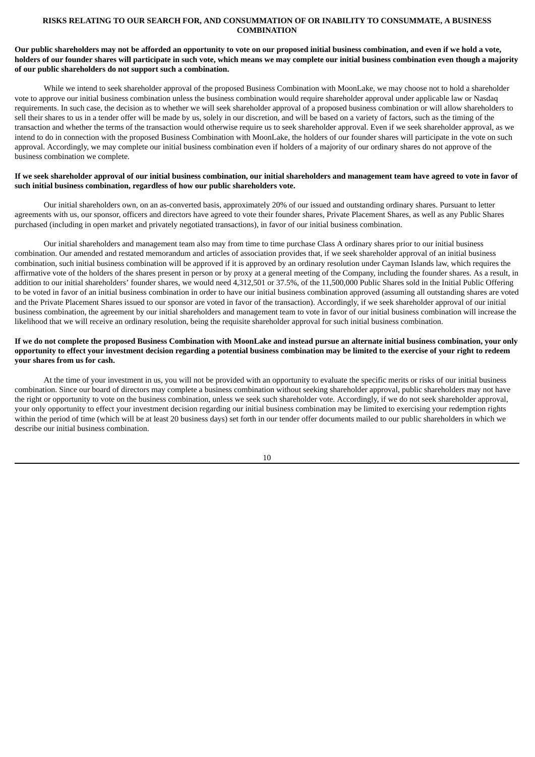### **RISKS RELATING TO OUR SEARCH FOR, AND CONSUMMATION OF OR INABILITY TO CONSUMMATE, A BUSINESS COMBINATION**

### Our public shareholders may not be afforded an opportunity to vote on our proposed initial business combination, and even if we hold a vote, holders of our founder shares will participate in such vote, which means we may complete our initial business combination even though a majority **of our public shareholders do not support such a combination.**

While we intend to seek shareholder approval of the proposed Business Combination with MoonLake, we may choose not to hold a shareholder vote to approve our initial business combination unless the business combination would require shareholder approval under applicable law or Nasdaq requirements. In such case, the decision as to whether we will seek shareholder approval of a proposed business combination or will allow shareholders to sell their shares to us in a tender offer will be made by us, solely in our discretion, and will be based on a variety of factors, such as the timing of the transaction and whether the terms of the transaction would otherwise require us to seek shareholder approval. Even if we seek shareholder approval, as we intend to do in connection with the proposed Business Combination with MoonLake, the holders of our founder shares will participate in the vote on such approval. Accordingly, we may complete our initial business combination even if holders of a majority of our ordinary shares do not approve of the business combination we complete.

### If we seek shareholder approval of our initial business combination, our initial shareholders and management team have agreed to vote in favor of **such initial business combination, regardless of how our public shareholders vote.**

Our initial shareholders own, on an as-converted basis, approximately 20% of our issued and outstanding ordinary shares. Pursuant to letter agreements with us, our sponsor, officers and directors have agreed to vote their founder shares, Private Placement Shares, as well as any Public Shares purchased (including in open market and privately negotiated transactions), in favor of our initial business combination.

Our initial shareholders and management team also may from time to time purchase Class A ordinary shares prior to our initial business combination. Our amended and restated memorandum and articles of association provides that, if we seek shareholder approval of an initial business combination, such initial business combination will be approved if it is approved by an ordinary resolution under Cayman Islands law, which requires the affirmative vote of the holders of the shares present in person or by proxy at a general meeting of the Company, including the founder shares. As a result, in addition to our initial shareholders' founder shares, we would need 4,312,501 or 37.5%, of the 11,500,000 Public Shares sold in the Initial Public Offering to be voted in favor of an initial business combination in order to have our initial business combination approved (assuming all outstanding shares are voted and the Private Placement Shares issued to our sponsor are voted in favor of the transaction). Accordingly, if we seek shareholder approval of our initial business combination, the agreement by our initial shareholders and management team to vote in favor of our initial business combination will increase the likelihood that we will receive an ordinary resolution, being the requisite shareholder approval for such initial business combination.

## If we do not complete the proposed Business Combination with MoonLake and instead pursue an alternate initial business combination, your only opportunity to effect your investment decision regarding a potential business combination may be limited to the exercise of your right to redeem **your shares from us for cash.**

At the time of your investment in us, you will not be provided with an opportunity to evaluate the specific merits or risks of our initial business combination. Since our board of directors may complete a business combination without seeking shareholder approval, public shareholders may not have the right or opportunity to vote on the business combination, unless we seek such shareholder vote. Accordingly, if we do not seek shareholder approval, your only opportunity to effect your investment decision regarding our initial business combination may be limited to exercising your redemption rights within the period of time (which will be at least 20 business days) set forth in our tender offer documents mailed to our public shareholders in which we describe our initial business combination.

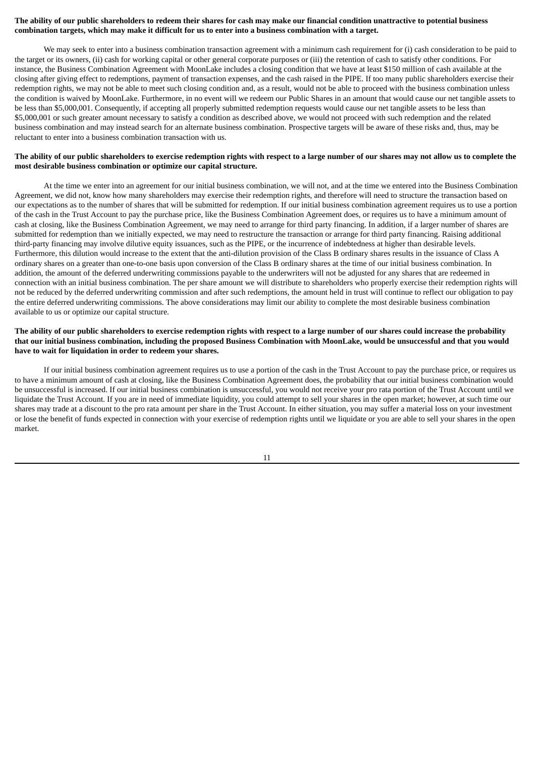### The ability of our public shareholders to redeem their shares for cash may make our financial condition unattractive to potential business combination targets, which may make it difficult for us to enter into a business combination with a target.

We may seek to enter into a business combination transaction agreement with a minimum cash requirement for (i) cash consideration to be paid to the target or its owners, (ii) cash for working capital or other general corporate purposes or (iii) the retention of cash to satisfy other conditions. For instance, the Business Combination Agreement with MoonLake includes a closing condition that we have at least \$150 million of cash available at the closing after giving effect to redemptions, payment of transaction expenses, and the cash raised in the PIPE. If too many public shareholders exercise their redemption rights, we may not be able to meet such closing condition and, as a result, would not be able to proceed with the business combination unless the condition is waived by MoonLake. Furthermore, in no event will we redeem our Public Shares in an amount that would cause our net tangible assets to be less than \$5,000,001. Consequently, if accepting all properly submitted redemption requests would cause our net tangible assets to be less than \$5,000,001 or such greater amount necessary to satisfy a condition as described above, we would not proceed with such redemption and the related business combination and may instead search for an alternate business combination. Prospective targets will be aware of these risks and, thus, may be reluctant to enter into a business combination transaction with us.

## The ability of our public shareholders to exercise redemption rights with respect to a large number of our shares may not allow us to complete the **most desirable business combination or optimize our capital structure.**

At the time we enter into an agreement for our initial business combination, we will not, and at the time we entered into the Business Combination Agreement, we did not, know how many shareholders may exercise their redemption rights, and therefore will need to structure the transaction based on our expectations as to the number of shares that will be submitted for redemption. If our initial business combination agreement requires us to use a portion of the cash in the Trust Account to pay the purchase price, like the Business Combination Agreement does, or requires us to have a minimum amount of cash at closing, like the Business Combination Agreement, we may need to arrange for third party financing. In addition, if a larger number of shares are submitted for redemption than we initially expected, we may need to restructure the transaction or arrange for third party financing. Raising additional third-party financing may involve dilutive equity issuances, such as the PIPE, or the incurrence of indebtedness at higher than desirable levels. Furthermore, this dilution would increase to the extent that the anti-dilution provision of the Class B ordinary shares results in the issuance of Class A ordinary shares on a greater than one-to-one basis upon conversion of the Class B ordinary shares at the time of our initial business combination. In addition, the amount of the deferred underwriting commissions payable to the underwriters will not be adjusted for any shares that are redeemed in connection with an initial business combination. The per share amount we will distribute to shareholders who properly exercise their redemption rights will not be reduced by the deferred underwriting commission and after such redemptions, the amount held in trust will continue to reflect our obligation to pay the entire deferred underwriting commissions. The above considerations may limit our ability to complete the most desirable business combination available to us or optimize our capital structure.

#### The ability of our public shareholders to exercise redemption rights with respect to a large number of our shares could increase the probability that our initial business combination, including the proposed Business Combination with MoonLake, would be unsuccessful and that you would **have to wait for liquidation in order to redeem your shares.**

If our initial business combination agreement requires us to use a portion of the cash in the Trust Account to pay the purchase price, or requires us to have a minimum amount of cash at closing, like the Business Combination Agreement does, the probability that our initial business combination would be unsuccessful is increased. If our initial business combination is unsuccessful, you would not receive your pro rata portion of the Trust Account until we liquidate the Trust Account. If you are in need of immediate liquidity, you could attempt to sell your shares in the open market; however, at such time our shares may trade at a discount to the pro rata amount per share in the Trust Account. In either situation, you may suffer a material loss on your investment or lose the benefit of funds expected in connection with your exercise of redemption rights until we liquidate or you are able to sell your shares in the open market.

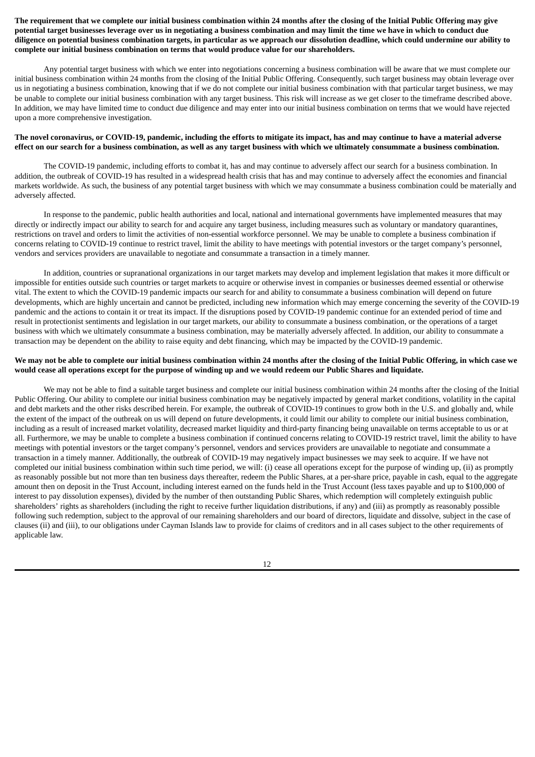The requirement that we complete our initial business combination within 24 months after the closing of the Initial Public Offering may give potential target businesses leverage over us in negotiating a business combination and may limit the time we have in which to conduct due diligence on potential business combination targets, in particular as we approach our dissolution deadline, which could undermine our ability to **complete our initial business combination on terms that would produce value for our shareholders.**

Any potential target business with which we enter into negotiations concerning a business combination will be aware that we must complete our initial business combination within 24 months from the closing of the Initial Public Offering. Consequently, such target business may obtain leverage over us in negotiating a business combination, knowing that if we do not complete our initial business combination with that particular target business, we may be unable to complete our initial business combination with any target business. This risk will increase as we get closer to the timeframe described above. In addition, we may have limited time to conduct due diligence and may enter into our initial business combination on terms that we would have rejected upon a more comprehensive investigation.

### The novel coronavirus, or COVID-19, pandemic, including the efforts to mitigate its impact, has and may continue to have a material adverse effect on our search for a business combination, as well as any target business with which we ultimately consummate a business combination.

The COVID-19 pandemic, including efforts to combat it, has and may continue to adversely affect our search for a business combination. In addition, the outbreak of COVID-19 has resulted in a widespread health crisis that has and may continue to adversely affect the economies and financial markets worldwide. As such, the business of any potential target business with which we may consummate a business combination could be materially and adversely affected.

In response to the pandemic, public health authorities and local, national and international governments have implemented measures that may directly or indirectly impact our ability to search for and acquire any target business, including measures such as voluntary or mandatory quarantines, restrictions on travel and orders to limit the activities of non-essential workforce personnel. We may be unable to complete a business combination if concerns relating to COVID-19 continue to restrict travel, limit the ability to have meetings with potential investors or the target company's personnel, vendors and services providers are unavailable to negotiate and consummate a transaction in a timely manner.

In addition, countries or supranational organizations in our target markets may develop and implement legislation that makes it more difficult or impossible for entities outside such countries or target markets to acquire or otherwise invest in companies or businesses deemed essential or otherwise vital. The extent to which the COVID-19 pandemic impacts our search for and ability to consummate a business combination will depend on future developments, which are highly uncertain and cannot be predicted, including new information which may emerge concerning the severity of the COVID-19 pandemic and the actions to contain it or treat its impact. If the disruptions posed by COVID-19 pandemic continue for an extended period of time and result in protectionist sentiments and legislation in our target markets, our ability to consummate a business combination, or the operations of a target business with which we ultimately consummate a business combination, may be materially adversely affected. In addition, our ability to consummate a transaction may be dependent on the ability to raise equity and debt financing, which may be impacted by the COVID-19 pandemic.

#### We may not be able to complete our initial business combination within 24 months after the closing of the Initial Public Offering, in which case we would cease all operations except for the purpose of winding up and we would redeem our Public Shares and liquidate.

We may not be able to find a suitable target business and complete our initial business combination within 24 months after the closing of the Initial Public Offering. Our ability to complete our initial business combination may be negatively impacted by general market conditions, volatility in the capital and debt markets and the other risks described herein. For example, the outbreak of COVID-19 continues to grow both in the U.S. and globally and, while the extent of the impact of the outbreak on us will depend on future developments, it could limit our ability to complete our initial business combination, including as a result of increased market volatility, decreased market liquidity and third-party financing being unavailable on terms acceptable to us or at all. Furthermore, we may be unable to complete a business combination if continued concerns relating to COVID-19 restrict travel, limit the ability to have meetings with potential investors or the target company's personnel, vendors and services providers are unavailable to negotiate and consummate a transaction in a timely manner. Additionally, the outbreak of COVID-19 may negatively impact businesses we may seek to acquire. If we have not completed our initial business combination within such time period, we will: (i) cease all operations except for the purpose of winding up, (ii) as promptly as reasonably possible but not more than ten business days thereafter, redeem the Public Shares, at a per-share price, payable in cash, equal to the aggregate amount then on deposit in the Trust Account, including interest earned on the funds held in the Trust Account (less taxes payable and up to \$100,000 of interest to pay dissolution expenses), divided by the number of then outstanding Public Shares, which redemption will completely extinguish public shareholders' rights as shareholders (including the right to receive further liquidation distributions, if any) and (iii) as promptly as reasonably possible following such redemption, subject to the approval of our remaining shareholders and our board of directors, liquidate and dissolve, subject in the case of clauses (ii) and (iii), to our obligations under Cayman Islands law to provide for claims of creditors and in all cases subject to the other requirements of applicable law.

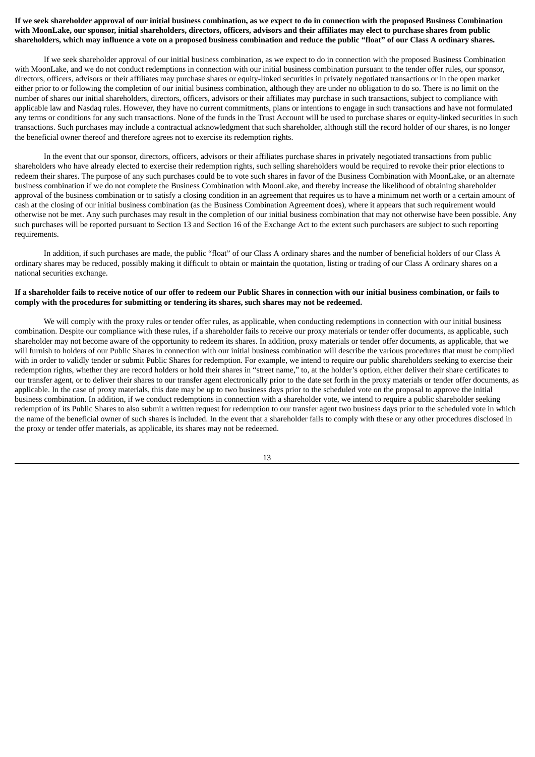## If we seek shareholder approval of our initial business combination, as we expect to do in connection with the proposed Business Combination with MoonLake, our sponsor, initial shareholders, directors, officers, advisors and their affiliates may elect to purchase shares from public shareholders, which may influence a vote on a proposed business combination and reduce the public "float" of our Class A ordinary shares.

If we seek shareholder approval of our initial business combination, as we expect to do in connection with the proposed Business Combination with MoonLake, and we do not conduct redemptions in connection with our initial business combination pursuant to the tender offer rules, our sponsor, directors, officers, advisors or their affiliates may purchase shares or equity-linked securities in privately negotiated transactions or in the open market either prior to or following the completion of our initial business combination, although they are under no obligation to do so. There is no limit on the number of shares our initial shareholders, directors, officers, advisors or their affiliates may purchase in such transactions, subject to compliance with applicable law and Nasdaq rules. However, they have no current commitments, plans or intentions to engage in such transactions and have not formulated any terms or conditions for any such transactions. None of the funds in the Trust Account will be used to purchase shares or equity-linked securities in such transactions. Such purchases may include a contractual acknowledgment that such shareholder, although still the record holder of our shares, is no longer the beneficial owner thereof and therefore agrees not to exercise its redemption rights.

In the event that our sponsor, directors, officers, advisors or their affiliates purchase shares in privately negotiated transactions from public shareholders who have already elected to exercise their redemption rights, such selling shareholders would be required to revoke their prior elections to redeem their shares. The purpose of any such purchases could be to vote such shares in favor of the Business Combination with MoonLake, or an alternate business combination if we do not complete the Business Combination with MoonLake, and thereby increase the likelihood of obtaining shareholder approval of the business combination or to satisfy a closing condition in an agreement that requires us to have a minimum net worth or a certain amount of cash at the closing of our initial business combination (as the Business Combination Agreement does), where it appears that such requirement would otherwise not be met. Any such purchases may result in the completion of our initial business combination that may not otherwise have been possible. Any such purchases will be reported pursuant to Section 13 and Section 16 of the Exchange Act to the extent such purchasers are subject to such reporting requirements.

In addition, if such purchases are made, the public "float" of our Class A ordinary shares and the number of beneficial holders of our Class A ordinary shares may be reduced, possibly making it difficult to obtain or maintain the quotation, listing or trading of our Class A ordinary shares on a national securities exchange.

### If a shareholder fails to receive notice of our offer to redeem our Public Shares in connection with our initial business combination, or fails to **comply with the procedures for submitting or tendering its shares, such shares may not be redeemed.**

We will comply with the proxy rules or tender offer rules, as applicable, when conducting redemptions in connection with our initial business combination. Despite our compliance with these rules, if a shareholder fails to receive our proxy materials or tender offer documents, as applicable, such shareholder may not become aware of the opportunity to redeem its shares. In addition, proxy materials or tender offer documents, as applicable, that we will furnish to holders of our Public Shares in connection with our initial business combination will describe the various procedures that must be complied with in order to validly tender or submit Public Shares for redemption. For example, we intend to require our public shareholders seeking to exercise their redemption rights, whether they are record holders or hold their shares in "street name," to, at the holder's option, either deliver their share certificates to our transfer agent, or to deliver their shares to our transfer agent electronically prior to the date set forth in the proxy materials or tender offer documents, as applicable. In the case of proxy materials, this date may be up to two business days prior to the scheduled vote on the proposal to approve the initial business combination. In addition, if we conduct redemptions in connection with a shareholder vote, we intend to require a public shareholder seeking redemption of its Public Shares to also submit a written request for redemption to our transfer agent two business days prior to the scheduled vote in which the name of the beneficial owner of such shares is included. In the event that a shareholder fails to comply with these or any other procedures disclosed in the proxy or tender offer materials, as applicable, its shares may not be redeemed.

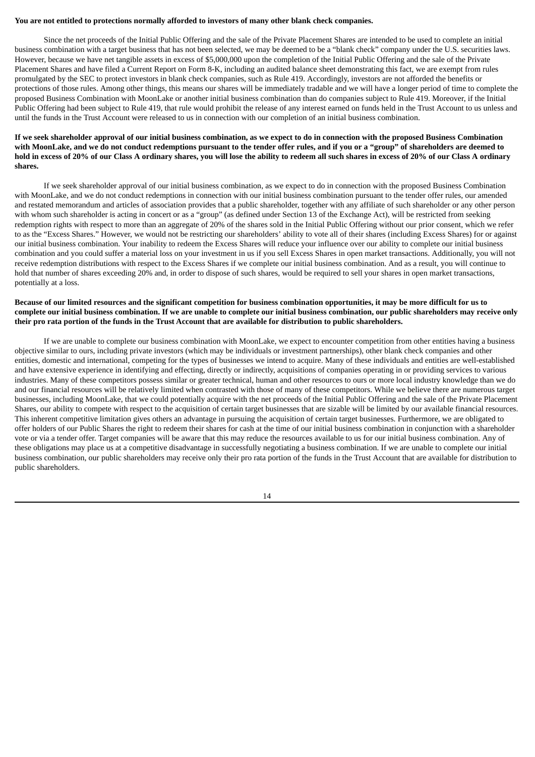#### **You are not entitled to protections normally afforded to investors of many other blank check companies.**

Since the net proceeds of the Initial Public Offering and the sale of the Private Placement Shares are intended to be used to complete an initial business combination with a target business that has not been selected, we may be deemed to be a "blank check" company under the U.S. securities laws. However, because we have net tangible assets in excess of \$5,000,000 upon the completion of the Initial Public Offering and the sale of the Private Placement Shares and have filed a Current Report on Form 8-K, including an audited balance sheet demonstrating this fact, we are exempt from rules promulgated by the SEC to protect investors in blank check companies, such as Rule 419. Accordingly, investors are not afforded the benefits or protections of those rules. Among other things, this means our shares will be immediately tradable and we will have a longer period of time to complete the proposed Business Combination with MoonLake or another initial business combination than do companies subject to Rule 419. Moreover, if the Initial Public Offering had been subject to Rule 419, that rule would prohibit the release of any interest earned on funds held in the Trust Account to us unless and until the funds in the Trust Account were released to us in connection with our completion of an initial business combination.

### If we seek shareholder approval of our initial business combination, as we expect to do in connection with the proposed Business Combination with MoonLake, and we do not conduct redemptions pursuant to the tender offer rules, and if you or a "group" of shareholders are deemed to hold in excess of 20% of our Class A ordinary shares, you will lose the ability to redeem all such shares in excess of 20% of our Class A ordinary **shares.**

If we seek shareholder approval of our initial business combination, as we expect to do in connection with the proposed Business Combination with MoonLake, and we do not conduct redemptions in connection with our initial business combination pursuant to the tender offer rules, our amended and restated memorandum and articles of association provides that a public shareholder, together with any affiliate of such shareholder or any other person with whom such shareholder is acting in concert or as a "group" (as defined under Section 13 of the Exchange Act), will be restricted from seeking redemption rights with respect to more than an aggregate of 20% of the shares sold in the Initial Public Offering without our prior consent, which we refer to as the "Excess Shares." However, we would not be restricting our shareholders' ability to vote all of their shares (including Excess Shares) for or against our initial business combination. Your inability to redeem the Excess Shares will reduce your influence over our ability to complete our initial business combination and you could suffer a material loss on your investment in us if you sell Excess Shares in open market transactions. Additionally, you will not receive redemption distributions with respect to the Excess Shares if we complete our initial business combination. And as a result, you will continue to hold that number of shares exceeding 20% and, in order to dispose of such shares, would be required to sell your shares in open market transactions, potentially at a loss.

### Because of our limited resources and the significant competition for business combination opportunities, it may be more difficult for us to complete our initial business combination. If we are unable to complete our initial business combination, our public shareholders may receive only their pro rata portion of the funds in the Trust Account that are available for distribution to public shareholders.

If we are unable to complete our business combination with MoonLake, we expect to encounter competition from other entities having a business objective similar to ours, including private investors (which may be individuals or investment partnerships), other blank check companies and other entities, domestic and international, competing for the types of businesses we intend to acquire. Many of these individuals and entities are well-established and have extensive experience in identifying and effecting, directly or indirectly, acquisitions of companies operating in or providing services to various industries. Many of these competitors possess similar or greater technical, human and other resources to ours or more local industry knowledge than we do and our financial resources will be relatively limited when contrasted with those of many of these competitors. While we believe there are numerous target businesses, including MoonLake, that we could potentially acquire with the net proceeds of the Initial Public Offering and the sale of the Private Placement Shares, our ability to compete with respect to the acquisition of certain target businesses that are sizable will be limited by our available financial resources. This inherent competitive limitation gives others an advantage in pursuing the acquisition of certain target businesses. Furthermore, we are obligated to offer holders of our Public Shares the right to redeem their shares for cash at the time of our initial business combination in conjunction with a shareholder vote or via a tender offer. Target companies will be aware that this may reduce the resources available to us for our initial business combination. Any of these obligations may place us at a competitive disadvantage in successfully negotiating a business combination. If we are unable to complete our initial business combination, our public shareholders may receive only their pro rata portion of the funds in the Trust Account that are available for distribution to public shareholders.

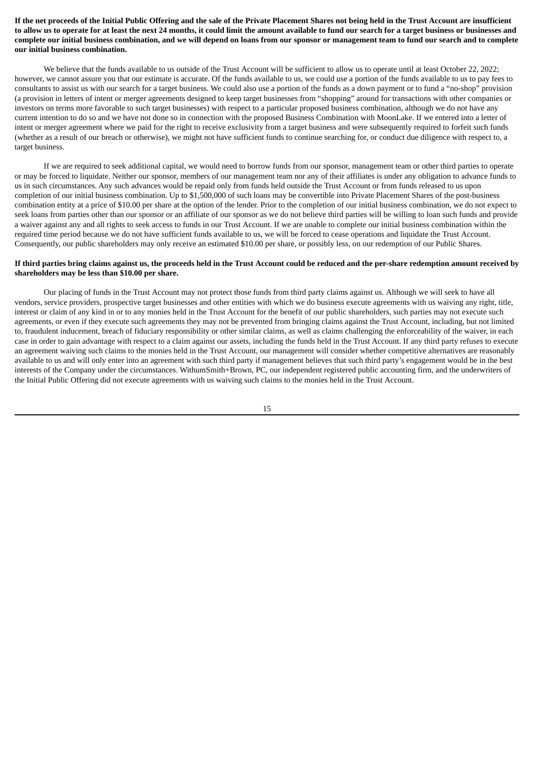If the net proceeds of the Initial Public Offering and the sale of the Private Placement Shares not being held in the Trust Account are insufficient to allow us to operate for at least the next 24 months, it could limit the amount available to fund our search for a target business or businesses and complete our initial business combination, and we will depend on loans from our sponsor or management team to fund our search and to complete **our initial business combination.**

We believe that the funds available to us outside of the Trust Account will be sufficient to allow us to operate until at least October 22, 2022; however, we cannot assure you that our estimate is accurate. Of the funds available to us, we could use a portion of the funds available to us to pay fees to consultants to assist us with our search for a target business. We could also use a portion of the funds as a down payment or to fund a "no-shop" provision (a provision in letters of intent or merger agreements designed to keep target businesses from "shopping" around for transactions with other companies or investors on terms more favorable to such target businesses) with respect to a particular proposed business combination, although we do not have any current intention to do so and we have not done so in connection with the proposed Business Combination with MoonLake. If we entered into a letter of intent or merger agreement where we paid for the right to receive exclusivity from a target business and were subsequently required to forfeit such funds (whether as a result of our breach or otherwise), we might not have sufficient funds to continue searching for, or conduct due diligence with respect to, a target business.

If we are required to seek additional capital, we would need to borrow funds from our sponsor, management team or other third parties to operate or may be forced to liquidate. Neither our sponsor, members of our management team nor any of their affiliates is under any obligation to advance funds to us in such circumstances. Any such advances would be repaid only from funds held outside the Trust Account or from funds released to us upon completion of our initial business combination. Up to \$1,500,000 of such loans may be convertible into Private Placement Shares of the post-business combination entity at a price of \$10.00 per share at the option of the lender. Prior to the completion of our initial business combination, we do not expect to seek loans from parties other than our sponsor or an affiliate of our sponsor as we do not believe third parties will be willing to loan such funds and provide a waiver against any and all rights to seek access to funds in our Trust Account. If we are unable to complete our initial business combination within the required time period because we do not have sufficient funds available to us, we will be forced to cease operations and liquidate the Trust Account. Consequently, our public shareholders may only receive an estimated \$10.00 per share, or possibly less, on our redemption of our Public Shares.

#### If third parties bring claims against us, the proceeds held in the Trust Account could be reduced and the per-share redemption amount received by **shareholders may be less than \$10.00 per share.**

Our placing of funds in the Trust Account may not protect those funds from third party claims against us. Although we will seek to have all vendors, service providers, prospective target businesses and other entities with which we do business execute agreements with us waiving any right, title, interest or claim of any kind in or to any monies held in the Trust Account for the benefit of our public shareholders, such parties may not execute such agreements, or even if they execute such agreements they may not be prevented from bringing claims against the Trust Account, including, but not limited to, fraudulent inducement, breach of fiduciary responsibility or other similar claims, as well as claims challenging the enforceability of the waiver, in each case in order to gain advantage with respect to a claim against our assets, including the funds held in the Trust Account. If any third party refuses to execute an agreement waiving such claims to the monies held in the Trust Account, our management will consider whether competitive alternatives are reasonably available to us and will only enter into an agreement with such third party if management believes that such third party's engagement would be in the best interests of the Company under the circumstances. WithumSmith+Brown, PC, our independent registered public accounting firm, and the underwriters of the Initial Public Offering did not execute agreements with us waiving such claims to the monies held in the Trust Account.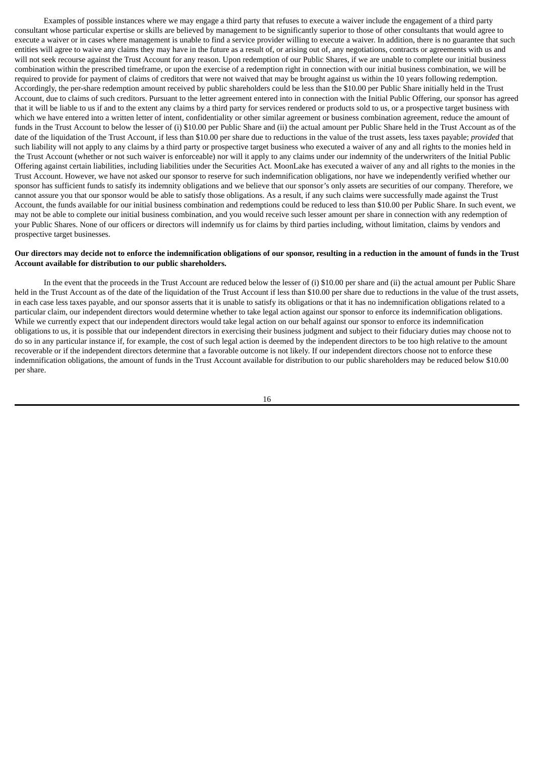Examples of possible instances where we may engage a third party that refuses to execute a waiver include the engagement of a third party consultant whose particular expertise or skills are believed by management to be significantly superior to those of other consultants that would agree to execute a waiver or in cases where management is unable to find a service provider willing to execute a waiver. In addition, there is no guarantee that such entities will agree to waive any claims they may have in the future as a result of, or arising out of, any negotiations, contracts or agreements with us and will not seek recourse against the Trust Account for any reason. Upon redemption of our Public Shares, if we are unable to complete our initial business combination within the prescribed timeframe, or upon the exercise of a redemption right in connection with our initial business combination, we will be required to provide for payment of claims of creditors that were not waived that may be brought against us within the 10 years following redemption. Accordingly, the per-share redemption amount received by public shareholders could be less than the \$10.00 per Public Share initially held in the Trust Account, due to claims of such creditors. Pursuant to the letter agreement entered into in connection with the Initial Public Offering, our sponsor has agreed that it will be liable to us if and to the extent any claims by a third party for services rendered or products sold to us, or a prospective target business with which we have entered into a written letter of intent, confidentiality or other similar agreement or business combination agreement, reduce the amount of funds in the Trust Account to below the lesser of (i) \$10.00 per Public Share and (ii) the actual amount per Public Share held in the Trust Account as of the date of the liquidation of the Trust Account, if less than \$10.00 per share due to reductions in the value of the trust assets, less taxes payable; *provided* that such liability will not apply to any claims by a third party or prospective target business who executed a waiver of any and all rights to the monies held in the Trust Account (whether or not such waiver is enforceable) nor will it apply to any claims under our indemnity of the underwriters of the Initial Public Offering against certain liabilities, including liabilities under the Securities Act. MoonLake has executed a waiver of any and all rights to the monies in the Trust Account. However, we have not asked our sponsor to reserve for such indemnification obligations, nor have we independently verified whether our sponsor has sufficient funds to satisfy its indemnity obligations and we believe that our sponsor's only assets are securities of our company. Therefore, we cannot assure you that our sponsor would be able to satisfy those obligations. As a result, if any such claims were successfully made against the Trust Account, the funds available for our initial business combination and redemptions could be reduced to less than \$10.00 per Public Share. In such event, we may not be able to complete our initial business combination, and you would receive such lesser amount per share in connection with any redemption of your Public Shares. None of our officers or directors will indemnify us for claims by third parties including, without limitation, claims by vendors and prospective target businesses.

#### Our directors may decide not to enforce the indemnification obligations of our sponsor, resulting in a reduction in the amount of funds in the Trust **Account available for distribution to our public shareholders.**

In the event that the proceeds in the Trust Account are reduced below the lesser of (i) \$10.00 per share and (ii) the actual amount per Public Share held in the Trust Account as of the date of the liquidation of the Trust Account if less than \$10.00 per share due to reductions in the value of the trust assets, in each case less taxes payable, and our sponsor asserts that it is unable to satisfy its obligations or that it has no indemnification obligations related to a particular claim, our independent directors would determine whether to take legal action against our sponsor to enforce its indemnification obligations. While we currently expect that our independent directors would take legal action on our behalf against our sponsor to enforce its indemnification obligations to us, it is possible that our independent directors in exercising their business judgment and subject to their fiduciary duties may choose not to do so in any particular instance if, for example, the cost of such legal action is deemed by the independent directors to be too high relative to the amount recoverable or if the independent directors determine that a favorable outcome is not likely. If our independent directors choose not to enforce these indemnification obligations, the amount of funds in the Trust Account available for distribution to our public shareholders may be reduced below \$10.00 per share.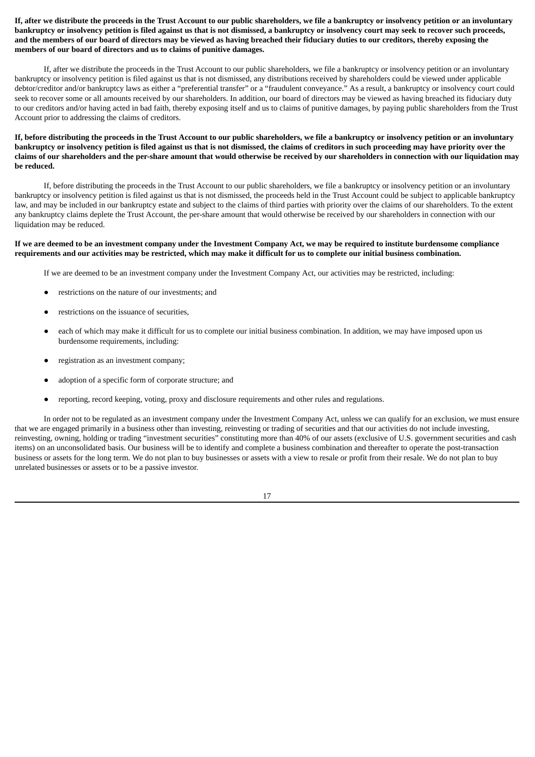If, after we distribute the proceeds in the Trust Account to our public shareholders, we file a bankruptcy or insolvency petition or an involuntary bankruptcy or insolvency petition is filed against us that is not dismissed, a bankruptcy or insolvency court may seek to recover such proceeds, and the members of our board of directors may be viewed as having breached their fiduciary duties to our creditors, thereby exposing the **members of our board of directors and us to claims of punitive damages.**

If, after we distribute the proceeds in the Trust Account to our public shareholders, we file a bankruptcy or insolvency petition or an involuntary bankruptcy or insolvency petition is filed against us that is not dismissed, any distributions received by shareholders could be viewed under applicable debtor/creditor and/or bankruptcy laws as either a "preferential transfer" or a "fraudulent conveyance." As a result, a bankruptcy or insolvency court could seek to recover some or all amounts received by our shareholders. In addition, our board of directors may be viewed as having breached its fiduciary duty to our creditors and/or having acted in bad faith, thereby exposing itself and us to claims of punitive damages, by paying public shareholders from the Trust Account prior to addressing the claims of creditors.

## If, before distributing the proceeds in the Trust Account to our public shareholders, we file a bankruptcy or insolvency petition or an involuntary bankruptcy or insolvency petition is filed against us that is not dismissed, the claims of creditors in such proceeding may have priority over the claims of our shareholders and the per-share amount that would otherwise be received by our shareholders in connection with our liquidation may **be reduced.**

If, before distributing the proceeds in the Trust Account to our public shareholders, we file a bankruptcy or insolvency petition or an involuntary bankruptcy or insolvency petition is filed against us that is not dismissed, the proceeds held in the Trust Account could be subject to applicable bankruptcy law, and may be included in our bankruptcy estate and subject to the claims of third parties with priority over the claims of our shareholders. To the extent any bankruptcy claims deplete the Trust Account, the per-share amount that would otherwise be received by our shareholders in connection with our liquidation may be reduced.

### If we are deemed to be an investment company under the Investment Company Act, we may be required to institute burdensome compliance requirements and our activities may be restricted, which may make it difficult for us to complete our initial business combination.

If we are deemed to be an investment company under the Investment Company Act, our activities may be restricted, including:

- restrictions on the nature of our investments; and
- restrictions on the issuance of securities,
- each of which may make it difficult for us to complete our initial business combination. In addition, we may have imposed upon us burdensome requirements, including:
- registration as an investment company;
- adoption of a specific form of corporate structure; and
- reporting, record keeping, voting, proxy and disclosure requirements and other rules and regulations.

In order not to be regulated as an investment company under the Investment Company Act, unless we can qualify for an exclusion, we must ensure that we are engaged primarily in a business other than investing, reinvesting or trading of securities and that our activities do not include investing, reinvesting, owning, holding or trading "investment securities" constituting more than 40% of our assets (exclusive of U.S. government securities and cash items) on an unconsolidated basis. Our business will be to identify and complete a business combination and thereafter to operate the post-transaction business or assets for the long term. We do not plan to buy businesses or assets with a view to resale or profit from their resale. We do not plan to buy unrelated businesses or assets or to be a passive investor.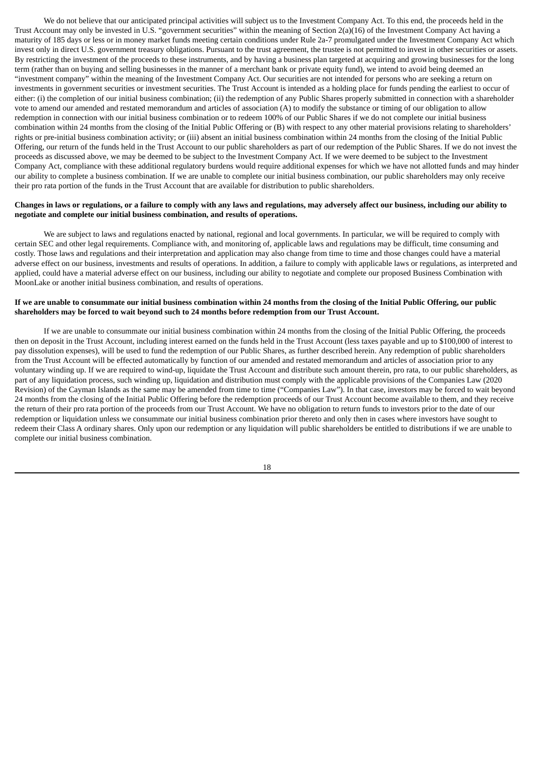We do not believe that our anticipated principal activities will subject us to the Investment Company Act. To this end, the proceeds held in the Trust Account may only be invested in U.S. "government securities" within the meaning of Section 2(a)(16) of the Investment Company Act having a maturity of 185 days or less or in money market funds meeting certain conditions under Rule 2a-7 promulgated under the Investment Company Act which invest only in direct U.S. government treasury obligations. Pursuant to the trust agreement, the trustee is not permitted to invest in other securities or assets. By restricting the investment of the proceeds to these instruments, and by having a business plan targeted at acquiring and growing businesses for the long term (rather than on buying and selling businesses in the manner of a merchant bank or private equity fund), we intend to avoid being deemed an "investment company" within the meaning of the Investment Company Act. Our securities are not intended for persons who are seeking a return on investments in government securities or investment securities. The Trust Account is intended as a holding place for funds pending the earliest to occur of either: (i) the completion of our initial business combination; (ii) the redemption of any Public Shares properly submitted in connection with a shareholder vote to amend our amended and restated memorandum and articles of association (A) to modify the substance or timing of our obligation to allow redemption in connection with our initial business combination or to redeem 100% of our Public Shares if we do not complete our initial business combination within 24 months from the closing of the Initial Public Offering or (B) with respect to any other material provisions relating to shareholders' rights or pre-initial business combination activity; or (iii) absent an initial business combination within 24 months from the closing of the Initial Public Offering, our return of the funds held in the Trust Account to our public shareholders as part of our redemption of the Public Shares. If we do not invest the proceeds as discussed above, we may be deemed to be subject to the Investment Company Act. If we were deemed to be subject to the Investment Company Act, compliance with these additional regulatory burdens would require additional expenses for which we have not allotted funds and may hinder our ability to complete a business combination. If we are unable to complete our initial business combination, our public shareholders may only receive their pro rata portion of the funds in the Trust Account that are available for distribution to public shareholders.

### Changes in laws or regulations, or a failure to comply with any laws and regulations, may adversely affect our business, including our ability to **negotiate and complete our initial business combination, and results of operations.**

We are subject to laws and regulations enacted by national, regional and local governments. In particular, we will be required to comply with certain SEC and other legal requirements. Compliance with, and monitoring of, applicable laws and regulations may be difficult, time consuming and costly. Those laws and regulations and their interpretation and application may also change from time to time and those changes could have a material adverse effect on our business, investments and results of operations. In addition, a failure to comply with applicable laws or regulations, as interpreted and applied, could have a material adverse effect on our business, including our ability to negotiate and complete our proposed Business Combination with MoonLake or another initial business combination, and results of operations.

### If we are unable to consummate our initial business combination within 24 months from the closing of the Initial Public Offering, our public **shareholders may be forced to wait beyond such to 24 months before redemption from our Trust Account.**

If we are unable to consummate our initial business combination within 24 months from the closing of the Initial Public Offering, the proceeds then on deposit in the Trust Account, including interest earned on the funds held in the Trust Account (less taxes payable and up to \$100,000 of interest to pay dissolution expenses), will be used to fund the redemption of our Public Shares, as further described herein. Any redemption of public shareholders from the Trust Account will be effected automatically by function of our amended and restated memorandum and articles of association prior to any voluntary winding up. If we are required to wind-up, liquidate the Trust Account and distribute such amount therein, pro rata, to our public shareholders, as part of any liquidation process, such winding up, liquidation and distribution must comply with the applicable provisions of the Companies Law (2020 Revision) of the Cayman Islands as the same may be amended from time to time ("Companies Law"). In that case, investors may be forced to wait beyond 24 months from the closing of the Initial Public Offering before the redemption proceeds of our Trust Account become available to them, and they receive the return of their pro rata portion of the proceeds from our Trust Account. We have no obligation to return funds to investors prior to the date of our redemption or liquidation unless we consummate our initial business combination prior thereto and only then in cases where investors have sought to redeem their Class A ordinary shares. Only upon our redemption or any liquidation will public shareholders be entitled to distributions if we are unable to complete our initial business combination.

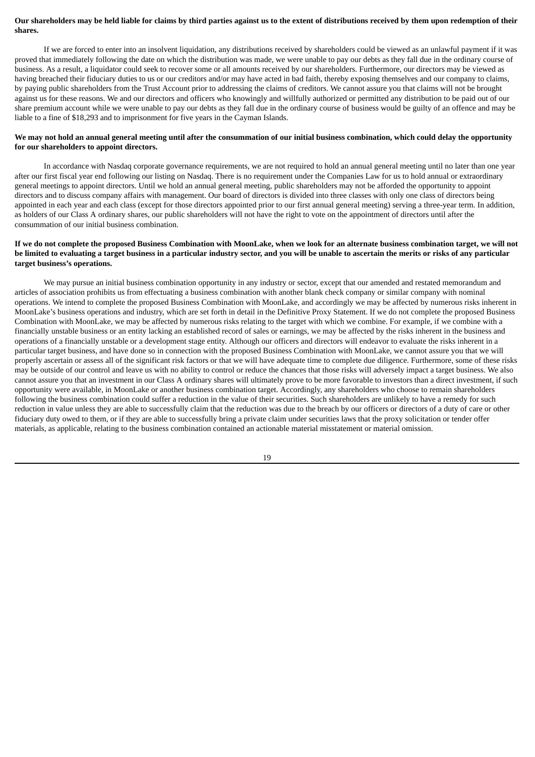### Our shareholders may be held liable for claims by third parties against us to the extent of distributions received by them upon redemption of their **shares.**

If we are forced to enter into an insolvent liquidation, any distributions received by shareholders could be viewed as an unlawful payment if it was proved that immediately following the date on which the distribution was made, we were unable to pay our debts as they fall due in the ordinary course of business. As a result, a liquidator could seek to recover some or all amounts received by our shareholders. Furthermore, our directors may be viewed as having breached their fiduciary duties to us or our creditors and/or may have acted in bad faith, thereby exposing themselves and our company to claims, by paying public shareholders from the Trust Account prior to addressing the claims of creditors. We cannot assure you that claims will not be brought against us for these reasons. We and our directors and officers who knowingly and willfully authorized or permitted any distribution to be paid out of our share premium account while we were unable to pay our debts as they fall due in the ordinary course of business would be guilty of an offence and may be liable to a fine of \$18,293 and to imprisonment for five years in the Cayman Islands.

### We may not hold an annual general meeting until after the consummation of our initial business combination, which could delay the opportunity **for our shareholders to appoint directors.**

In accordance with Nasdaq corporate governance requirements, we are not required to hold an annual general meeting until no later than one year after our first fiscal year end following our listing on Nasdaq. There is no requirement under the Companies Law for us to hold annual or extraordinary general meetings to appoint directors. Until we hold an annual general meeting, public shareholders may not be afforded the opportunity to appoint directors and to discuss company affairs with management. Our board of directors is divided into three classes with only one class of directors being appointed in each year and each class (except for those directors appointed prior to our first annual general meeting) serving a three-year term. In addition, as holders of our Class A ordinary shares, our public shareholders will not have the right to vote on the appointment of directors until after the consummation of our initial business combination.

### If we do not complete the proposed Business Combination with MoonLake, when we look for an alternate business combination target, we will not be limited to evaluating a target business in a particular industry sector, and you will be unable to ascertain the merits or risks of any particular **target business's operations.**

We may pursue an initial business combination opportunity in any industry or sector, except that our amended and restated memorandum and articles of association prohibits us from effectuating a business combination with another blank check company or similar company with nominal operations. We intend to complete the proposed Business Combination with MoonLake, and accordingly we may be affected by numerous risks inherent in MoonLake's business operations and industry, which are set forth in detail in the Definitive Proxy Statement. If we do not complete the proposed Business Combination with MoonLake, we may be affected by numerous risks relating to the target with which we combine. For example, if we combine with a financially unstable business or an entity lacking an established record of sales or earnings, we may be affected by the risks inherent in the business and operations of a financially unstable or a development stage entity. Although our officers and directors will endeavor to evaluate the risks inherent in a particular target business, and have done so in connection with the proposed Business Combination with MoonLake, we cannot assure you that we will properly ascertain or assess all of the significant risk factors or that we will have adequate time to complete due diligence. Furthermore, some of these risks may be outside of our control and leave us with no ability to control or reduce the chances that those risks will adversely impact a target business. We also cannot assure you that an investment in our Class A ordinary shares will ultimately prove to be more favorable to investors than a direct investment, if such opportunity were available, in MoonLake or another business combination target. Accordingly, any shareholders who choose to remain shareholders following the business combination could suffer a reduction in the value of their securities. Such shareholders are unlikely to have a remedy for such reduction in value unless they are able to successfully claim that the reduction was due to the breach by our officers or directors of a duty of care or other fiduciary duty owed to them, or if they are able to successfully bring a private claim under securities laws that the proxy solicitation or tender offer materials, as applicable, relating to the business combination contained an actionable material misstatement or material omission.

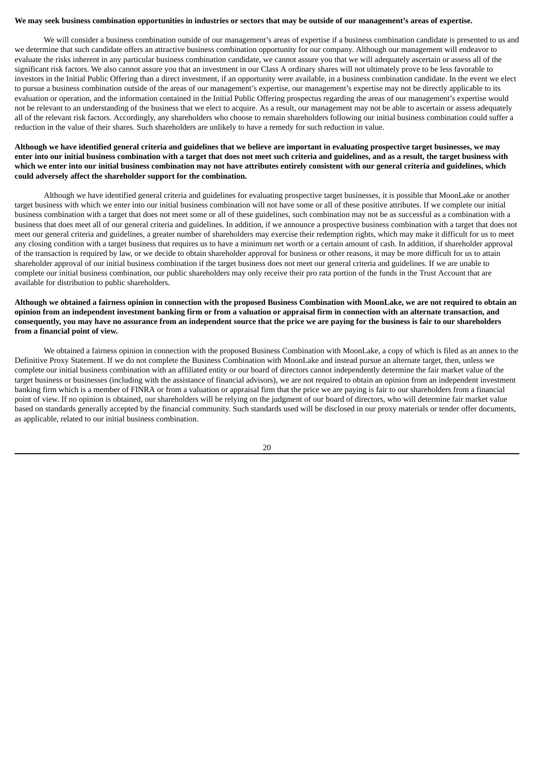#### We may seek business combination opportunities in industries or sectors that may be outside of our management's areas of expertise.

We will consider a business combination outside of our management's areas of expertise if a business combination candidate is presented to us and we determine that such candidate offers an attractive business combination opportunity for our company. Although our management will endeavor to evaluate the risks inherent in any particular business combination candidate, we cannot assure you that we will adequately ascertain or assess all of the significant risk factors. We also cannot assure you that an investment in our Class A ordinary shares will not ultimately prove to be less favorable to investors in the Initial Public Offering than a direct investment, if an opportunity were available, in a business combination candidate. In the event we elect to pursue a business combination outside of the areas of our management's expertise, our management's expertise may not be directly applicable to its evaluation or operation, and the information contained in the Initial Public Offering prospectus regarding the areas of our management's expertise would not be relevant to an understanding of the business that we elect to acquire. As a result, our management may not be able to ascertain or assess adequately all of the relevant risk factors. Accordingly, any shareholders who choose to remain shareholders following our initial business combination could suffer a reduction in the value of their shares. Such shareholders are unlikely to have a remedy for such reduction in value.

### Although we have identified general criteria and guidelines that we believe are important in evaluating prospective target businesses, we may enter into our initial business combination with a target that does not meet such criteria and guidelines, and as a result, the target business with which we enter into our initial business combination may not have attributes entirely consistent with our general criteria and guidelines, which **could adversely affect the shareholder support for the combination.**

Although we have identified general criteria and guidelines for evaluating prospective target businesses, it is possible that MoonLake or another target business with which we enter into our initial business combination will not have some or all of these positive attributes. If we complete our initial business combination with a target that does not meet some or all of these guidelines, such combination may not be as successful as a combination with a business that does meet all of our general criteria and guidelines. In addition, if we announce a prospective business combination with a target that does not meet our general criteria and guidelines, a greater number of shareholders may exercise their redemption rights, which may make it difficult for us to meet any closing condition with a target business that requires us to have a minimum net worth or a certain amount of cash. In addition, if shareholder approval of the transaction is required by law, or we decide to obtain shareholder approval for business or other reasons, it may be more difficult for us to attain shareholder approval of our initial business combination if the target business does not meet our general criteria and guidelines. If we are unable to complete our initial business combination, our public shareholders may only receive their pro rata portion of the funds in the Trust Account that are available for distribution to public shareholders.

### Although we obtained a fairness opinion in connection with the proposed Business Combination with MoonLake, we are not required to obtain an opinion from an independent investment banking firm or from a valuation or appraisal firm in connection with an alternate transaction, and consequently, you may have no assurance from an independent source that the price we are paying for the business is fair to our shareholders **from a financial point of view.**

We obtained a fairness opinion in connection with the proposed Business Combination with MoonLake, a copy of which is filed as an annex to the Definitive Proxy Statement. If we do not complete the Business Combination with MoonLake and instead pursue an alternate target, then, unless we complete our initial business combination with an affiliated entity or our board of directors cannot independently determine the fair market value of the target business or businesses (including with the assistance of financial advisors), we are not required to obtain an opinion from an independent investment banking firm which is a member of FINRA or from a valuation or appraisal firm that the price we are paying is fair to our shareholders from a financial point of view. If no opinion is obtained, our shareholders will be relying on the judgment of our board of directors, who will determine fair market value based on standards generally accepted by the financial community. Such standards used will be disclosed in our proxy materials or tender offer documents, as applicable, related to our initial business combination.

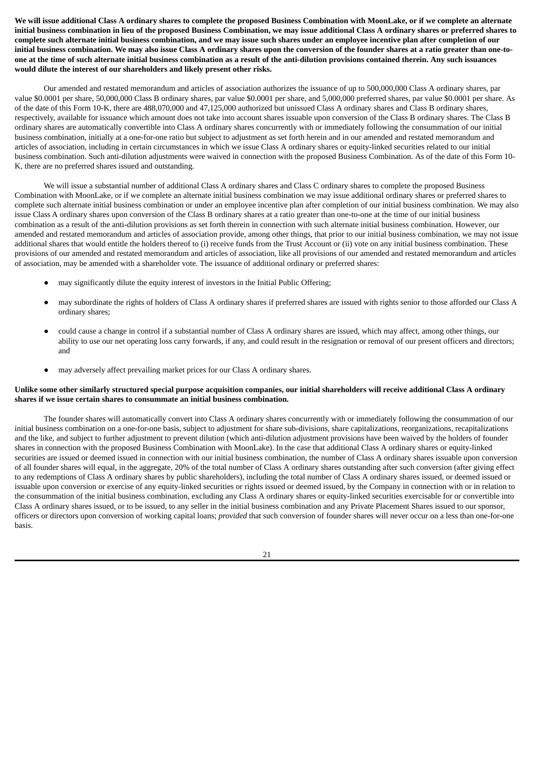We will issue additional Class A ordinary shares to complete the proposed Business Combination with MoonLake, or if we complete an alternate initial business combination in lieu of the proposed Business Combination, we may issue additional Class A ordinary shares or preferred shares to complete such alternate initial business combination, and we may issue such shares under an employee incentive plan after completion of our initial business combination. We may also issue Class A ordinary shares upon the conversion of the founder shares at a ratio greater than one-toone at the time of such alternate initial business combination as a result of the anti-dilution provisions contained therein. Any such issuances **would dilute the interest of our shareholders and likely present other risks.**

Our amended and restated memorandum and articles of association authorizes the issuance of up to 500,000,000 Class A ordinary shares, par value \$0.0001 per share, 50,000,000 Class B ordinary shares, par value \$0.0001 per share, and 5,000,000 preferred shares, par value \$0.0001 per share. As of the date of this Form 10-K, there are 488,070,000 and 47,125,000 authorized but unissued Class A ordinary shares and Class B ordinary shares, respectively, available for issuance which amount does not take into account shares issuable upon conversion of the Class B ordinary shares. The Class B ordinary shares are automatically convertible into Class A ordinary shares concurrently with or immediately following the consummation of our initial business combination, initially at a one-for-one ratio but subject to adjustment as set forth herein and in our amended and restated memorandum and articles of association, including in certain circumstances in which we issue Class A ordinary shares or equity-linked securities related to our initial business combination. Such anti-dilution adjustments were waived in connection with the proposed Business Combination. As of the date of this Form 10- K, there are no preferred shares issued and outstanding.

We will issue a substantial number of additional Class A ordinary shares and Class C ordinary shares to complete the proposed Business Combination with MoonLake, or if we complete an alternate initial business combination we may issue additional ordinary shares or preferred shares to complete such alternate initial business combination or under an employee incentive plan after completion of our initial business combination. We may also issue Class A ordinary shares upon conversion of the Class B ordinary shares at a ratio greater than one-to-one at the time of our initial business combination as a result of the anti-dilution provisions as set forth therein in connection with such alternate initial business combination. However, our amended and restated memorandum and articles of association provide, among other things, that prior to our initial business combination, we may not issue additional shares that would entitle the holders thereof to (i) receive funds from the Trust Account or (ii) vote on any initial business combination. These provisions of our amended and restated memorandum and articles of association, like all provisions of our amended and restated memorandum and articles of association, may be amended with a shareholder vote. The issuance of additional ordinary or preferred shares:

- may significantly dilute the equity interest of investors in the Initial Public Offering;
- may subordinate the rights of holders of Class A ordinary shares if preferred shares are issued with rights senior to those afforded our Class A ordinary shares;
- could cause a change in control if a substantial number of Class A ordinary shares are issued, which may affect, among other things, our ability to use our net operating loss carry forwards, if any, and could result in the resignation or removal of our present officers and directors; and
- may adversely affect prevailing market prices for our Class A ordinary shares.

### Unlike some other similarly structured special purpose acquisition companies, our initial shareholders will receive additional Class A ordinary **shares if we issue certain shares to consummate an initial business combination.**

The founder shares will automatically convert into Class A ordinary shares concurrently with or immediately following the consummation of our initial business combination on a one-for-one basis, subject to adjustment for share sub-divisions, share capitalizations, reorganizations, recapitalizations and the like, and subject to further adjustment to prevent dilution (which anti-dilution adjustment provisions have been waived by the holders of founder shares in connection with the proposed Business Combination with MoonLake). In the case that additional Class A ordinary shares or equity-linked securities are issued or deemed issued in connection with our initial business combination, the number of Class A ordinary shares issuable upon conversion of all founder shares will equal, in the aggregate, 20% of the total number of Class A ordinary shares outstanding after such conversion (after giving effect to any redemptions of Class A ordinary shares by public shareholders), including the total number of Class A ordinary shares issued, or deemed issued or issuable upon conversion or exercise of any equity-linked securities or rights issued or deemed issued, by the Company in connection with or in relation to the consummation of the initial business combination, excluding any Class A ordinary shares or equity-linked securities exercisable for or convertible into Class A ordinary shares issued, or to be issued, to any seller in the initial business combination and any Private Placement Shares issued to our sponsor, officers or directors upon conversion of working capital loans; *provided* that such conversion of founder shares will never occur on a less than one-for-one basis.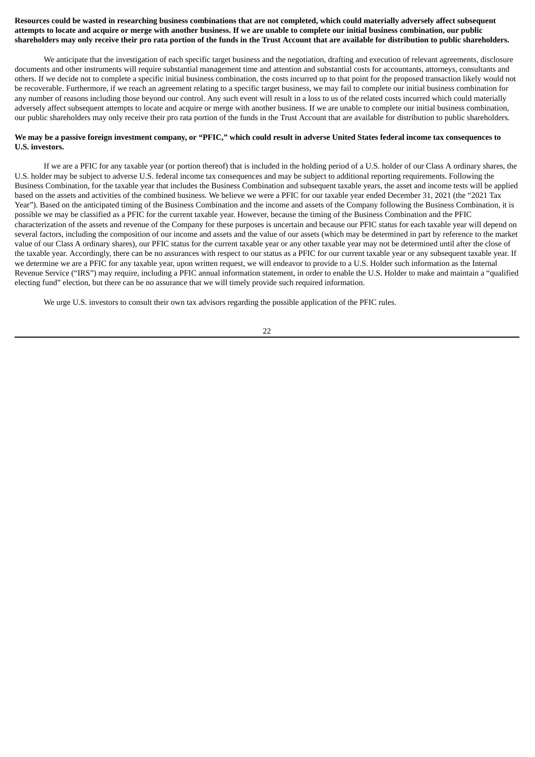### Resources could be wasted in researching business combinations that are not completed, which could materially adversely affect subsequent attempts to locate and acquire or merge with another business. If we are unable to complete our initial business combination, our public shareholders may only receive their pro rata portion of the funds in the Trust Account that are available for distribution to public shareholders.

We anticipate that the investigation of each specific target business and the negotiation, drafting and execution of relevant agreements, disclosure documents and other instruments will require substantial management time and attention and substantial costs for accountants, attorneys, consultants and others. If we decide not to complete a specific initial business combination, the costs incurred up to that point for the proposed transaction likely would not be recoverable. Furthermore, if we reach an agreement relating to a specific target business, we may fail to complete our initial business combination for any number of reasons including those beyond our control. Any such event will result in a loss to us of the related costs incurred which could materially adversely affect subsequent attempts to locate and acquire or merge with another business. If we are unable to complete our initial business combination, our public shareholders may only receive their pro rata portion of the funds in the Trust Account that are available for distribution to public shareholders.

### We may be a passive foreign investment company, or "PFIC," which could result in adverse United States federal income tax consequences to **U.S. investors.**

If we are a PFIC for any taxable year (or portion thereof) that is included in the holding period of a U.S. holder of our Class A ordinary shares, the U.S. holder may be subject to adverse U.S. federal income tax consequences and may be subject to additional reporting requirements. Following the Business Combination, for the taxable year that includes the Business Combination and subsequent taxable years, the asset and income tests will be applied based on the assets and activities of the combined business. We believe we were a PFIC for our taxable year ended December 31, 2021 (the "2021 Tax Year"). Based on the anticipated timing of the Business Combination and the income and assets of the Company following the Business Combination, it is possible we may be classified as a PFIC for the current taxable year. However, because the timing of the Business Combination and the PFIC characterization of the assets and revenue of the Company for these purposes is uncertain and because our PFIC status for each taxable year will depend on several factors, including the composition of our income and assets and the value of our assets (which may be determined in part by reference to the market value of our Class A ordinary shares), our PFIC status for the current taxable year or any other taxable year may not be determined until after the close of the taxable year. Accordingly, there can be no assurances with respect to our status as a PFIC for our current taxable year or any subsequent taxable year. If we determine we are a PFIC for any taxable year, upon written request, we will endeavor to provide to a U.S. Holder such information as the Internal Revenue Service ("IRS") may require, including a PFIC annual information statement, in order to enable the U.S. Holder to make and maintain a "qualified electing fund" election, but there can be no assurance that we will timely provide such required information.

We urge U.S. investors to consult their own tax advisors regarding the possible application of the PFIC rules.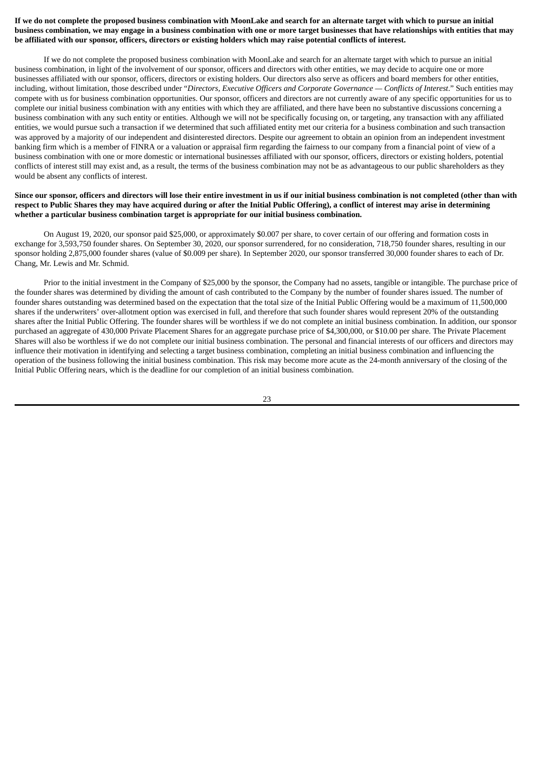## If we do not complete the proposed business combination with MoonLake and search for an alternate target with which to pursue an initial business combination, we may engage in a business combination with one or more target businesses that have relationships with entities that may be affiliated with our sponsor, officers, directors or existing holders which may raise potential conflicts of interest.

If we do not complete the proposed business combination with MoonLake and search for an alternate target with which to pursue an initial business combination, in light of the involvement of our sponsor, officers and directors with other entities, we may decide to acquire one or more businesses affiliated with our sponsor, officers, directors or existing holders. Our directors also serve as officers and board members for other entities, including, without limitation, those described under "*Directors, Executive Officers and Corporate Governance — Conflicts of Interest*." Such entities may compete with us for business combination opportunities. Our sponsor, officers and directors are not currently aware of any specific opportunities for us to complete our initial business combination with any entities with which they are affiliated, and there have been no substantive discussions concerning a business combination with any such entity or entities. Although we will not be specifically focusing on, or targeting, any transaction with any affiliated entities, we would pursue such a transaction if we determined that such affiliated entity met our criteria for a business combination and such transaction was approved by a majority of our independent and disinterested directors. Despite our agreement to obtain an opinion from an independent investment banking firm which is a member of FINRA or a valuation or appraisal firm regarding the fairness to our company from a financial point of view of a business combination with one or more domestic or international businesses affiliated with our sponsor, officers, directors or existing holders, potential conflicts of interest still may exist and, as a result, the terms of the business combination may not be as advantageous to our public shareholders as they would be absent any conflicts of interest.

## Since our sponsor, officers and directors will lose their entire investment in us if our initial business combination is not completed (other than with respect to Public Shares they may have acquired during or after the Initial Public Offering), a conflict of interest may arise in determining **whether a particular business combination target is appropriate for our initial business combination.**

On August 19, 2020, our sponsor paid \$25,000, or approximately \$0.007 per share, to cover certain of our offering and formation costs in exchange for 3,593,750 founder shares. On September 30, 2020, our sponsor surrendered, for no consideration, 718,750 founder shares, resulting in our sponsor holding 2,875,000 founder shares (value of \$0.009 per share). In September 2020, our sponsor transferred 30,000 founder shares to each of Dr. Chang, Mr. Lewis and Mr. Schmid.

Prior to the initial investment in the Company of \$25,000 by the sponsor, the Company had no assets, tangible or intangible. The purchase price of the founder shares was determined by dividing the amount of cash contributed to the Company by the number of founder shares issued. The number of founder shares outstanding was determined based on the expectation that the total size of the Initial Public Offering would be a maximum of 11,500,000 shares if the underwriters' over-allotment option was exercised in full, and therefore that such founder shares would represent 20% of the outstanding shares after the Initial Public Offering. The founder shares will be worthless if we do not complete an initial business combination. In addition, our sponsor purchased an aggregate of 430,000 Private Placement Shares for an aggregate purchase price of \$4,300,000, or \$10.00 per share. The Private Placement Shares will also be worthless if we do not complete our initial business combination. The personal and financial interests of our officers and directors may influence their motivation in identifying and selecting a target business combination, completing an initial business combination and influencing the operation of the business following the initial business combination. This risk may become more acute as the 24-month anniversary of the closing of the Initial Public Offering nears, which is the deadline for our completion of an initial business combination.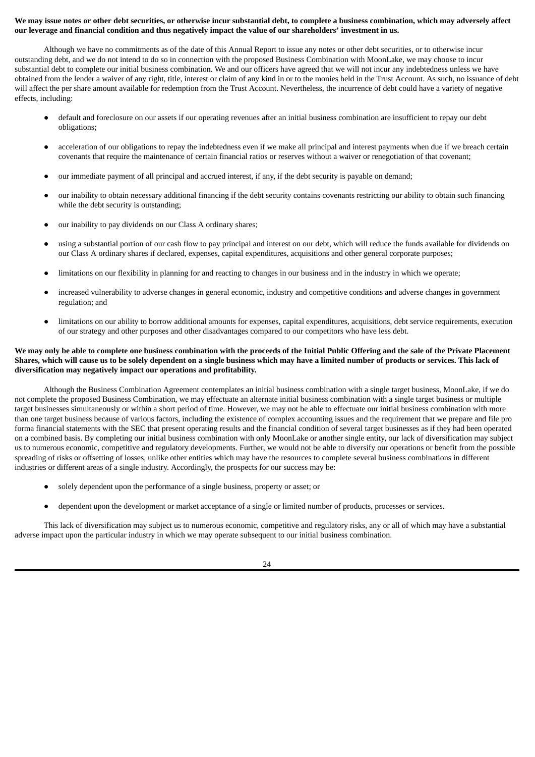### We may issue notes or other debt securities, or otherwise incur substantial debt, to complete a business combination, which may adversely affect our leverage and financial condition and thus negatively impact the value of our shareholders' investment in us.

Although we have no commitments as of the date of this Annual Report to issue any notes or other debt securities, or to otherwise incur outstanding debt, and we do not intend to do so in connection with the proposed Business Combination with MoonLake, we may choose to incur substantial debt to complete our initial business combination. We and our officers have agreed that we will not incur any indebtedness unless we have obtained from the lender a waiver of any right, title, interest or claim of any kind in or to the monies held in the Trust Account. As such, no issuance of debt will affect the per share amount available for redemption from the Trust Account. Nevertheless, the incurrence of debt could have a variety of negative effects, including:

- default and foreclosure on our assets if our operating revenues after an initial business combination are insufficient to repay our debt obligations;
- acceleration of our obligations to repay the indebtedness even if we make all principal and interest payments when due if we breach certain covenants that require the maintenance of certain financial ratios or reserves without a waiver or renegotiation of that covenant;
- our immediate payment of all principal and accrued interest, if any, if the debt security is payable on demand;
- our inability to obtain necessary additional financing if the debt security contains covenants restricting our ability to obtain such financing while the debt security is outstanding;
- our inability to pay dividends on our Class A ordinary shares;
- using a substantial portion of our cash flow to pay principal and interest on our debt, which will reduce the funds available for dividends on our Class A ordinary shares if declared, expenses, capital expenditures, acquisitions and other general corporate purposes;
- limitations on our flexibility in planning for and reacting to changes in our business and in the industry in which we operate;
- increased vulnerability to adverse changes in general economic, industry and competitive conditions and adverse changes in government regulation; and
- limitations on our ability to borrow additional amounts for expenses, capital expenditures, acquisitions, debt service requirements, execution of our strategy and other purposes and other disadvantages compared to our competitors who have less debt.

### We may only be able to complete one business combination with the proceeds of the Initial Public Offering and the sale of the Private Placement Shares, which will cause us to be solely dependent on a single business which may have a limited number of products or services. This lack of **diversification may negatively impact our operations and profitability.**

Although the Business Combination Agreement contemplates an initial business combination with a single target business, MoonLake, if we do not complete the proposed Business Combination, we may effectuate an alternate initial business combination with a single target business or multiple target businesses simultaneously or within a short period of time. However, we may not be able to effectuate our initial business combination with more than one target business because of various factors, including the existence of complex accounting issues and the requirement that we prepare and file pro forma financial statements with the SEC that present operating results and the financial condition of several target businesses as if they had been operated on a combined basis. By completing our initial business combination with only MoonLake or another single entity, our lack of diversification may subject us to numerous economic, competitive and regulatory developments. Further, we would not be able to diversify our operations or benefit from the possible spreading of risks or offsetting of losses, unlike other entities which may have the resources to complete several business combinations in different industries or different areas of a single industry. Accordingly, the prospects for our success may be:

- solely dependent upon the performance of a single business, property or asset; or
- dependent upon the development or market acceptance of a single or limited number of products, processes or services.

This lack of diversification may subject us to numerous economic, competitive and regulatory risks, any or all of which may have a substantial adverse impact upon the particular industry in which we may operate subsequent to our initial business combination.

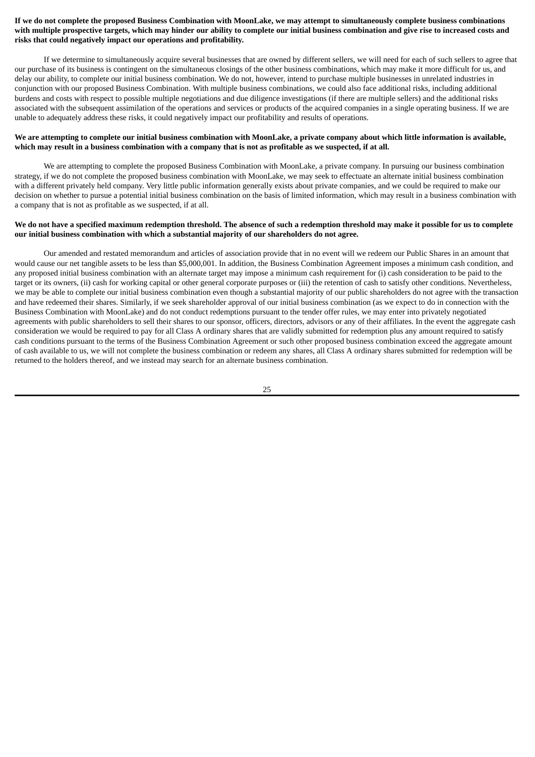### If we do not complete the proposed Business Combination with MoonLake, we may attempt to simultaneously complete business combinations with multiple prospective targets, which may hinder our ability to complete our initial business combination and give rise to increased costs and **risks that could negatively impact our operations and profitability.**

If we determine to simultaneously acquire several businesses that are owned by different sellers, we will need for each of such sellers to agree that our purchase of its business is contingent on the simultaneous closings of the other business combinations, which may make it more difficult for us, and delay our ability, to complete our initial business combination. We do not, however, intend to purchase multiple businesses in unrelated industries in conjunction with our proposed Business Combination. With multiple business combinations, we could also face additional risks, including additional burdens and costs with respect to possible multiple negotiations and due diligence investigations (if there are multiple sellers) and the additional risks associated with the subsequent assimilation of the operations and services or products of the acquired companies in a single operating business. If we are unable to adequately address these risks, it could negatively impact our profitability and results of operations.

### We are attempting to complete our initial business combination with MoonLake, a private company about which little information is available, which may result in a business combination with a company that is not as profitable as we suspected, if at all.

We are attempting to complete the proposed Business Combination with MoonLake, a private company. In pursuing our business combination strategy, if we do not complete the proposed business combination with MoonLake, we may seek to effectuate an alternate initial business combination with a different privately held company. Very little public information generally exists about private companies, and we could be required to make our decision on whether to pursue a potential initial business combination on the basis of limited information, which may result in a business combination with a company that is not as profitable as we suspected, if at all.

#### We do not have a specified maximum redemption threshold. The absence of such a redemption threshold may make it possible for us to complete **our initial business combination with which a substantial majority of our shareholders do not agree.**

Our amended and restated memorandum and articles of association provide that in no event will we redeem our Public Shares in an amount that would cause our net tangible assets to be less than \$5,000,001. In addition, the Business Combination Agreement imposes a minimum cash condition, and any proposed initial business combination with an alternate target may impose a minimum cash requirement for (i) cash consideration to be paid to the target or its owners, (ii) cash for working capital or other general corporate purposes or (iii) the retention of cash to satisfy other conditions. Nevertheless, we may be able to complete our initial business combination even though a substantial majority of our public shareholders do not agree with the transaction and have redeemed their shares. Similarly, if we seek shareholder approval of our initial business combination (as we expect to do in connection with the Business Combination with MoonLake) and do not conduct redemptions pursuant to the tender offer rules, we may enter into privately negotiated agreements with public shareholders to sell their shares to our sponsor, officers, directors, advisors or any of their affiliates. In the event the aggregate cash consideration we would be required to pay for all Class A ordinary shares that are validly submitted for redemption plus any amount required to satisfy cash conditions pursuant to the terms of the Business Combination Agreement or such other proposed business combination exceed the aggregate amount of cash available to us, we will not complete the business combination or redeem any shares, all Class A ordinary shares submitted for redemption will be returned to the holders thereof, and we instead may search for an alternate business combination.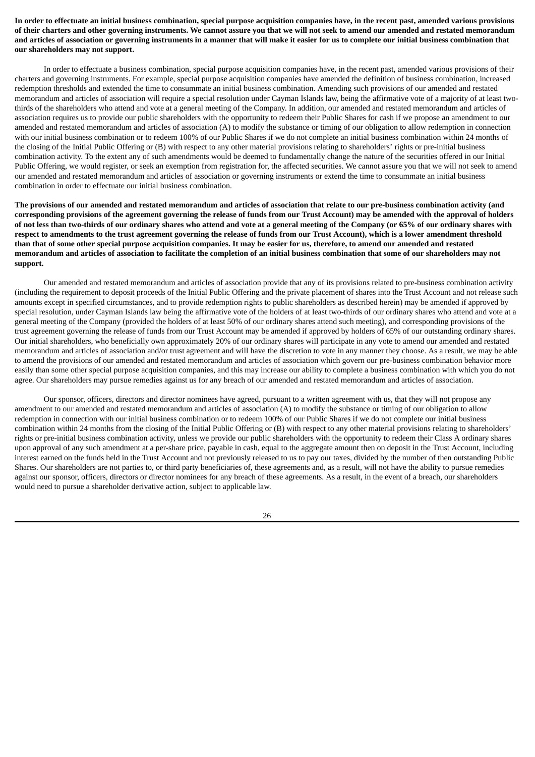In order to effectuate an initial business combination, special purpose acquisition companies have, in the recent past, amended various provisions of their charters and other governing instruments. We cannot assure you that we will not seek to amend our amended and restated memorandum and articles of association or governing instruments in a manner that will make it easier for us to complete our initial business combination that **our shareholders may not support.**

In order to effectuate a business combination, special purpose acquisition companies have, in the recent past, amended various provisions of their charters and governing instruments. For example, special purpose acquisition companies have amended the definition of business combination, increased redemption thresholds and extended the time to consummate an initial business combination. Amending such provisions of our amended and restated memorandum and articles of association will require a special resolution under Cayman Islands law, being the affirmative vote of a majority of at least twothirds of the shareholders who attend and vote at a general meeting of the Company. In addition, our amended and restated memorandum and articles of association requires us to provide our public shareholders with the opportunity to redeem their Public Shares for cash if we propose an amendment to our amended and restated memorandum and articles of association (A) to modify the substance or timing of our obligation to allow redemption in connection with our initial business combination or to redeem 100% of our Public Shares if we do not complete an initial business combination within 24 months of the closing of the Initial Public Offering or (B) with respect to any other material provisions relating to shareholders' rights or pre-initial business combination activity. To the extent any of such amendments would be deemed to fundamentally change the nature of the securities offered in our Initial Public Offering, we would register, or seek an exemption from registration for, the affected securities. We cannot assure you that we will not seek to amend our amended and restated memorandum and articles of association or governing instruments or extend the time to consummate an initial business combination in order to effectuate our initial business combination.

The provisions of our amended and restated memorandum and articles of association that relate to our pre-business combination activity (and corresponding provisions of the agreement governing the release of funds from our Trust Account) may be amended with the approval of holders of not less than two-thirds of our ordinary shares who attend and vote at a general meeting of the Company (or 65% of our ordinary shares with respect to amendments to the trust agreement governing the release of funds from our Trust Account), which is a lower amendment threshold than that of some other special purpose acquisition companies. It may be easier for us, therefore, to amend our amended and restated memorandum and articles of association to facilitate the completion of an initial business combination that some of our shareholders may not **support.**

Our amended and restated memorandum and articles of association provide that any of its provisions related to pre-business combination activity (including the requirement to deposit proceeds of the Initial Public Offering and the private placement of shares into the Trust Account and not release such amounts except in specified circumstances, and to provide redemption rights to public shareholders as described herein) may be amended if approved by special resolution, under Cayman Islands law being the affirmative vote of the holders of at least two-thirds of our ordinary shares who attend and vote at a general meeting of the Company (provided the holders of at least 50% of our ordinary shares attend such meeting), and corresponding provisions of the trust agreement governing the release of funds from our Trust Account may be amended if approved by holders of 65% of our outstanding ordinary shares. Our initial shareholders, who beneficially own approximately 20% of our ordinary shares will participate in any vote to amend our amended and restated memorandum and articles of association and/or trust agreement and will have the discretion to vote in any manner they choose. As a result, we may be able to amend the provisions of our amended and restated memorandum and articles of association which govern our pre-business combination behavior more easily than some other special purpose acquisition companies, and this may increase our ability to complete a business combination with which you do not agree. Our shareholders may pursue remedies against us for any breach of our amended and restated memorandum and articles of association.

Our sponsor, officers, directors and director nominees have agreed, pursuant to a written agreement with us, that they will not propose any amendment to our amended and restated memorandum and articles of association (A) to modify the substance or timing of our obligation to allow redemption in connection with our initial business combination or to redeem 100% of our Public Shares if we do not complete our initial business combination within 24 months from the closing of the Initial Public Offering or (B) with respect to any other material provisions relating to shareholders' rights or pre-initial business combination activity, unless we provide our public shareholders with the opportunity to redeem their Class A ordinary shares upon approval of any such amendment at a per-share price, payable in cash, equal to the aggregate amount then on deposit in the Trust Account, including interest earned on the funds held in the Trust Account and not previously released to us to pay our taxes, divided by the number of then outstanding Public Shares. Our shareholders are not parties to, or third party beneficiaries of, these agreements and, as a result, will not have the ability to pursue remedies against our sponsor, officers, directors or director nominees for any breach of these agreements. As a result, in the event of a breach, our shareholders would need to pursue a shareholder derivative action, subject to applicable law.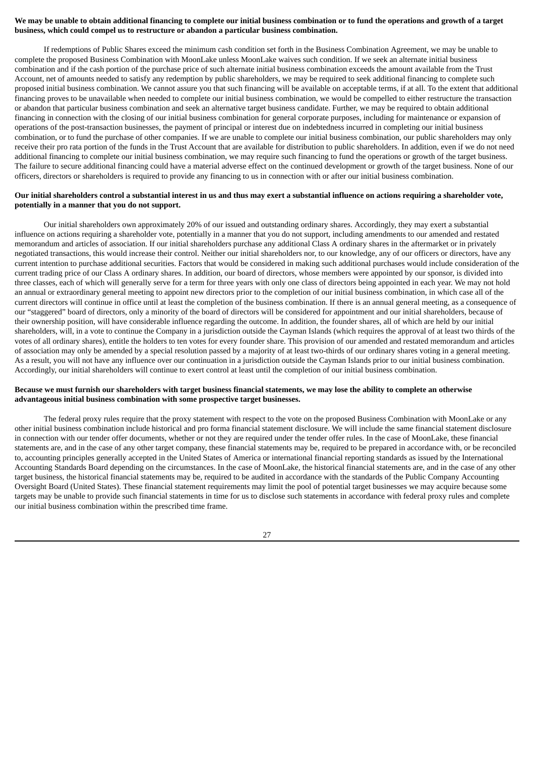### We may be unable to obtain additional financing to complete our initial business combination or to fund the operations and growth of a target **business, which could compel us to restructure or abandon a particular business combination.**

If redemptions of Public Shares exceed the minimum cash condition set forth in the Business Combination Agreement, we may be unable to complete the proposed Business Combination with MoonLake unless MoonLake waives such condition. If we seek an alternate initial business combination and if the cash portion of the purchase price of such alternate initial business combination exceeds the amount available from the Trust Account, net of amounts needed to satisfy any redemption by public shareholders, we may be required to seek additional financing to complete such proposed initial business combination. We cannot assure you that such financing will be available on acceptable terms, if at all. To the extent that additional financing proves to be unavailable when needed to complete our initial business combination, we would be compelled to either restructure the transaction or abandon that particular business combination and seek an alternative target business candidate. Further, we may be required to obtain additional financing in connection with the closing of our initial business combination for general corporate purposes, including for maintenance or expansion of operations of the post-transaction businesses, the payment of principal or interest due on indebtedness incurred in completing our initial business combination, or to fund the purchase of other companies. If we are unable to complete our initial business combination, our public shareholders may only receive their pro rata portion of the funds in the Trust Account that are available for distribution to public shareholders. In addition, even if we do not need additional financing to complete our initial business combination, we may require such financing to fund the operations or growth of the target business. The failure to secure additional financing could have a material adverse effect on the continued development or growth of the target business. None of our officers, directors or shareholders is required to provide any financing to us in connection with or after our initial business combination.

### Our initial shareholders control a substantial interest in us and thus may exert a substantial influence on actions requiring a shareholder vote, **potentially in a manner that you do not support.**

Our initial shareholders own approximately 20% of our issued and outstanding ordinary shares. Accordingly, they may exert a substantial influence on actions requiring a shareholder vote, potentially in a manner that you do not support, including amendments to our amended and restated memorandum and articles of association. If our initial shareholders purchase any additional Class A ordinary shares in the aftermarket or in privately negotiated transactions, this would increase their control. Neither our initial shareholders nor, to our knowledge, any of our officers or directors, have any current intention to purchase additional securities. Factors that would be considered in making such additional purchases would include consideration of the current trading price of our Class A ordinary shares. In addition, our board of directors, whose members were appointed by our sponsor, is divided into three classes, each of which will generally serve for a term for three years with only one class of directors being appointed in each year. We may not hold an annual or extraordinary general meeting to appoint new directors prior to the completion of our initial business combination, in which case all of the current directors will continue in office until at least the completion of the business combination. If there is an annual general meeting, as a consequence of our "staggered" board of directors, only a minority of the board of directors will be considered for appointment and our initial shareholders, because of their ownership position, will have considerable influence regarding the outcome. In addition, the founder shares, all of which are held by our initial shareholders, will, in a vote to continue the Company in a jurisdiction outside the Cayman Islands (which requires the approval of at least two thirds of the votes of all ordinary shares), entitle the holders to ten votes for every founder share. This provision of our amended and restated memorandum and articles of association may only be amended by a special resolution passed by a majority of at least two-thirds of our ordinary shares voting in a general meeting. As a result, you will not have any influence over our continuation in a jurisdiction outside the Cayman Islands prior to our initial business combination. Accordingly, our initial shareholders will continue to exert control at least until the completion of our initial business combination.

### Because we must furnish our shareholders with target business financial statements, we may lose the ability to complete an otherwise **advantageous initial business combination with some prospective target businesses.**

The federal proxy rules require that the proxy statement with respect to the vote on the proposed Business Combination with MoonLake or any other initial business combination include historical and pro forma financial statement disclosure. We will include the same financial statement disclosure in connection with our tender offer documents, whether or not they are required under the tender offer rules. In the case of MoonLake, these financial statements are, and in the case of any other target company, these financial statements may be, required to be prepared in accordance with, or be reconciled to, accounting principles generally accepted in the United States of America or international financial reporting standards as issued by the International Accounting Standards Board depending on the circumstances. In the case of MoonLake, the historical financial statements are, and in the case of any other target business, the historical financial statements may be, required to be audited in accordance with the standards of the Public Company Accounting Oversight Board (United States). These financial statement requirements may limit the pool of potential target businesses we may acquire because some targets may be unable to provide such financial statements in time for us to disclose such statements in accordance with federal proxy rules and complete our initial business combination within the prescribed time frame.

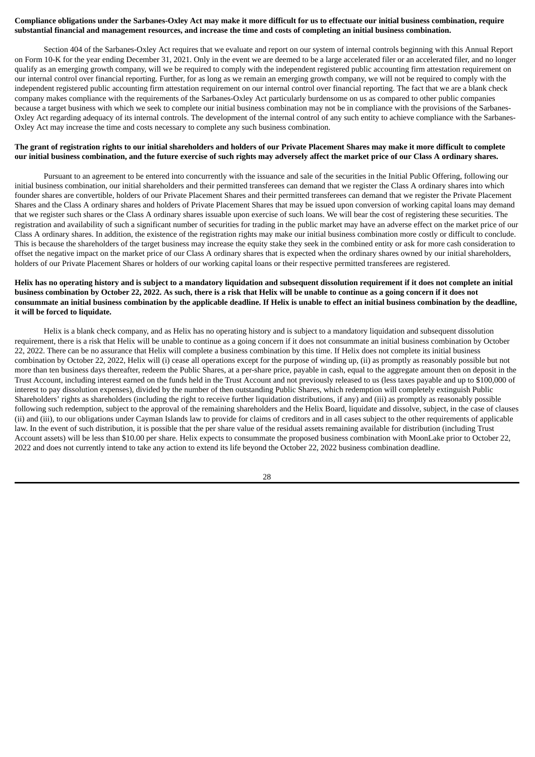### Compliance obligations under the Sarbanes-Oxley Act may make it more difficult for us to effectuate our initial business combination, require substantial financial and management resources, and increase the time and costs of completing an initial business combination.

Section 404 of the Sarbanes-Oxley Act requires that we evaluate and report on our system of internal controls beginning with this Annual Report on Form 10-K for the year ending December 31, 2021. Only in the event we are deemed to be a large accelerated filer or an accelerated filer, and no longer qualify as an emerging growth company, will we be required to comply with the independent registered public accounting firm attestation requirement on our internal control over financial reporting. Further, for as long as we remain an emerging growth company, we will not be required to comply with the independent registered public accounting firm attestation requirement on our internal control over financial reporting. The fact that we are a blank check company makes compliance with the requirements of the Sarbanes-Oxley Act particularly burdensome on us as compared to other public companies because a target business with which we seek to complete our initial business combination may not be in compliance with the provisions of the Sarbanes-Oxley Act regarding adequacy of its internal controls. The development of the internal control of any such entity to achieve compliance with the Sarbanes-Oxley Act may increase the time and costs necessary to complete any such business combination.

### The grant of registration rights to our initial shareholders and holders of our Private Placement Shares may make it more difficult to complete our initial business combination, and the future exercise of such rights may adversely affect the market price of our Class A ordinary shares.

Pursuant to an agreement to be entered into concurrently with the issuance and sale of the securities in the Initial Public Offering, following our initial business combination, our initial shareholders and their permitted transferees can demand that we register the Class A ordinary shares into which founder shares are convertible, holders of our Private Placement Shares and their permitted transferees can demand that we register the Private Placement Shares and the Class A ordinary shares and holders of Private Placement Shares that may be issued upon conversion of working capital loans may demand that we register such shares or the Class A ordinary shares issuable upon exercise of such loans. We will bear the cost of registering these securities. The registration and availability of such a significant number of securities for trading in the public market may have an adverse effect on the market price of our Class A ordinary shares. In addition, the existence of the registration rights may make our initial business combination more costly or difficult to conclude. This is because the shareholders of the target business may increase the equity stake they seek in the combined entity or ask for more cash consideration to offset the negative impact on the market price of our Class A ordinary shares that is expected when the ordinary shares owned by our initial shareholders, holders of our Private Placement Shares or holders of our working capital loans or their respective permitted transferees are registered.

## Helix has no operating history and is subject to a mandatory liquidation and subsequent dissolution requirement if it does not complete an initial business combination by October 22, 2022. As such, there is a risk that Helix will be unable to continue as a going concern if it does not consummate an initial business combination by the applicable deadline. If Helix is unable to effect an initial business combination by the deadline. **it will be forced to liquidate.**

Helix is a blank check company, and as Helix has no operating history and is subject to a mandatory liquidation and subsequent dissolution requirement, there is a risk that Helix will be unable to continue as a going concern if it does not consummate an initial business combination by October 22, 2022. There can be no assurance that Helix will complete a business combination by this time. If Helix does not complete its initial business combination by October 22, 2022, Helix will (i) cease all operations except for the purpose of winding up, (ii) as promptly as reasonably possible but not more than ten business days thereafter, redeem the Public Shares, at a per-share price, payable in cash, equal to the aggregate amount then on deposit in the Trust Account, including interest earned on the funds held in the Trust Account and not previously released to us (less taxes payable and up to \$100,000 of interest to pay dissolution expenses), divided by the number of then outstanding Public Shares, which redemption will completely extinguish Public Shareholders' rights as shareholders (including the right to receive further liquidation distributions, if any) and (iii) as promptly as reasonably possible following such redemption, subject to the approval of the remaining shareholders and the Helix Board, liquidate and dissolve, subject, in the case of clauses (ii) and (iii), to our obligations under Cayman Islands law to provide for claims of creditors and in all cases subject to the other requirements of applicable law. In the event of such distribution, it is possible that the per share value of the residual assets remaining available for distribution (including Trust Account assets) will be less than \$10.00 per share. Helix expects to consummate the proposed business combination with MoonLake prior to October 22, 2022 and does not currently intend to take any action to extend its life beyond the October 22, 2022 business combination deadline.

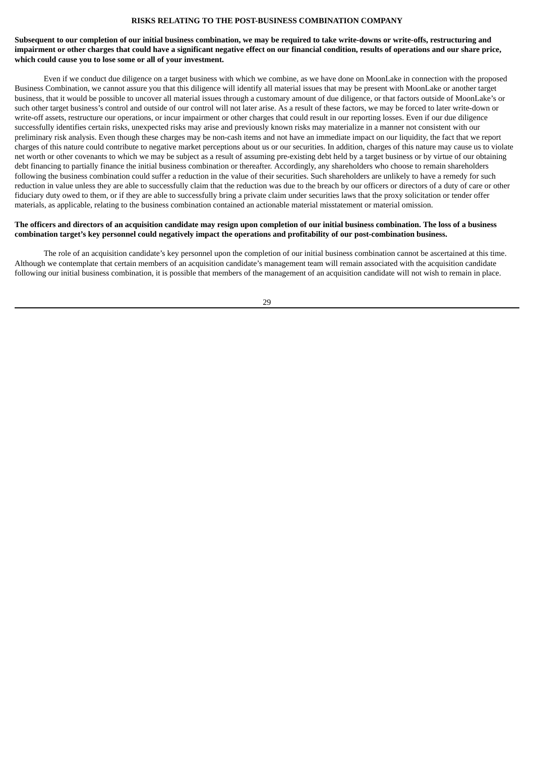#### **RISKS RELATING TO THE POST-BUSINESS COMBINATION COMPANY**

### Subsequent to our completion of our initial business combination, we may be required to take write-downs or write-offs, restructuring and impairment or other charges that could have a significant negative effect on our financial condition, results of operations and our share price, **which could cause you to lose some or all of your investment.**

Even if we conduct due diligence on a target business with which we combine, as we have done on MoonLake in connection with the proposed Business Combination, we cannot assure you that this diligence will identify all material issues that may be present with MoonLake or another target business, that it would be possible to uncover all material issues through a customary amount of due diligence, or that factors outside of MoonLake's or such other target business's control and outside of our control will not later arise. As a result of these factors, we may be forced to later write-down or write-off assets, restructure our operations, or incur impairment or other charges that could result in our reporting losses. Even if our due diligence successfully identifies certain risks, unexpected risks may arise and previously known risks may materialize in a manner not consistent with our preliminary risk analysis. Even though these charges may be non-cash items and not have an immediate impact on our liquidity, the fact that we report charges of this nature could contribute to negative market perceptions about us or our securities. In addition, charges of this nature may cause us to violate net worth or other covenants to which we may be subject as a result of assuming pre-existing debt held by a target business or by virtue of our obtaining debt financing to partially finance the initial business combination or thereafter. Accordingly, any shareholders who choose to remain shareholders following the business combination could suffer a reduction in the value of their securities. Such shareholders are unlikely to have a remedy for such reduction in value unless they are able to successfully claim that the reduction was due to the breach by our officers or directors of a duty of care or other fiduciary duty owed to them, or if they are able to successfully bring a private claim under securities laws that the proxy solicitation or tender offer materials, as applicable, relating to the business combination contained an actionable material misstatement or material omission.

#### The officers and directors of an acquisition candidate may resign upon completion of our initial business combination. The loss of a business combination target's key personnel could negatively impact the operations and profitability of our post-combination business.

The role of an acquisition candidate's key personnel upon the completion of our initial business combination cannot be ascertained at this time. Although we contemplate that certain members of an acquisition candidate's management team will remain associated with the acquisition candidate following our initial business combination, it is possible that members of the management of an acquisition candidate will not wish to remain in place.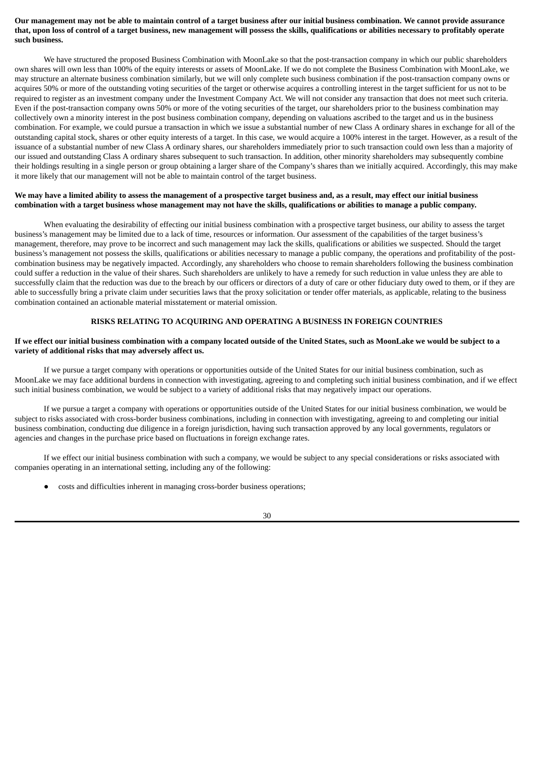### Our management may not be able to maintain control of a target business after our initial business combination. We cannot provide assurance that, upon loss of control of a target business, new management will possess the skills, qualifications or abilities necessary to profitably operate **such business.**

We have structured the proposed Business Combination with MoonLake so that the post-transaction company in which our public shareholders own shares will own less than 100% of the equity interests or assets of MoonLake. If we do not complete the Business Combination with MoonLake, we may structure an alternate business combination similarly, but we will only complete such business combination if the post-transaction company owns or acquires 50% or more of the outstanding voting securities of the target or otherwise acquires a controlling interest in the target sufficient for us not to be required to register as an investment company under the Investment Company Act. We will not consider any transaction that does not meet such criteria. Even if the post-transaction company owns 50% or more of the voting securities of the target, our shareholders prior to the business combination may collectively own a minority interest in the post business combination company, depending on valuations ascribed to the target and us in the business combination. For example, we could pursue a transaction in which we issue a substantial number of new Class A ordinary shares in exchange for all of the outstanding capital stock, shares or other equity interests of a target. In this case, we would acquire a 100% interest in the target. However, as a result of the issuance of a substantial number of new Class A ordinary shares, our shareholders immediately prior to such transaction could own less than a majority of our issued and outstanding Class A ordinary shares subsequent to such transaction. In addition, other minority shareholders may subsequently combine their holdings resulting in a single person or group obtaining a larger share of the Company's shares than we initially acquired. Accordingly, this may make it more likely that our management will not be able to maintain control of the target business.

### We may have a limited ability to assess the management of a prospective target business and, as a result, may effect our initial business combination with a target business whose management may not have the skills, qualifications or abilities to manage a public company.

When evaluating the desirability of effecting our initial business combination with a prospective target business, our ability to assess the target business's management may be limited due to a lack of time, resources or information. Our assessment of the capabilities of the target business's management, therefore, may prove to be incorrect and such management may lack the skills, qualifications or abilities we suspected. Should the target business's management not possess the skills, qualifications or abilities necessary to manage a public company, the operations and profitability of the postcombination business may be negatively impacted. Accordingly, any shareholders who choose to remain shareholders following the business combination could suffer a reduction in the value of their shares. Such shareholders are unlikely to have a remedy for such reduction in value unless they are able to successfully claim that the reduction was due to the breach by our officers or directors of a duty of care or other fiduciary duty owed to them, or if they are able to successfully bring a private claim under securities laws that the proxy solicitation or tender offer materials, as applicable, relating to the business combination contained an actionable material misstatement or material omission.

### **RISKS RELATING TO ACQUIRING AND OPERATING A BUSINESS IN FOREIGN COUNTRIES**

#### If we effect our initial business combination with a company located outside of the United States, such as MoonLake we would be subject to a **variety of additional risks that may adversely affect us.**

If we pursue a target company with operations or opportunities outside of the United States for our initial business combination, such as MoonLake we may face additional burdens in connection with investigating, agreeing to and completing such initial business combination, and if we effect such initial business combination, we would be subject to a variety of additional risks that may negatively impact our operations.

If we pursue a target a company with operations or opportunities outside of the United States for our initial business combination, we would be subject to risks associated with cross-border business combinations, including in connection with investigating, agreeing to and completing our initial business combination, conducting due diligence in a foreign jurisdiction, having such transaction approved by any local governments, regulators or agencies and changes in the purchase price based on fluctuations in foreign exchange rates.

If we effect our initial business combination with such a company, we would be subject to any special considerations or risks associated with companies operating in an international setting, including any of the following:

costs and difficulties inherent in managing cross-border business operations;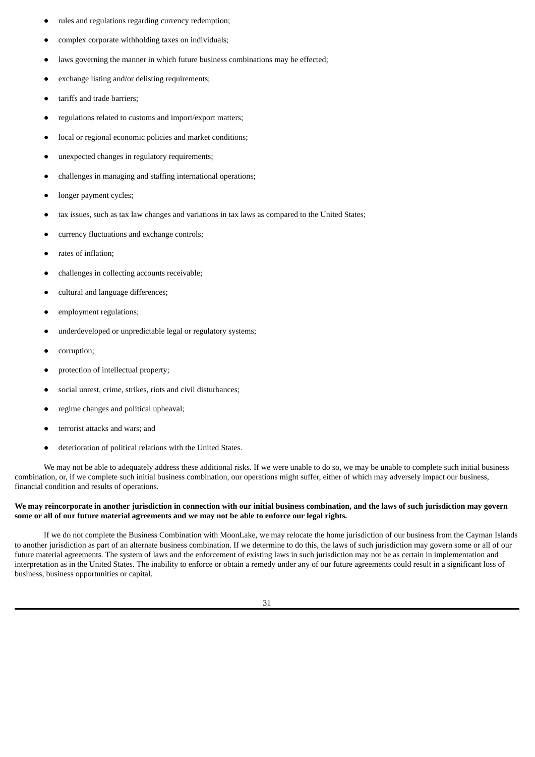- rules and regulations regarding currency redemption;
- complex corporate withholding taxes on individuals;
- laws governing the manner in which future business combinations may be effected;
- exchange listing and/or delisting requirements;
- tariffs and trade barriers;
- regulations related to customs and import/export matters;
- local or regional economic policies and market conditions;
- unexpected changes in regulatory requirements;
- challenges in managing and staffing international operations;
- longer payment cycles;
- tax issues, such as tax law changes and variations in tax laws as compared to the United States;
- currency fluctuations and exchange controls;
- rates of inflation:
- challenges in collecting accounts receivable;
- cultural and language differences;
- employment regulations;
- underdeveloped or unpredictable legal or regulatory systems;
- corruption:
- protection of intellectual property;
- social unrest, crime, strikes, riots and civil disturbances;
- regime changes and political upheaval;
- terrorist attacks and wars; and
- deterioration of political relations with the United States.

We may not be able to adequately address these additional risks. If we were unable to do so, we may be unable to complete such initial business combination, or, if we complete such initial business combination, our operations might suffer, either of which may adversely impact our business, financial condition and results of operations.

### We may reincorporate in another jurisdiction in connection with our initial business combination, and the laws of such jurisdiction may govern some or all of our future material agreements and we may not be able to enforce our legal rights.

If we do not complete the Business Combination with MoonLake, we may relocate the home jurisdiction of our business from the Cayman Islands to another jurisdiction as part of an alternate business combination. If we determine to do this, the laws of such jurisdiction may govern some or all of our future material agreements. The system of laws and the enforcement of existing laws in such jurisdiction may not be as certain in implementation and interpretation as in the United States. The inability to enforce or obtain a remedy under any of our future agreements could result in a significant loss of business, business opportunities or capital.

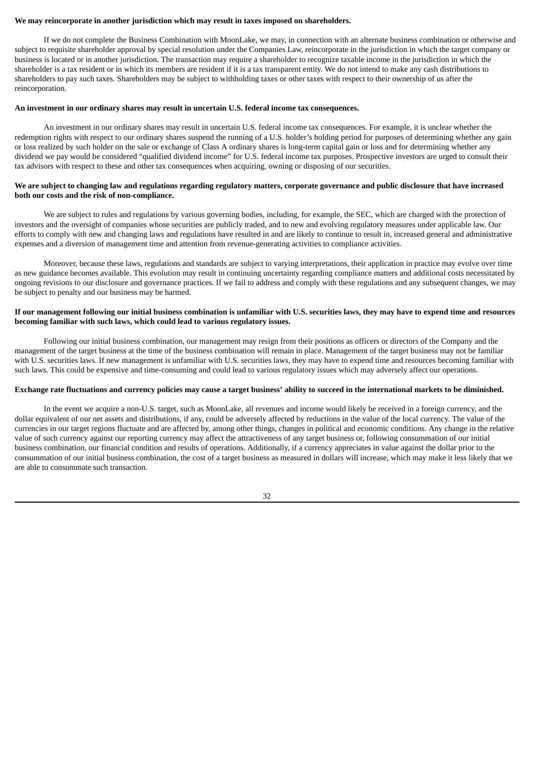# **We may reincorporate in another jurisdiction which may result in taxes imposed on shareholders.**

If we do not complete the Business Combination with MoonLake, we may, in connection with an alternate business combination or otherwise and subject to requisite shareholder approval by special resolution under the Companies Law, reincorporate in the jurisdiction in which the target company or business is located or in another jurisdiction. The transaction may require a shareholder to recognize taxable income in the jurisdiction in which the shareholder is a tax resident or in which its members are resident if it is a tax transparent entity. We do not intend to make any cash distributions to shareholders to pay such taxes. Shareholders may be subject to withholding taxes or other taxes with respect to their ownership of us after the reincorporation.

#### **An investment in our ordinary shares may result in uncertain U.S. federal income tax consequences.**

An investment in our ordinary shares may result in uncertain U.S. federal income tax consequences. For example, it is unclear whether the redemption rights with respect to our ordinary shares suspend the running of a U.S. holder's holding period for purposes of determining whether any gain or loss realized by such holder on the sale or exchange of Class A ordinary shares is long-term capital gain or loss and for determining whether any dividend we pay would be considered "qualified dividend income" for U.S. federal income tax purposes. Prospective investors are urged to consult their tax advisors with respect to these and other tax consequences when acquiring, owning or disposing of our securities.

# We are subject to changing law and regulations regarding regulatory matters, corporate governance and public disclosure that have increased **both our costs and the risk of non-compliance.**

We are subject to rules and regulations by various governing bodies, including, for example, the SEC, which are charged with the protection of investors and the oversight of companies whose securities are publicly traded, and to new and evolving regulatory measures under applicable law. Our efforts to comply with new and changing laws and regulations have resulted in and are likely to continue to result in, increased general and administrative expenses and a diversion of management time and attention from revenue-generating activities to compliance activities.

Moreover, because these laws, regulations and standards are subject to varying interpretations, their application in practice may evolve over time as new guidance becomes available. This evolution may result in continuing uncertainty regarding compliance matters and additional costs necessitated by ongoing revisions to our disclosure and governance practices. If we fail to address and comply with these regulations and any subsequent changes, we may be subject to penalty and our business may be harmed.

# If our management following our initial business combination is unfamiliar with U.S. securities laws, they may have to expend time and resources **becoming familiar with such laws, which could lead to various regulatory issues.**

Following our initial business combination, our management may resign from their positions as officers or directors of the Company and the management of the target business at the time of the business combination will remain in place. Management of the target business may not be familiar with U.S. securities laws. If new management is unfamiliar with U.S. securities laws, they may have to expend time and resources becoming familiar with such laws. This could be expensive and time-consuming and could lead to various regulatory issues which may adversely affect our operations.

# Exchange rate fluctuations and currency policies may cause a target business' ability to succeed in the international markets to be diminished.

In the event we acquire a non-U.S. target, such as MoonLake, all revenues and income would likely be received in a foreign currency, and the dollar equivalent of our net assets and distributions, if any, could be adversely affected by reductions in the value of the local currency. The value of the currencies in our target regions fluctuate and are affected by, among other things, changes in political and economic conditions. Any change in the relative value of such currency against our reporting currency may affect the attractiveness of any target business or, following consummation of our initial business combination, our financial condition and results of operations. Additionally, if a currency appreciates in value against the dollar prior to the consummation of our initial business combination, the cost of a target business as measured in dollars will increase, which may make it less likely that we are able to consummate such transaction.

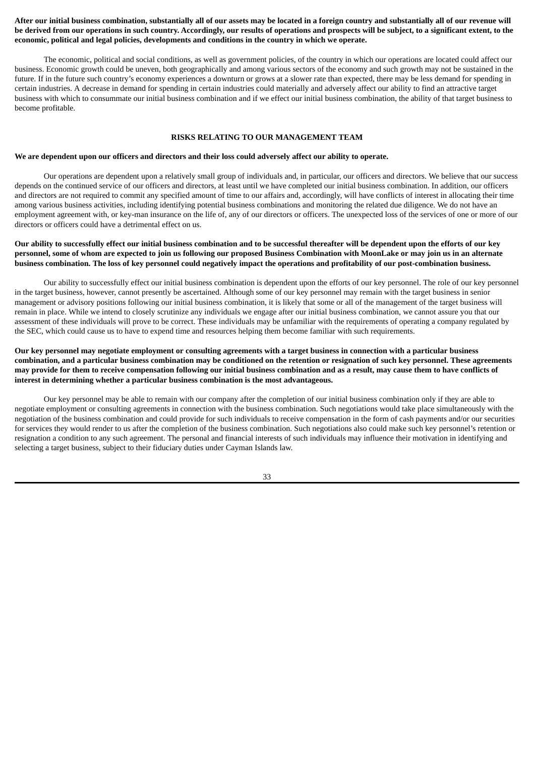# After our initial business combination, substantially all of our assets may be located in a foreign country and substantially all of our revenue will be derived from our operations in such country. Accordingly, our results of operations and prospects will be subject, to a significant extent, to the **economic, political and legal policies, developments and conditions in the country in which we operate.**

The economic, political and social conditions, as well as government policies, of the country in which our operations are located could affect our business. Economic growth could be uneven, both geographically and among various sectors of the economy and such growth may not be sustained in the future. If in the future such country's economy experiences a downturn or grows at a slower rate than expected, there may be less demand for spending in certain industries. A decrease in demand for spending in certain industries could materially and adversely affect our ability to find an attractive target business with which to consummate our initial business combination and if we effect our initial business combination, the ability of that target business to become profitable.

# **RISKS RELATING TO OUR MANAGEMENT TEAM**

# We are dependent upon our officers and directors and their loss could adversely affect our ability to operate.

Our operations are dependent upon a relatively small group of individuals and, in particular, our officers and directors. We believe that our success depends on the continued service of our officers and directors, at least until we have completed our initial business combination. In addition, our officers and directors are not required to commit any specified amount of time to our affairs and, accordingly, will have conflicts of interest in allocating their time among various business activities, including identifying potential business combinations and monitoring the related due diligence. We do not have an employment agreement with, or key-man insurance on the life of, any of our directors or officers. The unexpected loss of the services of one or more of our directors or officers could have a detrimental effect on us.

# Our ability to successfully effect our initial business combination and to be successful thereafter will be dependent upon the efforts of our key personnel, some of whom are expected to join us following our proposed Business Combination with MoonLake or may join us in an alternate business combination. The loss of key personnel could negatively impact the operations and profitability of our post-combination business.

Our ability to successfully effect our initial business combination is dependent upon the efforts of our key personnel. The role of our key personnel in the target business, however, cannot presently be ascertained. Although some of our key personnel may remain with the target business in senior management or advisory positions following our initial business combination, it is likely that some or all of the management of the target business will remain in place. While we intend to closely scrutinize any individuals we engage after our initial business combination, we cannot assure you that our assessment of these individuals will prove to be correct. These individuals may be unfamiliar with the requirements of operating a company regulated by the SEC, which could cause us to have to expend time and resources helping them become familiar with such requirements.

# Our key personnel may negotiate employment or consulting agreements with a target business in connection with a particular business combination, and a particular business combination may be conditioned on the retention or resignation of such key personnel. These agreements may provide for them to receive compensation following our initial business combination and as a result, may cause them to have conflicts of **interest in determining whether a particular business combination is the most advantageous.**

Our key personnel may be able to remain with our company after the completion of our initial business combination only if they are able to negotiate employment or consulting agreements in connection with the business combination. Such negotiations would take place simultaneously with the negotiation of the business combination and could provide for such individuals to receive compensation in the form of cash payments and/or our securities for services they would render to us after the completion of the business combination. Such negotiations also could make such key personnel's retention or resignation a condition to any such agreement. The personal and financial interests of such individuals may influence their motivation in identifying and selecting a target business, subject to their fiduciary duties under Cayman Islands law.

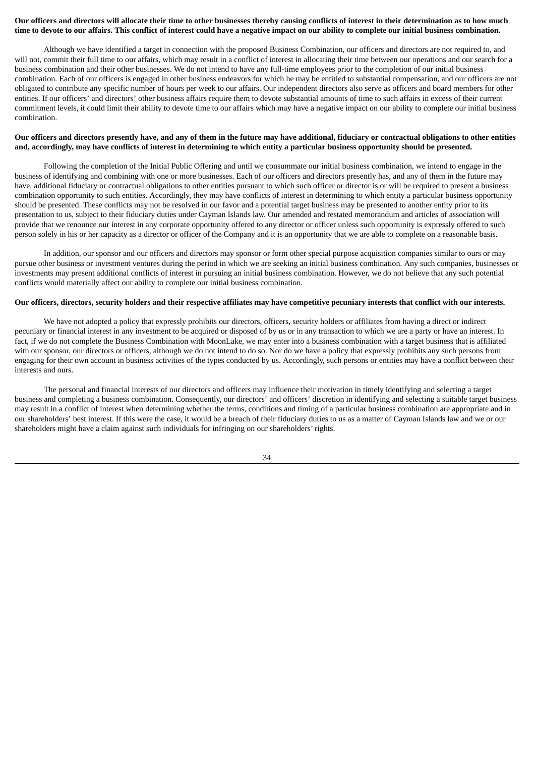# Our officers and directors will allocate their time to other businesses thereby causing conflicts of interest in their determination as to how much time to devote to our affairs. This conflict of interest could have a negative impact on our ability to complete our initial business combination.

Although we have identified a target in connection with the proposed Business Combination, our officers and directors are not required to, and will not, commit their full time to our affairs, which may result in a conflict of interest in allocating their time between our operations and our search for a business combination and their other businesses. We do not intend to have any full-time employees prior to the completion of our initial business combination. Each of our officers is engaged in other business endeavors for which he may be entitled to substantial compensation, and our officers are not obligated to contribute any specific number of hours per week to our affairs. Our independent directors also serve as officers and board members for other entities. If our officers' and directors' other business affairs require them to devote substantial amounts of time to such affairs in excess of their current commitment levels, it could limit their ability to devote time to our affairs which may have a negative impact on our ability to complete our initial business combination.

# Our officers and directors presently have, and any of them in the future may have additional, fiduciary or contractual obligations to other entities and, accordingly, may have conflicts of interest in determining to which entity a particular business opportunity should be presented.

Following the completion of the Initial Public Offering and until we consummate our initial business combination, we intend to engage in the business of identifying and combining with one or more businesses. Each of our officers and directors presently has, and any of them in the future may have, additional fiduciary or contractual obligations to other entities pursuant to which such officer or director is or will be required to present a business combination opportunity to such entities. Accordingly, they may have conflicts of interest in determining to which entity a particular business opportunity should be presented. These conflicts may not be resolved in our favor and a potential target business may be presented to another entity prior to its presentation to us, subject to their fiduciary duties under Cayman Islands law. Our amended and restated memorandum and articles of association will provide that we renounce our interest in any corporate opportunity offered to any director or officer unless such opportunity is expressly offered to such person solely in his or her capacity as a director or officer of the Company and it is an opportunity that we are able to complete on a reasonable basis.

In addition, our sponsor and our officers and directors may sponsor or form other special purpose acquisition companies similar to ours or may pursue other business or investment ventures during the period in which we are seeking an initial business combination. Any such companies, businesses or investments may present additional conflicts of interest in pursuing an initial business combination. However, we do not believe that any such potential conflicts would materially affect our ability to complete our initial business combination.

### Our officers, directors, security holders and their respective affiliates may have competitive pecuniary interests that conflict with our interests.

We have not adopted a policy that expressly prohibits our directors, officers, security holders or affiliates from having a direct or indirect pecuniary or financial interest in any investment to be acquired or disposed of by us or in any transaction to which we are a party or have an interest. In fact, if we do not complete the Business Combination with MoonLake, we may enter into a business combination with a target business that is affiliated with our sponsor, our directors or officers, although we do not intend to do so. Nor do we have a policy that expressly prohibits any such persons from engaging for their own account in business activities of the types conducted by us. Accordingly, such persons or entities may have a conflict between their interests and ours.

The personal and financial interests of our directors and officers may influence their motivation in timely identifying and selecting a target business and completing a business combination. Consequently, our directors' and officers' discretion in identifying and selecting a suitable target business may result in a conflict of interest when determining whether the terms, conditions and timing of a particular business combination are appropriate and in our shareholders' best interest. If this were the case, it would be a breach of their fiduciary duties to us as a matter of Cayman Islands law and we or our shareholders might have a claim against such individuals for infringing on our shareholders' rights.

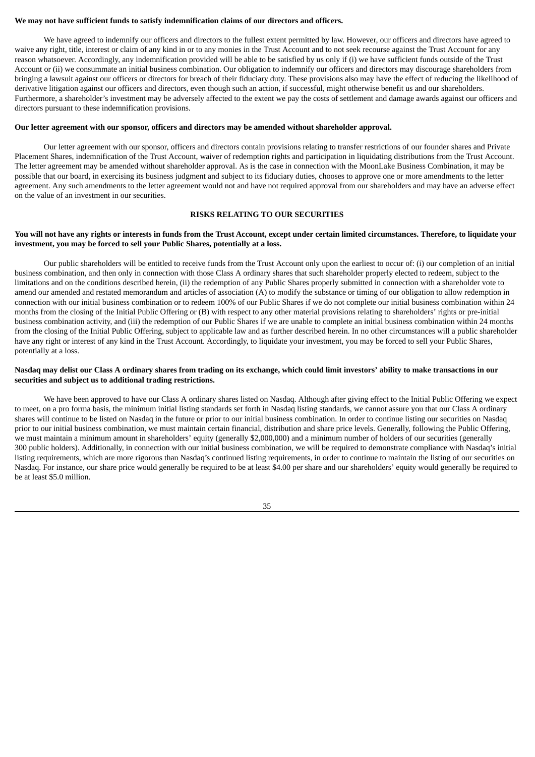# **We may not have sufficient funds to satisfy indemnification claims of our directors and officers.**

We have agreed to indemnify our officers and directors to the fullest extent permitted by law. However, our officers and directors have agreed to waive any right, title, interest or claim of any kind in or to any monies in the Trust Account and to not seek recourse against the Trust Account for any reason whatsoever. Accordingly, any indemnification provided will be able to be satisfied by us only if (i) we have sufficient funds outside of the Trust Account or (ii) we consummate an initial business combination. Our obligation to indemnify our officers and directors may discourage shareholders from bringing a lawsuit against our officers or directors for breach of their fiduciary duty. These provisions also may have the effect of reducing the likelihood of derivative litigation against our officers and directors, even though such an action, if successful, might otherwise benefit us and our shareholders. Furthermore, a shareholder's investment may be adversely affected to the extent we pay the costs of settlement and damage awards against our officers and directors pursuant to these indemnification provisions.

#### **Our letter agreement with our sponsor, officers and directors may be amended without shareholder approval.**

Our letter agreement with our sponsor, officers and directors contain provisions relating to transfer restrictions of our founder shares and Private Placement Shares, indemnification of the Trust Account, waiver of redemption rights and participation in liquidating distributions from the Trust Account. The letter agreement may be amended without shareholder approval. As is the case in connection with the MoonLake Business Combination, it may be possible that our board, in exercising its business judgment and subject to its fiduciary duties, chooses to approve one or more amendments to the letter agreement. Any such amendments to the letter agreement would not and have not required approval from our shareholders and may have an adverse effect on the value of an investment in our securities.

# **RISKS RELATING TO OUR SECURITIES**

### You will not have any rights or interests in funds from the Trust Account, except under certain limited circumstances. Therefore, to liquidate your **investment, you may be forced to sell your Public Shares, potentially at a loss.**

Our public shareholders will be entitled to receive funds from the Trust Account only upon the earliest to occur of: (i) our completion of an initial business combination, and then only in connection with those Class A ordinary shares that such shareholder properly elected to redeem, subject to the limitations and on the conditions described herein, (ii) the redemption of any Public Shares properly submitted in connection with a shareholder vote to amend our amended and restated memorandum and articles of association (A) to modify the substance or timing of our obligation to allow redemption in connection with our initial business combination or to redeem 100% of our Public Shares if we do not complete our initial business combination within 24 months from the closing of the Initial Public Offering or (B) with respect to any other material provisions relating to shareholders' rights or pre-initial business combination activity, and (iii) the redemption of our Public Shares if we are unable to complete an initial business combination within 24 months from the closing of the Initial Public Offering, subject to applicable law and as further described herein. In no other circumstances will a public shareholder have any right or interest of any kind in the Trust Account. Accordingly, to liquidate your investment, you may be forced to sell your Public Shares, potentially at a loss.

# Nasdag may delist our Class A ordinary shares from trading on its exchange, which could limit investors' ability to make transactions in our **securities and subject us to additional trading restrictions.**

We have been approved to have our Class A ordinary shares listed on Nasdaq. Although after giving effect to the Initial Public Offering we expect to meet, on a pro forma basis, the minimum initial listing standards set forth in Nasdaq listing standards, we cannot assure you that our Class A ordinary shares will continue to be listed on Nasdaq in the future or prior to our initial business combination. In order to continue listing our securities on Nasdaq prior to our initial business combination, we must maintain certain financial, distribution and share price levels. Generally, following the Public Offering, we must maintain a minimum amount in shareholders' equity (generally \$2,000,000) and a minimum number of holders of our securities (generally 300 public holders). Additionally, in connection with our initial business combination, we will be required to demonstrate compliance with Nasdaq's initial listing requirements, which are more rigorous than Nasdaq's continued listing requirements, in order to continue to maintain the listing of our securities on Nasdaq. For instance, our share price would generally be required to be at least \$4.00 per share and our shareholders' equity would generally be required to be at least \$5.0 million.

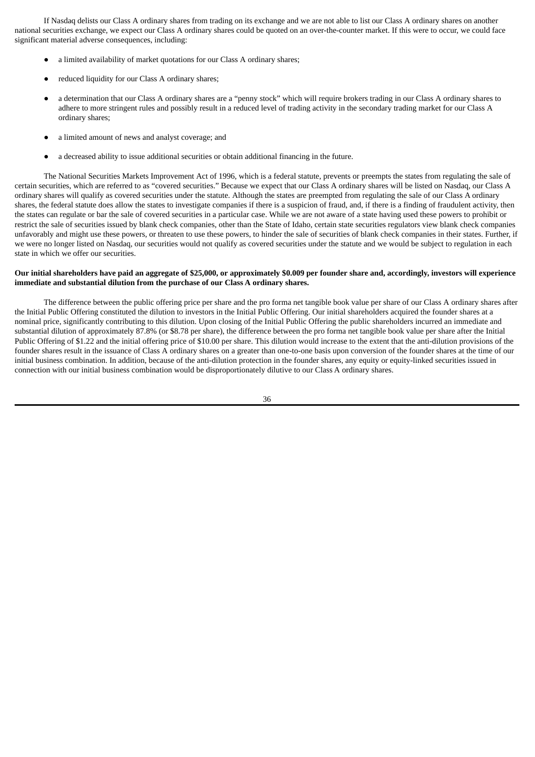If Nasdaq delists our Class A ordinary shares from trading on its exchange and we are not able to list our Class A ordinary shares on another national securities exchange, we expect our Class A ordinary shares could be quoted on an over-the-counter market. If this were to occur, we could face significant material adverse consequences, including:

- a limited availability of market quotations for our Class A ordinary shares;
- reduced liquidity for our Class A ordinary shares;
- a determination that our Class A ordinary shares are a "penny stock" which will require brokers trading in our Class A ordinary shares to adhere to more stringent rules and possibly result in a reduced level of trading activity in the secondary trading market for our Class A ordinary shares;
- a limited amount of news and analyst coverage; and
- a decreased ability to issue additional securities or obtain additional financing in the future.

The National Securities Markets Improvement Act of 1996, which is a federal statute, prevents or preempts the states from regulating the sale of certain securities, which are referred to as "covered securities." Because we expect that our Class A ordinary shares will be listed on Nasdaq, our Class A ordinary shares will qualify as covered securities under the statute. Although the states are preempted from regulating the sale of our Class A ordinary shares, the federal statute does allow the states to investigate companies if there is a suspicion of fraud, and, if there is a finding of fraudulent activity, then the states can regulate or bar the sale of covered securities in a particular case. While we are not aware of a state having used these powers to prohibit or restrict the sale of securities issued by blank check companies, other than the State of Idaho, certain state securities regulators view blank check companies unfavorably and might use these powers, or threaten to use these powers, to hinder the sale of securities of blank check companies in their states. Further, if we were no longer listed on Nasdaq, our securities would not qualify as covered securities under the statute and we would be subject to regulation in each state in which we offer our securities.

### Our initial shareholders have paid an aggregate of \$25,000, or approximately \$0.009 per founder share and, accordingly, investors will experience **immediate and substantial dilution from the purchase of our Class A ordinary shares.**

The difference between the public offering price per share and the pro forma net tangible book value per share of our Class A ordinary shares after the Initial Public Offering constituted the dilution to investors in the Initial Public Offering. Our initial shareholders acquired the founder shares at a nominal price, significantly contributing to this dilution. Upon closing of the Initial Public Offering the public shareholders incurred an immediate and substantial dilution of approximately 87.8% (or \$8.78 per share), the difference between the pro forma net tangible book value per share after the Initial Public Offering of \$1.22 and the initial offering price of \$10.00 per share. This dilution would increase to the extent that the anti-dilution provisions of the founder shares result in the issuance of Class A ordinary shares on a greater than one-to-one basis upon conversion of the founder shares at the time of our initial business combination. In addition, because of the anti-dilution protection in the founder shares, any equity or equity-linked securities issued in connection with our initial business combination would be disproportionately dilutive to our Class A ordinary shares.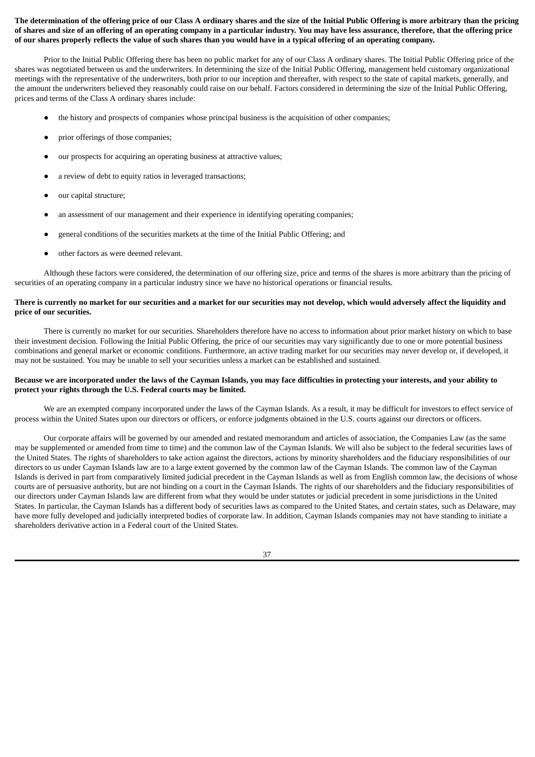# The determination of the offering price of our Class A ordinary shares and the size of the Initial Public Offering is more arbitrary than the pricing of shares and size of an offering of an operating company in a particular industry. You may have less assurance, therefore, that the offering price of our shares properly reflects the value of such shares than you would have in a typical offering of an operating company.

Prior to the Initial Public Offering there has been no public market for any of our Class A ordinary shares. The Initial Public Offering price of the shares was negotiated between us and the underwriters. In determining the size of the Initial Public Offering, management held customary organizational meetings with the representative of the underwriters, both prior to our inception and thereafter, with respect to the state of capital markets, generally, and the amount the underwriters believed they reasonably could raise on our behalf. Factors considered in determining the size of the Initial Public Offering, prices and terms of the Class A ordinary shares include:

- the history and prospects of companies whose principal business is the acquisition of other companies;
- prior offerings of those companies:
- our prospects for acquiring an operating business at attractive values;
- a review of debt to equity ratios in leveraged transactions;
- our capital structure;
- an assessment of our management and their experience in identifying operating companies;
- general conditions of the securities markets at the time of the Initial Public Offering; and
- other factors as were deemed relevant.

Although these factors were considered, the determination of our offering size, price and terms of the shares is more arbitrary than the pricing of securities of an operating company in a particular industry since we have no historical operations or financial results.

# There is currently no market for our securities and a market for our securities may not develop, which would adversely affect the liquidity and **price of our securities.**

There is currently no market for our securities. Shareholders therefore have no access to information about prior market history on which to base their investment decision. Following the Initial Public Offering, the price of our securities may vary significantly due to one or more potential business combinations and general market or economic conditions. Furthermore, an active trading market for our securities may never develop or, if developed, it may not be sustained. You may be unable to sell your securities unless a market can be established and sustained.

# Because we are incorporated under the laws of the Cayman Islands, you may face difficulties in protecting your interests, and your ability to **protect your rights through the U.S. Federal courts may be limited.**

We are an exempted company incorporated under the laws of the Cayman Islands. As a result, it may be difficult for investors to effect service of process within the United States upon our directors or officers, or enforce judgments obtained in the U.S. courts against our directors or officers.

Our corporate affairs will be governed by our amended and restated memorandum and articles of association, the Companies Law (as the same may be supplemented or amended from time to time) and the common law of the Cayman Islands. We will also be subject to the federal securities laws of the United States. The rights of shareholders to take action against the directors, actions by minority shareholders and the fiduciary responsibilities of our directors to us under Cayman Islands law are to a large extent governed by the common law of the Cayman Islands. The common law of the Cayman Islands is derived in part from comparatively limited judicial precedent in the Cayman Islands as well as from English common law, the decisions of whose courts are of persuasive authority, but are not binding on a court in the Cayman Islands. The rights of our shareholders and the fiduciary responsibilities of our directors under Cayman Islands law are different from what they would be under statutes or judicial precedent in some jurisdictions in the United States. In particular, the Cayman Islands has a different body of securities laws as compared to the United States, and certain states, such as Delaware, may have more fully developed and judicially interpreted bodies of corporate law. In addition, Cayman Islands companies may not have standing to initiate a shareholders derivative action in a Federal court of the United States.

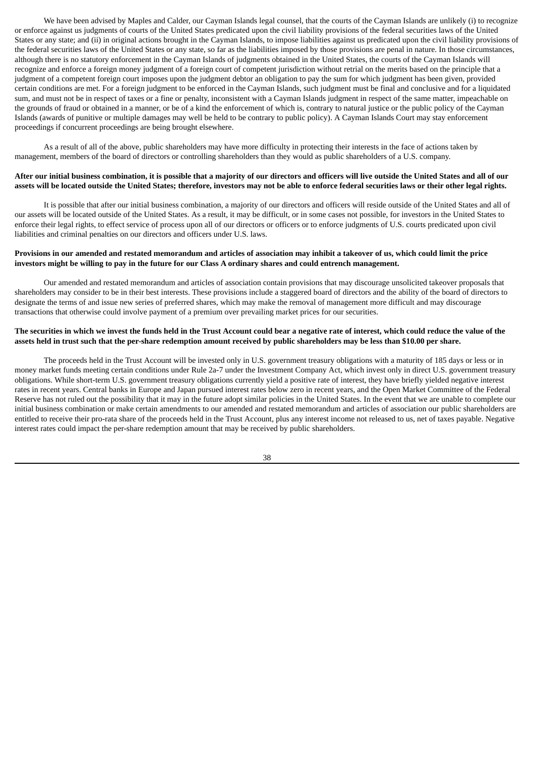We have been advised by Maples and Calder, our Cayman Islands legal counsel, that the courts of the Cayman Islands are unlikely (i) to recognize or enforce against us judgments of courts of the United States predicated upon the civil liability provisions of the federal securities laws of the United States or any state; and (ii) in original actions brought in the Cayman Islands, to impose liabilities against us predicated upon the civil liability provisions of the federal securities laws of the United States or any state, so far as the liabilities imposed by those provisions are penal in nature. In those circumstances, although there is no statutory enforcement in the Cayman Islands of judgments obtained in the United States, the courts of the Cayman Islands will recognize and enforce a foreign money judgment of a foreign court of competent jurisdiction without retrial on the merits based on the principle that a judgment of a competent foreign court imposes upon the judgment debtor an obligation to pay the sum for which judgment has been given, provided certain conditions are met. For a foreign judgment to be enforced in the Cayman Islands, such judgment must be final and conclusive and for a liquidated sum, and must not be in respect of taxes or a fine or penalty, inconsistent with a Cayman Islands judgment in respect of the same matter, impeachable on the grounds of fraud or obtained in a manner, or be of a kind the enforcement of which is, contrary to natural justice or the public policy of the Cayman Islands (awards of punitive or multiple damages may well be held to be contrary to public policy). A Cayman Islands Court may stay enforcement proceedings if concurrent proceedings are being brought elsewhere.

As a result of all of the above, public shareholders may have more difficulty in protecting their interests in the face of actions taken by management, members of the board of directors or controlling shareholders than they would as public shareholders of a U.S. company.

# After our initial business combination, it is possible that a majority of our directors and officers will live outside the United States and all of our assets will be located outside the United States; therefore, investors may not be able to enforce federal securities laws or their other legal rights.

It is possible that after our initial business combination, a majority of our directors and officers will reside outside of the United States and all of our assets will be located outside of the United States. As a result, it may be difficult, or in some cases not possible, for investors in the United States to enforce their legal rights, to effect service of process upon all of our directors or officers or to enforce judgments of U.S. courts predicated upon civil liabilities and criminal penalties on our directors and officers under U.S. laws.

## Provisions in our amended and restated memorandum and articles of association may inhibit a takeover of us, which could limit the price investors might be willing to pay in the future for our Class A ordinary shares and could entrench management.

Our amended and restated memorandum and articles of association contain provisions that may discourage unsolicited takeover proposals that shareholders may consider to be in their best interests. These provisions include a staggered board of directors and the ability of the board of directors to designate the terms of and issue new series of preferred shares, which may make the removal of management more difficult and may discourage transactions that otherwise could involve payment of a premium over prevailing market prices for our securities.

# The securities in which we invest the funds held in the Trust Account could bear a negative rate of interest, which could reduce the value of the assets held in trust such that the per-share redemption amount received by public shareholders may be less than \$10.00 per share.

The proceeds held in the Trust Account will be invested only in U.S. government treasury obligations with a maturity of 185 days or less or in money market funds meeting certain conditions under Rule 2a-7 under the Investment Company Act, which invest only in direct U.S. government treasury obligations. While short-term U.S. government treasury obligations currently yield a positive rate of interest, they have briefly yielded negative interest rates in recent years. Central banks in Europe and Japan pursued interest rates below zero in recent years, and the Open Market Committee of the Federal Reserve has not ruled out the possibility that it may in the future adopt similar policies in the United States. In the event that we are unable to complete our initial business combination or make certain amendments to our amended and restated memorandum and articles of association our public shareholders are entitled to receive their pro-rata share of the proceeds held in the Trust Account, plus any interest income not released to us, net of taxes payable. Negative interest rates could impact the per-share redemption amount that may be received by public shareholders.

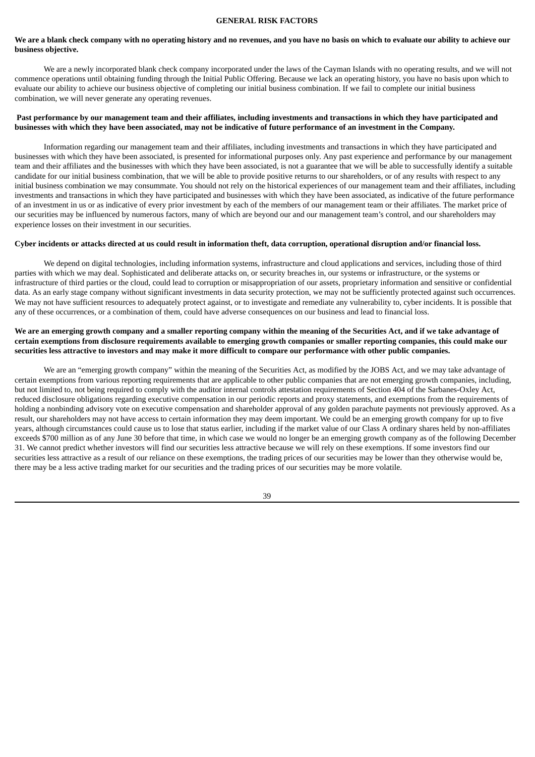#### **GENERAL RISK FACTORS**

# We are a blank check company with no operating history and no revenues, and you have no basis on which to evaluate our ability to achieve our **business objective.**

We are a newly incorporated blank check company incorporated under the laws of the Cayman Islands with no operating results, and we will not commence operations until obtaining funding through the Initial Public Offering. Because we lack an operating history, you have no basis upon which to evaluate our ability to achieve our business objective of completing our initial business combination. If we fail to complete our initial business combination, we will never generate any operating revenues.

# Past performance by our management team and their affiliates, including investments and transactions in which they have participated and businesses with which they have been associated, may not be indicative of future performance of an investment in the Company.

Information regarding our management team and their affiliates, including investments and transactions in which they have participated and businesses with which they have been associated, is presented for informational purposes only. Any past experience and performance by our management team and their affiliates and the businesses with which they have been associated, is not a guarantee that we will be able to successfully identify a suitable candidate for our initial business combination, that we will be able to provide positive returns to our shareholders, or of any results with respect to any initial business combination we may consummate. You should not rely on the historical experiences of our management team and their affiliates, including investments and transactions in which they have participated and businesses with which they have been associated, as indicative of the future performance of an investment in us or as indicative of every prior investment by each of the members of our management team or their affiliates. The market price of our securities may be influenced by numerous factors, many of which are beyond our and our management team's control, and our shareholders may experience losses on their investment in our securities.

# Cyber incidents or attacks directed at us could result in information theft, data corruption, operational disruption and/or financial loss.

We depend on digital technologies, including information systems, infrastructure and cloud applications and services, including those of third parties with which we may deal. Sophisticated and deliberate attacks on, or security breaches in, our systems or infrastructure, or the systems or infrastructure of third parties or the cloud, could lead to corruption or misappropriation of our assets, proprietary information and sensitive or confidential data. As an early stage company without significant investments in data security protection, we may not be sufficiently protected against such occurrences. We may not have sufficient resources to adequately protect against, or to investigate and remediate any vulnerability to, cyber incidents. It is possible that any of these occurrences, or a combination of them, could have adverse consequences on our business and lead to financial loss.

# We are an emerging growth company and a smaller reporting company within the meaning of the Securities Act, and if we take advantage of certain exemptions from disclosure requirements available to emerging growth companies or smaller reporting companies, this could make our securities less attractive to investors and may make it more difficult to compare our performance with other public companies.

We are an "emerging growth company" within the meaning of the Securities Act, as modified by the JOBS Act, and we may take advantage of certain exemptions from various reporting requirements that are applicable to other public companies that are not emerging growth companies, including, but not limited to, not being required to comply with the auditor internal controls attestation requirements of Section 404 of the Sarbanes-Oxley Act, reduced disclosure obligations regarding executive compensation in our periodic reports and proxy statements, and exemptions from the requirements of holding a nonbinding advisory vote on executive compensation and shareholder approval of any golden parachute payments not previously approved. As a result, our shareholders may not have access to certain information they may deem important. We could be an emerging growth company for up to five years, although circumstances could cause us to lose that status earlier, including if the market value of our Class A ordinary shares held by non-affiliates exceeds \$700 million as of any June 30 before that time, in which case we would no longer be an emerging growth company as of the following December 31. We cannot predict whether investors will find our securities less attractive because we will rely on these exemptions. If some investors find our securities less attractive as a result of our reliance on these exemptions, the trading prices of our securities may be lower than they otherwise would be, there may be a less active trading market for our securities and the trading prices of our securities may be more volatile.

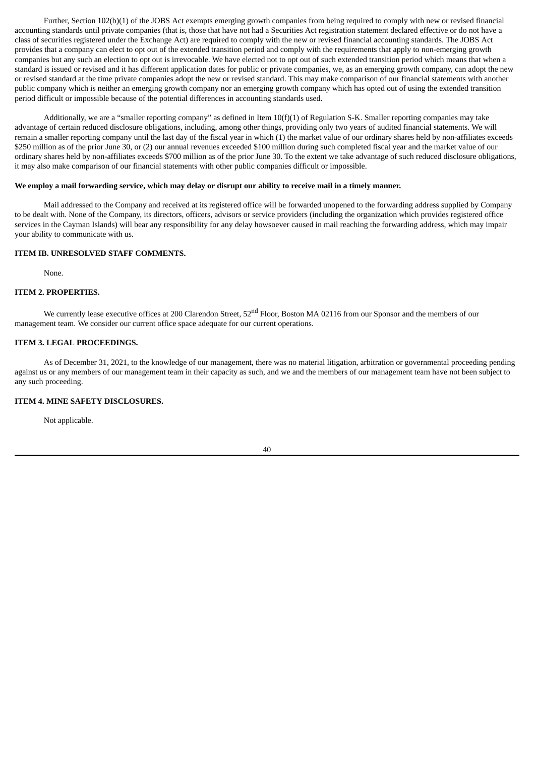Further, Section 102(b)(1) of the JOBS Act exempts emerging growth companies from being required to comply with new or revised financial accounting standards until private companies (that is, those that have not had a Securities Act registration statement declared effective or do not have a class of securities registered under the Exchange Act) are required to comply with the new or revised financial accounting standards. The JOBS Act provides that a company can elect to opt out of the extended transition period and comply with the requirements that apply to non-emerging growth companies but any such an election to opt out is irrevocable. We have elected not to opt out of such extended transition period which means that when a standard is issued or revised and it has different application dates for public or private companies, we, as an emerging growth company, can adopt the new or revised standard at the time private companies adopt the new or revised standard. This may make comparison of our financial statements with another public company which is neither an emerging growth company nor an emerging growth company which has opted out of using the extended transition period difficult or impossible because of the potential differences in accounting standards used.

Additionally, we are a "smaller reporting company" as defined in Item 10(f)(1) of Regulation S-K. Smaller reporting companies may take advantage of certain reduced disclosure obligations, including, among other things, providing only two years of audited financial statements. We will remain a smaller reporting company until the last day of the fiscal year in which (1) the market value of our ordinary shares held by non-affiliates exceeds \$250 million as of the prior June 30, or (2) our annual revenues exceeded \$100 million during such completed fiscal year and the market value of our ordinary shares held by non-affiliates exceeds \$700 million as of the prior June 30. To the extent we take advantage of such reduced disclosure obligations, it may also make comparison of our financial statements with other public companies difficult or impossible.

## We employ a mail forwarding service, which may delay or disrupt our ability to receive mail in a timely manner.

Mail addressed to the Company and received at its registered office will be forwarded unopened to the forwarding address supplied by Company to be dealt with. None of the Company, its directors, officers, advisors or service providers (including the organization which provides registered office services in the Cayman Islands) will bear any responsibility for any delay howsoever caused in mail reaching the forwarding address, which may impair your ability to communicate with us.

# **ITEM IB. UNRESOLVED STAFF COMMENTS.**

None.

## **ITEM 2. PROPERTIES.**

We currently lease executive offices at 200 Clarendon Street, 52<sup>nd</sup> Floor, Boston MA 02116 from our Sponsor and the members of our management team. We consider our current office space adequate for our current operations.

# **ITEM 3. LEGAL PROCEEDINGS.**

As of December 31, 2021, to the knowledge of our management, there was no material litigation, arbitration or governmental proceeding pending against us or any members of our management team in their capacity as such, and we and the members of our management team have not been subject to any such proceeding.

# **ITEM 4. MINE SAFETY DISCLOSURES.**

Not applicable.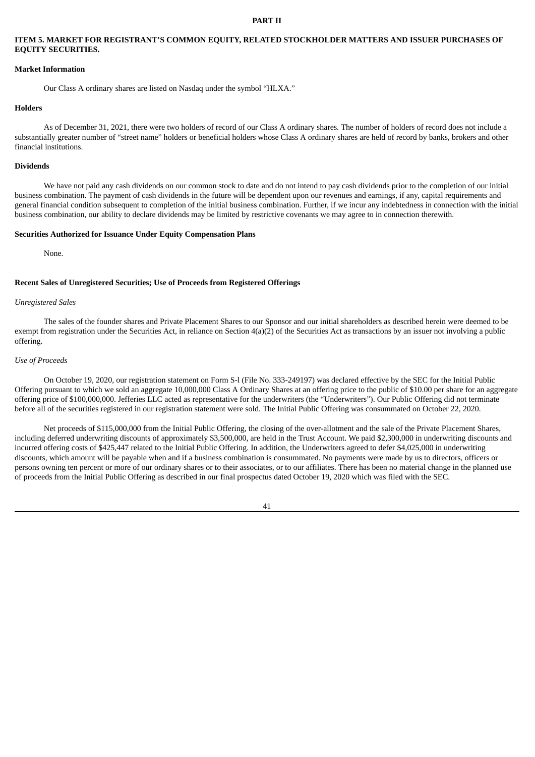#### **PART II**

# **ITEM 5. MARKET FOR REGISTRANT'S COMMON EQUITY, RELATED STOCKHOLDER MATTERS AND ISSUER PURCHASES OF EQUITY SECURITIES.**

#### **Market Information**

Our Class A ordinary shares are listed on Nasdaq under the symbol "HLXA."

#### **Holders**

As of December 31, 2021, there were two holders of record of our Class A ordinary shares. The number of holders of record does not include a substantially greater number of "street name" holders or beneficial holders whose Class A ordinary shares are held of record by banks, brokers and other financial institutions.

#### **Dividends**

We have not paid any cash dividends on our common stock to date and do not intend to pay cash dividends prior to the completion of our initial business combination. The payment of cash dividends in the future will be dependent upon our revenues and earnings, if any, capital requirements and general financial condition subsequent to completion of the initial business combination. Further, if we incur any indebtedness in connection with the initial business combination, our ability to declare dividends may be limited by restrictive covenants we may agree to in connection therewith.

#### **Securities Authorized for Issuance Under Equity Compensation Plans**

None.

#### **Recent Sales of Unregistered Securities; Use of Proceeds from Registered Offerings**

#### *Unregistered Sales*

The sales of the founder shares and Private Placement Shares to our Sponsor and our initial shareholders as described herein were deemed to be exempt from registration under the Securities Act, in reliance on Section 4(a)(2) of the Securities Act as transactions by an issuer not involving a public offering.

#### *Use of Proceeds*

On October 19, 2020, our registration statement on Form S-l (File No. 333-249197) was declared effective by the SEC for the Initial Public Offering pursuant to which we sold an aggregate 10,000,000 Class A Ordinary Shares at an offering price to the public of \$10.00 per share for an aggregate offering price of \$100,000,000. Jefferies LLC acted as representative for the underwriters (the "Underwriters"). Our Public Offering did not terminate before all of the securities registered in our registration statement were sold. The Initial Public Offering was consummated on October 22, 2020.

Net proceeds of \$115,000,000 from the Initial Public Offering, the closing of the over-allotment and the sale of the Private Placement Shares, including deferred underwriting discounts of approximately \$3,500,000, are held in the Trust Account. We paid \$2,300,000 in underwriting discounts and incurred offering costs of \$425,447 related to the Initial Public Offering. In addition, the Underwriters agreed to defer \$4,025,000 in underwriting discounts, which amount will be payable when and if a business combination is consummated. No payments were made by us to directors, officers or persons owning ten percent or more of our ordinary shares or to their associates, or to our affiliates. There has been no material change in the planned use of proceeds from the Initial Public Offering as described in our final prospectus dated October 19, 2020 which was filed with the SEC.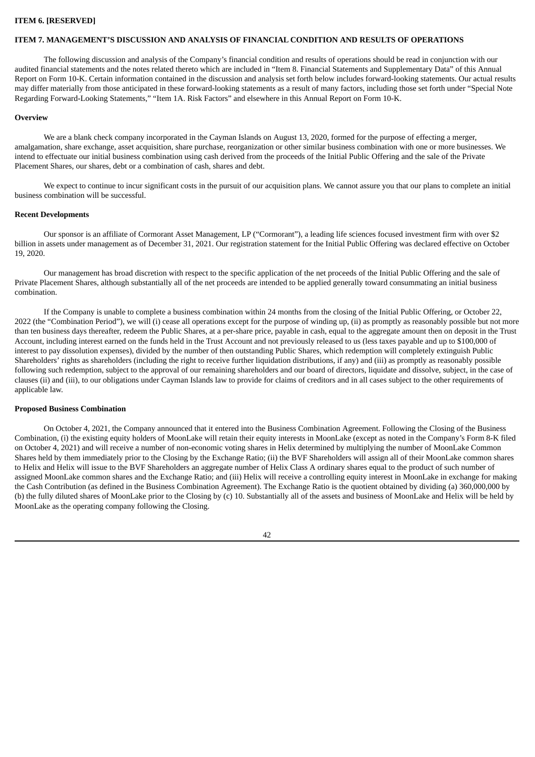#### **ITEM 6. [RESERVED]**

#### **ITEM 7. MANAGEMENT'S DISCUSSION AND ANALYSIS OF FINANCIAL CONDITION AND RESULTS OF OPERATIONS**

The following discussion and analysis of the Company's financial condition and results of operations should be read in conjunction with our audited financial statements and the notes related thereto which are included in "Item 8. Financial Statements and Supplementary Data" of this Annual Report on Form 10-K. Certain information contained in the discussion and analysis set forth below includes forward-looking statements. Our actual results may differ materially from those anticipated in these forward-looking statements as a result of many factors, including those set forth under "Special Note Regarding Forward-Looking Statements," "Item 1A. Risk Factors" and elsewhere in this Annual Report on Form 10-K.

#### **Overview**

We are a blank check company incorporated in the Cayman Islands on August 13, 2020, formed for the purpose of effecting a merger, amalgamation, share exchange, asset acquisition, share purchase, reorganization or other similar business combination with one or more businesses. We intend to effectuate our initial business combination using cash derived from the proceeds of the Initial Public Offering and the sale of the Private Placement Shares, our shares, debt or a combination of cash, shares and debt.

We expect to continue to incur significant costs in the pursuit of our acquisition plans. We cannot assure you that our plans to complete an initial business combination will be successful.

#### **Recent Developments**

Our sponsor is an affiliate of Cormorant Asset Management, LP ("Cormorant"), a leading life sciences focused investment firm with over \$2 billion in assets under management as of December 31, 2021. Our registration statement for the Initial Public Offering was declared effective on October 19, 2020.

Our management has broad discretion with respect to the specific application of the net proceeds of the Initial Public Offering and the sale of Private Placement Shares, although substantially all of the net proceeds are intended to be applied generally toward consummating an initial business combination.

If the Company is unable to complete a business combination within 24 months from the closing of the Initial Public Offering, or October 22, 2022 (the "Combination Period"), we will (i) cease all operations except for the purpose of winding up, (ii) as promptly as reasonably possible but not more than ten business days thereafter, redeem the Public Shares, at a per-share price, payable in cash, equal to the aggregate amount then on deposit in the Trust Account, including interest earned on the funds held in the Trust Account and not previously released to us (less taxes payable and up to \$100,000 of interest to pay dissolution expenses), divided by the number of then outstanding Public Shares, which redemption will completely extinguish Public Shareholders' rights as shareholders (including the right to receive further liquidation distributions, if any) and (iii) as promptly as reasonably possible following such redemption, subject to the approval of our remaining shareholders and our board of directors, liquidate and dissolve, subject, in the case of clauses (ii) and (iii), to our obligations under Cayman Islands law to provide for claims of creditors and in all cases subject to the other requirements of applicable law.

### **Proposed Business Combination**

On October 4, 2021, the Company announced that it entered into the Business Combination Agreement. Following the Closing of the Business Combination, (i) the existing equity holders of MoonLake will retain their equity interests in MoonLake (except as noted in the Company's Form 8-K filed on October 4, 2021) and will receive a number of non-economic voting shares in Helix determined by multiplying the number of MoonLake Common Shares held by them immediately prior to the Closing by the Exchange Ratio; (ii) the BVF Shareholders will assign all of their MoonLake common shares to Helix and Helix will issue to the BVF Shareholders an aggregate number of Helix Class A ordinary shares equal to the product of such number of assigned MoonLake common shares and the Exchange Ratio; and (iii) Helix will receive a controlling equity interest in MoonLake in exchange for making the Cash Contribution (as defined in the Business Combination Agreement). The Exchange Ratio is the quotient obtained by dividing (a) 360,000,000 by (b) the fully diluted shares of MoonLake prior to the Closing by (c) 10. Substantially all of the assets and business of MoonLake and Helix will be held by MoonLake as the operating company following the Closing.

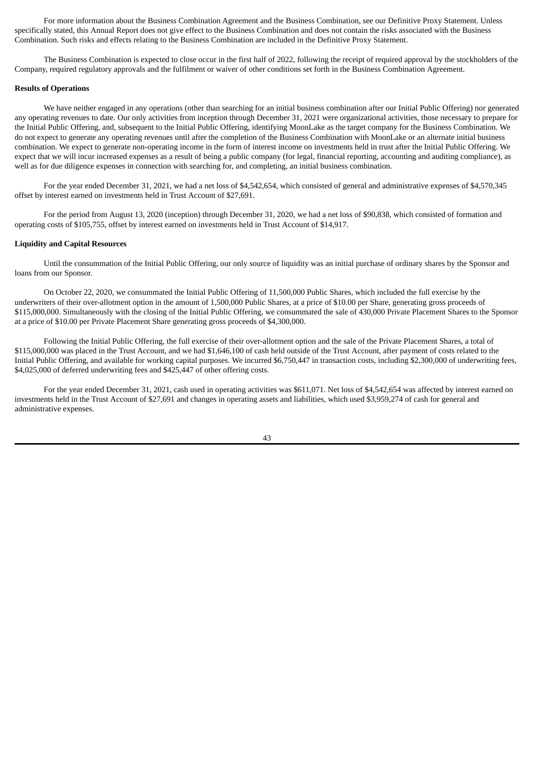For more information about the Business Combination Agreement and the Business Combination, see our Definitive Proxy Statement. Unless specifically stated, this Annual Report does not give effect to the Business Combination and does not contain the risks associated with the Business Combination. Such risks and effects relating to the Business Combination are included in the Definitive Proxy Statement.

The Business Combination is expected to close occur in the first half of 2022, following the receipt of required approval by the stockholders of the Company, required regulatory approvals and the fulfilment or waiver of other conditions set forth in the Business Combination Agreement.

#### **Results of Operations**

We have neither engaged in any operations (other than searching for an initial business combination after our Initial Public Offering) nor generated any operating revenues to date. Our only activities from inception through December 31, 2021 were organizational activities, those necessary to prepare for the Initial Public Offering, and, subsequent to the Initial Public Offering, identifying MoonLake as the target company for the Business Combination. We do not expect to generate any operating revenues until after the completion of the Business Combination with MoonLake or an alternate initial business combination. We expect to generate non-operating income in the form of interest income on investments held in trust after the Initial Public Offering. We expect that we will incur increased expenses as a result of being a public company (for legal, financial reporting, accounting and auditing compliance), as well as for due diligence expenses in connection with searching for, and completing, an initial business combination.

For the year ended December 31, 2021, we had a net loss of \$4,542,654, which consisted of general and administrative expenses of \$4,570,345 offset by interest earned on investments held in Trust Account of \$27,691.

For the period from August 13, 2020 (inception) through December 31, 2020, we had a net loss of \$90,838, which consisted of formation and operating costs of \$105,755, offset by interest earned on investments held in Trust Account of \$14,917.

#### **Liquidity and Capital Resources**

Until the consummation of the Initial Public Offering, our only source of liquidity was an initial purchase of ordinary shares by the Sponsor and loans from our Sponsor.

On October 22, 2020, we consummated the Initial Public Offering of 11,500,000 Public Shares, which included the full exercise by the underwriters of their over-allotment option in the amount of 1,500,000 Public Shares, at a price of \$10.00 per Share, generating gross proceeds of \$115,000,000. Simultaneously with the closing of the Initial Public Offering, we consummated the sale of 430,000 Private Placement Shares to the Sponsor at a price of \$10.00 per Private Placement Share generating gross proceeds of \$4,300,000.

Following the Initial Public Offering, the full exercise of their over-allotment option and the sale of the Private Placement Shares, a total of \$115,000,000 was placed in the Trust Account, and we had \$1,646,100 of cash held outside of the Trust Account, after payment of costs related to the Initial Public Offering, and available for working capital purposes. We incurred \$6,750,447 in transaction costs, including \$2,300,000 of underwriting fees, \$4,025,000 of deferred underwriting fees and \$425,447 of other offering costs.

For the year ended December 31, 2021, cash used in operating activities was \$611,071. Net loss of \$4,542,654 was affected by interest earned on investments held in the Trust Account of \$27,691 and changes in operating assets and liabilities, which used \$3,959,274 of cash for general and administrative expenses.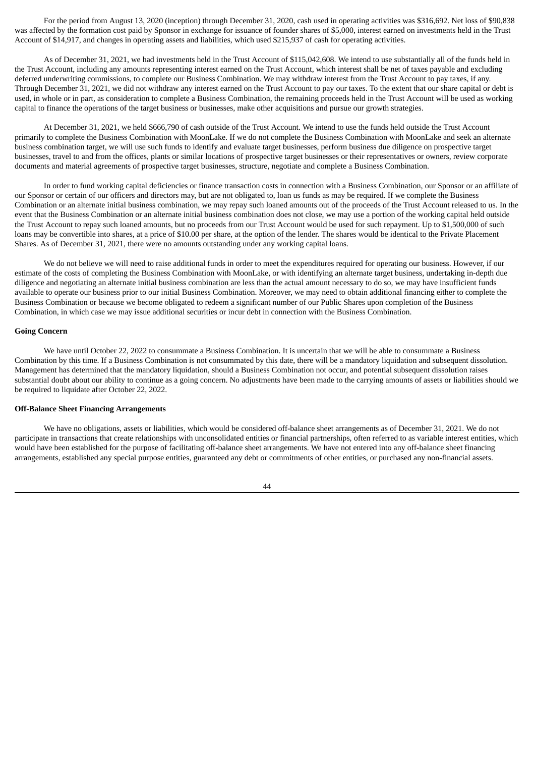For the period from August 13, 2020 (inception) through December 31, 2020, cash used in operating activities was \$316,692. Net loss of \$90,838 was affected by the formation cost paid by Sponsor in exchange for issuance of founder shares of \$5,000, interest earned on investments held in the Trust Account of \$14,917, and changes in operating assets and liabilities, which used \$215,937 of cash for operating activities.

As of December 31, 2021, we had investments held in the Trust Account of \$115,042,608. We intend to use substantially all of the funds held in the Trust Account, including any amounts representing interest earned on the Trust Account, which interest shall be net of taxes payable and excluding deferred underwriting commissions, to complete our Business Combination. We may withdraw interest from the Trust Account to pay taxes, if any. Through December 31, 2021, we did not withdraw any interest earned on the Trust Account to pay our taxes. To the extent that our share capital or debt is used, in whole or in part, as consideration to complete a Business Combination, the remaining proceeds held in the Trust Account will be used as working capital to finance the operations of the target business or businesses, make other acquisitions and pursue our growth strategies.

At December 31, 2021, we held \$666,790 of cash outside of the Trust Account. We intend to use the funds held outside the Trust Account primarily to complete the Business Combination with MoonLake. If we do not complete the Business Combination with MoonLake and seek an alternate business combination target, we will use such funds to identify and evaluate target businesses, perform business due diligence on prospective target businesses, travel to and from the offices, plants or similar locations of prospective target businesses or their representatives or owners, review corporate documents and material agreements of prospective target businesses, structure, negotiate and complete a Business Combination.

In order to fund working capital deficiencies or finance transaction costs in connection with a Business Combination, our Sponsor or an affiliate of our Sponsor or certain of our officers and directors may, but are not obligated to, loan us funds as may be required. If we complete the Business Combination or an alternate initial business combination, we may repay such loaned amounts out of the proceeds of the Trust Account released to us. In the event that the Business Combination or an alternate initial business combination does not close, we may use a portion of the working capital held outside the Trust Account to repay such loaned amounts, but no proceeds from our Trust Account would be used for such repayment. Up to \$1,500,000 of such loans may be convertible into shares, at a price of \$10.00 per share, at the option of the lender. The shares would be identical to the Private Placement Shares. As of December 31, 2021, there were no amounts outstanding under any working capital loans.

We do not believe we will need to raise additional funds in order to meet the expenditures required for operating our business. However, if our estimate of the costs of completing the Business Combination with MoonLake, or with identifying an alternate target business, undertaking in-depth due diligence and negotiating an alternate initial business combination are less than the actual amount necessary to do so, we may have insufficient funds available to operate our business prior to our initial Business Combination. Moreover, we may need to obtain additional financing either to complete the Business Combination or because we become obligated to redeem a significant number of our Public Shares upon completion of the Business Combination, in which case we may issue additional securities or incur debt in connection with the Business Combination.

#### **Going Concern**

We have until October 22, 2022 to consummate a Business Combination. It is uncertain that we will be able to consummate a Business Combination by this time. If a Business Combination is not consummated by this date, there will be a mandatory liquidation and subsequent dissolution. Management has determined that the mandatory liquidation, should a Business Combination not occur, and potential subsequent dissolution raises substantial doubt about our ability to continue as a going concern. No adjustments have been made to the carrying amounts of assets or liabilities should we be required to liquidate after October 22, 2022.

### **Off-Balance Sheet Financing Arrangements**

We have no obligations, assets or liabilities, which would be considered off-balance sheet arrangements as of December 31, 2021. We do not participate in transactions that create relationships with unconsolidated entities or financial partnerships, often referred to as variable interest entities, which would have been established for the purpose of facilitating off-balance sheet arrangements. We have not entered into any off-balance sheet financing arrangements, established any special purpose entities, guaranteed any debt or commitments of other entities, or purchased any non-financial assets.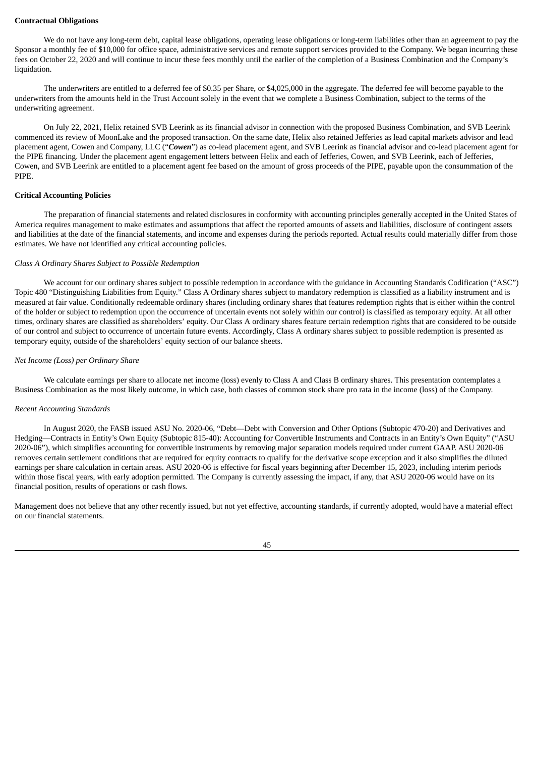#### **Contractual Obligations**

We do not have any long-term debt, capital lease obligations, operating lease obligations or long-term liabilities other than an agreement to pay the Sponsor a monthly fee of \$10,000 for office space, administrative services and remote support services provided to the Company. We began incurring these fees on October 22, 2020 and will continue to incur these fees monthly until the earlier of the completion of a Business Combination and the Company's liquidation.

The underwriters are entitled to a deferred fee of \$0.35 per Share, or \$4,025,000 in the aggregate. The deferred fee will become payable to the underwriters from the amounts held in the Trust Account solely in the event that we complete a Business Combination, subject to the terms of the underwriting agreement.

On July 22, 2021, Helix retained SVB Leerink as its financial advisor in connection with the proposed Business Combination, and SVB Leerink commenced its review of MoonLake and the proposed transaction. On the same date, Helix also retained Jefferies as lead capital markets advisor and lead placement agent, Cowen and Company, LLC ("*Cowen*") as co-lead placement agent, and SVB Leerink as financial advisor and co-lead placement agent for the PIPE financing. Under the placement agent engagement letters between Helix and each of Jefferies, Cowen, and SVB Leerink, each of Jefferies, Cowen, and SVB Leerink are entitled to a placement agent fee based on the amount of gross proceeds of the PIPE, payable upon the consummation of the PIPE.

### **Critical Accounting Policies**

The preparation of financial statements and related disclosures in conformity with accounting principles generally accepted in the United States of America requires management to make estimates and assumptions that affect the reported amounts of assets and liabilities, disclosure of contingent assets and liabilities at the date of the financial statements, and income and expenses during the periods reported. Actual results could materially differ from those estimates. We have not identified any critical accounting policies.

## *Class A Ordinary Shares Subject to Possible Redemption*

We account for our ordinary shares subject to possible redemption in accordance with the guidance in Accounting Standards Codification ("ASC") Topic 480 "Distinguishing Liabilities from Equity." Class A Ordinary shares subject to mandatory redemption is classified as a liability instrument and is measured at fair value. Conditionally redeemable ordinary shares (including ordinary shares that features redemption rights that is either within the control of the holder or subject to redemption upon the occurrence of uncertain events not solely within our control) is classified as temporary equity. At all other times, ordinary shares are classified as shareholders' equity. Our Class A ordinary shares feature certain redemption rights that are considered to be outside of our control and subject to occurrence of uncertain future events. Accordingly, Class A ordinary shares subject to possible redemption is presented as temporary equity, outside of the shareholders' equity section of our balance sheets.

### *Net Income (Loss) per Ordinary Share*

We calculate earnings per share to allocate net income (loss) evenly to Class A and Class B ordinary shares. This presentation contemplates a Business Combination as the most likely outcome, in which case, both classes of common stock share pro rata in the income (loss) of the Company.

#### *Recent Accounting Standards*

In August 2020, the FASB issued ASU No. 2020-06, "Debt—Debt with Conversion and Other Options (Subtopic 470-20) and Derivatives and Hedging—Contracts in Entity's Own Equity (Subtopic 815-40): Accounting for Convertible Instruments and Contracts in an Entity's Own Equity" ("ASU 2020-06"), which simplifies accounting for convertible instruments by removing major separation models required under current GAAP. ASU 2020-06 removes certain settlement conditions that are required for equity contracts to qualify for the derivative scope exception and it also simplifies the diluted earnings per share calculation in certain areas. ASU 2020-06 is effective for fiscal years beginning after December 15, 2023, including interim periods within those fiscal years, with early adoption permitted. The Company is currently assessing the impact, if any, that ASU 2020-06 would have on its financial position, results of operations or cash flows.

Management does not believe that any other recently issued, but not yet effective, accounting standards, if currently adopted, would have a material effect on our financial statements.

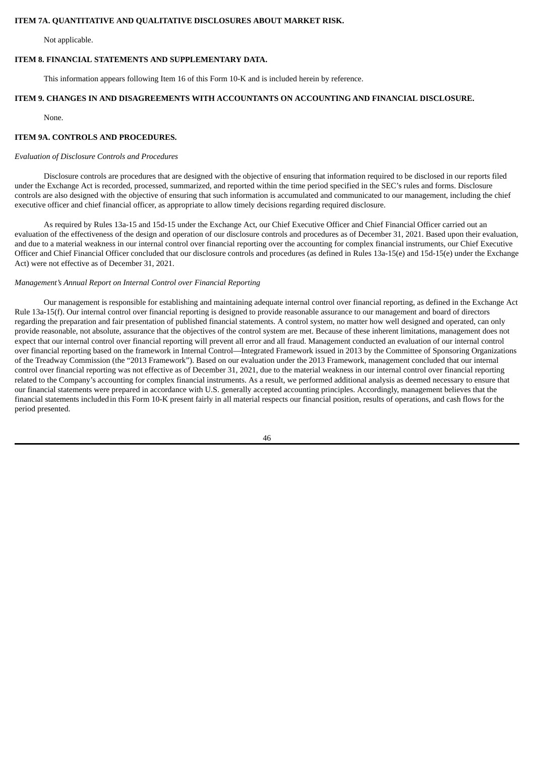### **ITEM 7A. QUANTITATIVE AND QUALITATIVE DISCLOSURES ABOUT MARKET RISK.**

Not applicable.

# **ITEM 8. FINANCIAL STATEMENTS AND SUPPLEMENTARY DATA.**

This information appears following Item 16 of this Form 10-K and is included herein by reference.

# **ITEM 9. CHANGES IN AND DISAGREEMENTS WITH ACCOUNTANTS ON ACCOUNTING AND FINANCIAL DISCLOSURE.**

None.

# **ITEM 9A. CONTROLS AND PROCEDURES.**

# *Evaluation of Disclosure Controls and Procedures*

Disclosure controls are procedures that are designed with the objective of ensuring that information required to be disclosed in our reports filed under the Exchange Act is recorded, processed, summarized, and reported within the time period specified in the SEC's rules and forms. Disclosure controls are also designed with the objective of ensuring that such information is accumulated and communicated to our management, including the chief executive officer and chief financial officer, as appropriate to allow timely decisions regarding required disclosure.

As required by Rules 13a-15 and 15d-15 under the Exchange Act, our Chief Executive Officer and Chief Financial Officer carried out an evaluation of the effectiveness of the design and operation of our disclosure controls and procedures as of December 31, 2021. Based upon their evaluation, and due to a material weakness in our internal control over financial reporting over the accounting for complex financial instruments, our Chief Executive Officer and Chief Financial Officer concluded that our disclosure controls and procedures (as defined in Rules 13a-15(e) and 15d-15(e) under the Exchange Act) were not effective as of December 31, 2021.

# *Management's Annual Report on Internal Control over Financial Reporting*

Our management is responsible for establishing and maintaining adequate internal control over financial reporting, as defined in the Exchange Act Rule 13a-15(f). Our internal control over financial reporting is designed to provide reasonable assurance to our management and board of directors regarding the preparation and fair presentation of published financial statements. A control system, no matter how well designed and operated, can only provide reasonable, not absolute, assurance that the objectives of the control system are met. Because of these inherent limitations, management does not expect that our internal control over financial reporting will prevent all error and all fraud. Management conducted an evaluation of our internal control over financial reporting based on the framework in Internal Control—Integrated Framework issued in 2013 by the Committee of Sponsoring Organizations of the Treadway Commission (the "2013 Framework"). Based on our evaluation under the 2013 Framework, management concluded that our internal control over financial reporting was not effective as of December 31, 2021, due to the material weakness in our internal control over financial reporting related to the Company's accounting for complex financial instruments. As a result, we performed additional analysis as deemed necessary to ensure that our financial statements were prepared in accordance with U.S. generally accepted accounting principles. Accordingly, management believes that the financial statements includedin this Form 10-K present fairly in all material respects our financial position, results of operations, and cash flows for the period presented.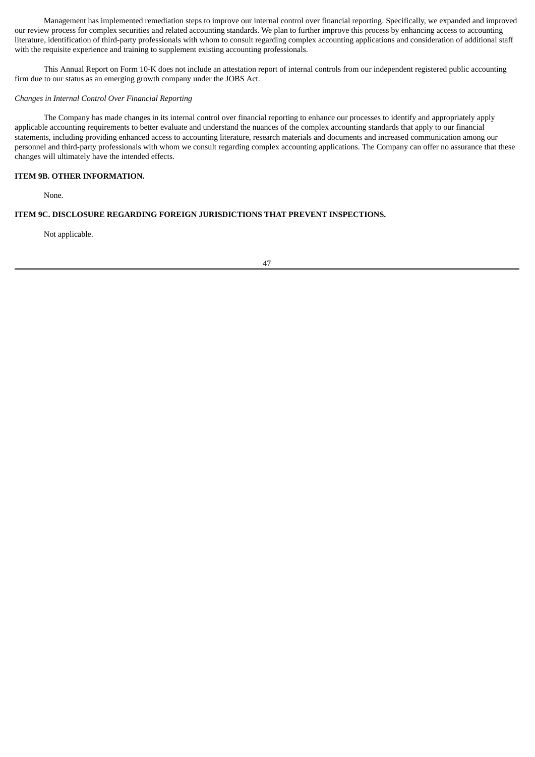Management has implemented remediation steps to improve our internal control over financial reporting. Specifically, we expanded and improved our review process for complex securities and related accounting standards. We plan to further improve this process by enhancing access to accounting literature, identification of third-party professionals with whom to consult regarding complex accounting applications and consideration of additional staff with the requisite experience and training to supplement existing accounting professionals.

This Annual Report on Form 10-K does not include an attestation report of internal controls from our independent registered public accounting firm due to our status as an emerging growth company under the JOBS Act.

# *Changes in Internal Control Over Financial Reporting*

The Company has made changes in its internal control over financial reporting to enhance our processes to identify and appropriately apply applicable accounting requirements to better evaluate and understand the nuances of the complex accounting standards that apply to our financial statements, including providing enhanced access to accounting literature, research materials and documents and increased communication among our personnel and third-party professionals with whom we consult regarding complex accounting applications. The Company can offer no assurance that these changes will ultimately have the intended effects.

# **ITEM 9B. OTHER INFORMATION.**

None.

# **ITEM 9C. DISCLOSURE REGARDING FOREIGN JURISDICTIONS THAT PREVENT INSPECTIONS.**

Not applicable.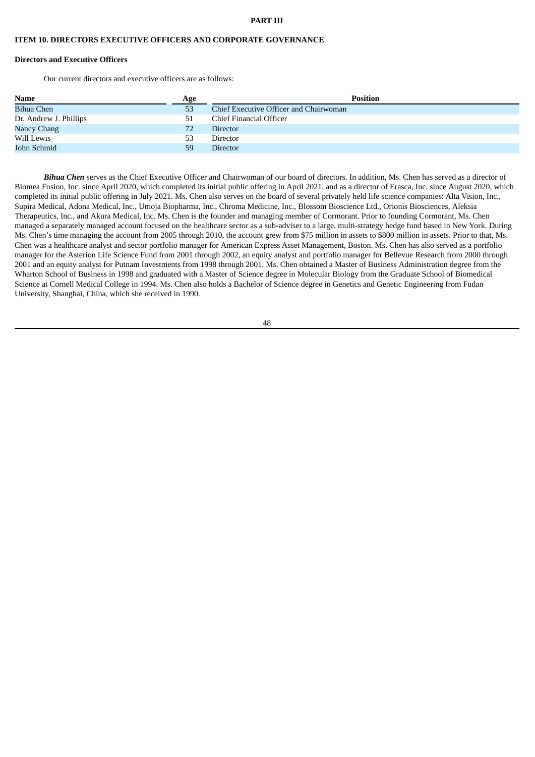#### **PART III**

### **ITEM 10. DIRECTORS EXECUTIVE OFFICERS AND CORPORATE GOVERNANCE**

### **Directors and Executive Officers**

Our current directors and executive officers are as follows:

| <b>Name</b>            | Age | <b>Position</b>                        |
|------------------------|-----|----------------------------------------|
| <b>Bihua Chen</b>      | 53  | Chief Executive Officer and Chairwoman |
| Dr. Andrew J. Phillips | 51  | Chief Financial Officer                |
| Nancy Chang            | 72  | <b>Director</b>                        |
| Will Lewis             | 53  | Director                               |
| John Schmid            | 59  | <b>Director</b>                        |

*Bihua Chen* serves as the Chief Executive Officer and Chairwoman of our board of directors. In addition, Ms. Chen has served as a director of Biomea Fusion, Inc. since April 2020, which completed its initial public offering in April 2021, and as a director of Erasca, Inc. since August 2020, which completed its initial public offering in July 2021. Ms. Chen also serves on the board of several privately held life science companies: Alta Vision, Inc., Supira Medical, Adona Medical, Inc., Umoja Biopharma, Inc., Chroma Medicine, Inc., Blossom Bioscience Ltd., Orionis Biosciences, Aleksia Therapeutics, Inc., and Akura Medical, Inc. Ms. Chen is the founder and managing member of Cormorant. Prior to founding Cormorant, Ms. Chen managed a separately managed account focused on the healthcare sector as a sub-adviser to a large, multi-strategy hedge fund based in New York. During Ms. Chen's time managing the account from 2005 through 2010, the account grew from \$75 million in assets to \$800 million in assets. Prior to that, Ms. Chen was a healthcare analyst and sector portfolio manager for American Express Asset Management, Boston. Ms. Chen has also served as a portfolio manager for the Asterion Life Science Fund from 2001 through 2002, an equity analyst and portfolio manager for Bellevue Research from 2000 through 2001 and an equity analyst for Putnam Investments from 1998 through 2001. Ms. Chen obtained a Master of Business Administration degree from the Wharton School of Business in 1998 and graduated with a Master of Science degree in Molecular Biology from the Graduate School of Biomedical Science at Cornell Medical College in 1994. Ms. Chen also holds a Bachelor of Science degree in Genetics and Genetic Engineering from Fudan University, Shanghai, China, which she received in 1990.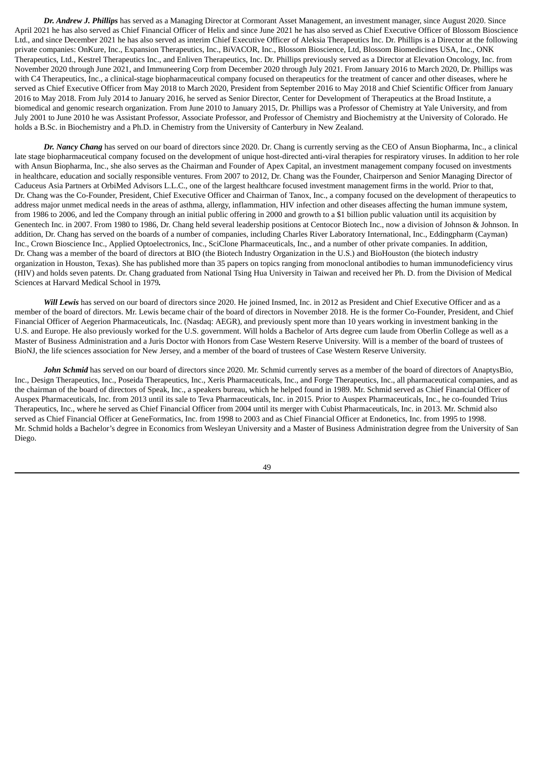*Dr. Andrew J. Phillips* has served as a Managing Director at Cormorant Asset Management, an investment manager, since August 2020. Since April 2021 he has also served as Chief Financial Officer of Helix and since June 2021 he has also served as Chief Executive Officer of Blossom Bioscience Ltd., and since December 2021 he has also served as interim Chief Executive Officer of Aleksia Therapeutics Inc. Dr. Phillips is a Director at the following private companies: OnKure, Inc., Expansion Therapeutics, Inc., BiVACOR, Inc., Blossom Bioscience, Ltd, Blossom Biomedicines USA, Inc., ONK Therapeutics, Ltd., Kestrel Therapeutics Inc., and Enliven Therapeutics, Inc. Dr. Phillips previously served as a Director at Elevation Oncology, Inc. from November 2020 through June 2021, and Immuneering Corp from December 2020 through July 2021. From January 2016 to March 2020, Dr. Phillips was with C4 Therapeutics, Inc., a clinical-stage biopharmaceutical company focused on therapeutics for the treatment of cancer and other diseases, where he served as Chief Executive Officer from May 2018 to March 2020, President from September 2016 to May 2018 and Chief Scientific Officer from January 2016 to May 2018. From July 2014 to January 2016, he served as Senior Director, Center for Development of Therapeutics at the Broad Institute, a biomedical and genomic research organization. From June 2010 to January 2015, Dr. Phillips was a Professor of Chemistry at Yale University, and from July 2001 to June 2010 he was Assistant Professor, Associate Professor, and Professor of Chemistry and Biochemistry at the University of Colorado. He holds a B.Sc. in Biochemistry and a Ph.D. in Chemistry from the University of Canterbury in New Zealand.

*Dr. Nancy Chang* has served on our board of directors since 2020. Dr. Chang is currently serving as the CEO of Ansun Biopharma, Inc., a clinical late stage biopharmaceutical company focused on the development of unique host-directed anti-viral therapies for respiratory viruses. In addition to her role with Ansun Biopharma, Inc., she also serves as the Chairman and Founder of Apex Capital, an investment management company focused on investments in healthcare, education and socially responsible ventures. From 2007 to 2012, Dr. Chang was the Founder, Chairperson and Senior Managing Director of Caduceus Asia Partners at OrbiMed Advisors L.L.C., one of the largest healthcare focused investment management firms in the world. Prior to that, Dr. Chang was the Co-Founder, President, Chief Executive Officer and Chairman of Tanox, Inc., a company focused on the development of therapeutics to address major unmet medical needs in the areas of asthma, allergy, inflammation, HIV infection and other diseases affecting the human immune system, from 1986 to 2006, and led the Company through an initial public offering in 2000 and growth to a \$1 billion public valuation until its acquisition by Genentech Inc. in 2007. From 1980 to 1986, Dr. Chang held several leadership positions at Centocor Biotech Inc., now a division of Johnson & Johnson. In addition, Dr. Chang has served on the boards of a number of companies, including Charles River Laboratory International, Inc., Eddingpharm (Cayman) Inc., Crown Bioscience Inc., Applied Optoelectronics, Inc., SciClone Pharmaceuticals, Inc., and a number of other private companies. In addition, Dr. Chang was a member of the board of directors at BIO (the Biotech Industry Organization in the U.S.) and BioHouston (the biotech industry organization in Houston, Texas). She has published more than 35 papers on topics ranging from monoclonal antibodies to human immunodeficiency virus (HIV) and holds seven patents. Dr. Chang graduated from National Tsing Hua University in Taiwan and received her Ph. D. from the Division of Medical Sciences at Harvard Medical School in 1979*.*

*Will Lewis* has served on our board of directors since 2020. He joined Insmed, Inc. in 2012 as President and Chief Executive Officer and as a member of the board of directors. Mr. Lewis became chair of the board of directors in November 2018. He is the former Co-Founder, President, and Chief Financial Officer of Aegerion Pharmaceuticals, Inc. (Nasdaq: AEGR), and previously spent more than 10 years working in investment banking in the U.S. and Europe. He also previously worked for the U.S. government. Will holds a Bachelor of Arts degree cum laude from Oberlin College as well as a Master of Business Administration and a Juris Doctor with Honors from Case Western Reserve University. Will is a member of the board of trustees of BioNJ, the life sciences association for New Jersey, and a member of the board of trustees of Case Western Reserve University.

*John Schmid* has served on our board of directors since 2020. Mr. Schmid currently serves as a member of the board of directors of AnaptysBio, Inc., Design Therapeutics, Inc., Poseida Therapeutics, Inc., Xeris Pharmaceuticals, Inc., and Forge Therapeutics, Inc., all pharmaceutical companies, and as the chairman of the board of directors of Speak, Inc., a speakers bureau, which he helped found in 1989. Mr. Schmid served as Chief Financial Officer of Auspex Pharmaceuticals, Inc. from 2013 until its sale to Teva Pharmaceuticals, Inc. in 2015. Prior to Auspex Pharmaceuticals, Inc., he co-founded Trius Therapeutics, Inc., where he served as Chief Financial Officer from 2004 until its merger with Cubist Pharmaceuticals, Inc. in 2013. Mr. Schmid also served as Chief Financial Officer at GeneFormatics, Inc. from 1998 to 2003 and as Chief Financial Officer at Endonetics, Inc. from 1995 to 1998. Mr. Schmid holds a Bachelor's degree in Economics from Wesleyan University and a Master of Business Administration degree from the University of San Diego.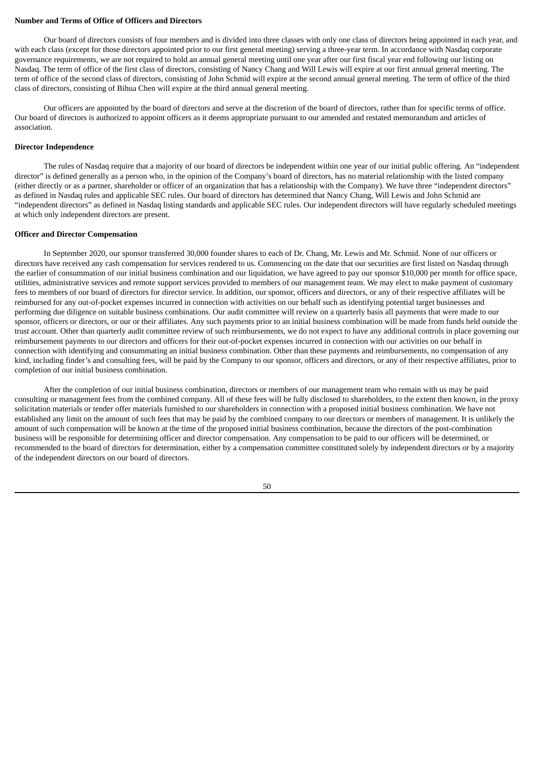#### **Number and Terms of Office of Officers and Directors**

Our board of directors consists of four members and is divided into three classes with only one class of directors being appointed in each year, and with each class (except for those directors appointed prior to our first general meeting) serving a three-year term. In accordance with Nasdaq corporate governance requirements, we are not required to hold an annual general meeting until one year after our first fiscal year end following our listing on Nasdaq. The term of office of the first class of directors, consisting of Nancy Chang and Will Lewis will expire at our first annual general meeting. The term of office of the second class of directors, consisting of John Schmid will expire at the second annual general meeting. The term of office of the third class of directors, consisting of Bihua Chen will expire at the third annual general meeting.

Our officers are appointed by the board of directors and serve at the discretion of the board of directors, rather than for specific terms of office. Our board of directors is authorized to appoint officers as it deems appropriate pursuant to our amended and restated memorandum and articles of association.

# **Director Independence**

The rules of Nasdaq require that a majority of our board of directors be independent within one year of our initial public offering. An "independent director" is defined generally as a person who, in the opinion of the Company's board of directors, has no material relationship with the listed company (either directly or as a partner, shareholder or officer of an organization that has a relationship with the Company). We have three "independent directors" as defined in Nasdaq rules and applicable SEC rules. Our board of directors has determined that Nancy Chang, Will Lewis and John Schmid are "independent directors" as defined in Nasdaq listing standards and applicable SEC rules. Our independent directors will have regularly scheduled meetings at which only independent directors are present.

#### **Officer and Director Compensation**

In September 2020, our sponsor transferred 30,000 founder shares to each of Dr. Chang, Mr. Lewis and Mr. Schmid. None of our officers or directors have received any cash compensation for services rendered to us. Commencing on the date that our securities are first listed on Nasdaq through the earlier of consummation of our initial business combination and our liquidation, we have agreed to pay our sponsor \$10,000 per month for office space, utilities, administrative services and remote support services provided to members of our management team. We may elect to make payment of customary fees to members of our board of directors for director service. In addition, our sponsor, officers and directors, or any of their respective affiliates will be reimbursed for any out-of-pocket expenses incurred in connection with activities on our behalf such as identifying potential target businesses and performing due diligence on suitable business combinations. Our audit committee will review on a quarterly basis all payments that were made to our sponsor, officers or directors, or our or their affiliates. Any such payments prior to an initial business combination will be made from funds held outside the trust account. Other than quarterly audit committee review of such reimbursements, we do not expect to have any additional controls in place governing our reimbursement payments to our directors and officers for their out-of-pocket expenses incurred in connection with our activities on our behalf in connection with identifying and consummating an initial business combination. Other than these payments and reimbursements, no compensation of any kind, including finder's and consulting fees, will be paid by the Company to our sponsor, officers and directors, or any of their respective affiliates, prior to completion of our initial business combination.

After the completion of our initial business combination, directors or members of our management team who remain with us may be paid consulting or management fees from the combined company. All of these fees will be fully disclosed to shareholders, to the extent then known, in the proxy solicitation materials or tender offer materials furnished to our shareholders in connection with a proposed initial business combination. We have not established any limit on the amount of such fees that may be paid by the combined company to our directors or members of management. It is unlikely the amount of such compensation will be known at the time of the proposed initial business combination, because the directors of the post-combination business will be responsible for determining officer and director compensation. Any compensation to be paid to our officers will be determined, or recommended to the board of directors for determination, either by a compensation committee constituted solely by independent directors or by a majority of the independent directors on our board of directors.

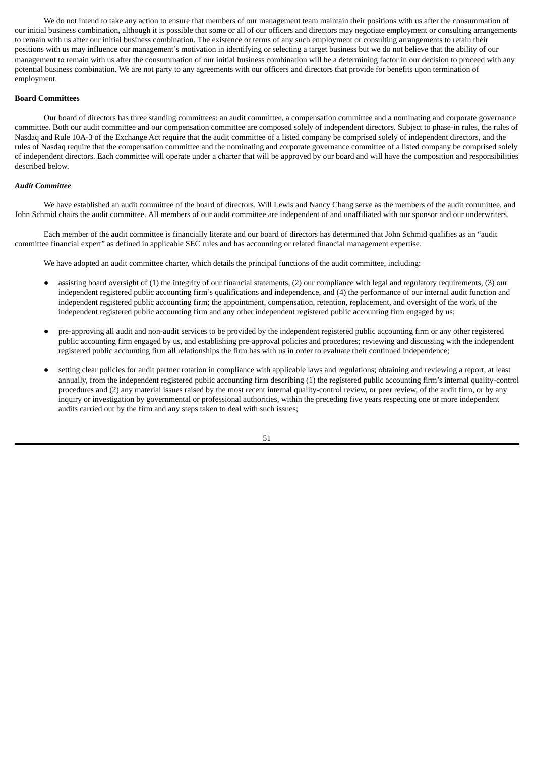We do not intend to take any action to ensure that members of our management team maintain their positions with us after the consummation of our initial business combination, although it is possible that some or all of our officers and directors may negotiate employment or consulting arrangements to remain with us after our initial business combination. The existence or terms of any such employment or consulting arrangements to retain their positions with us may influence our management's motivation in identifying or selecting a target business but we do not believe that the ability of our management to remain with us after the consummation of our initial business combination will be a determining factor in our decision to proceed with any potential business combination. We are not party to any agreements with our officers and directors that provide for benefits upon termination of employment.

### **Board Committees**

Our board of directors has three standing committees: an audit committee, a compensation committee and a nominating and corporate governance committee. Both our audit committee and our compensation committee are composed solely of independent directors. Subject to phase-in rules, the rules of Nasdaq and Rule 10A-3 of the Exchange Act require that the audit committee of a listed company be comprised solely of independent directors, and the rules of Nasdaq require that the compensation committee and the nominating and corporate governance committee of a listed company be comprised solely of independent directors. Each committee will operate under a charter that will be approved by our board and will have the composition and responsibilities described below.

# *Audit Committee*

We have established an audit committee of the board of directors. Will Lewis and Nancy Chang serve as the members of the audit committee, and John Schmid chairs the audit committee. All members of our audit committee are independent of and unaffiliated with our sponsor and our underwriters.

Each member of the audit committee is financially literate and our board of directors has determined that John Schmid qualifies as an "audit committee financial expert" as defined in applicable SEC rules and has accounting or related financial management expertise.

We have adopted an audit committee charter, which details the principal functions of the audit committee, including:

- assisting board oversight of (1) the integrity of our financial statements, (2) our compliance with legal and regulatory requirements, (3) our independent registered public accounting firm's qualifications and independence, and (4) the performance of our internal audit function and independent registered public accounting firm; the appointment, compensation, retention, replacement, and oversight of the work of the independent registered public accounting firm and any other independent registered public accounting firm engaged by us;
- pre-approving all audit and non-audit services to be provided by the independent registered public accounting firm or any other registered public accounting firm engaged by us, and establishing pre-approval policies and procedures; reviewing and discussing with the independent registered public accounting firm all relationships the firm has with us in order to evaluate their continued independence;
- setting clear policies for audit partner rotation in compliance with applicable laws and regulations; obtaining and reviewing a report, at least annually, from the independent registered public accounting firm describing (1) the registered public accounting firm's internal quality-control procedures and (2) any material issues raised by the most recent internal quality-control review, or peer review, of the audit firm, or by any inquiry or investigation by governmental or professional authorities, within the preceding five years respecting one or more independent audits carried out by the firm and any steps taken to deal with such issues;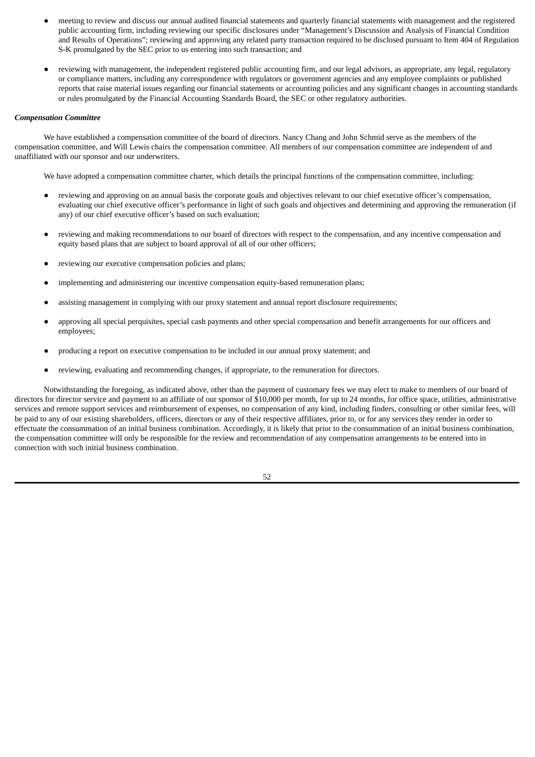- meeting to review and discuss our annual audited financial statements and quarterly financial statements with management and the registered public accounting firm, including reviewing our specific disclosures under "Management's Discussion and Analysis of Financial Condition and Results of Operations"; reviewing and approving any related party transaction required to be disclosed pursuant to Item 404 of Regulation S-K promulgated by the SEC prior to us entering into such transaction; and
- reviewing with management, the independent registered public accounting firm, and our legal advisors, as appropriate, any legal, regulatory or compliance matters, including any correspondence with regulators or government agencies and any employee complaints or published reports that raise material issues regarding our financial statements or accounting policies and any significant changes in accounting standards or rules promulgated by the Financial Accounting Standards Board, the SEC or other regulatory authorities.

#### *Compensation Committee*

We have established a compensation committee of the board of directors. Nancy Chang and John Schmid serve as the members of the compensation committee, and Will Lewis chairs the compensation committee. All members of our compensation committee are independent of and unaffiliated with our sponsor and our underwriters.

We have adopted a compensation committee charter, which details the principal functions of the compensation committee, including:

- reviewing and approving on an annual basis the corporate goals and objectives relevant to our chief executive officer's compensation, evaluating our chief executive officer's performance in light of such goals and objectives and determining and approving the remuneration (if any) of our chief executive officer's based on such evaluation;
- reviewing and making recommendations to our board of directors with respect to the compensation, and any incentive compensation and equity based plans that are subject to board approval of all of our other officers;
- reviewing our executive compensation policies and plans;
- implementing and administering our incentive compensation equity-based remuneration plans;
- assisting management in complying with our proxy statement and annual report disclosure requirements;
- approving all special perquisites, special cash payments and other special compensation and benefit arrangements for our officers and employees;
- producing a report on executive compensation to be included in our annual proxy statement; and
- reviewing, evaluating and recommending changes, if appropriate, to the remuneration for directors.

Notwithstanding the foregoing, as indicated above, other than the payment of customary fees we may elect to make to members of our board of directors for director service and payment to an affiliate of our sponsor of \$10,000 per month, for up to 24 months, for office space, utilities, administrative services and remote support services and reimbursement of expenses, no compensation of any kind, including finders, consulting or other similar fees, will be paid to any of our existing shareholders, officers, directors or any of their respective affiliates, prior to, or for any services they render in order to effectuate the consummation of an initial business combination. Accordingly, it is likely that prior to the consummation of an initial business combination, the compensation committee will only be responsible for the review and recommendation of any compensation arrangements to be entered into in connection with such initial business combination.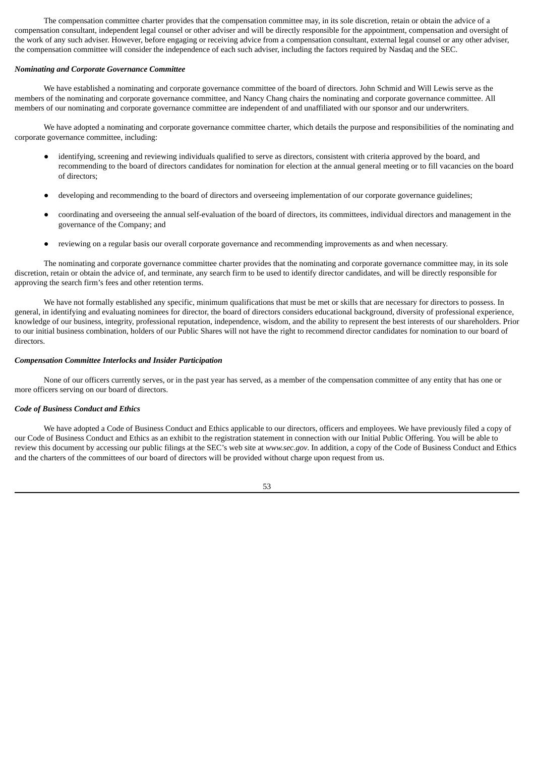The compensation committee charter provides that the compensation committee may, in its sole discretion, retain or obtain the advice of a compensation consultant, independent legal counsel or other adviser and will be directly responsible for the appointment, compensation and oversight of the work of any such adviser. However, before engaging or receiving advice from a compensation consultant, external legal counsel or any other adviser, the compensation committee will consider the independence of each such adviser, including the factors required by Nasdaq and the SEC.

#### *Nominating and Corporate Governance Committee*

We have established a nominating and corporate governance committee of the board of directors. John Schmid and Will Lewis serve as the members of the nominating and corporate governance committee, and Nancy Chang chairs the nominating and corporate governance committee. All members of our nominating and corporate governance committee are independent of and unaffiliated with our sponsor and our underwriters.

We have adopted a nominating and corporate governance committee charter, which details the purpose and responsibilities of the nominating and corporate governance committee, including:

- identifying, screening and reviewing individuals qualified to serve as directors, consistent with criteria approved by the board, and recommending to the board of directors candidates for nomination for election at the annual general meeting or to fill vacancies on the board of directors;
- developing and recommending to the board of directors and overseeing implementation of our corporate governance guidelines;
- coordinating and overseeing the annual self-evaluation of the board of directors, its committees, individual directors and management in the governance of the Company; and
- reviewing on a regular basis our overall corporate governance and recommending improvements as and when necessary.

The nominating and corporate governance committee charter provides that the nominating and corporate governance committee may, in its sole discretion, retain or obtain the advice of, and terminate, any search firm to be used to identify director candidates, and will be directly responsible for approving the search firm's fees and other retention terms.

We have not formally established any specific, minimum qualifications that must be met or skills that are necessary for directors to possess. In general, in identifying and evaluating nominees for director, the board of directors considers educational background, diversity of professional experience, knowledge of our business, integrity, professional reputation, independence, wisdom, and the ability to represent the best interests of our shareholders. Prior to our initial business combination, holders of our Public Shares will not have the right to recommend director candidates for nomination to our board of directors.

#### *Compensation Committee Interlocks and Insider Participation*

None of our officers currently serves, or in the past year has served, as a member of the compensation committee of any entity that has one or more officers serving on our board of directors.

# *Code of Business Conduct and Ethics*

We have adopted a Code of Business Conduct and Ethics applicable to our directors, officers and employees. We have previously filed a copy of our Code of Business Conduct and Ethics as an exhibit to the registration statement in connection with our Initial Public Offering. You will be able to review this document by accessing our public filings at the SEC's web site at *www.sec.gov*. In addition, a copy of the Code of Business Conduct and Ethics and the charters of the committees of our board of directors will be provided without charge upon request from us.

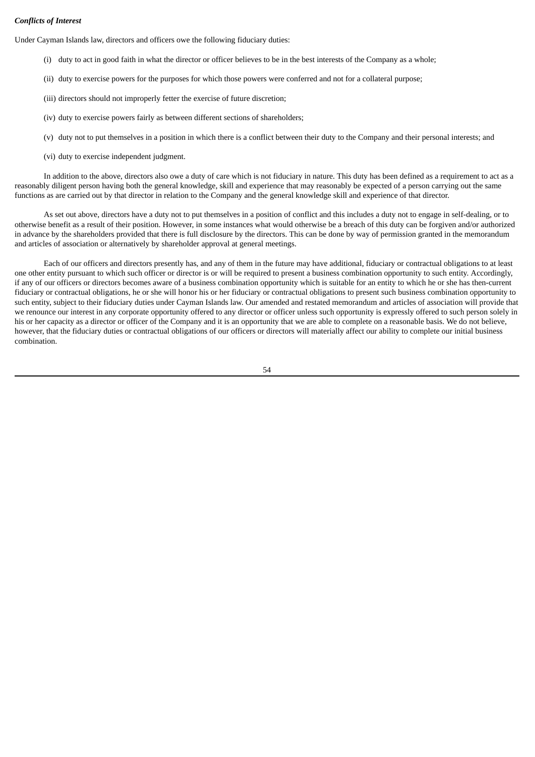# *Conflicts of Interest*

Under Cayman Islands law, directors and officers owe the following fiduciary duties:

- (i) duty to act in good faith in what the director or officer believes to be in the best interests of the Company as a whole;
- (ii) duty to exercise powers for the purposes for which those powers were conferred and not for a collateral purpose;
- (iii) directors should not improperly fetter the exercise of future discretion;
- (iv) duty to exercise powers fairly as between different sections of shareholders;
- (v) duty not to put themselves in a position in which there is a conflict between their duty to the Company and their personal interests; and
- (vi) duty to exercise independent judgment.

In addition to the above, directors also owe a duty of care which is not fiduciary in nature. This duty has been defined as a requirement to act as a reasonably diligent person having both the general knowledge, skill and experience that may reasonably be expected of a person carrying out the same functions as are carried out by that director in relation to the Company and the general knowledge skill and experience of that director.

As set out above, directors have a duty not to put themselves in a position of conflict and this includes a duty not to engage in self-dealing, or to otherwise benefit as a result of their position. However, in some instances what would otherwise be a breach of this duty can be forgiven and/or authorized in advance by the shareholders provided that there is full disclosure by the directors. This can be done by way of permission granted in the memorandum and articles of association or alternatively by shareholder approval at general meetings.

Each of our officers and directors presently has, and any of them in the future may have additional, fiduciary or contractual obligations to at least one other entity pursuant to which such officer or director is or will be required to present a business combination opportunity to such entity. Accordingly, if any of our officers or directors becomes aware of a business combination opportunity which is suitable for an entity to which he or she has then-current fiduciary or contractual obligations, he or she will honor his or her fiduciary or contractual obligations to present such business combination opportunity to such entity, subject to their fiduciary duties under Cayman Islands law. Our amended and restated memorandum and articles of association will provide that we renounce our interest in any corporate opportunity offered to any director or officer unless such opportunity is expressly offered to such person solely in his or her capacity as a director or officer of the Company and it is an opportunity that we are able to complete on a reasonable basis. We do not believe, however, that the fiduciary duties or contractual obligations of our officers or directors will materially affect our ability to complete our initial business combination.

54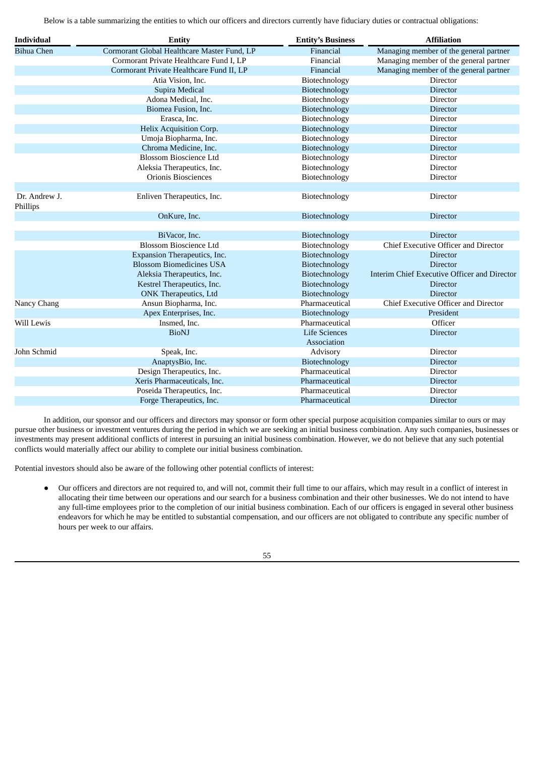Below is a table summarizing the entities to which our officers and directors currently have fiduciary duties or contractual obligations:

| <b>Individual</b>         | <b>Entity</b>                               | <b>Entity's Business</b> | <b>Affiliation</b>                           |
|---------------------------|---------------------------------------------|--------------------------|----------------------------------------------|
| <b>Bihua Chen</b>         | Cormorant Global Healthcare Master Fund, LP | Financial                | Managing member of the general partner       |
|                           | Cormorant Private Healthcare Fund I, LP     | Financial                | Managing member of the general partner       |
|                           | Cormorant Private Healthcare Fund II, LP    | Financial                | Managing member of the general partner       |
|                           | Atia Vision, Inc.                           | Biotechnology            | <b>Director</b>                              |
|                           | Supira Medical                              | Biotechnology            | <b>Director</b>                              |
|                           | Adona Medical, Inc.                         | Biotechnology            | Director                                     |
|                           | Biomea Fusion, Inc.                         | Biotechnology            | <b>Director</b>                              |
|                           | Erasca, Inc.                                | Biotechnology            | Director                                     |
|                           | Helix Acquisition Corp.                     | Biotechnology            | <b>Director</b>                              |
|                           | Umoja Biopharma, Inc.                       | Biotechnology            | Director                                     |
|                           | Chroma Medicine, Inc.                       | Biotechnology            | <b>Director</b>                              |
|                           | <b>Blossom Bioscience Ltd</b>               | Biotechnology            | Director                                     |
|                           | Aleksia Therapeutics, Inc.                  | Biotechnology            | <b>Director</b>                              |
|                           | Orionis Biosciences                         | Biotechnology            | Director                                     |
|                           |                                             |                          |                                              |
| Dr. Andrew J.<br>Phillips | Enliven Therapeutics, Inc.                  | Biotechnology            | Director                                     |
|                           | OnKure, Inc.                                | Biotechnology            | <b>Director</b>                              |
|                           |                                             |                          |                                              |
|                           | BiVacor, Inc.                               | Biotechnology            | <b>Director</b>                              |
|                           | <b>Blossom Bioscience Ltd</b>               | Biotechnology            | <b>Chief Executive Officer and Director</b>  |
|                           | Expansion Therapeutics, Inc.                | Biotechnology            | <b>Director</b>                              |
|                           | <b>Blossom Biomedicines USA</b>             | Biotechnology            | <b>Director</b>                              |
|                           | Aleksia Therapeutics, Inc.                  | Biotechnology            | Interim Chief Executive Officer and Director |
|                           | Kestrel Therapeutics, Inc.                  | Biotechnology            | <b>Director</b>                              |
|                           | ONK Therapeutics, Ltd                       | Biotechnology            | <b>Director</b>                              |
| Nancy Chang               | Ansun Biopharma, Inc.                       | Pharmaceutical           | Chief Executive Officer and Director         |
|                           | Apex Enterprises, Inc.                      | Biotechnology            | President                                    |
| Will Lewis                | Insmed, Inc.                                | Pharmaceutical           | Officer                                      |
|                           | <b>BioNJ</b>                                | <b>Life Sciences</b>     | <b>Director</b>                              |
|                           |                                             | Association              |                                              |
| John Schmid               | Speak, Inc.                                 | Advisory                 | Director                                     |
|                           | AnaptysBio, Inc.                            | Biotechnology            | <b>Director</b>                              |
|                           | Design Therapeutics, Inc.                   | Pharmaceutical           | Director                                     |
|                           | Xeris Pharmaceuticals, Inc.                 | Pharmaceutical           | <b>Director</b>                              |
|                           | Poseida Therapeutics, Inc.                  | Pharmaceutical           | Director                                     |
|                           | Forge Therapeutics, Inc.                    | Pharmaceutical           | <b>Director</b>                              |

In addition, our sponsor and our officers and directors may sponsor or form other special purpose acquisition companies similar to ours or may pursue other business or investment ventures during the period in which we are seeking an initial business combination. Any such companies, businesses or investments may present additional conflicts of interest in pursuing an initial business combination. However, we do not believe that any such potential conflicts would materially affect our ability to complete our initial business combination.

Potential investors should also be aware of the following other potential conflicts of interest:

● Our officers and directors are not required to, and will not, commit their full time to our affairs, which may result in a conflict of interest in allocating their time between our operations and our search for a business combination and their other businesses. We do not intend to have any full-time employees prior to the completion of our initial business combination. Each of our officers is engaged in several other business endeavors for which he may be entitled to substantial compensation, and our officers are not obligated to contribute any specific number of hours per week to our affairs.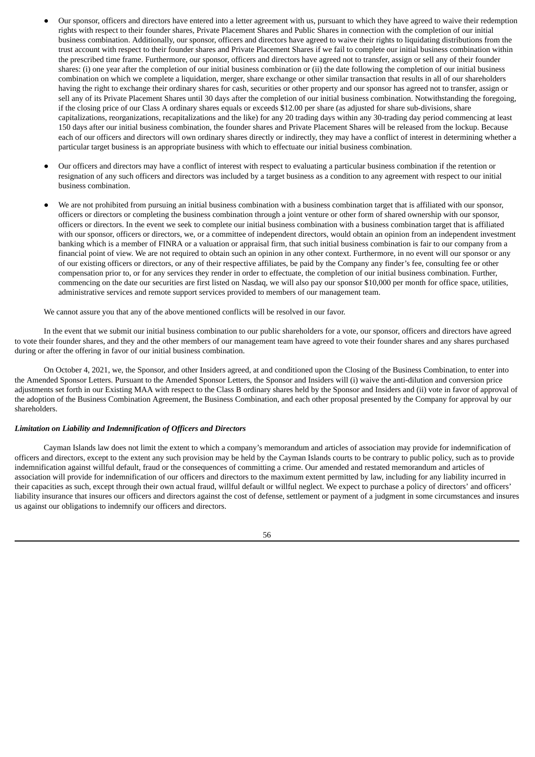- Our sponsor, officers and directors have entered into a letter agreement with us, pursuant to which they have agreed to waive their redemption rights with respect to their founder shares, Private Placement Shares and Public Shares in connection with the completion of our initial business combination. Additionally, our sponsor, officers and directors have agreed to waive their rights to liquidating distributions from the trust account with respect to their founder shares and Private Placement Shares if we fail to complete our initial business combination within the prescribed time frame. Furthermore, our sponsor, officers and directors have agreed not to transfer, assign or sell any of their founder shares: (i) one year after the completion of our initial business combination or (ii) the date following the completion of our initial business combination on which we complete a liquidation, merger, share exchange or other similar transaction that results in all of our shareholders having the right to exchange their ordinary shares for cash, securities or other property and our sponsor has agreed not to transfer, assign or sell any of its Private Placement Shares until 30 days after the completion of our initial business combination. Notwithstanding the foregoing, if the closing price of our Class A ordinary shares equals or exceeds \$12.00 per share (as adjusted for share sub-divisions, share capitalizations, reorganizations, recapitalizations and the like) for any 20 trading days within any 30-trading day period commencing at least 150 days after our initial business combination, the founder shares and Private Placement Shares will be released from the lockup. Because each of our officers and directors will own ordinary shares directly or indirectly, they may have a conflict of interest in determining whether a particular target business is an appropriate business with which to effectuate our initial business combination.
- Our officers and directors may have a conflict of interest with respect to evaluating a particular business combination if the retention or resignation of any such officers and directors was included by a target business as a condition to any agreement with respect to our initial business combination.
- We are not prohibited from pursuing an initial business combination with a business combination target that is affiliated with our sponsor, officers or directors or completing the business combination through a joint venture or other form of shared ownership with our sponsor, officers or directors. In the event we seek to complete our initial business combination with a business combination target that is affiliated with our sponsor, officers or directors, we, or a committee of independent directors, would obtain an opinion from an independent investment banking which is a member of FINRA or a valuation or appraisal firm, that such initial business combination is fair to our company from a financial point of view. We are not required to obtain such an opinion in any other context. Furthermore, in no event will our sponsor or any of our existing officers or directors, or any of their respective affiliates, be paid by the Company any finder's fee, consulting fee or other compensation prior to, or for any services they render in order to effectuate, the completion of our initial business combination. Further, commencing on the date our securities are first listed on Nasdaq, we will also pay our sponsor \$10,000 per month for office space, utilities, administrative services and remote support services provided to members of our management team.

We cannot assure you that any of the above mentioned conflicts will be resolved in our favor.

In the event that we submit our initial business combination to our public shareholders for a vote, our sponsor, officers and directors have agreed to vote their founder shares, and they and the other members of our management team have agreed to vote their founder shares and any shares purchased during or after the offering in favor of our initial business combination.

On October 4, 2021, we, the Sponsor, and other Insiders agreed, at and conditioned upon the Closing of the Business Combination, to enter into the Amended Sponsor Letters. Pursuant to the Amended Sponsor Letters, the Sponsor and Insiders will (i) waive the anti-dilution and conversion price adjustments set forth in our Existing MAA with respect to the Class B ordinary shares held by the Sponsor and Insiders and (ii) vote in favor of approval of the adoption of the Business Combination Agreement, the Business Combination, and each other proposal presented by the Company for approval by our shareholders.

# *Limitation on Liability and Indemnification of Officers and Directors*

Cayman Islands law does not limit the extent to which a company's memorandum and articles of association may provide for indemnification of officers and directors, except to the extent any such provision may be held by the Cayman Islands courts to be contrary to public policy, such as to provide indemnification against willful default, fraud or the consequences of committing a crime. Our amended and restated memorandum and articles of association will provide for indemnification of our officers and directors to the maximum extent permitted by law, including for any liability incurred in their capacities as such, except through their own actual fraud, willful default or willful neglect. We expect to purchase a policy of directors' and officers' liability insurance that insures our officers and directors against the cost of defense, settlement or payment of a judgment in some circumstances and insures us against our obligations to indemnify our officers and directors.

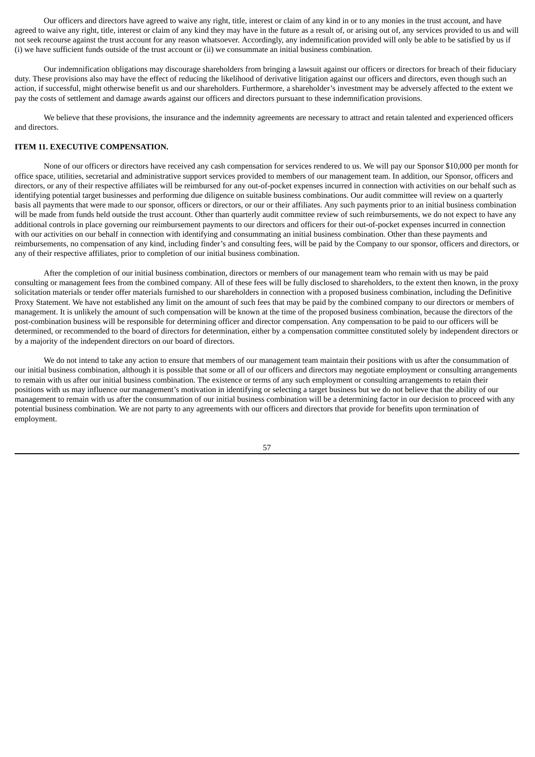Our officers and directors have agreed to waive any right, title, interest or claim of any kind in or to any monies in the trust account, and have agreed to waive any right, title, interest or claim of any kind they may have in the future as a result of, or arising out of, any services provided to us and will not seek recourse against the trust account for any reason whatsoever. Accordingly, any indemnification provided will only be able to be satisfied by us if (i) we have sufficient funds outside of the trust account or (ii) we consummate an initial business combination.

Our indemnification obligations may discourage shareholders from bringing a lawsuit against our officers or directors for breach of their fiduciary duty. These provisions also may have the effect of reducing the likelihood of derivative litigation against our officers and directors, even though such an action, if successful, might otherwise benefit us and our shareholders. Furthermore, a shareholder's investment may be adversely affected to the extent we pay the costs of settlement and damage awards against our officers and directors pursuant to these indemnification provisions.

We believe that these provisions, the insurance and the indemnity agreements are necessary to attract and retain talented and experienced officers and directors.

# **ITEM 11. EXECUTIVE COMPENSATION.**

None of our officers or directors have received any cash compensation for services rendered to us. We will pay our Sponsor \$10,000 per month for office space, utilities, secretarial and administrative support services provided to members of our management team. In addition, our Sponsor, officers and directors, or any of their respective affiliates will be reimbursed for any out-of-pocket expenses incurred in connection with activities on our behalf such as identifying potential target businesses and performing due diligence on suitable business combinations. Our audit committee will review on a quarterly basis all payments that were made to our sponsor, officers or directors, or our or their affiliates. Any such payments prior to an initial business combination will be made from funds held outside the trust account. Other than quarterly audit committee review of such reimbursements, we do not expect to have any additional controls in place governing our reimbursement payments to our directors and officers for their out-of-pocket expenses incurred in connection with our activities on our behalf in connection with identifying and consummating an initial business combination. Other than these payments and reimbursements, no compensation of any kind, including finder's and consulting fees, will be paid by the Company to our sponsor, officers and directors, or any of their respective affiliates, prior to completion of our initial business combination.

After the completion of our initial business combination, directors or members of our management team who remain with us may be paid consulting or management fees from the combined company. All of these fees will be fully disclosed to shareholders, to the extent then known, in the proxy solicitation materials or tender offer materials furnished to our shareholders in connection with a proposed business combination, including the Definitive Proxy Statement. We have not established any limit on the amount of such fees that may be paid by the combined company to our directors or members of management. It is unlikely the amount of such compensation will be known at the time of the proposed business combination, because the directors of the post-combination business will be responsible for determining officer and director compensation. Any compensation to be paid to our officers will be determined, or recommended to the board of directors for determination, either by a compensation committee constituted solely by independent directors or by a majority of the independent directors on our board of directors.

We do not intend to take any action to ensure that members of our management team maintain their positions with us after the consummation of our initial business combination, although it is possible that some or all of our officers and directors may negotiate employment or consulting arrangements to remain with us after our initial business combination. The existence or terms of any such employment or consulting arrangements to retain their positions with us may influence our management's motivation in identifying or selecting a target business but we do not believe that the ability of our management to remain with us after the consummation of our initial business combination will be a determining factor in our decision to proceed with any potential business combination. We are not party to any agreements with our officers and directors that provide for benefits upon termination of employment.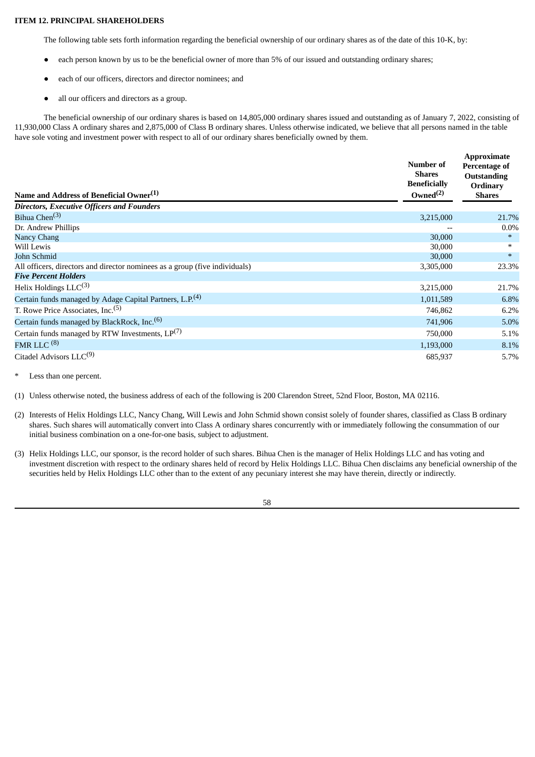# **ITEM 12. PRINCIPAL SHAREHOLDERS**

The following table sets forth information regarding the beneficial ownership of our ordinary shares as of the date of this 10-K, by:

- each person known by us to be the beneficial owner of more than 5% of our issued and outstanding ordinary shares;
- each of our officers, directors and director nominees; and
- all our officers and directors as a group.

The beneficial ownership of our ordinary shares is based on 14,805,000 ordinary shares issued and outstanding as of January 7, 2022, consisting of 11,930,000 Class A ordinary shares and 2,875,000 of Class B ordinary shares. Unless otherwise indicated, we believe that all persons named in the table have sole voting and investment power with respect to all of our ordinary shares beneficially owned by them.

| Name and Address of Beneficial Owner <sup>(1)</sup>                         | Number of<br><b>Shares</b><br><b>Beneficially</b><br>Owned $^{(2)}$ | <b>Approximate</b><br>Percentage of<br><b>Outstanding</b><br><b>Ordinary</b><br><b>Shares</b> |  |
|-----------------------------------------------------------------------------|---------------------------------------------------------------------|-----------------------------------------------------------------------------------------------|--|
| <b>Directors, Executive Officers and Founders</b>                           |                                                                     |                                                                                               |  |
| Bihua Chen <sup>(3)</sup>                                                   | 3,215,000                                                           | 21.7%                                                                                         |  |
| Dr. Andrew Phillips                                                         |                                                                     | $0.0\%$                                                                                       |  |
| <b>Nancy Chang</b>                                                          | 30,000                                                              | $\ast$                                                                                        |  |
| Will Lewis                                                                  | 30,000                                                              | $\ast$                                                                                        |  |
| John Schmid                                                                 | 30,000                                                              | $*$                                                                                           |  |
| All officers, directors and director nominees as a group (five individuals) | 3,305,000                                                           | 23.3%                                                                                         |  |
| <b>Five Percent Holders</b>                                                 |                                                                     |                                                                                               |  |
| Helix Holdings $LLC^{(3)}$                                                  | 3,215,000                                                           | 21.7%                                                                                         |  |
| Certain funds managed by Adage Capital Partners, L.P. <sup>(4)</sup>        | 1,011,589                                                           | 6.8%                                                                                          |  |
| T. Rowe Price Associates, Inc. <sup>(5)</sup>                               | 746,862                                                             | 6.2%                                                                                          |  |
| Certain funds managed by BlackRock, Inc. <sup>(6)</sup>                     | 741,906                                                             | 5.0%                                                                                          |  |
| Certain funds managed by RTW Investments, $LP^{(7)}$                        | 750,000                                                             | 5.1%                                                                                          |  |
| FMR LLC $(8)$                                                               | 1,193,000                                                           | 8.1%                                                                                          |  |
| Citadel Advisors LLC <sup>(9)</sup>                                         | 685,937                                                             | 5.7%                                                                                          |  |

Less than one percent.

(1) Unless otherwise noted, the business address of each of the following is 200 Clarendon Street, 52nd Floor, Boston, MA 02116.

- (2) Interests of Helix Holdings LLC, Nancy Chang, Will Lewis and John Schmid shown consist solely of founder shares, classified as Class B ordinary shares. Such shares will automatically convert into Class A ordinary shares concurrently with or immediately following the consummation of our initial business combination on a one-for-one basis, subject to adjustment.
- (3) Helix Holdings LLC, our sponsor, is the record holder of such shares. Bihua Chen is the manager of Helix Holdings LLC and has voting and investment discretion with respect to the ordinary shares held of record by Helix Holdings LLC. Bihua Chen disclaims any beneficial ownership of the securities held by Helix Holdings LLC other than to the extent of any pecuniary interest she may have therein, directly or indirectly.

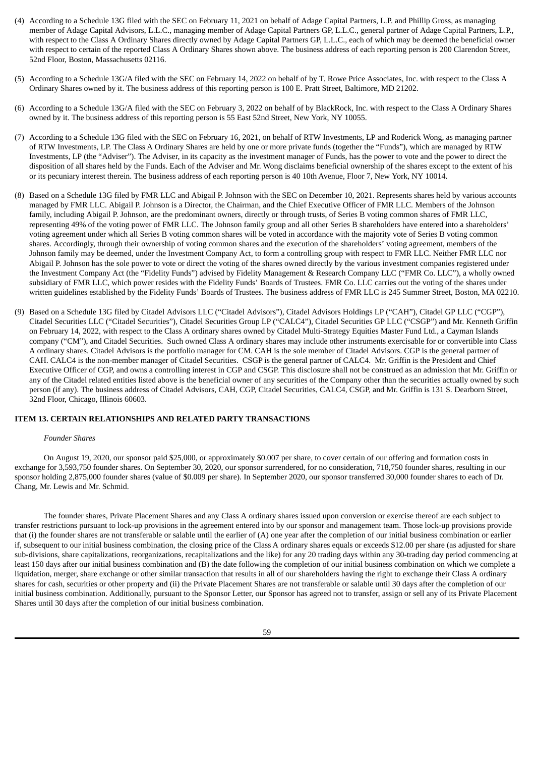- (4) According to a Schedule 13G filed with the SEC on February 11, 2021 on behalf of Adage Capital Partners, L.P. and Phillip Gross, as managing member of Adage Capital Advisors, L.L.C., managing member of Adage Capital Partners GP, L.L.C., general partner of Adage Capital Partners, L.P., with respect to the Class A Ordinary Shares directly owned by Adage Capital Partners GP, L.L.C., each of which may be deemed the beneficial owner with respect to certain of the reported Class A Ordinary Shares shown above. The business address of each reporting person is 200 Clarendon Street, 52nd Floor, Boston, Massachusetts 02116.
- (5) According to a Schedule 13G/A filed with the SEC on February 14, 2022 on behalf of by T. Rowe Price Associates, Inc. with respect to the Class A Ordinary Shares owned by it. The business address of this reporting person is 100 E. Pratt Street, Baltimore, MD 21202.
- (6) According to a Schedule 13G/A filed with the SEC on February 3, 2022 on behalf of by BlackRock, Inc. with respect to the Class A Ordinary Shares owned by it. The business address of this reporting person is 55 East 52nd Street, New York, NY 10055.
- (7) According to a Schedule 13G filed with the SEC on February 16, 2021, on behalf of RTW Investments, LP and Roderick Wong, as managing partner of RTW Investments, LP. The Class A Ordinary Shares are held by one or more private funds (together the "Funds"), which are managed by RTW Investments, LP (the "Adviser"). The Adviser, in its capacity as the investment manager of Funds, has the power to vote and the power to direct the disposition of all shares held by the Funds. Each of the Adviser and Mr. Wong disclaims beneficial ownership of the shares except to the extent of his or its pecuniary interest therein. The business address of each reporting person is 40 10th Avenue, Floor 7, New York, NY 10014.
- (8) Based on a Schedule 13G filed by FMR LLC and Abigail P. Johnson with the SEC on December 10, 2021. Represents shares held by various accounts managed by FMR LLC. Abigail P. Johnson is a Director, the Chairman, and the Chief Executive Officer of FMR LLC. Members of the Johnson family, including Abigail P. Johnson, are the predominant owners, directly or through trusts, of Series B voting common shares of FMR LLC, representing 49% of the voting power of FMR LLC. The Johnson family group and all other Series B shareholders have entered into a shareholders' voting agreement under which all Series B voting common shares will be voted in accordance with the majority vote of Series B voting common shares. Accordingly, through their ownership of voting common shares and the execution of the shareholders' voting agreement, members of the Johnson family may be deemed, under the Investment Company Act, to form a controlling group with respect to FMR LLC. Neither FMR LLC nor Abigail P. Johnson has the sole power to vote or direct the voting of the shares owned directly by the various investment companies registered under the Investment Company Act (the "Fidelity Funds") advised by Fidelity Management & Research Company LLC ("FMR Co. LLC"), a wholly owned subsidiary of FMR LLC, which power resides with the Fidelity Funds' Boards of Trustees. FMR Co. LLC carries out the voting of the shares under written guidelines established by the Fidelity Funds' Boards of Trustees. The business address of FMR LLC is 245 Summer Street, Boston, MA 02210.
- (9) Based on a Schedule 13G filed by Citadel Advisors LLC ("Citadel Advisors"), Citadel Advisors Holdings LP ("CAH"), Citadel GP LLC ("CGP"), Citadel Securities LLC ("Citadel Securities"), Citadel Securities Group LP ("CALC4"), Citadel Securities GP LLC ("CSGP") and Mr. Kenneth Griffin on February 14, 2022, with respect to the Class A ordinary shares owned by Citadel Multi-Strategy Equities Master Fund Ltd., a Cayman Islands company ("CM"), and Citadel Securities. Such owned Class A ordinary shares may include other instruments exercisable for or convertible into Class A ordinary shares. Citadel Advisors is the portfolio manager for CM. CAH is the sole member of Citadel Advisors. CGP is the general partner of CAH. CALC4 is the non-member manager of Citadel Securities. CSGP is the general partner of CALC4. Mr. Griffin is the President and Chief Executive Officer of CGP, and owns a controlling interest in CGP and CSGP. This disclosure shall not be construed as an admission that Mr. Griffin or any of the Citadel related entities listed above is the beneficial owner of any securities of the Company other than the securities actually owned by such person (if any). The business address of Citadel Advisors, CAH, CGP, Citadel Securities, CALC4, CSGP, and Mr. Griffin is 131 S. Dearborn Street, 32nd Floor, Chicago, Illinois 60603.

## **ITEM 13. CERTAIN RELATIONSHIPS AND RELATED PARTY TRANSACTIONS**

#### *Founder Shares*

On August 19, 2020, our sponsor paid \$25,000, or approximately \$0.007 per share, to cover certain of our offering and formation costs in exchange for 3,593,750 founder shares. On September 30, 2020, our sponsor surrendered, for no consideration, 718,750 founder shares, resulting in our sponsor holding 2,875,000 founder shares (value of \$0.009 per share). In September 2020, our sponsor transferred 30,000 founder shares to each of Dr. Chang, Mr. Lewis and Mr. Schmid.

The founder shares, Private Placement Shares and any Class A ordinary shares issued upon conversion or exercise thereof are each subject to transfer restrictions pursuant to lock-up provisions in the agreement entered into by our sponsor and management team. Those lock-up provisions provide that (i) the founder shares are not transferable or salable until the earlier of (A) one year after the completion of our initial business combination or earlier if, subsequent to our initial business combination, the closing price of the Class A ordinary shares equals or exceeds \$12.00 per share (as adjusted for share sub-divisions, share capitalizations, reorganizations, recapitalizations and the like) for any 20 trading days within any 30-trading day period commencing at least 150 days after our initial business combination and (B) the date following the completion of our initial business combination on which we complete a liquidation, merger, share exchange or other similar transaction that results in all of our shareholders having the right to exchange their Class A ordinary shares for cash, securities or other property and (ii) the Private Placement Shares are not transferable or salable until 30 days after the completion of our initial business combination. Additionally, pursuant to the Sponsor Letter, our Sponsor has agreed not to transfer, assign or sell any of its Private Placement Shares until 30 days after the completion of our initial business combination.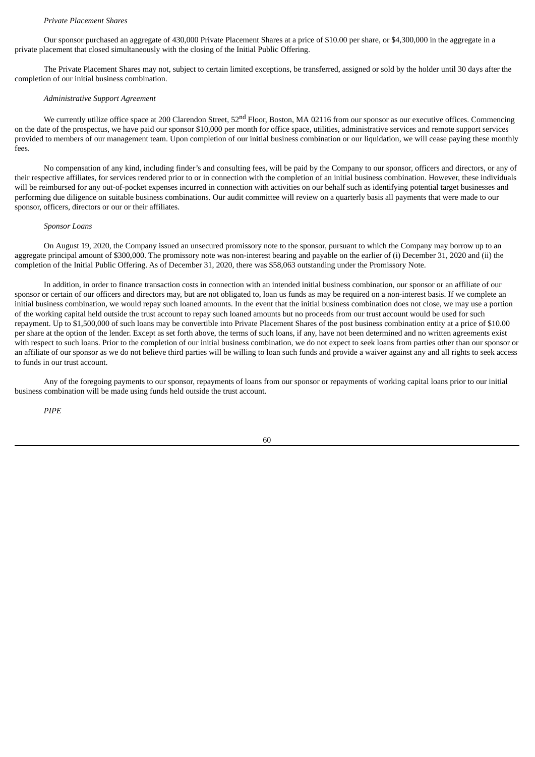#### *Private Placement Shares*

Our sponsor purchased an aggregate of 430,000 Private Placement Shares at a price of \$10.00 per share, or \$4,300,000 in the aggregate in a private placement that closed simultaneously with the closing of the Initial Public Offering.

The Private Placement Shares may not, subject to certain limited exceptions, be transferred, assigned or sold by the holder until 30 days after the completion of our initial business combination.

### *Administrative Support Agreement*

We currently utilize office space at 200 Clarendon Street, 52<sup>nd</sup> Floor, Boston, MA 02116 from our sponsor as our executive offices. Commencing on the date of the prospectus, we have paid our sponsor \$10,000 per month for office space, utilities, administrative services and remote support services provided to members of our management team. Upon completion of our initial business combination or our liquidation, we will cease paying these monthly fees.

No compensation of any kind, including finder's and consulting fees, will be paid by the Company to our sponsor, officers and directors, or any of their respective affiliates, for services rendered prior to or in connection with the completion of an initial business combination. However, these individuals will be reimbursed for any out-of-pocket expenses incurred in connection with activities on our behalf such as identifying potential target businesses and performing due diligence on suitable business combinations. Our audit committee will review on a quarterly basis all payments that were made to our sponsor, officers, directors or our or their affiliates.

#### *Sponsor Loans*

On August 19, 2020, the Company issued an unsecured promissory note to the sponsor, pursuant to which the Company may borrow up to an aggregate principal amount of \$300,000. The promissory note was non-interest bearing and payable on the earlier of (i) December 31, 2020 and (ii) the completion of the Initial Public Offering. As of December 31, 2020, there was \$58,063 outstanding under the Promissory Note.

In addition, in order to finance transaction costs in connection with an intended initial business combination, our sponsor or an affiliate of our sponsor or certain of our officers and directors may, but are not obligated to, loan us funds as may be required on a non-interest basis. If we complete an initial business combination, we would repay such loaned amounts. In the event that the initial business combination does not close, we may use a portion of the working capital held outside the trust account to repay such loaned amounts but no proceeds from our trust account would be used for such repayment. Up to \$1,500,000 of such loans may be convertible into Private Placement Shares of the post business combination entity at a price of \$10.00 per share at the option of the lender. Except as set forth above, the terms of such loans, if any, have not been determined and no written agreements exist with respect to such loans. Prior to the completion of our initial business combination, we do not expect to seek loans from parties other than our sponsor or an affiliate of our sponsor as we do not believe third parties will be willing to loan such funds and provide a waiver against any and all rights to seek access to funds in our trust account.

Any of the foregoing payments to our sponsor, repayments of loans from our sponsor or repayments of working capital loans prior to our initial business combination will be made using funds held outside the trust account.

*PIPE*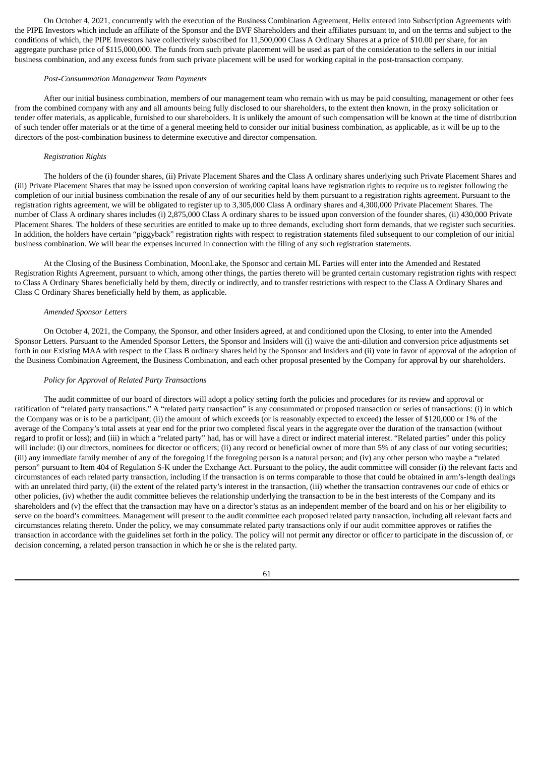On October 4, 2021, concurrently with the execution of the Business Combination Agreement, Helix entered into Subscription Agreements with the PIPE Investors which include an affiliate of the Sponsor and the BVF Shareholders and their affiliates pursuant to, and on the terms and subject to the conditions of which, the PIPE Investors have collectively subscribed for 11,500,000 Class A Ordinary Shares at a price of \$10.00 per share, for an aggregate purchase price of \$115,000,000. The funds from such private placement will be used as part of the consideration to the sellers in our initial business combination, and any excess funds from such private placement will be used for working capital in the post-transaction company.

### *Post-Consummation Management Team Payments*

After our initial business combination, members of our management team who remain with us may be paid consulting, management or other fees from the combined company with any and all amounts being fully disclosed to our shareholders, to the extent then known, in the proxy solicitation or tender offer materials, as applicable, furnished to our shareholders. It is unlikely the amount of such compensation will be known at the time of distribution of such tender offer materials or at the time of a general meeting held to consider our initial business combination, as applicable, as it will be up to the directors of the post-combination business to determine executive and director compensation.

### *Registration Rights*

The holders of the (i) founder shares, (ii) Private Placement Shares and the Class A ordinary shares underlying such Private Placement Shares and (iii) Private Placement Shares that may be issued upon conversion of working capital loans have registration rights to require us to register following the completion of our initial business combination the resale of any of our securities held by them pursuant to a registration rights agreement. Pursuant to the registration rights agreement, we will be obligated to register up to 3,305,000 Class A ordinary shares and 4,300,000 Private Placement Shares. The number of Class A ordinary shares includes (i) 2,875,000 Class A ordinary shares to be issued upon conversion of the founder shares, (ii) 430,000 Private Placement Shares. The holders of these securities are entitled to make up to three demands, excluding short form demands, that we register such securities. In addition, the holders have certain "piggyback" registration rights with respect to registration statements filed subsequent to our completion of our initial business combination. We will bear the expenses incurred in connection with the filing of any such registration statements.

At the Closing of the Business Combination, MoonLake, the Sponsor and certain ML Parties will enter into the Amended and Restated Registration Rights Agreement, pursuant to which, among other things, the parties thereto will be granted certain customary registration rights with respect to Class A Ordinary Shares beneficially held by them, directly or indirectly, and to transfer restrictions with respect to the Class A Ordinary Shares and Class C Ordinary Shares beneficially held by them, as applicable.

#### *Amended Sponsor Letters*

On October 4, 2021, the Company, the Sponsor, and other Insiders agreed, at and conditioned upon the Closing, to enter into the Amended Sponsor Letters. Pursuant to the Amended Sponsor Letters, the Sponsor and Insiders will (i) waive the anti-dilution and conversion price adjustments set forth in our Existing MAA with respect to the Class B ordinary shares held by the Sponsor and Insiders and (ii) yote in favor of approval of the adoption of the Business Combination Agreement, the Business Combination, and each other proposal presented by the Company for approval by our shareholders.

#### *Policy for Approval of Related Party Transactions*

The audit committee of our board of directors will adopt a policy setting forth the policies and procedures for its review and approval or ratification of "related party transactions." A "related party transaction" is any consummated or proposed transaction or series of transactions: (i) in which the Company was or is to be a participant; (ii) the amount of which exceeds (or is reasonably expected to exceed) the lesser of \$120,000 or 1% of the average of the Company's total assets at year end for the prior two completed fiscal years in the aggregate over the duration of the transaction (without regard to profit or loss); and (iii) in which a "related party" had, has or will have a direct or indirect material interest. "Related parties" under this policy will include: (i) our directors, nominees for director or officers; (ii) any record or beneficial owner of more than 5% of any class of our voting securities; (iii) any immediate family member of any of the foregoing if the foregoing person is a natural person; and (iv) any other person who maybe a "related person" pursuant to Item 404 of Regulation S-K under the Exchange Act. Pursuant to the policy, the audit committee will consider (i) the relevant facts and circumstances of each related party transaction, including if the transaction is on terms comparable to those that could be obtained in arm's-length dealings with an unrelated third party, (ii) the extent of the related party's interest in the transaction, (iii) whether the transaction contravenes our code of ethics or other policies, (iv) whether the audit committee believes the relationship underlying the transaction to be in the best interests of the Company and its shareholders and (v) the effect that the transaction may have on a director's status as an independent member of the board and on his or her eligibility to serve on the board's committees. Management will present to the audit committee each proposed related party transaction, including all relevant facts and circumstances relating thereto. Under the policy, we may consummate related party transactions only if our audit committee approves or ratifies the transaction in accordance with the guidelines set forth in the policy. The policy will not permit any director or officer to participate in the discussion of, or decision concerning, a related person transaction in which he or she is the related party.

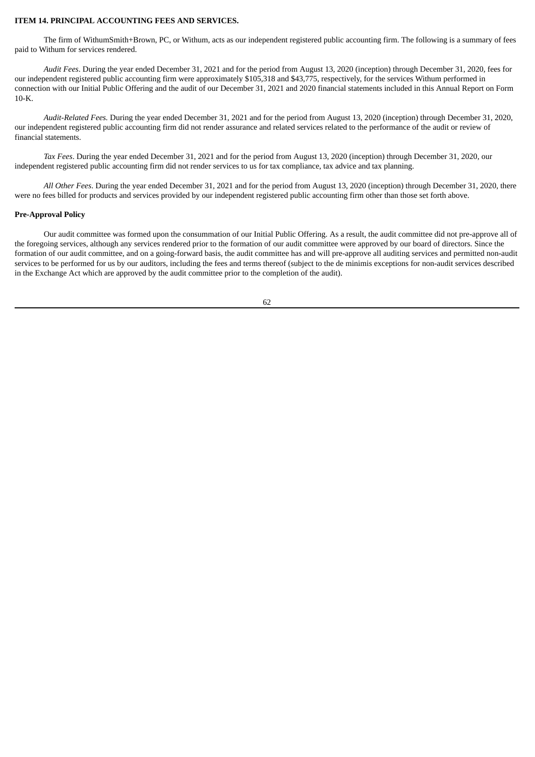### **ITEM 14. PRINCIPAL ACCOUNTING FEES AND SERVICES.**

The firm of WithumSmith+Brown, PC, or Withum, acts as our independent registered public accounting firm. The following is a summary of fees paid to Withum for services rendered.

*Audit Fees*. During the year ended December 31, 2021 and for the period from August 13, 2020 (inception) through December 31, 2020, fees for our independent registered public accounting firm were approximately \$105,318 and \$43,775, respectively, for the services Withum performed in connection with our Initial Public Offering and the audit of our December 31, 2021 and 2020 financial statements included in this Annual Report on Form 10-K.

*Audit-Related Fees.* During the year ended December 31, 2021 and for the period from August 13, 2020 (inception) through December 31, 2020, our independent registered public accounting firm did not render assurance and related services related to the performance of the audit or review of financial statements.

*Tax Fees*. During the year ended December 31, 2021 and for the period from August 13, 2020 (inception) through December 31, 2020, our independent registered public accounting firm did not render services to us for tax compliance, tax advice and tax planning.

*All Other Fees*. During the year ended December 31, 2021 and for the period from August 13, 2020 (inception) through December 31, 2020, there were no fees billed for products and services provided by our independent registered public accounting firm other than those set forth above.

### **Pre-Approval Policy**

Our audit committee was formed upon the consummation of our Initial Public Offering. As a result, the audit committee did not pre-approve all of the foregoing services, although any services rendered prior to the formation of our audit committee were approved by our board of directors. Since the formation of our audit committee, and on a going-forward basis, the audit committee has and will pre-approve all auditing services and permitted non-audit services to be performed for us by our auditors, including the fees and terms thereof (subject to the de minimis exceptions for non-audit services described in the Exchange Act which are approved by the audit committee prior to the completion of the audit).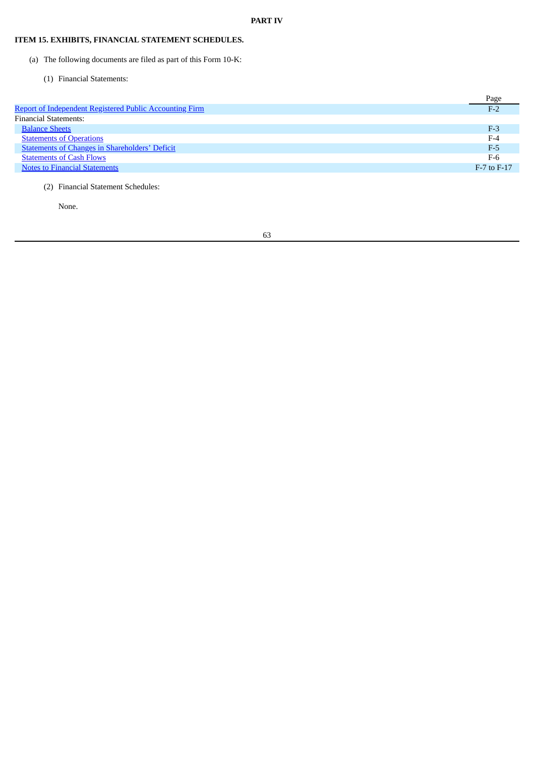# **ITEM 15. EXHIBITS, FINANCIAL STATEMENT SCHEDULES.**

- (a) The following documents are filed as part of this Form 10-K:
	- (1) Financial Statements:

|                                                         | Page            |
|---------------------------------------------------------|-----------------|
| Report of Independent Registered Public Accounting Firm | $F-2$           |
| <b>Financial Statements:</b>                            |                 |
| <b>Balance Sheets</b>                                   | $F-3$           |
| <b>Statements of Operations</b>                         | $F-4$           |
| <b>Statements of Changes in Shareholders' Deficit</b>   | $F-5$           |
| <b>Statements of Cash Flows</b>                         | $F-6$           |
| <b>Notes to Financial Statements</b>                    | $F-7$ to $F-17$ |
|                                                         |                 |

(2) Financial Statement Schedules:

None.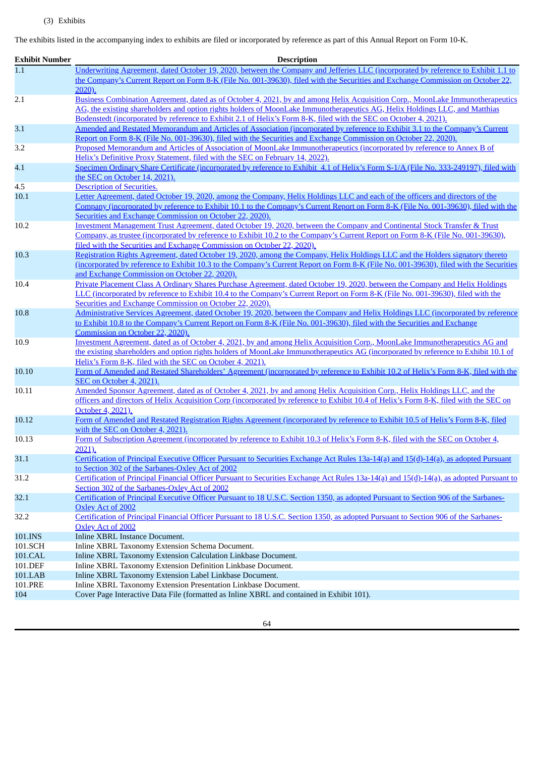The exhibits listed in the accompanying index to exhibits are filed or incorporated by reference as part of this Annual Report on Form 10-K.

| <b>Exhibit Number</b> | <b>Description</b>                                                                                                                                                                                                                               |
|-----------------------|--------------------------------------------------------------------------------------------------------------------------------------------------------------------------------------------------------------------------------------------------|
| 1.1                   | Underwriting Agreement, dated October 19, 2020, between the Company and Jefferies LLC (incorporated by reference to Exhibit 1.1 to                                                                                                               |
|                       | the Company's Current Report on Form 8-K (File No. 001-39630), filed with the Securities and Exchange Commission on October 22,                                                                                                                  |
|                       | 2020).                                                                                                                                                                                                                                           |
| 2.1                   | Business Combination Agreement, dated as of October 4, 2021, by and among Helix Acquisition Corp., MoonLake Immunotherapeutics                                                                                                                   |
|                       | AG, the existing shareholders and option rights holders of MoonLake Immunotherapeutics AG, Helix Holdings LLC, and Matthias<br>Bodenstedt (incorporated by reference to Exhibit 2.1 of Helix's Form 8-K, filed with the SEC on October 4, 2021). |
| 3.1                   | Amended and Restated Memorandum and Articles of Association (incorporated by reference to Exhibit 3.1 to the Company's Current                                                                                                                   |
|                       | Report on Form 8-K (File No. 001-39630), filed with the Securities and Exchange Commission on October 22, 2020)                                                                                                                                  |
| 3.2                   | Proposed Memorandum and Articles of Association of MoonLake Immunotherapeutics (incorporated by reference to Annex B of                                                                                                                          |
|                       | Helix's Definitive Proxy Statement, filed with the SEC on February 14, 2022).                                                                                                                                                                    |
| 4.1                   | Specimen Ordinary Share Certificate (incorporated by reference to Exhibit 4.1 of Helix's Form S-1/A (File No. 333-249197), filed with                                                                                                            |
|                       | the SEC on October 14, 2021).                                                                                                                                                                                                                    |
| 4.5                   | <b>Description of Securities.</b>                                                                                                                                                                                                                |
| 10.1                  | Letter Agreement, dated October 19, 2020, among the Company, Helix Holdings LLC and each of the officers and directors of the                                                                                                                    |
|                       | Company (incorporated by reference to Exhibit 10.1 to the Company's Current Report on Form 8-K (File No. 001-39630), filed with the<br>Securities and Exchange Commission on October 22, 2020).                                                  |
| 10.2                  | Investment Management Trust Agreement, dated October 19, 2020, between the Company and Continental Stock Transfer & Trust                                                                                                                        |
|                       | Company, as trustee (incorporated by reference to Exhibit 10.2 to the Company's Current Report on Form 8-K (File No. 001-39630),                                                                                                                 |
|                       | filed with the Securities and Exchange Commission on October 22, 2020).                                                                                                                                                                          |
| 10.3                  | Registration Rights Agreement, dated October 19, 2020, among the Company, Helix Holdings LLC and the Holders signatory thereto                                                                                                                   |
|                       | (incorporated by reference to Exhibit 10.3 to the Company's Current Report on Form 8-K (File No. 001-39630), filed with the Securities                                                                                                           |
|                       | and Exchange Commission on October 22, 2020).                                                                                                                                                                                                    |
| 10.4                  | Private Placement Class A Ordinary Shares Purchase Agreement, dated October 19, 2020, between the Company and Helix Holdings                                                                                                                     |
|                       | LLC (incorporated by reference to Exhibit 10.4 to the Company's Current Report on Form 8-K (File No. 001-39630), filed with the                                                                                                                  |
|                       | Securities and Exchange Commission on October 22, 2020).                                                                                                                                                                                         |
| 10.8                  | Administrative Services Agreement, dated October 19, 2020, between the Company and Helix Holdings LLC (incorporated by reference                                                                                                                 |
|                       | to Exhibit 10.8 to the Company's Current Report on Form 8-K (File No. 001-39630), filed with the Securities and Exchange                                                                                                                         |
| 10.9                  | Commission on October 22, 2020)<br>Investment Agreement, dated as of October 4, 2021, by and among Helix Acquisition Corp., MoonLake Immunotherapeutics AG and                                                                                   |
|                       | the existing shareholders and option rights holders of MoonLake Immunotherapeutics AG (incorporated by reference to Exhibit 10.1 of                                                                                                              |
|                       | Helix's Form 8-K, filed with the SEC on October 4, 2021).                                                                                                                                                                                        |
| 10.10                 | Form of Amended and Restated Shareholders' Agreement (incorporated by reference to Exhibit 10.2 of Helix's Form 8-K, filed with the                                                                                                              |
|                       | SEC on October 4, 2021).                                                                                                                                                                                                                         |
| 10.11                 | Amended Sponsor Agreement, dated as of October 4, 2021, by and among Helix Acquisition Corp., Helix Holdings LLC, and the                                                                                                                        |
|                       | officers and directors of Helix Acquisition Corp (incorporated by reference to Exhibit 10.4 of Helix's Form 8-K, filed with the SEC on                                                                                                           |
|                       | October 4, 2021).                                                                                                                                                                                                                                |
| 10.12                 | Form of Amended and Restated Registration Rights Agreement (incorporated by reference to Exhibit 10.5 of Helix's Form 8-K, filed                                                                                                                 |
|                       | with the SEC on October 4, 2021).                                                                                                                                                                                                                |
| 10.13                 | Form of Subscription Agreement (incorporated by reference to Exhibit 10.3 of Helix's Form 8-K, filed with the SEC on October 4,                                                                                                                  |
|                       | 2021).                                                                                                                                                                                                                                           |
| 31.1                  | Certification of Principal Executive Officer Pursuant to Securities Exchange Act Rules 13a-14(a) and 15(d)-14(a), as adopted Pursuant<br>to Section 302 of the Sarbanes-Oxley Act of 2002                                                        |
| 31.2                  | Certification of Principal Financial Officer Pursuant to Securities Exchange Act Rules 13a-14(a) and 15(d)-14(a), as adopted Pursuant to                                                                                                         |
|                       | Section 302 of the Sarbanes-Oxley Act of 2002                                                                                                                                                                                                    |
| 32.1                  | Certification of Principal Executive Officer Pursuant to 18 U.S.C. Section 1350, as adopted Pursuant to Section 906 of the Sarbanes-                                                                                                             |
|                       | Oxley Act of 2002                                                                                                                                                                                                                                |
| 32.2                  | Certification of Principal Financial Officer Pursuant to 18 U.S.C. Section 1350, as adopted Pursuant to Section 906 of the Sarbanes-                                                                                                             |
|                       | Oxley Act of 2002                                                                                                                                                                                                                                |
| 101.INS               | Inline XBRL Instance Document.                                                                                                                                                                                                                   |
| 101.SCH               | Inline XBRL Taxonomy Extension Schema Document.                                                                                                                                                                                                  |
| 101.CAL               | Inline XBRL Taxonomy Extension Calculation Linkbase Document.                                                                                                                                                                                    |
| 101.DEF               | Inline XBRL Taxonomy Extension Definition Linkbase Document.                                                                                                                                                                                     |
| 101.LAB               | Inline XBRL Taxonomy Extension Label Linkbase Document.                                                                                                                                                                                          |
| 101.PRE<br>104        | Inline XBRL Taxonomy Extension Presentation Linkbase Document.<br>Cover Page Interactive Data File (formatted as Inline XBRL and contained in Exhibit 101).                                                                                      |
|                       |                                                                                                                                                                                                                                                  |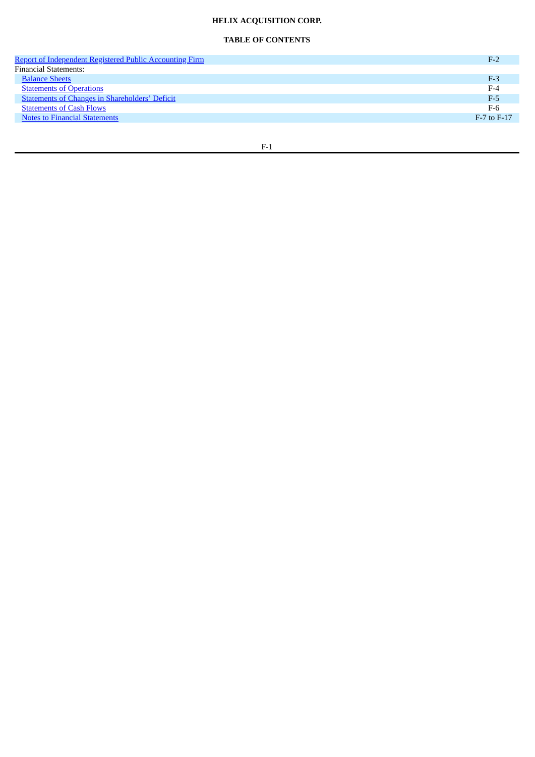# **HELIX ACQUISITION CORP.**

# **TABLE OF CONTENTS**

| Report of Independent Registered Public Accounting Firm |                 |
|---------------------------------------------------------|-----------------|
| <b>Financial Statements:</b>                            |                 |
| <b>Balance Sheets</b>                                   | $F-3$           |
| <b>Statements of Operations</b>                         | $F-4$           |
| <b>Statements of Changes in Shareholders' Deficit</b>   | $F-5$           |
| <b>Statements of Cash Flows</b>                         | $F-6$           |
| <b>Notes to Financial Statements</b>                    | $F-7$ to $F-17$ |
|                                                         |                 |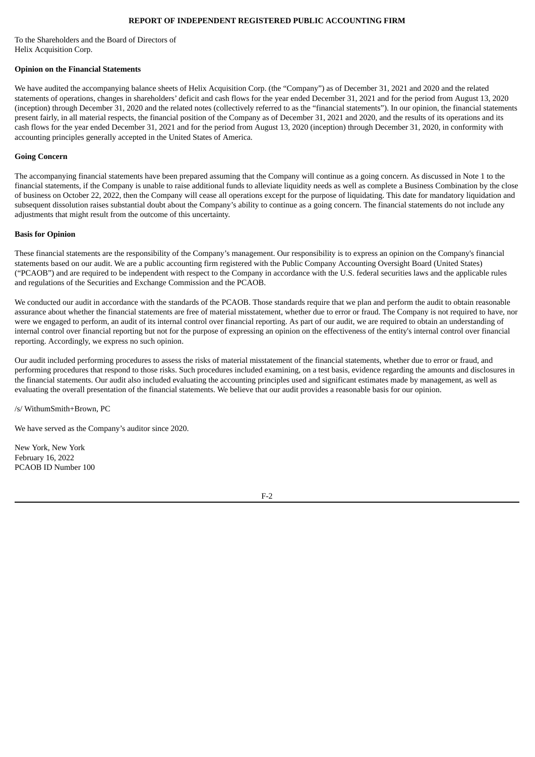# **REPORT OF INDEPENDENT REGISTERED PUBLIC ACCOUNTING FIRM**

<span id="page-70-0"></span>To the Shareholders and the Board of Directors of Helix Acquisition Corp.

#### **Opinion on the Financial Statements**

We have audited the accompanying balance sheets of Helix Acquisition Corp. (the "Company") as of December 31, 2021 and 2020 and the related statements of operations, changes in shareholders' deficit and cash flows for the year ended December 31, 2021 and for the period from August 13, 2020 (inception) through December 31, 2020 and the related notes (collectively referred to as the "financial statements"). In our opinion, the financial statements present fairly, in all material respects, the financial position of the Company as of December 31, 2021 and 2020, and the results of its operations and its cash flows for the year ended December 31, 2021 and for the period from August 13, 2020 (inception) through December 31, 2020, in conformity with accounting principles generally accepted in the United States of America.

#### **Going Concern**

The accompanying financial statements have been prepared assuming that the Company will continue as a going concern. As discussed in Note 1 to the financial statements, if the Company is unable to raise additional funds to alleviate liquidity needs as well as complete a Business Combination by the close of business on October 22, 2022, then the Company will cease all operations except for the purpose of liquidating. This date for mandatory liquidation and subsequent dissolution raises substantial doubt about the Company's ability to continue as a going concern. The financial statements do not include any adjustments that might result from the outcome of this uncertainty.

#### **Basis for Opinion**

These financial statements are the responsibility of the Company's management. Our responsibility is to express an opinion on the Company's financial statements based on our audit. We are a public accounting firm registered with the Public Company Accounting Oversight Board (United States) ("PCAOB") and are required to be independent with respect to the Company in accordance with the U.S. federal securities laws and the applicable rules and regulations of the Securities and Exchange Commission and the PCAOB.

We conducted our audit in accordance with the standards of the PCAOB. Those standards require that we plan and perform the audit to obtain reasonable assurance about whether the financial statements are free of material misstatement, whether due to error or fraud. The Company is not required to have, nor were we engaged to perform, an audit of its internal control over financial reporting. As part of our audit, we are required to obtain an understanding of internal control over financial reporting but not for the purpose of expressing an opinion on the effectiveness of the entity's internal control over financial reporting. Accordingly, we express no such opinion.

Our audit included performing procedures to assess the risks of material misstatement of the financial statements, whether due to error or fraud, and performing procedures that respond to those risks. Such procedures included examining, on a test basis, evidence regarding the amounts and disclosures in the financial statements. Our audit also included evaluating the accounting principles used and significant estimates made by management, as well as evaluating the overall presentation of the financial statements. We believe that our audit provides a reasonable basis for our opinion.

/s/ WithumSmith+Brown, PC

We have served as the Company's auditor since 2020.

New York, New York February 16, 2022 PCAOB ID Number 100

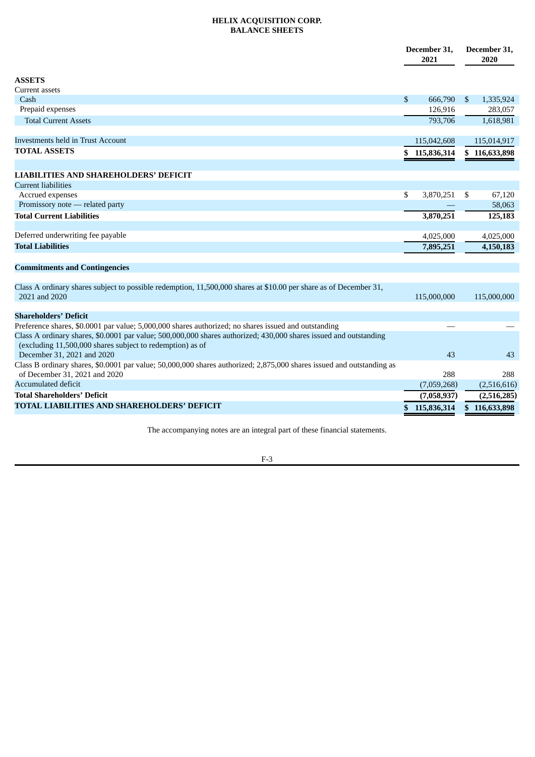# **HELIX ACQUISITION CORP. BALANCE SHEETS**

<span id="page-71-0"></span>

|                                                                                                                                                                                                              | December 31,<br>2021 |               | December 31,<br>2020 |               |
|--------------------------------------------------------------------------------------------------------------------------------------------------------------------------------------------------------------|----------------------|---------------|----------------------|---------------|
| <b>ASSETS</b>                                                                                                                                                                                                |                      |               |                      |               |
| Current assets                                                                                                                                                                                               |                      |               |                      |               |
| Cash                                                                                                                                                                                                         | \$                   | 666,790       | -\$                  | 1,335,924     |
| Prepaid expenses                                                                                                                                                                                             |                      | 126,916       |                      | 283,057       |
| <b>Total Current Assets</b>                                                                                                                                                                                  |                      | 793,706       |                      | 1,618,981     |
| <b>Investments held in Trust Account</b>                                                                                                                                                                     |                      | 115,042,608   |                      | 115,014,917   |
| <b>TOTAL ASSETS</b>                                                                                                                                                                                          |                      | \$115,836,314 |                      | \$116,633,898 |
|                                                                                                                                                                                                              |                      |               |                      |               |
| <b>LIABILITIES AND SHAREHOLDERS' DEFICIT</b><br><b>Current liabilities</b>                                                                                                                                   |                      |               |                      |               |
| Accrued expenses                                                                                                                                                                                             | \$                   | 3,870,251     | -\$                  | 67,120        |
| Promissory note - related party                                                                                                                                                                              |                      |               |                      | 58,063        |
| <b>Total Current Liabilities</b>                                                                                                                                                                             |                      | 3,870,251     |                      | 125,183       |
|                                                                                                                                                                                                              |                      |               |                      |               |
| Deferred underwriting fee payable                                                                                                                                                                            |                      | 4,025,000     |                      | 4,025,000     |
| <b>Total Liabilities</b>                                                                                                                                                                                     |                      | 7,895,251     |                      | 4,150,183     |
|                                                                                                                                                                                                              |                      |               |                      |               |
| <b>Commitments and Contingencies</b>                                                                                                                                                                         |                      |               |                      |               |
| Class A ordinary shares subject to possible redemption, 11,500,000 shares at \$10.00 per share as of December 31,<br>2021 and 2020                                                                           |                      | 115,000,000   |                      | 115,000,000   |
| <b>Shareholders' Deficit</b>                                                                                                                                                                                 |                      |               |                      |               |
| Preference shares, \$0.0001 par value; 5,000,000 shares authorized; no shares issued and outstanding                                                                                                         |                      |               |                      |               |
| Class A ordinary shares, \$0.0001 par value; 500,000,000 shares authorized; 430,000 shares issued and outstanding<br>(excluding 11,500,000 shares subject to redemption) as of<br>December 31, 2021 and 2020 |                      | 43            |                      | 43            |
| Class B ordinary shares, \$0.0001 par value; 50,000,000 shares authorized; 2,875,000 shares issued and outstanding as                                                                                        |                      |               |                      |               |
| of December 31, 2021 and 2020                                                                                                                                                                                |                      | 288           |                      | 288           |
| <b>Accumulated deficit</b>                                                                                                                                                                                   |                      | (7,059,268)   |                      | (2,516,616)   |
| <b>Total Shareholders' Deficit</b>                                                                                                                                                                           |                      | (7,058,937)   |                      | (2,516,285)   |
| TOTAL LIABILITIES AND SHAREHOLDERS' DEFICIT                                                                                                                                                                  |                      | 115,836,314   | \$                   | 116,633,898   |
|                                                                                                                                                                                                              |                      |               |                      |               |

The accompanying notes are an integral part of these financial statements.

F-3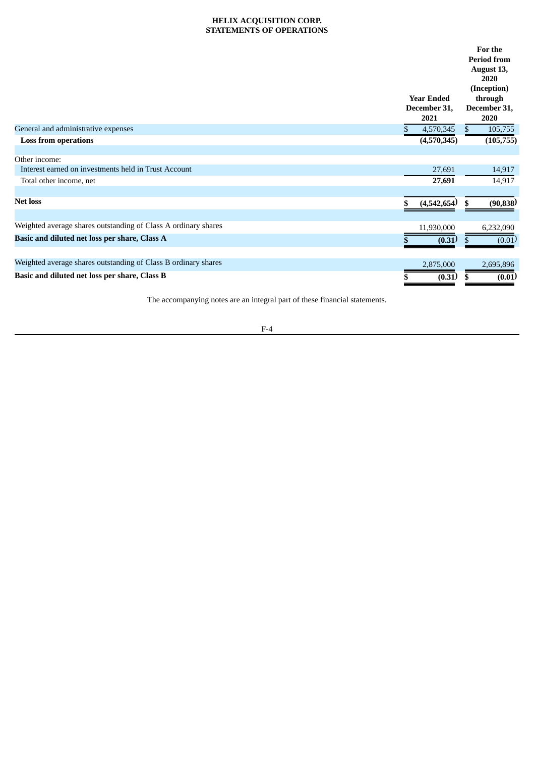# **HELIX ACQUISITION CORP. STATEMENTS OF OPERATIONS**

|                                                                       |   | <b>Year Ended</b><br>December 31,<br>2021 |     | For the<br><b>Period from</b><br>August 13,<br>2020<br>(Inception)<br>through<br>December 31,<br>2020 |
|-----------------------------------------------------------------------|---|-------------------------------------------|-----|-------------------------------------------------------------------------------------------------------|
| General and administrative expenses                                   |   | 4,570,345                                 | \$. | 105,755                                                                                               |
| <b>Loss from operations</b>                                           |   | (4,570,345)                               |     | (105, 755)                                                                                            |
|                                                                       |   |                                           |     |                                                                                                       |
| Other income:<br>Interest earned on investments held in Trust Account |   |                                           |     |                                                                                                       |
|                                                                       |   | 27,691                                    |     | 14,917                                                                                                |
| Total other income, net                                               |   | 27,691                                    |     | 14,917                                                                                                |
| <b>Net loss</b>                                                       |   | (4,542,654)                               | S   | (90, 838)                                                                                             |
| Weighted average shares outstanding of Class A ordinary shares        |   | 11,930,000                                |     | 6,232,090                                                                                             |
| Basic and diluted net loss per share, Class A                         |   |                                           |     |                                                                                                       |
|                                                                       |   | (0.31)                                    |     | (0.01)                                                                                                |
| Weighted average shares outstanding of Class B ordinary shares        |   | 2,875,000                                 |     | 2,695,896                                                                                             |
| Basic and diluted net loss per share, Class B                         | S | (0.31)                                    |     | (0.01)                                                                                                |

The accompanying notes are an integral part of these financial statements.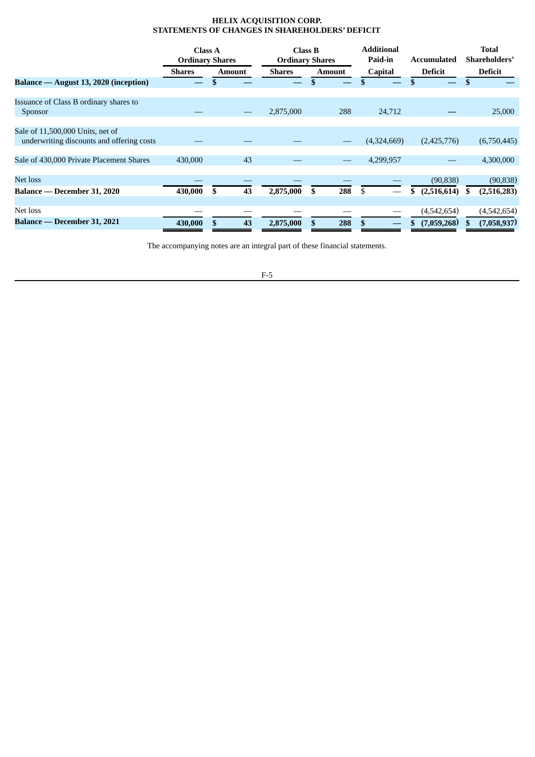# **HELIX ACQUISITION CORP. STATEMENTS OF CHANGES IN SHAREHOLDERS' DEFICIT**

|                                                                               | <b>Class A</b><br><b>Ordinary Shares</b> |               |    | <b>Class B</b><br><b>Ordinary Shares</b> |     |               | <b>Additional</b><br>Paid-in | Accumulated       | <b>Total</b><br>Shareholders' |  |
|-------------------------------------------------------------------------------|------------------------------------------|---------------|----|------------------------------------------|-----|---------------|------------------------------|-------------------|-------------------------------|--|
|                                                                               | Shares                                   | <b>Amount</b> |    | Shares                                   |     | <b>Amount</b> | <b>Capital</b>               | <b>Deficit</b>    | Deficit                       |  |
| Balance — August 13, 2020 (inception)                                         |                                          |               |    |                                          |     |               |                              |                   |                               |  |
| Issuance of Class B ordinary shares to                                        |                                          |               |    |                                          |     |               |                              |                   |                               |  |
| <b>Sponsor</b>                                                                |                                          |               |    | 2,875,000                                |     | 288           | 24,712                       |                   | 25,000                        |  |
|                                                                               |                                          |               |    |                                          |     |               |                              |                   |                               |  |
| Sale of 11,500,000 Units, net of<br>underwriting discounts and offering costs |                                          |               |    |                                          |     |               | (4,324,669)                  | (2,425,776)       | (6,750,445)                   |  |
|                                                                               |                                          |               |    |                                          |     |               |                              |                   |                               |  |
| Sale of 430,000 Private Placement Shares                                      | 430,000                                  |               | 43 |                                          |     |               | 4,299,957                    |                   | 4,300,000                     |  |
| Net loss                                                                      |                                          |               |    |                                          |     |               |                              | (90, 838)         | (90, 838)                     |  |
| Balance — December 31, 2020                                                   | 430,000                                  | \$            | 43 | 2,875,000                                | \$. | 288           | -\$                          | (2,516,614)<br>S. | (2,516,283)<br>.S             |  |
|                                                                               |                                          |               |    |                                          |     |               |                              |                   |                               |  |
| Net loss                                                                      |                                          |               |    |                                          |     |               |                              | (4,542,654)       | (4,542,654)                   |  |
| Balance — December 31, 2021                                                   | 430,000                                  |               | 43 | 2,875,000                                |     | 288           |                              | (7,059,268)       | (7,058,937)                   |  |

The accompanying notes are an integral part of these financial statements.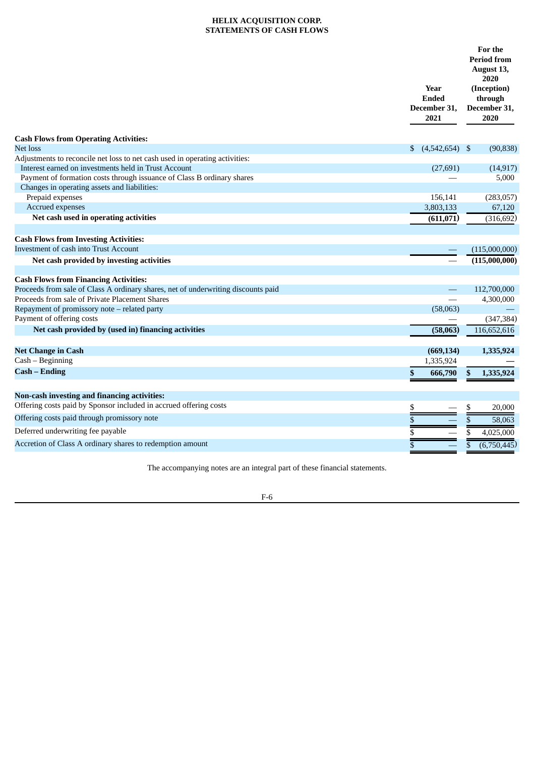# **HELIX ACQUISITION CORP. STATEMENTS OF CASH FLOWS**

|                                                                                                                        | Year<br><b>Ended</b><br>December 31,<br>2021 | For the<br><b>Period from</b><br>August 13,<br>2020<br>(Inception)<br>through<br>December 31,<br>2020 |  |  |
|------------------------------------------------------------------------------------------------------------------------|----------------------------------------------|-------------------------------------------------------------------------------------------------------|--|--|
| <b>Cash Flows from Operating Activities:</b>                                                                           |                                              |                                                                                                       |  |  |
| Net loss                                                                                                               | \$<br>$(4,542,654)$ \$                       | (90, 838)                                                                                             |  |  |
| Adjustments to reconcile net loss to net cash used in operating activities:                                            |                                              |                                                                                                       |  |  |
| Interest earned on investments held in Trust Account                                                                   | (27, 691)                                    | (14, 917)                                                                                             |  |  |
| Payment of formation costs through issuance of Class B ordinary shares<br>Changes in operating assets and liabilities: |                                              | 5,000                                                                                                 |  |  |
| Prepaid expenses                                                                                                       | 156,141                                      | (283,057)                                                                                             |  |  |
| Accrued expenses                                                                                                       | 3,803,133                                    | 67,120                                                                                                |  |  |
| Net cash used in operating activities                                                                                  | (611, 071)                                   | (316, 692)                                                                                            |  |  |
|                                                                                                                        |                                              |                                                                                                       |  |  |
| <b>Cash Flows from Investing Activities:</b>                                                                           |                                              |                                                                                                       |  |  |
| Investment of cash into Trust Account                                                                                  |                                              | (115,000,000)                                                                                         |  |  |
| Net cash provided by investing activities                                                                              |                                              | (115,000,000)                                                                                         |  |  |
|                                                                                                                        |                                              |                                                                                                       |  |  |
| <b>Cash Flows from Financing Activities:</b>                                                                           |                                              |                                                                                                       |  |  |
| Proceeds from sale of Class A ordinary shares, net of underwriting discounts paid                                      |                                              | 112,700,000                                                                                           |  |  |
| Proceeds from sale of Private Placement Shares                                                                         |                                              | 4,300,000                                                                                             |  |  |
| Repayment of promissory note - related party                                                                           | (58,063)                                     |                                                                                                       |  |  |
| Payment of offering costs                                                                                              |                                              | (347, 384)                                                                                            |  |  |
| Net cash provided by (used in) financing activities                                                                    | (58,063)                                     | 116,652,616                                                                                           |  |  |
| <b>Net Change in Cash</b>                                                                                              | (669, 134)                                   | 1,335,924                                                                                             |  |  |
| Cash – Beginning                                                                                                       | 1,335,924                                    |                                                                                                       |  |  |
| <b>Cash – Ending</b>                                                                                                   | \$<br>666,790                                | 1,335,924<br>\$                                                                                       |  |  |
|                                                                                                                        |                                              |                                                                                                       |  |  |
| <b>Non-cash investing and financing activities:</b>                                                                    |                                              |                                                                                                       |  |  |
| Offering costs paid by Sponsor included in accrued offering costs                                                      | \$                                           | 20,000<br>\$                                                                                          |  |  |
| Offering costs paid through promissory note                                                                            | \$                                           | \$<br>58,063                                                                                          |  |  |
| Deferred underwriting fee payable                                                                                      | \$                                           | 4,025,000<br>\$                                                                                       |  |  |
| Accretion of Class A ordinary shares to redemption amount                                                              | \$                                           | \$<br>(6,750,445)                                                                                     |  |  |
|                                                                                                                        |                                              |                                                                                                       |  |  |

The accompanying notes are an integral part of these financial statements.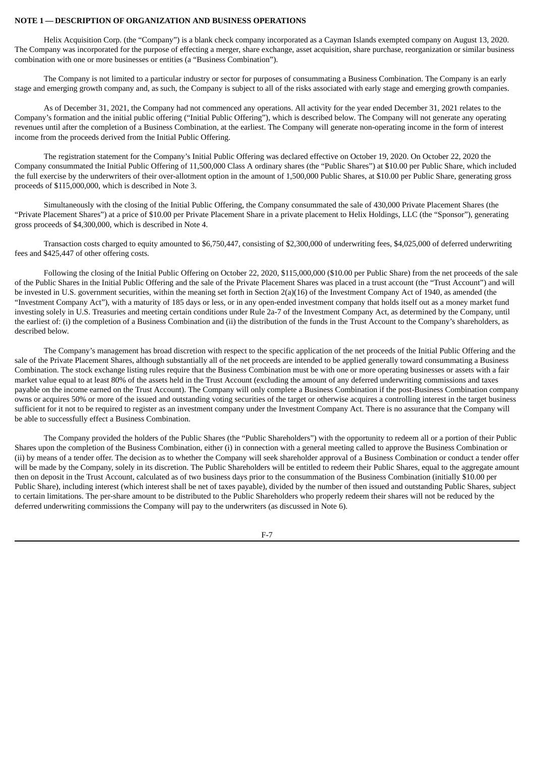## **NOTE 1 — DESCRIPTION OF ORGANIZATION AND BUSINESS OPERATIONS**

Helix Acquisition Corp. (the "Company") is a blank check company incorporated as a Cayman Islands exempted company on August 13, 2020. The Company was incorporated for the purpose of effecting a merger, share exchange, asset acquisition, share purchase, reorganization or similar business combination with one or more businesses or entities (a "Business Combination").

The Company is not limited to a particular industry or sector for purposes of consummating a Business Combination. The Company is an early stage and emerging growth company and, as such, the Company is subject to all of the risks associated with early stage and emerging growth companies.

As of December 31, 2021, the Company had not commenced any operations. All activity for the year ended December 31, 2021 relates to the Company's formation and the initial public offering ("Initial Public Offering"), which is described below. The Company will not generate any operating revenues until after the completion of a Business Combination, at the earliest. The Company will generate non-operating income in the form of interest income from the proceeds derived from the Initial Public Offering.

The registration statement for the Company's Initial Public Offering was declared effective on October 19, 2020. On October 22, 2020 the Company consummated the Initial Public Offering of 11,500,000 Class A ordinary shares (the "Public Shares") at \$10.00 per Public Share, which included the full exercise by the underwriters of their over-allotment option in the amount of 1,500,000 Public Shares, at \$10.00 per Public Share, generating gross proceeds of \$115,000,000, which is described in Note 3.

Simultaneously with the closing of the Initial Public Offering, the Company consummated the sale of 430,000 Private Placement Shares (the "Private Placement Shares") at a price of \$10.00 per Private Placement Share in a private placement to Helix Holdings, LLC (the "Sponsor"), generating gross proceeds of \$4,300,000, which is described in Note 4.

Transaction costs charged to equity amounted to \$6,750,447, consisting of \$2,300,000 of underwriting fees, \$4,025,000 of deferred underwriting fees and \$425,447 of other offering costs.

Following the closing of the Initial Public Offering on October 22, 2020, \$115,000,000 (\$10.00 per Public Share) from the net proceeds of the sale of the Public Shares in the Initial Public Offering and the sale of the Private Placement Shares was placed in a trust account (the "Trust Account") and will be invested in U.S. government securities, within the meaning set forth in Section 2(a)(16) of the Investment Company Act of 1940, as amended (the "Investment Company Act"), with a maturity of 185 days or less, or in any open-ended investment company that holds itself out as a money market fund investing solely in U.S. Treasuries and meeting certain conditions under Rule 2a-7 of the Investment Company Act, as determined by the Company, until the earliest of: (i) the completion of a Business Combination and (ii) the distribution of the funds in the Trust Account to the Company's shareholders, as described below.

The Company's management has broad discretion with respect to the specific application of the net proceeds of the Initial Public Offering and the sale of the Private Placement Shares, although substantially all of the net proceeds are intended to be applied generally toward consummating a Business Combination. The stock exchange listing rules require that the Business Combination must be with one or more operating businesses or assets with a fair market value equal to at least 80% of the assets held in the Trust Account (excluding the amount of any deferred underwriting commissions and taxes payable on the income earned on the Trust Account). The Company will only complete a Business Combination if the post-Business Combination company owns or acquires 50% or more of the issued and outstanding voting securities of the target or otherwise acquires a controlling interest in the target business sufficient for it not to be required to register as an investment company under the Investment Company Act. There is no assurance that the Company will be able to successfully effect a Business Combination.

The Company provided the holders of the Public Shares (the "Public Shareholders") with the opportunity to redeem all or a portion of their Public Shares upon the completion of the Business Combination, either (i) in connection with a general meeting called to approve the Business Combination or (ii) by means of a tender offer. The decision as to whether the Company will seek shareholder approval of a Business Combination or conduct a tender offer will be made by the Company, solely in its discretion. The Public Shareholders will be entitled to redeem their Public Shares, equal to the aggregate amount then on deposit in the Trust Account, calculated as of two business days prior to the consummation of the Business Combination (initially \$10.00 per Public Share), including interest (which interest shall be net of taxes payable), divided by the number of then issued and outstanding Public Shares, subject to certain limitations. The per-share amount to be distributed to the Public Shareholders who properly redeem their shares will not be reduced by the deferred underwriting commissions the Company will pay to the underwriters (as discussed in Note 6).

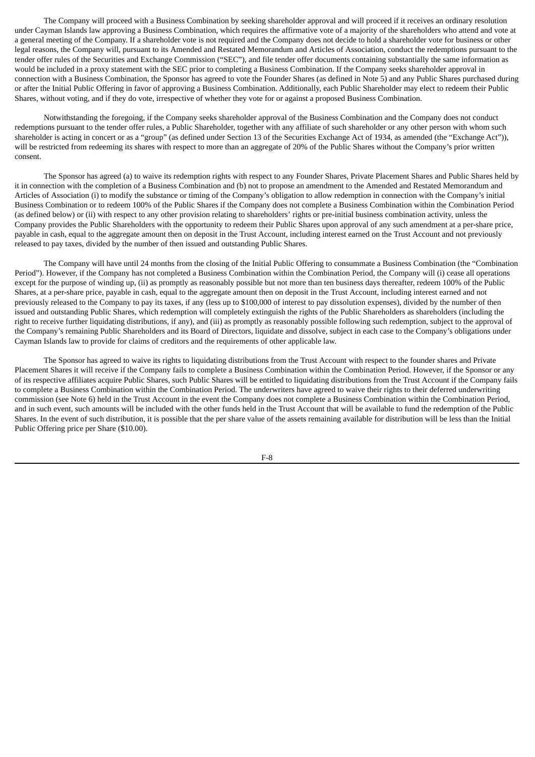The Company will proceed with a Business Combination by seeking shareholder approval and will proceed if it receives an ordinary resolution under Cayman Islands law approving a Business Combination, which requires the affirmative vote of a majority of the shareholders who attend and vote at a general meeting of the Company. If a shareholder vote is not required and the Company does not decide to hold a shareholder vote for business or other legal reasons, the Company will, pursuant to its Amended and Restated Memorandum and Articles of Association, conduct the redemptions pursuant to the tender offer rules of the Securities and Exchange Commission ("SEC"), and file tender offer documents containing substantially the same information as would be included in a proxy statement with the SEC prior to completing a Business Combination. If the Company seeks shareholder approval in connection with a Business Combination, the Sponsor has agreed to vote the Founder Shares (as defined in Note 5) and any Public Shares purchased during or after the Initial Public Offering in favor of approving a Business Combination. Additionally, each Public Shareholder may elect to redeem their Public Shares, without voting, and if they do vote, irrespective of whether they vote for or against a proposed Business Combination.

Notwithstanding the foregoing, if the Company seeks shareholder approval of the Business Combination and the Company does not conduct redemptions pursuant to the tender offer rules, a Public Shareholder, together with any affiliate of such shareholder or any other person with whom such shareholder is acting in concert or as a "group" (as defined under Section 13 of the Securities Exchange Act of 1934, as amended (the "Exchange Act")), will be restricted from redeeming its shares with respect to more than an aggregate of 20% of the Public Shares without the Company's prior written consent.

The Sponsor has agreed (a) to waive its redemption rights with respect to any Founder Shares, Private Placement Shares and Public Shares held by it in connection with the completion of a Business Combination and (b) not to propose an amendment to the Amended and Restated Memorandum and Articles of Association (i) to modify the substance or timing of the Company's obligation to allow redemption in connection with the Company's initial Business Combination or to redeem 100% of the Public Shares if the Company does not complete a Business Combination within the Combination Period (as defined below) or (ii) with respect to any other provision relating to shareholders' rights or pre-initial business combination activity, unless the Company provides the Public Shareholders with the opportunity to redeem their Public Shares upon approval of any such amendment at a per-share price, payable in cash, equal to the aggregate amount then on deposit in the Trust Account, including interest earned on the Trust Account and not previously released to pay taxes, divided by the number of then issued and outstanding Public Shares.

The Company will have until 24 months from the closing of the Initial Public Offering to consummate a Business Combination (the "Combination Period"). However, if the Company has not completed a Business Combination within the Combination Period, the Company will (i) cease all operations except for the purpose of winding up, (ii) as promptly as reasonably possible but not more than ten business days thereafter, redeem 100% of the Public Shares, at a per-share price, payable in cash, equal to the aggregate amount then on deposit in the Trust Account, including interest earned and not previously released to the Company to pay its taxes, if any (less up to \$100,000 of interest to pay dissolution expenses), divided by the number of then issued and outstanding Public Shares, which redemption will completely extinguish the rights of the Public Shareholders as shareholders (including the right to receive further liquidating distributions, if any), and (iii) as promptly as reasonably possible following such redemption, subject to the approval of the Company's remaining Public Shareholders and its Board of Directors, liquidate and dissolve, subject in each case to the Company's obligations under Cayman Islands law to provide for claims of creditors and the requirements of other applicable law.

The Sponsor has agreed to waive its rights to liquidating distributions from the Trust Account with respect to the founder shares and Private Placement Shares it will receive if the Company fails to complete a Business Combination within the Combination Period. However, if the Sponsor or any of its respective affiliates acquire Public Shares, such Public Shares will be entitled to liquidating distributions from the Trust Account if the Company fails to complete a Business Combination within the Combination Period. The underwriters have agreed to waive their rights to their deferred underwriting commission (see Note 6) held in the Trust Account in the event the Company does not complete a Business Combination within the Combination Period, and in such event, such amounts will be included with the other funds held in the Trust Account that will be available to fund the redemption of the Public Shares. In the event of such distribution, it is possible that the per share value of the assets remaining available for distribution will be less than the Initial Public Offering price per Share (\$10.00).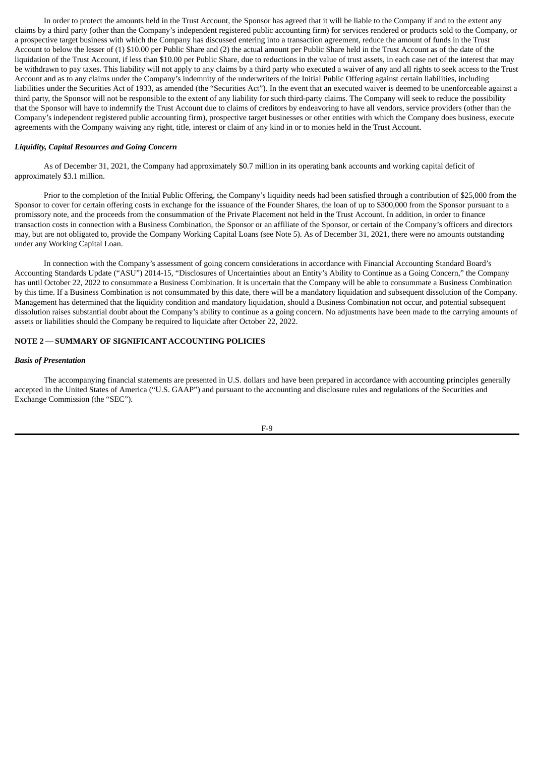In order to protect the amounts held in the Trust Account, the Sponsor has agreed that it will be liable to the Company if and to the extent any claims by a third party (other than the Company's independent registered public accounting firm) for services rendered or products sold to the Company, or a prospective target business with which the Company has discussed entering into a transaction agreement, reduce the amount of funds in the Trust Account to below the lesser of (1) \$10.00 per Public Share and (2) the actual amount per Public Share held in the Trust Account as of the date of the liquidation of the Trust Account, if less than \$10.00 per Public Share, due to reductions in the value of trust assets, in each case net of the interest that may be withdrawn to pay taxes. This liability will not apply to any claims by a third party who executed a waiver of any and all rights to seek access to the Trust Account and as to any claims under the Company's indemnity of the underwriters of the Initial Public Offering against certain liabilities, including liabilities under the Securities Act of 1933, as amended (the "Securities Act"). In the event that an executed waiver is deemed to be unenforceable against a third party, the Sponsor will not be responsible to the extent of any liability for such third-party claims. The Company will seek to reduce the possibility that the Sponsor will have to indemnify the Trust Account due to claims of creditors by endeavoring to have all vendors, service providers (other than the Company's independent registered public accounting firm), prospective target businesses or other entities with which the Company does business, execute agreements with the Company waiving any right, title, interest or claim of any kind in or to monies held in the Trust Account.

## *Liquidity, Capital Resources and Going Concern*

As of December 31, 2021, the Company had approximately \$0.7 million in its operating bank accounts and working capital deficit of approximately \$3.1 million.

Prior to the completion of the Initial Public Offering, the Company's liquidity needs had been satisfied through a contribution of \$25,000 from the Sponsor to cover for certain offering costs in exchange for the issuance of the Founder Shares, the loan of up to \$300,000 from the Sponsor pursuant to a promissory note, and the proceeds from the consummation of the Private Placement not held in the Trust Account. In addition, in order to finance transaction costs in connection with a Business Combination, the Sponsor or an affiliate of the Sponsor, or certain of the Company's officers and directors may, but are not obligated to, provide the Company Working Capital Loans (see Note 5). As of December 31, 2021, there were no amounts outstanding under any Working Capital Loan.

In connection with the Company's assessment of going concern considerations in accordance with Financial Accounting Standard Board's Accounting Standards Update ("ASU") 2014-15, "Disclosures of Uncertainties about an Entity's Ability to Continue as a Going Concern," the Company has until October 22, 2022 to consummate a Business Combination. It is uncertain that the Company will be able to consummate a Business Combination by this time. If a Business Combination is not consummated by this date, there will be a mandatory liquidation and subsequent dissolution of the Company. Management has determined that the liquidity condition and mandatory liquidation, should a Business Combination not occur, and potential subsequent dissolution raises substantial doubt about the Company's ability to continue as a going concern. No adjustments have been made to the carrying amounts of assets or liabilities should the Company be required to liquidate after October 22, 2022.

# **NOTE 2 — SUMMARY OF SIGNIFICANT ACCOUNTING POLICIES**

### *Basis of Presentation*

The accompanying financial statements are presented in U.S. dollars and have been prepared in accordance with accounting principles generally accepted in the United States of America ("U.S. GAAP") and pursuant to the accounting and disclosure rules and regulations of the Securities and Exchange Commission (the "SEC").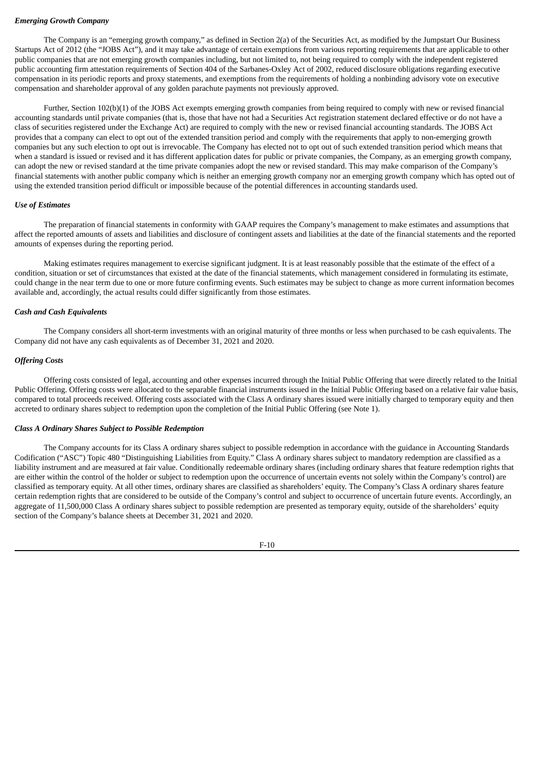## *Emerging Growth Company*

The Company is an "emerging growth company," as defined in Section 2(a) of the Securities Act, as modified by the Jumpstart Our Business Startups Act of 2012 (the "JOBS Act"), and it may take advantage of certain exemptions from various reporting requirements that are applicable to other public companies that are not emerging growth companies including, but not limited to, not being required to comply with the independent registered public accounting firm attestation requirements of Section 404 of the Sarbanes-Oxley Act of 2002, reduced disclosure obligations regarding executive compensation in its periodic reports and proxy statements, and exemptions from the requirements of holding a nonbinding advisory vote on executive compensation and shareholder approval of any golden parachute payments not previously approved.

Further, Section 102(b)(1) of the JOBS Act exempts emerging growth companies from being required to comply with new or revised financial accounting standards until private companies (that is, those that have not had a Securities Act registration statement declared effective or do not have a class of securities registered under the Exchange Act) are required to comply with the new or revised financial accounting standards. The JOBS Act provides that a company can elect to opt out of the extended transition period and comply with the requirements that apply to non-emerging growth companies but any such election to opt out is irrevocable. The Company has elected not to opt out of such extended transition period which means that when a standard is issued or revised and it has different application dates for public or private companies, the Company, as an emerging growth company, can adopt the new or revised standard at the time private companies adopt the new or revised standard. This may make comparison of the Company's financial statements with another public company which is neither an emerging growth company nor an emerging growth company which has opted out of using the extended transition period difficult or impossible because of the potential differences in accounting standards used.

### *Use of Estimates*

The preparation of financial statements in conformity with GAAP requires the Company's management to make estimates and assumptions that affect the reported amounts of assets and liabilities and disclosure of contingent assets and liabilities at the date of the financial statements and the reported amounts of expenses during the reporting period.

Making estimates requires management to exercise significant judgment. It is at least reasonably possible that the estimate of the effect of a condition, situation or set of circumstances that existed at the date of the financial statements, which management considered in formulating its estimate, could change in the near term due to one or more future confirming events. Such estimates may be subject to change as more current information becomes available and, accordingly, the actual results could differ significantly from those estimates.

### *Cash and Cash Equivalents*

The Company considers all short-term investments with an original maturity of three months or less when purchased to be cash equivalents. The Company did not have any cash equivalents as of December 31, 2021 and 2020.

## *Offering Costs*

Offering costs consisted of legal, accounting and other expenses incurred through the Initial Public Offering that were directly related to the Initial Public Offering. Offering costs were allocated to the separable financial instruments issued in the Initial Public Offering based on a relative fair value basis, compared to total proceeds received. Offering costs associated with the Class A ordinary shares issued were initially charged to temporary equity and then accreted to ordinary shares subject to redemption upon the completion of the Initial Public Offering (see Note 1).

# *Class A Ordinary Shares Subject to Possible Redemption*

The Company accounts for its Class A ordinary shares subject to possible redemption in accordance with the guidance in Accounting Standards Codification ("ASC") Topic 480 "Distinguishing Liabilities from Equity." Class A ordinary shares subject to mandatory redemption are classified as a liability instrument and are measured at fair value. Conditionally redeemable ordinary shares (including ordinary shares that feature redemption rights that are either within the control of the holder or subject to redemption upon the occurrence of uncertain events not solely within the Company's control) are classified as temporary equity. At all other times, ordinary shares are classified as shareholders' equity. The Company's Class A ordinary shares feature certain redemption rights that are considered to be outside of the Company's control and subject to occurrence of uncertain future events. Accordingly, an aggregate of 11,500,000 Class A ordinary shares subject to possible redemption are presented as temporary equity, outside of the shareholders' equity section of the Company's balance sheets at December 31, 2021 and 2020.

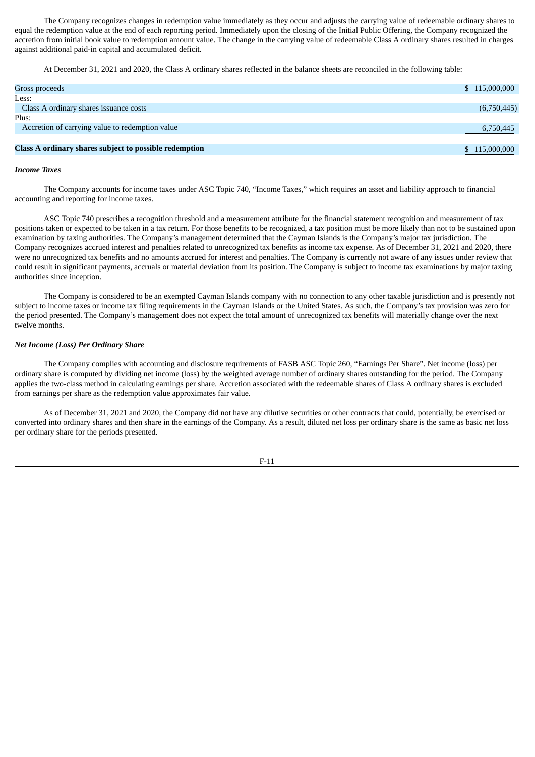The Company recognizes changes in redemption value immediately as they occur and adjusts the carrying value of redeemable ordinary shares to equal the redemption value at the end of each reporting period. Immediately upon the closing of the Initial Public Offering, the Company recognized the accretion from initial book value to redemption amount value. The change in the carrying value of redeemable Class A ordinary shares resulted in charges against additional paid-in capital and accumulated deficit.

At December 31, 2021 and 2020, the Class A ordinary shares reflected in the balance sheets are reconciled in the following table:

| Gross proceeds                                         | \$115,000,000 |
|--------------------------------------------------------|---------------|
| Less:                                                  |               |
| Class A ordinary shares issuance costs                 | (6,750,445)   |
| Plus:                                                  |               |
| Accretion of carrying value to redemption value        | 6,750,445     |
|                                                        |               |
| Class A ordinary shares subject to possible redemption | \$115,000,000 |
|                                                        |               |

#### *Income Taxes*

The Company accounts for income taxes under ASC Topic 740, "Income Taxes," which requires an asset and liability approach to financial accounting and reporting for income taxes.

ASC Topic 740 prescribes a recognition threshold and a measurement attribute for the financial statement recognition and measurement of tax positions taken or expected to be taken in a tax return. For those benefits to be recognized, a tax position must be more likely than not to be sustained upon examination by taxing authorities. The Company's management determined that the Cayman Islands is the Company's major tax jurisdiction. The Company recognizes accrued interest and penalties related to unrecognized tax benefits as income tax expense. As of December 31, 2021 and 2020, there were no unrecognized tax benefits and no amounts accrued for interest and penalties. The Company is currently not aware of any issues under review that could result in significant payments, accruals or material deviation from its position. The Company is subject to income tax examinations by major taxing authorities since inception.

The Company is considered to be an exempted Cayman Islands company with no connection to any other taxable jurisdiction and is presently not subject to income taxes or income tax filing requirements in the Cayman Islands or the United States. As such, the Company's tax provision was zero for the period presented. The Company's management does not expect the total amount of unrecognized tax benefits will materially change over the next twelve months.

#### *Net Income (Loss) Per Ordinary Share*

The Company complies with accounting and disclosure requirements of FASB ASC Topic 260, "Earnings Per Share". Net income (loss) per ordinary share is computed by dividing net income (loss) by the weighted average number of ordinary shares outstanding for the period. The Company applies the two-class method in calculating earnings per share. Accretion associated with the redeemable shares of Class A ordinary shares is excluded from earnings per share as the redemption value approximates fair value.

As of December 31, 2021 and 2020, the Company did not have any dilutive securities or other contracts that could, potentially, be exercised or converted into ordinary shares and then share in the earnings of the Company. As a result, diluted net loss per ordinary share is the same as basic net loss per ordinary share for the periods presented.

$$
F-11
$$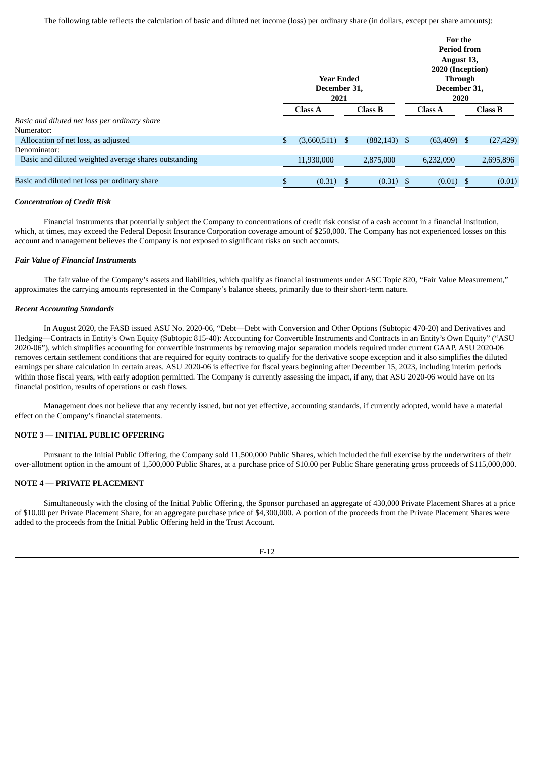The following table reflects the calculation of basic and diluted net income (loss) per ordinary share (in dollars, except per share amounts):

|                                                       | <b>Year Ended</b><br>December 31,<br>2021 |                | For the<br><b>Period from</b><br>August 13,<br>2020 (Inception)<br>Through<br>December 31,<br>2020 |                |  |                |
|-------------------------------------------------------|-------------------------------------------|----------------|----------------------------------------------------------------------------------------------------|----------------|--|----------------|
|                                                       |                                           | <b>Class A</b> | Class B                                                                                            | <b>Class A</b> |  | <b>Class B</b> |
| Basic and diluted net loss per ordinary share         |                                           |                |                                                                                                    |                |  |                |
| Numerator:                                            |                                           |                |                                                                                                    |                |  |                |
| Allocation of net loss, as adjusted                   | \$                                        | (3,660,511)    | \$<br>$(882, 143)$ \$                                                                              | $(63,409)$ \$  |  | (27, 429)      |
| Denominator:                                          |                                           |                |                                                                                                    |                |  |                |
| Basic and diluted weighted average shares outstanding |                                           | 11,930,000     | 2,875,000                                                                                          | 6,232,090      |  | 2,695,896      |
|                                                       |                                           |                |                                                                                                    |                |  |                |
| Basic and diluted net loss per ordinary share         | \$                                        | (0.31)         | \$<br>$(0.31)$ \$                                                                                  | $(0.01)$ \$    |  | (0.01)         |

## *Concentration of Credit Risk*

Financial instruments that potentially subject the Company to concentrations of credit risk consist of a cash account in a financial institution, which, at times, may exceed the Federal Deposit Insurance Corporation coverage amount of \$250,000. The Company has not experienced losses on this account and management believes the Company is not exposed to significant risks on such accounts.

## *Fair Value of Financial Instruments*

The fair value of the Company's assets and liabilities, which qualify as financial instruments under ASC Topic 820, "Fair Value Measurement," approximates the carrying amounts represented in the Company's balance sheets, primarily due to their short-term nature.

## *Recent Accounting Standards*

In August 2020, the FASB issued ASU No. 2020-06, "Debt—Debt with Conversion and Other Options (Subtopic 470-20) and Derivatives and Hedging—Contracts in Entity's Own Equity (Subtopic 815-40): Accounting for Convertible Instruments and Contracts in an Entity's Own Equity" ("ASU 2020-06"), which simplifies accounting for convertible instruments by removing major separation models required under current GAAP. ASU 2020-06 removes certain settlement conditions that are required for equity contracts to qualify for the derivative scope exception and it also simplifies the diluted earnings per share calculation in certain areas. ASU 2020-06 is effective for fiscal years beginning after December 15, 2023, including interim periods within those fiscal years, with early adoption permitted. The Company is currently assessing the impact, if any, that ASU 2020-06 would have on its financial position, results of operations or cash flows.

Management does not believe that any recently issued, but not yet effective, accounting standards, if currently adopted, would have a material effect on the Company's financial statements.

### **NOTE 3 — INITIAL PUBLIC OFFERING**

Pursuant to the Initial Public Offering, the Company sold 11,500,000 Public Shares, which included the full exercise by the underwriters of their over-allotment option in the amount of 1,500,000 Public Shares, at a purchase price of \$10.00 per Public Share generating gross proceeds of \$115,000,000.

# **NOTE 4 — PRIVATE PLACEMENT**

Simultaneously with the closing of the Initial Public Offering, the Sponsor purchased an aggregate of 430,000 Private Placement Shares at a price of \$10.00 per Private Placement Share, for an aggregate purchase price of \$4,300,000. A portion of the proceeds from the Private Placement Shares were added to the proceeds from the Initial Public Offering held in the Trust Account.

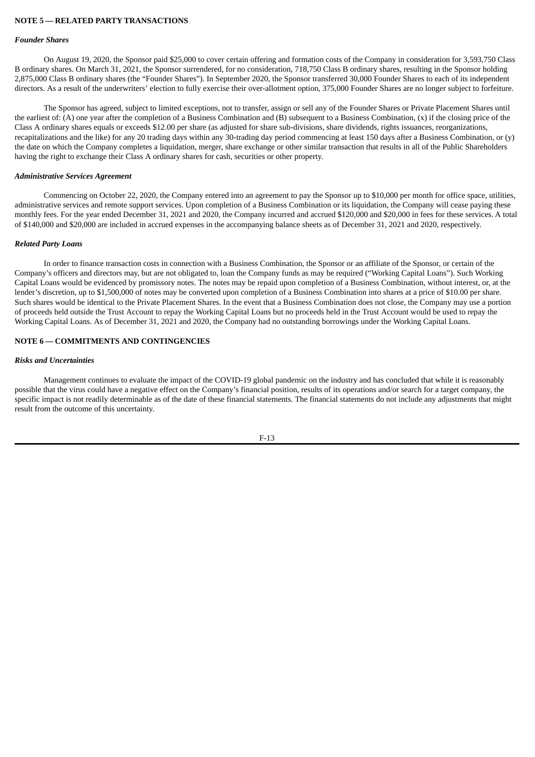### **NOTE 5 — RELATED PARTY TRANSACTIONS**

#### *Founder Shares*

On August 19, 2020, the Sponsor paid \$25,000 to cover certain offering and formation costs of the Company in consideration for 3,593,750 Class B ordinary shares. On March 31, 2021, the Sponsor surrendered, for no consideration, 718,750 Class B ordinary shares, resulting in the Sponsor holding 2,875,000 Class B ordinary shares (the "Founder Shares"). In September 2020, the Sponsor transferred 30,000 Founder Shares to each of its independent directors. As a result of the underwriters' election to fully exercise their over-allotment option, 375,000 Founder Shares are no longer subject to forfeiture.

The Sponsor has agreed, subject to limited exceptions, not to transfer, assign or sell any of the Founder Shares or Private Placement Shares until the earliest of: (A) one year after the completion of a Business Combination and (B) subsequent to a Business Combination, (x) if the closing price of the Class A ordinary shares equals or exceeds \$12.00 per share (as adjusted for share sub-divisions, share dividends, rights issuances, reorganizations, recapitalizations and the like) for any 20 trading days within any 30-trading day period commencing at least 150 days after a Business Combination, or (y) the date on which the Company completes a liquidation, merger, share exchange or other similar transaction that results in all of the Public Shareholders having the right to exchange their Class A ordinary shares for cash, securities or other property.

#### *Administrative Services Agreement*

Commencing on October 22, 2020, the Company entered into an agreement to pay the Sponsor up to \$10,000 per month for office space, utilities, administrative services and remote support services. Upon completion of a Business Combination or its liquidation, the Company will cease paying these monthly fees. For the year ended December 31, 2021 and 2020, the Company incurred and accrued \$120,000 and \$20,000 in fees for these services. A total of \$140,000 and \$20,000 are included in accrued expenses in the accompanying balance sheets as of December 31, 2021 and 2020, respectively.

#### *Related Party Loans*

In order to finance transaction costs in connection with a Business Combination, the Sponsor or an affiliate of the Sponsor, or certain of the Company's officers and directors may, but are not obligated to, loan the Company funds as may be required ("Working Capital Loans"). Such Working Capital Loans would be evidenced by promissory notes. The notes may be repaid upon completion of a Business Combination, without interest, or, at the lender's discretion, up to \$1,500,000 of notes may be converted upon completion of a Business Combination into shares at a price of \$10.00 per share. Such shares would be identical to the Private Placement Shares. In the event that a Business Combination does not close, the Company may use a portion of proceeds held outside the Trust Account to repay the Working Capital Loans but no proceeds held in the Trust Account would be used to repay the Working Capital Loans. As of December 31, 2021 and 2020, the Company had no outstanding borrowings under the Working Capital Loans.

# **NOTE 6 — COMMITMENTS AND CONTINGENCIES**

### *Risks and Uncertainties*

Management continues to evaluate the impact of the COVID-19 global pandemic on the industry and has concluded that while it is reasonably possible that the virus could have a negative effect on the Company's financial position, results of its operations and/or search for a target company, the specific impact is not readily determinable as of the date of these financial statements. The financial statements do not include any adjustments that might result from the outcome of this uncertainty.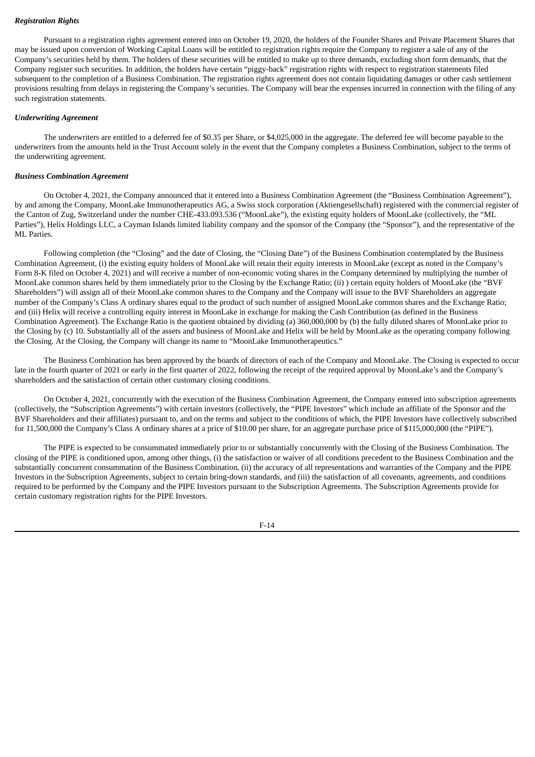# *Registration Rights*

Pursuant to a registration rights agreement entered into on October 19, 2020, the holders of the Founder Shares and Private Placement Shares that may be issued upon conversion of Working Capital Loans will be entitled to registration rights require the Company to register a sale of any of the Company's securities held by them. The holders of these securities will be entitled to make up to three demands, excluding short form demands, that the Company register such securities. In addition, the holders have certain "piggy-back" registration rights with respect to registration statements filed subsequent to the completion of a Business Combination. The registration rights agreement does not contain liquidating damages or other cash settlement provisions resulting from delays in registering the Company's securities. The Company will bear the expenses incurred in connection with the filing of any such registration statements.

## *Underwriting Agreement*

The underwriters are entitled to a deferred fee of \$0.35 per Share, or \$4,025,000 in the aggregate. The deferred fee will become payable to the underwriters from the amounts held in the Trust Account solely in the event that the Company completes a Business Combination, subject to the terms of the underwriting agreement.

### *Business Combination Agreement*

On October 4, 2021, the Company announced that it entered into a Business Combination Agreement (the "Business Combination Agreement"), by and among the Company, MoonLake Immunotherapeutics AG, a Swiss stock corporation (Aktiengesellschaft) registered with the commercial register of the Canton of Zug, Switzerland under the number CHE-433.093.536 ("MoonLake"), the existing equity holders of MoonLake (collectively, the "ML Parties"), Helix Holdings LLC, a Cayman Islands limited liability company and the sponsor of the Company (the "Sponsor"), and the representative of the ML Parties.

Following completion (the "Closing" and the date of Closing, the "Closing Date") of the Business Combination contemplated by the Business Combination Agreement, (i) the existing equity holders of MoonLake will retain their equity interests in MoonLake (except as noted in the Company's Form 8-K filed on October 4, 2021) and will receive a number of non-economic voting shares in the Company determined by multiplying the number of MoonLake common shares held by them immediately prior to the Closing by the Exchange Ratio; (ii) ) certain equity holders of MoonLake (the "BVF Shareholders") will assign all of their MoonLake common shares to the Company and the Company will issue to the BVF Shareholders an aggregate number of the Company's Class A ordinary shares equal to the product of such number of assigned MoonLake common shares and the Exchange Ratio; and (iii) Helix will receive a controlling equity interest in MoonLake in exchange for making the Cash Contribution (as defined in the Business Combination Agreement). The Exchange Ratio is the quotient obtained by dividing (a) 360,000,000 by (b) the fully diluted shares of MoonLake prior to the Closing by (c) 10. Substantially all of the assets and business of MoonLake and Helix will be held by MoonLake as the operating company following the Closing. At the Closing, the Company will change its name to "MoonLake Immunotherapeutics."

The Business Combination has been approved by the boards of directors of each of the Company and MoonLake. The Closing is expected to occur late in the fourth quarter of 2021 or early in the first quarter of 2022, following the receipt of the required approval by MoonLake's and the Company's shareholders and the satisfaction of certain other customary closing conditions.

On October 4, 2021, concurrently with the execution of the Business Combination Agreement, the Company entered into subscription agreements (collectively, the "Subscription Agreements") with certain investors (collectively, the "PIPE Investors" which include an affiliate of the Sponsor and the BVF Shareholders and their affiliates) pursuant to, and on the terms and subject to the conditions of which, the PIPE Investors have collectively subscribed for 11,500,000 the Company's Class A ordinary shares at a price of \$10.00 per share, for an aggregate purchase price of \$115,000,000 (the "PIPE").

The PIPE is expected to be consummated immediately prior to or substantially concurrently with the Closing of the Business Combination. The closing of the PIPE is conditioned upon, among other things, (i) the satisfaction or waiver of all conditions precedent to the Business Combination and the substantially concurrent consummation of the Business Combination, (ii) the accuracy of all representations and warranties of the Company and the PIPE Investors in the Subscription Agreements, subject to certain bring-down standards, and (iii) the satisfaction of all covenants, agreements, and conditions required to be performed by the Company and the PIPE Investors pursuant to the Subscription Agreements. The Subscription Agreements provide for certain customary registration rights for the PIPE Investors.

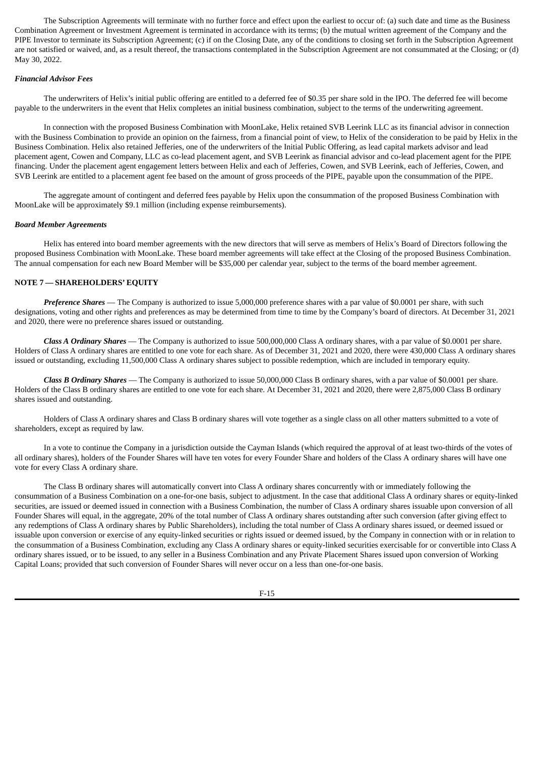The Subscription Agreements will terminate with no further force and effect upon the earliest to occur of: (a) such date and time as the Business Combination Agreement or Investment Agreement is terminated in accordance with its terms; (b) the mutual written agreement of the Company and the PIPE Investor to terminate its Subscription Agreement; (c) if on the Closing Date, any of the conditions to closing set forth in the Subscription Agreement are not satisfied or waived, and, as a result thereof, the transactions contemplated in the Subscription Agreement are not consummated at the Closing; or (d) May 30, 2022.

### *Financial Advisor Fees*

The underwriters of Helix's initial public offering are entitled to a deferred fee of \$0.35 per share sold in the IPO. The deferred fee will become payable to the underwriters in the event that Helix completes an initial business combination, subject to the terms of the underwriting agreement.

In connection with the proposed Business Combination with MoonLake, Helix retained SVB Leerink LLC as its financial advisor in connection with the Business Combination to provide an opinion on the fairness, from a financial point of view, to Helix of the consideration to be paid by Helix in the Business Combination. Helix also retained Jefferies, one of the underwriters of the Initial Public Offering, as lead capital markets advisor and lead placement agent, Cowen and Company, LLC as co-lead placement agent, and SVB Leerink as financial advisor and co-lead placement agent for the PIPE financing. Under the placement agent engagement letters between Helix and each of Jefferies, Cowen, and SVB Leerink, each of Jefferies, Cowen, and SVB Leerink are entitled to a placement agent fee based on the amount of gross proceeds of the PIPE, payable upon the consummation of the PIPE.

The aggregate amount of contingent and deferred fees payable by Helix upon the consummation of the proposed Business Combination with MoonLake will be approximately \$9.1 million (including expense reimbursements).

### *Board Member Agreements*

Helix has entered into board member agreements with the new directors that will serve as members of Helix's Board of Directors following the proposed Business Combination with MoonLake. These board member agreements will take effect at the Closing of the proposed Business Combination. The annual compensation for each new Board Member will be \$35,000 per calendar year, subject to the terms of the board member agreement.

## **NOTE 7 — SHAREHOLDERS' EQUITY**

*Preference Shares* — The Company is authorized to issue 5,000,000 preference shares with a par value of \$0.0001 per share, with such designations, voting and other rights and preferences as may be determined from time to time by the Company's board of directors. At December 31, 2021 and 2020, there were no preference shares issued or outstanding.

*Class A Ordinary Shares* — The Company is authorized to issue 500,000,000 Class A ordinary shares, with a par value of \$0.0001 per share. Holders of Class A ordinary shares are entitled to one vote for each share. As of December 31, 2021 and 2020, there were 430,000 Class A ordinary shares issued or outstanding, excluding 11,500,000 Class A ordinary shares subject to possible redemption, which are included in temporary equity.

*Class B Ordinary Shares* — The Company is authorized to issue 50,000,000 Class B ordinary shares, with a par value of \$0.0001 per share. Holders of the Class B ordinary shares are entitled to one vote for each share. At December 31, 2021 and 2020, there were 2,875,000 Class B ordinary shares issued and outstanding.

Holders of Class A ordinary shares and Class B ordinary shares will vote together as a single class on all other matters submitted to a vote of shareholders, except as required by law.

In a vote to continue the Company in a jurisdiction outside the Cayman Islands (which required the approval of at least two-thirds of the votes of all ordinary shares), holders of the Founder Shares will have ten votes for every Founder Share and holders of the Class A ordinary shares will have one vote for every Class A ordinary share.

The Class B ordinary shares will automatically convert into Class A ordinary shares concurrently with or immediately following the consummation of a Business Combination on a one-for-one basis, subject to adjustment. In the case that additional Class A ordinary shares or equity-linked securities, are issued or deemed issued in connection with a Business Combination, the number of Class A ordinary shares issuable upon conversion of all Founder Shares will equal, in the aggregate, 20% of the total number of Class A ordinary shares outstanding after such conversion (after giving effect to any redemptions of Class A ordinary shares by Public Shareholders), including the total number of Class A ordinary shares issued, or deemed issued or issuable upon conversion or exercise of any equity-linked securities or rights issued or deemed issued, by the Company in connection with or in relation to the consummation of a Business Combination, excluding any Class A ordinary shares or equity-linked securities exercisable for or convertible into Class A ordinary shares issued, or to be issued, to any seller in a Business Combination and any Private Placement Shares issued upon conversion of Working Capital Loans; provided that such conversion of Founder Shares will never occur on a less than one-for-one basis.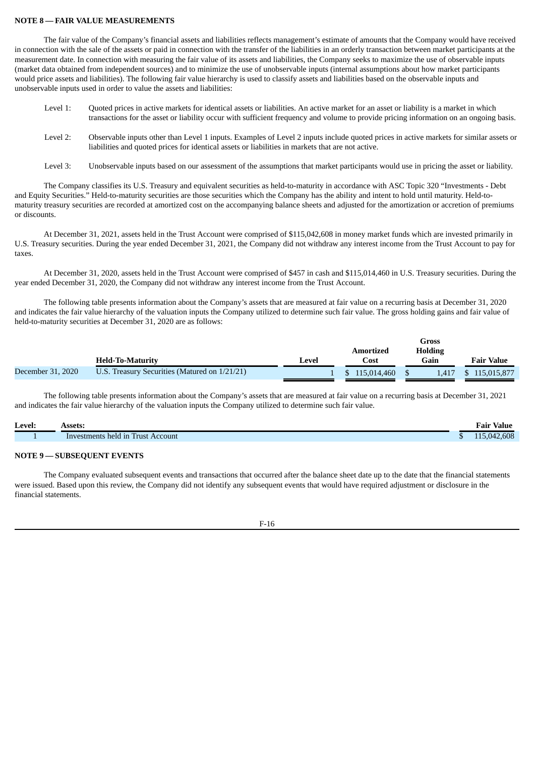## **NOTE 8 — FAIR VALUE MEASUREMENTS**

The fair value of the Company's financial assets and liabilities reflects management's estimate of amounts that the Company would have received in connection with the sale of the assets or paid in connection with the transfer of the liabilities in an orderly transaction between market participants at the measurement date. In connection with measuring the fair value of its assets and liabilities, the Company seeks to maximize the use of observable inputs (market data obtained from independent sources) and to minimize the use of unobservable inputs (internal assumptions about how market participants would price assets and liabilities). The following fair value hierarchy is used to classify assets and liabilities based on the observable inputs and unobservable inputs used in order to value the assets and liabilities:

- Level 1: Quoted prices in active markets for identical assets or liabilities. An active market for an asset or liability is a market in which transactions for the asset or liability occur with sufficient frequency and volume to provide pricing information on an ongoing basis.
- Level 2: Observable inputs other than Level 1 inputs. Examples of Level 2 inputs include quoted prices in active markets for similar assets or liabilities and quoted prices for identical assets or liabilities in markets that are not active.
- Level 3: Unobservable inputs based on our assessment of the assumptions that market participants would use in pricing the asset or liability.

The Company classifies its U.S. Treasury and equivalent securities as held-to-maturity in accordance with ASC Topic 320 "Investments - Debt and Equity Securities." Held-to-maturity securities are those securities which the Company has the ability and intent to hold until maturity. Held-tomaturity treasury securities are recorded at amortized cost on the accompanying balance sheets and adjusted for the amortization or accretion of premiums or discounts.

At December 31, 2021, assets held in the Trust Account were comprised of \$115,042,608 in money market funds which are invested primarily in U.S. Treasury securities. During the year ended December 31, 2021, the Company did not withdraw any interest income from the Trust Account to pay for taxes.

At December 31, 2020, assets held in the Trust Account were comprised of \$457 in cash and \$115,014,460 in U.S. Treasury securities. During the year ended December 31, 2020, the Company did not withdraw any interest income from the Trust Account.

The following table presents information about the Company's assets that are measured at fair value on a recurring basis at December 31, 2020 and indicates the fair value hierarchy of the valuation inputs the Company utilized to determine such fair value. The gross holding gains and fair value of held-to-maturity securities at December 31, 2020 are as follows:

|                   |                                               |       | Gross       |                |                   |
|-------------------|-----------------------------------------------|-------|-------------|----------------|-------------------|
|                   |                                               |       | Amortized   | <b>Holding</b> |                   |
|                   | <b>Held-To-Maturity</b>                       | Level | Cost        | Gain           | <b>Fair Value</b> |
| December 31, 2020 | U.S. Treasury Securities (Matured on 1/21/21) |       | 115.014.460 | 1.417          | 115,015,877       |

The following table presents information about the Company's assets that are measured at fair value on a recurring basis at December 31, 2021 and indicates the fair value hierarchy of the valuation inputs the Company utilized to determine such fair value.

| Level: | <b>Assets:</b>                |   | Fair<br>value         |
|--------|-------------------------------|---|-----------------------|
|        | This held in Trust<br>Account | w | 2.608<br>$\mathbf{U}$ |

## **NOTE 9 — SUBSEQUENT EVENTS**

The Company evaluated subsequent events and transactions that occurred after the balance sheet date up to the date that the financial statements were issued. Based upon this review, the Company did not identify any subsequent events that would have required adjustment or disclosure in the financial statements.

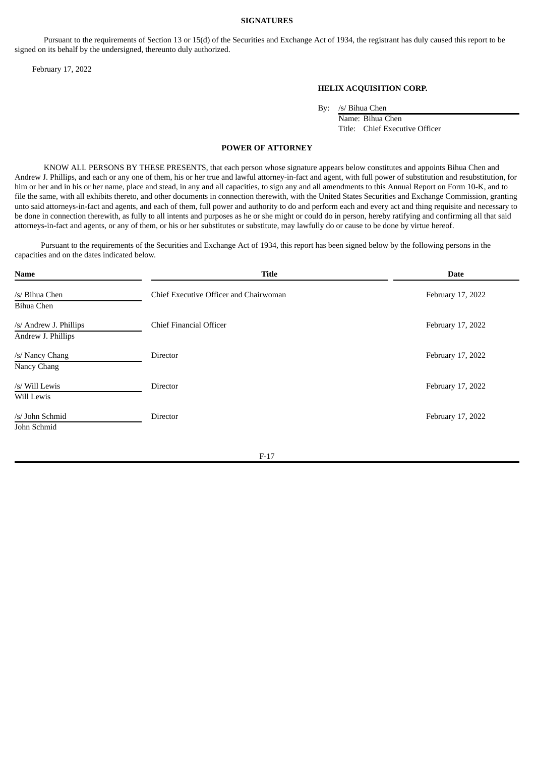#### **SIGNATURES**

Pursuant to the requirements of Section 13 or 15(d) of the Securities and Exchange Act of 1934, the registrant has duly caused this report to be signed on its behalf by the undersigned, thereunto duly authorized.

February 17, 2022

## **HELIX ACQUISITION CORP.**

By: /s/ Bihua Chen

Name: Bihua Chen Title: Chief Executive Officer

### **POWER OF ATTORNEY**

KNOW ALL PERSONS BY THESE PRESENTS, that each person whose signature appears below constitutes and appoints Bihua Chen and Andrew J. Phillips, and each or any one of them, his or her true and lawful attorney-in-fact and agent, with full power of substitution and resubstitution, for him or her and in his or her name, place and stead, in any and all capacities, to sign any and all amendments to this Annual Report on Form 10-K, and to file the same, with all exhibits thereto, and other documents in connection therewith, with the United States Securities and Exchange Commission, granting unto said attorneys-in-fact and agents, and each of them, full power and authority to do and perform each and every act and thing requisite and necessary to be done in connection therewith, as fully to all intents and purposes as he or she might or could do in person, hereby ratifying and confirming all that said attorneys-in-fact and agents, or any of them, or his or her substitutes or substitute, may lawfully do or cause to be done by virtue hereof.

Pursuant to the requirements of the Securities and Exchange Act of 1934, this report has been signed below by the following persons in the capacities and on the dates indicated below.

| <b>Name</b>                                  | <b>Title</b>                           | <b>Date</b>       |
|----------------------------------------------|----------------------------------------|-------------------|
| /s/ Bihua Chen<br>Bihua Chen                 | Chief Executive Officer and Chairwoman | February 17, 2022 |
| /s/ Andrew J. Phillips<br>Andrew J. Phillips | Chief Financial Officer                | February 17, 2022 |
| /s/ Nancy Chang<br>Nancy Chang               | <b>Director</b>                        | February 17, 2022 |
| /s/ Will Lewis<br>Will Lewis                 | Director                               | February 17, 2022 |
| /s/ John Schmid<br>John Schmid               | <b>Director</b>                        | February 17, 2022 |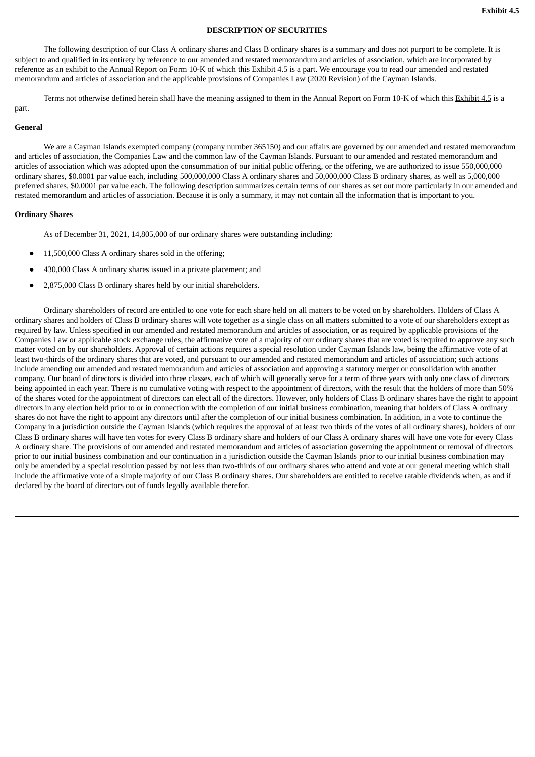# **DESCRIPTION OF SECURITIES**

The following description of our Class A ordinary shares and Class B ordinary shares is a summary and does not purport to be complete. It is subject to and qualified in its entirety by reference to our amended and restated memorandum and articles of association, which are incorporated by reference as an exhibit to the Annual Report on Form 10-K of which this Exhibit 4.5 is a part. We encourage you to read our amended and restated memorandum and articles of association and the applicable provisions of Companies Law (2020 Revision) of the Cayman Islands.

Terms not otherwise defined herein shall have the meaning assigned to them in the Annual Report on Form 10-K of which this Exhibit 4.5 is a

# part.

# **General**

We are a Cayman Islands exempted company (company number 365150) and our affairs are governed by our amended and restated memorandum and articles of association, the Companies Law and the common law of the Cayman Islands. Pursuant to our amended and restated memorandum and articles of association which was adopted upon the consummation of our initial public offering, or the offering, we are authorized to issue 550,000,000 ordinary shares, \$0.0001 par value each, including 500,000,000 Class A ordinary shares and 50,000,000 Class B ordinary shares, as well as 5,000,000 preferred shares, \$0.0001 par value each. The following description summarizes certain terms of our shares as set out more particularly in our amended and restated memorandum and articles of association. Because it is only a summary, it may not contain all the information that is important to you.

## **Ordinary Shares**

As of December 31, 2021, 14,805,000 of our ordinary shares were outstanding including:

- 11,500,000 Class A ordinary shares sold in the offering:
- 430,000 Class A ordinary shares issued in a private placement; and
- 2,875,000 Class B ordinary shares held by our initial shareholders.

Ordinary shareholders of record are entitled to one vote for each share held on all matters to be voted on by shareholders. Holders of Class A ordinary shares and holders of Class B ordinary shares will vote together as a single class on all matters submitted to a vote of our shareholders except as required by law. Unless specified in our amended and restated memorandum and articles of association, or as required by applicable provisions of the Companies Law or applicable stock exchange rules, the affirmative vote of a majority of our ordinary shares that are voted is required to approve any such matter voted on by our shareholders. Approval of certain actions requires a special resolution under Cayman Islands law, being the affirmative vote of at least two-thirds of the ordinary shares that are voted, and pursuant to our amended and restated memorandum and articles of association; such actions include amending our amended and restated memorandum and articles of association and approving a statutory merger or consolidation with another company. Our board of directors is divided into three classes, each of which will generally serve for a term of three years with only one class of directors being appointed in each year. There is no cumulative voting with respect to the appointment of directors, with the result that the holders of more than 50% of the shares voted for the appointment of directors can elect all of the directors. However, only holders of Class B ordinary shares have the right to appoint directors in any election held prior to or in connection with the completion of our initial business combination, meaning that holders of Class A ordinary shares do not have the right to appoint any directors until after the completion of our initial business combination. In addition, in a vote to continue the Company in a jurisdiction outside the Cayman Islands (which requires the approval of at least two thirds of the votes of all ordinary shares), holders of our Class B ordinary shares will have ten votes for every Class B ordinary share and holders of our Class A ordinary shares will have one vote for every Class A ordinary share. The provisions of our amended and restated memorandum and articles of association governing the appointment or removal of directors prior to our initial business combination and our continuation in a jurisdiction outside the Cayman Islands prior to our initial business combination may only be amended by a special resolution passed by not less than two-thirds of our ordinary shares who attend and vote at our general meeting which shall include the affirmative vote of a simple majority of our Class B ordinary shares. Our shareholders are entitled to receive ratable dividends when, as and if declared by the board of directors out of funds legally available therefor.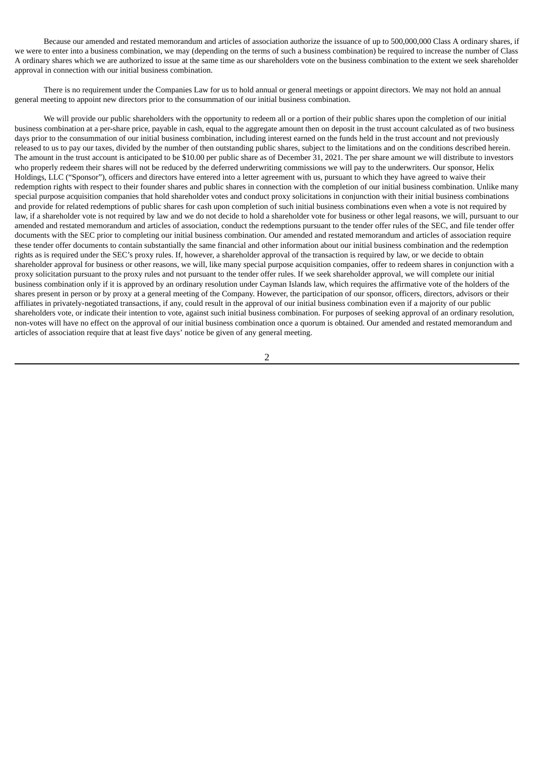Because our amended and restated memorandum and articles of association authorize the issuance of up to 500,000,000 Class A ordinary shares, if we were to enter into a business combination, we may (depending on the terms of such a business combination) be required to increase the number of Class A ordinary shares which we are authorized to issue at the same time as our shareholders vote on the business combination to the extent we seek shareholder approval in connection with our initial business combination.

There is no requirement under the Companies Law for us to hold annual or general meetings or appoint directors. We may not hold an annual general meeting to appoint new directors prior to the consummation of our initial business combination.

We will provide our public shareholders with the opportunity to redeem all or a portion of their public shares upon the completion of our initial business combination at a per-share price, payable in cash, equal to the aggregate amount then on deposit in the trust account calculated as of two business days prior to the consummation of our initial business combination, including interest earned on the funds held in the trust account and not previously released to us to pay our taxes, divided by the number of then outstanding public shares, subject to the limitations and on the conditions described herein. The amount in the trust account is anticipated to be \$10.00 per public share as of December 31, 2021. The per share amount we will distribute to investors who properly redeem their shares will not be reduced by the deferred underwriting commissions we will pay to the underwriters. Our sponsor, Helix Holdings, LLC ("Sponsor"), officers and directors have entered into a letter agreement with us, pursuant to which they have agreed to waive their redemption rights with respect to their founder shares and public shares in connection with the completion of our initial business combination. Unlike many special purpose acquisition companies that hold shareholder votes and conduct proxy solicitations in conjunction with their initial business combinations and provide for related redemptions of public shares for cash upon completion of such initial business combinations even when a vote is not required by law, if a shareholder vote is not required by law and we do not decide to hold a shareholder vote for business or other legal reasons, we will, pursuant to our amended and restated memorandum and articles of association, conduct the redemptions pursuant to the tender offer rules of the SEC, and file tender offer documents with the SEC prior to completing our initial business combination. Our amended and restated memorandum and articles of association require these tender offer documents to contain substantially the same financial and other information about our initial business combination and the redemption rights as is required under the SEC's proxy rules. If, however, a shareholder approval of the transaction is required by law, or we decide to obtain shareholder approval for business or other reasons, we will, like many special purpose acquisition companies, offer to redeem shares in conjunction with a proxy solicitation pursuant to the proxy rules and not pursuant to the tender offer rules. If we seek shareholder approval, we will complete our initial business combination only if it is approved by an ordinary resolution under Cayman Islands law, which requires the affirmative vote of the holders of the shares present in person or by proxy at a general meeting of the Company. However, the participation of our sponsor, officers, directors, advisors or their affiliates in privately-negotiated transactions, if any, could result in the approval of our initial business combination even if a majority of our public shareholders vote, or indicate their intention to vote, against such initial business combination. For purposes of seeking approval of an ordinary resolution, non-votes will have no effect on the approval of our initial business combination once a quorum is obtained. Our amended and restated memorandum and articles of association require that at least five days' notice be given of any general meeting.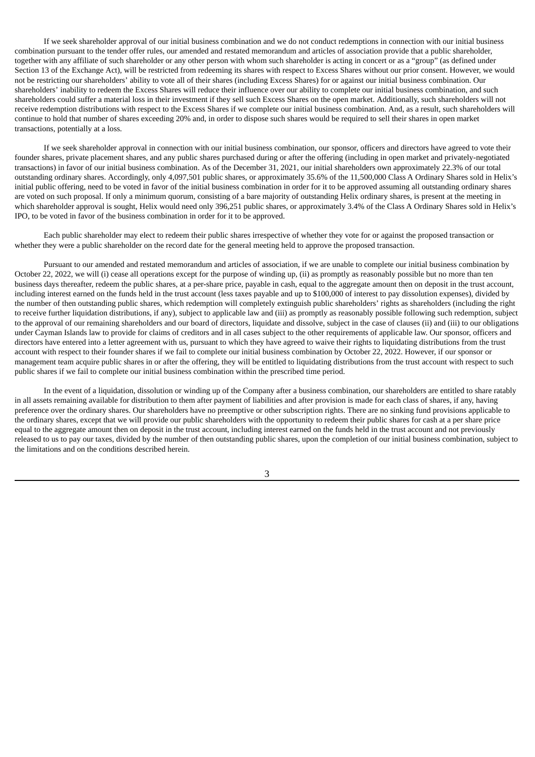If we seek shareholder approval of our initial business combination and we do not conduct redemptions in connection with our initial business combination pursuant to the tender offer rules, our amended and restated memorandum and articles of association provide that a public shareholder, together with any affiliate of such shareholder or any other person with whom such shareholder is acting in concert or as a "group" (as defined under Section 13 of the Exchange Act), will be restricted from redeeming its shares with respect to Excess Shares without our prior consent. However, we would not be restricting our shareholders' ability to vote all of their shares (including Excess Shares) for or against our initial business combination. Our shareholders' inability to redeem the Excess Shares will reduce their influence over our ability to complete our initial business combination, and such shareholders could suffer a material loss in their investment if they sell such Excess Shares on the open market. Additionally, such shareholders will not receive redemption distributions with respect to the Excess Shares if we complete our initial business combination. And, as a result, such shareholders will continue to hold that number of shares exceeding 20% and, in order to dispose such shares would be required to sell their shares in open market transactions, potentially at a loss.

If we seek shareholder approval in connection with our initial business combination, our sponsor, officers and directors have agreed to vote their founder shares, private placement shares, and any public shares purchased during or after the offering (including in open market and privately-negotiated transactions) in favor of our initial business combination. As of the December 31, 2021, our initial shareholders own approximately 22.3% of our total outstanding ordinary shares. Accordingly, only 4,097,501 public shares, or approximately 35.6% of the 11,500,000 Class A Ordinary Shares sold in Helix's initial public offering, need to be voted in favor of the initial business combination in order for it to be approved assuming all outstanding ordinary shares are voted on such proposal. If only a minimum quorum, consisting of a bare majority of outstanding Helix ordinary shares, is present at the meeting in which shareholder approval is sought, Helix would need only 396,251 public shares, or approximately 3.4% of the Class A Ordinary Shares sold in Helix's IPO, to be voted in favor of the business combination in order for it to be approved.

Each public shareholder may elect to redeem their public shares irrespective of whether they vote for or against the proposed transaction or whether they were a public shareholder on the record date for the general meeting held to approve the proposed transaction.

Pursuant to our amended and restated memorandum and articles of association, if we are unable to complete our initial business combination by October 22, 2022, we will (i) cease all operations except for the purpose of winding up, (ii) as promptly as reasonably possible but no more than ten business days thereafter, redeem the public shares, at a per-share price, payable in cash, equal to the aggregate amount then on deposit in the trust account, including interest earned on the funds held in the trust account (less taxes payable and up to \$100,000 of interest to pay dissolution expenses), divided by the number of then outstanding public shares, which redemption will completely extinguish public shareholders' rights as shareholders (including the right to receive further liquidation distributions, if any), subject to applicable law and (iii) as promptly as reasonably possible following such redemption, subject to the approval of our remaining shareholders and our board of directors, liquidate and dissolve, subject in the case of clauses (ii) and (iii) to our obligations under Cayman Islands law to provide for claims of creditors and in all cases subject to the other requirements of applicable law. Our sponsor, officers and directors have entered into a letter agreement with us, pursuant to which they have agreed to waive their rights to liquidating distributions from the trust account with respect to their founder shares if we fail to complete our initial business combination by October 22, 2022. However, if our sponsor or management team acquire public shares in or after the offering, they will be entitled to liquidating distributions from the trust account with respect to such public shares if we fail to complete our initial business combination within the prescribed time period.

In the event of a liquidation, dissolution or winding up of the Company after a business combination, our shareholders are entitled to share ratably in all assets remaining available for distribution to them after payment of liabilities and after provision is made for each class of shares, if any, having preference over the ordinary shares. Our shareholders have no preemptive or other subscription rights. There are no sinking fund provisions applicable to the ordinary shares, except that we will provide our public shareholders with the opportunity to redeem their public shares for cash at a per share price equal to the aggregate amount then on deposit in the trust account, including interest earned on the funds held in the trust account and not previously released to us to pay our taxes, divided by the number of then outstanding public shares, upon the completion of our initial business combination, subject to the limitations and on the conditions described herein.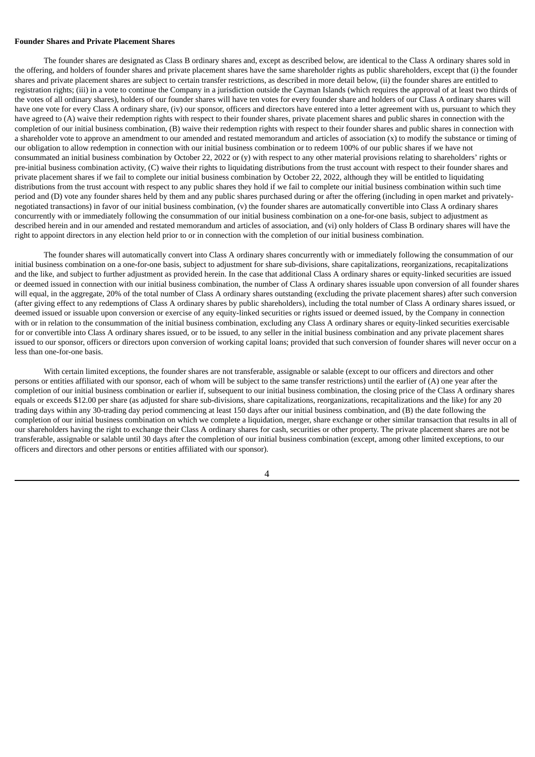### **Founder Shares and Private Placement Shares**

The founder shares are designated as Class B ordinary shares and, except as described below, are identical to the Class A ordinary shares sold in the offering, and holders of founder shares and private placement shares have the same shareholder rights as public shareholders, except that (i) the founder shares and private placement shares are subject to certain transfer restrictions, as described in more detail below, (ii) the founder shares are entitled to registration rights; (iii) in a vote to continue the Company in a jurisdiction outside the Cayman Islands (which requires the approval of at least two thirds of the votes of all ordinary shares), holders of our founder shares will have ten votes for every founder share and holders of our Class A ordinary shares will have one vote for every Class A ordinary share, (iv) our sponsor, officers and directors have entered into a letter agreement with us, pursuant to which they have agreed to (A) waive their redemption rights with respect to their founder shares, private placement shares and public shares in connection with the completion of our initial business combination, (B) waive their redemption rights with respect to their founder shares and public shares in connection with a shareholder vote to approve an amendment to our amended and restated memorandum and articles of association (x) to modify the substance or timing of our obligation to allow redemption in connection with our initial business combination or to redeem 100% of our public shares if we have not consummated an initial business combination by October 22, 2022 or (y) with respect to any other material provisions relating to shareholders' rights or pre-initial business combination activity, (C) waive their rights to liquidating distributions from the trust account with respect to their founder shares and private placement shares if we fail to complete our initial business combination by October 22, 2022, although they will be entitled to liquidating distributions from the trust account with respect to any public shares they hold if we fail to complete our initial business combination within such time period and (D) vote any founder shares held by them and any public shares purchased during or after the offering (including in open market and privatelynegotiated transactions) in favor of our initial business combination, (v) the founder shares are automatically convertible into Class A ordinary shares concurrently with or immediately following the consummation of our initial business combination on a one-for-one basis, subject to adjustment as described herein and in our amended and restated memorandum and articles of association, and (vi) only holders of Class B ordinary shares will have the right to appoint directors in any election held prior to or in connection with the completion of our initial business combination.

The founder shares will automatically convert into Class A ordinary shares concurrently with or immediately following the consummation of our initial business combination on a one-for-one basis, subject to adjustment for share sub-divisions, share capitalizations, reorganizations, recapitalizations and the like, and subject to further adjustment as provided herein. In the case that additional Class A ordinary shares or equity-linked securities are issued or deemed issued in connection with our initial business combination, the number of Class A ordinary shares issuable upon conversion of all founder shares will equal, in the aggregate, 20% of the total number of Class A ordinary shares outstanding (excluding the private placement shares) after such conversion (after giving effect to any redemptions of Class A ordinary shares by public shareholders), including the total number of Class A ordinary shares issued, or deemed issued or issuable upon conversion or exercise of any equity-linked securities or rights issued or deemed issued, by the Company in connection with or in relation to the consummation of the initial business combination, excluding any Class A ordinary shares or equity-linked securities exercisable for or convertible into Class A ordinary shares issued, or to be issued, to any seller in the initial business combination and any private placement shares issued to our sponsor, officers or directors upon conversion of working capital loans; provided that such conversion of founder shares will never occur on a less than one-for-one basis.

With certain limited exceptions, the founder shares are not transferable, assignable or salable (except to our officers and directors and other persons or entities affiliated with our sponsor, each of whom will be subject to the same transfer restrictions) until the earlier of (A) one year after the completion of our initial business combination or earlier if, subsequent to our initial business combination, the closing price of the Class A ordinary shares equals or exceeds \$12.00 per share (as adjusted for share sub-divisions, share capitalizations, reorganizations, recapitalizations and the like) for any 20 trading days within any 30-trading day period commencing at least 150 days after our initial business combination, and (B) the date following the completion of our initial business combination on which we complete a liquidation, merger, share exchange or other similar transaction that results in all of our shareholders having the right to exchange their Class A ordinary shares for cash, securities or other property. The private placement shares are not be transferable, assignable or salable until 30 days after the completion of our initial business combination (except, among other limited exceptions, to our officers and directors and other persons or entities affiliated with our sponsor).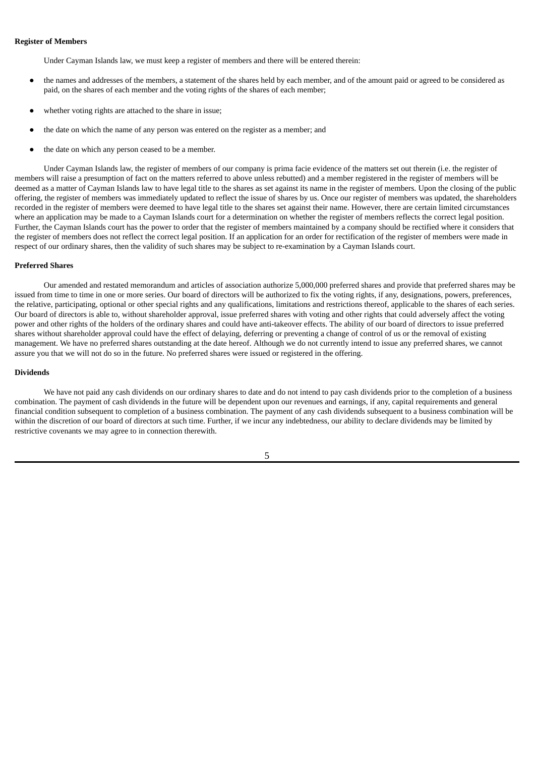### **Register of Members**

Under Cayman Islands law, we must keep a register of members and there will be entered therein:

- the names and addresses of the members, a statement of the shares held by each member, and of the amount paid or agreed to be considered as paid, on the shares of each member and the voting rights of the shares of each member;
- whether voting rights are attached to the share in issue;
- the date on which the name of any person was entered on the register as a member; and
- the date on which any person ceased to be a member.

Under Cayman Islands law, the register of members of our company is prima facie evidence of the matters set out therein (i.e. the register of members will raise a presumption of fact on the matters referred to above unless rebutted) and a member registered in the register of members will be deemed as a matter of Cayman Islands law to have legal title to the shares as set against its name in the register of members. Upon the closing of the public offering, the register of members was immediately updated to reflect the issue of shares by us. Once our register of members was updated, the shareholders recorded in the register of members were deemed to have legal title to the shares set against their name. However, there are certain limited circumstances where an application may be made to a Cayman Islands court for a determination on whether the register of members reflects the correct legal position. Further, the Cayman Islands court has the power to order that the register of members maintained by a company should be rectified where it considers that the register of members does not reflect the correct legal position. If an application for an order for rectification of the register of members were made in respect of our ordinary shares, then the validity of such shares may be subject to re-examination by a Cayman Islands court.

#### **Preferred Shares**

Our amended and restated memorandum and articles of association authorize 5,000,000 preferred shares and provide that preferred shares may be issued from time to time in one or more series. Our board of directors will be authorized to fix the voting rights, if any, designations, powers, preferences, the relative, participating, optional or other special rights and any qualifications, limitations and restrictions thereof, applicable to the shares of each series. Our board of directors is able to, without shareholder approval, issue preferred shares with voting and other rights that could adversely affect the voting power and other rights of the holders of the ordinary shares and could have anti-takeover effects. The ability of our board of directors to issue preferred shares without shareholder approval could have the effect of delaying, deferring or preventing a change of control of us or the removal of existing management. We have no preferred shares outstanding at the date hereof. Although we do not currently intend to issue any preferred shares, we cannot assure you that we will not do so in the future. No preferred shares were issued or registered in the offering.

#### **Dividends**

We have not paid any cash dividends on our ordinary shares to date and do not intend to pay cash dividends prior to the completion of a business combination. The payment of cash dividends in the future will be dependent upon our revenues and earnings, if any, capital requirements and general financial condition subsequent to completion of a business combination. The payment of any cash dividends subsequent to a business combination will be within the discretion of our board of directors at such time. Further, if we incur any indebtedness, our ability to declare dividends may be limited by restrictive covenants we may agree to in connection therewith.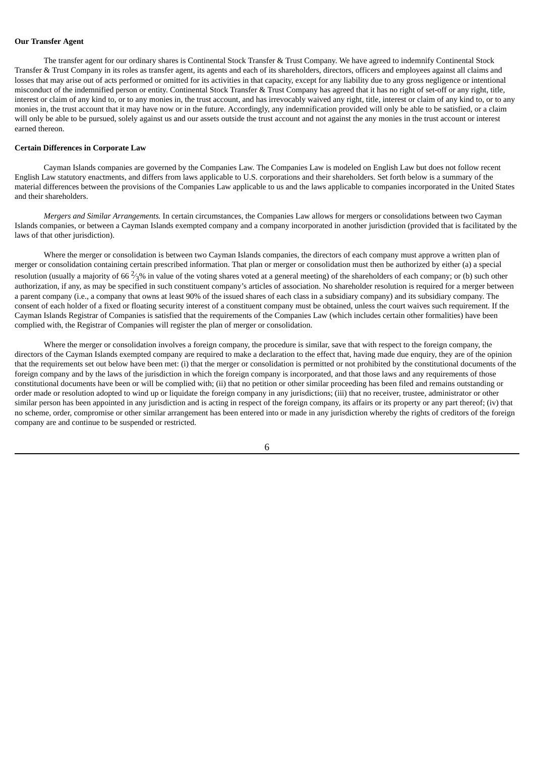### **Our Transfer Agent**

The transfer agent for our ordinary shares is Continental Stock Transfer & Trust Company. We have agreed to indemnify Continental Stock Transfer & Trust Company in its roles as transfer agent, its agents and each of its shareholders, directors, officers and employees against all claims and losses that may arise out of acts performed or omitted for its activities in that capacity, except for any liability due to any gross negligence or intentional misconduct of the indemnified person or entity. Continental Stock Transfer & Trust Company has agreed that it has no right of set-off or any right, title, interest or claim of any kind to, or to any monies in, the trust account, and has irrevocably waived any right, title, interest or claim of any kind to, or to any monies in, the trust account that it may have now or in the future. Accordingly, any indemnification provided will only be able to be satisfied, or a claim will only be able to be pursued, solely against us and our assets outside the trust account and not against the any monies in the trust account or interest earned thereon.

#### **Certain Differences in Corporate Law**

Cayman Islands companies are governed by the Companies Law. The Companies Law is modeled on English Law but does not follow recent English Law statutory enactments, and differs from laws applicable to U.S. corporations and their shareholders. Set forth below is a summary of the material differences between the provisions of the Companies Law applicable to us and the laws applicable to companies incorporated in the United States and their shareholders.

*Mergers and Similar Arrangements.* In certain circumstances, the Companies Law allows for mergers or consolidations between two Cayman Islands companies, or between a Cayman Islands exempted company and a company incorporated in another jurisdiction (provided that is facilitated by the laws of that other jurisdiction).

Where the merger or consolidation is between two Cayman Islands companies, the directors of each company must approve a written plan of merger or consolidation containing certain prescribed information. That plan or merger or consolidation must then be authorized by either (a) a special resolution (usually a majority of 66  $^2\!\!3\%$  in value of the voting shares voted at a general meeting) of the shareholders of each company; or (b) such other authorization, if any, as may be specified in such constituent company's articles of association. No shareholder resolution is required for a merger between a parent company (i.e., a company that owns at least 90% of the issued shares of each class in a subsidiary company) and its subsidiary company. The consent of each holder of a fixed or floating security interest of a constituent company must be obtained, unless the court waives such requirement. If the Cayman Islands Registrar of Companies is satisfied that the requirements of the Companies Law (which includes certain other formalities) have been complied with, the Registrar of Companies will register the plan of merger or consolidation.

Where the merger or consolidation involves a foreign company, the procedure is similar, save that with respect to the foreign company, the directors of the Cayman Islands exempted company are required to make a declaration to the effect that, having made due enquiry, they are of the opinion that the requirements set out below have been met: (i) that the merger or consolidation is permitted or not prohibited by the constitutional documents of the foreign company and by the laws of the jurisdiction in which the foreign company is incorporated, and that those laws and any requirements of those constitutional documents have been or will be complied with; (ii) that no petition or other similar proceeding has been filed and remains outstanding or order made or resolution adopted to wind up or liquidate the foreign company in any jurisdictions; (iii) that no receiver, trustee, administrator or other similar person has been appointed in any jurisdiction and is acting in respect of the foreign company, its affairs or its property or any part thereof; (iv) that no scheme, order, compromise or other similar arrangement has been entered into or made in any jurisdiction whereby the rights of creditors of the foreign company are and continue to be suspended or restricted.

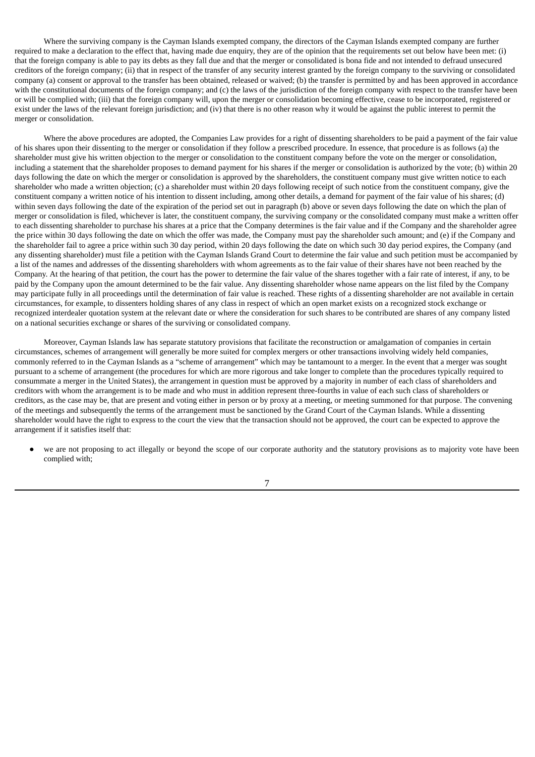Where the surviving company is the Cayman Islands exempted company, the directors of the Cayman Islands exempted company are further required to make a declaration to the effect that, having made due enquiry, they are of the opinion that the requirements set out below have been met: (i) that the foreign company is able to pay its debts as they fall due and that the merger or consolidated is bona fide and not intended to defraud unsecured creditors of the foreign company; (ii) that in respect of the transfer of any security interest granted by the foreign company to the surviving or consolidated company (a) consent or approval to the transfer has been obtained, released or waived; (b) the transfer is permitted by and has been approved in accordance with the constitutional documents of the foreign company; and (c) the laws of the jurisdiction of the foreign company with respect to the transfer have been or will be complied with; (iii) that the foreign company will, upon the merger or consolidation becoming effective, cease to be incorporated, registered or exist under the laws of the relevant foreign jurisdiction; and (iv) that there is no other reason why it would be against the public interest to permit the merger or consolidation.

Where the above procedures are adopted, the Companies Law provides for a right of dissenting shareholders to be paid a payment of the fair value of his shares upon their dissenting to the merger or consolidation if they follow a prescribed procedure. In essence, that procedure is as follows (a) the shareholder must give his written objection to the merger or consolidation to the constituent company before the vote on the merger or consolidation, including a statement that the shareholder proposes to demand payment for his shares if the merger or consolidation is authorized by the vote; (b) within 20 days following the date on which the merger or consolidation is approved by the shareholders, the constituent company must give written notice to each shareholder who made a written objection; (c) a shareholder must within 20 days following receipt of such notice from the constituent company, give the constituent company a written notice of his intention to dissent including, among other details, a demand for payment of the fair value of his shares; (d) within seven days following the date of the expiration of the period set out in paragraph (b) above or seven days following the date on which the plan of merger or consolidation is filed, whichever is later, the constituent company, the surviving company or the consolidated company must make a written offer to each dissenting shareholder to purchase his shares at a price that the Company determines is the fair value and if the Company and the shareholder agree the price within 30 days following the date on which the offer was made, the Company must pay the shareholder such amount; and (e) if the Company and the shareholder fail to agree a price within such 30 day period, within 20 days following the date on which such 30 day period expires, the Company (and any dissenting shareholder) must file a petition with the Cayman Islands Grand Court to determine the fair value and such petition must be accompanied by a list of the names and addresses of the dissenting shareholders with whom agreements as to the fair value of their shares have not been reached by the Company. At the hearing of that petition, the court has the power to determine the fair value of the shares together with a fair rate of interest, if any, to be paid by the Company upon the amount determined to be the fair value. Any dissenting shareholder whose name appears on the list filed by the Company may participate fully in all proceedings until the determination of fair value is reached. These rights of a dissenting shareholder are not available in certain circumstances, for example, to dissenters holding shares of any class in respect of which an open market exists on a recognized stock exchange or recognized interdealer quotation system at the relevant date or where the consideration for such shares to be contributed are shares of any company listed on a national securities exchange or shares of the surviving or consolidated company.

Moreover, Cayman Islands law has separate statutory provisions that facilitate the reconstruction or amalgamation of companies in certain circumstances, schemes of arrangement will generally be more suited for complex mergers or other transactions involving widely held companies, commonly referred to in the Cayman Islands as a "scheme of arrangement" which may be tantamount to a merger. In the event that a merger was sought pursuant to a scheme of arrangement (the procedures for which are more rigorous and take longer to complete than the procedures typically required to consummate a merger in the United States), the arrangement in question must be approved by a majority in number of each class of shareholders and creditors with whom the arrangement is to be made and who must in addition represent three-fourths in value of each such class of shareholders or creditors, as the case may be, that are present and voting either in person or by proxy at a meeting, or meeting summoned for that purpose. The convening of the meetings and subsequently the terms of the arrangement must be sanctioned by the Grand Court of the Cayman Islands. While a dissenting shareholder would have the right to express to the court the view that the transaction should not be approved, the court can be expected to approve the arrangement if it satisfies itself that:

we are not proposing to act illegally or beyond the scope of our corporate authority and the statutory provisions as to majority vote have been complied with;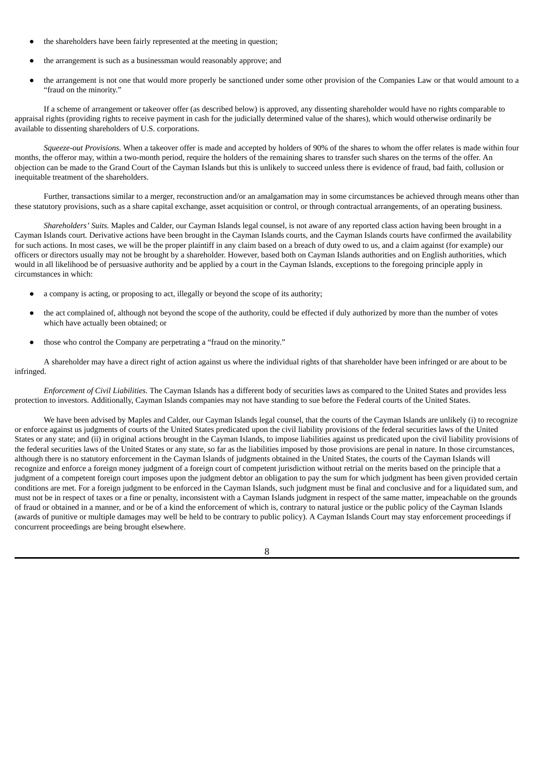- the shareholders have been fairly represented at the meeting in question;
- the arrangement is such as a businessman would reasonably approve; and
- the arrangement is not one that would more properly be sanctioned under some other provision of the Companies Law or that would amount to a "fraud on the minority."

If a scheme of arrangement or takeover offer (as described below) is approved, any dissenting shareholder would have no rights comparable to appraisal rights (providing rights to receive payment in cash for the judicially determined value of the shares), which would otherwise ordinarily be available to dissenting shareholders of U.S. corporations.

*Squeeze-out Provisions.* When a takeover offer is made and accepted by holders of 90% of the shares to whom the offer relates is made within four months, the offeror may, within a two-month period, require the holders of the remaining shares to transfer such shares on the terms of the offer. An objection can be made to the Grand Court of the Cayman Islands but this is unlikely to succeed unless there is evidence of fraud, bad faith, collusion or inequitable treatment of the shareholders.

Further, transactions similar to a merger, reconstruction and/or an amalgamation may in some circumstances be achieved through means other than these statutory provisions, such as a share capital exchange, asset acquisition or control, or through contractual arrangements, of an operating business.

*Shareholders' Suits.* Maples and Calder, our Cayman Islands legal counsel, is not aware of any reported class action having been brought in a Cayman Islands court. Derivative actions have been brought in the Cayman Islands courts, and the Cayman Islands courts have confirmed the availability for such actions. In most cases, we will be the proper plaintiff in any claim based on a breach of duty owed to us, and a claim against (for example) our officers or directors usually may not be brought by a shareholder. However, based both on Cayman Islands authorities and on English authorities, which would in all likelihood be of persuasive authority and be applied by a court in the Cayman Islands, exceptions to the foregoing principle apply in circumstances in which:

- a company is acting, or proposing to act, illegally or beyond the scope of its authority;
- the act complained of, although not beyond the scope of the authority, could be effected if duly authorized by more than the number of votes which have actually been obtained; or
- those who control the Company are perpetrating a "fraud on the minority."

A shareholder may have a direct right of action against us where the individual rights of that shareholder have been infringed or are about to be infringed.

*Enforcement of Civil Liabilities.* The Cayman Islands has a different body of securities laws as compared to the United States and provides less protection to investors. Additionally, Cayman Islands companies may not have standing to sue before the Federal courts of the United States.

We have been advised by Maples and Calder, our Cayman Islands legal counsel, that the courts of the Cayman Islands are unlikely (i) to recognize or enforce against us judgments of courts of the United States predicated upon the civil liability provisions of the federal securities laws of the United States or any state; and (ii) in original actions brought in the Cayman Islands, to impose liabilities against us predicated upon the civil liability provisions of the federal securities laws of the United States or any state, so far as the liabilities imposed by those provisions are penal in nature. In those circumstances, although there is no statutory enforcement in the Cayman Islands of judgments obtained in the United States, the courts of the Cayman Islands will recognize and enforce a foreign money judgment of a foreign court of competent jurisdiction without retrial on the merits based on the principle that a judgment of a competent foreign court imposes upon the judgment debtor an obligation to pay the sum for which judgment has been given provided certain conditions are met. For a foreign judgment to be enforced in the Cayman Islands, such judgment must be final and conclusive and for a liquidated sum, and must not be in respect of taxes or a fine or penalty, inconsistent with a Cayman Islands judgment in respect of the same matter, impeachable on the grounds of fraud or obtained in a manner, and or be of a kind the enforcement of which is, contrary to natural justice or the public policy of the Cayman Islands (awards of punitive or multiple damages may well be held to be contrary to public policy). A Cayman Islands Court may stay enforcement proceedings if concurrent proceedings are being brought elsewhere.

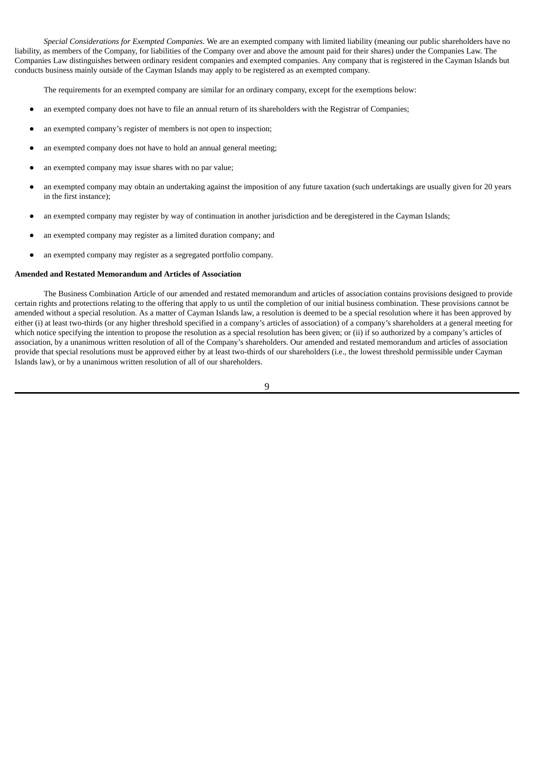*Special Considerations for Exempted Companies.* We are an exempted company with limited liability (meaning our public shareholders have no liability, as members of the Company, for liabilities of the Company over and above the amount paid for their shares) under the Companies Law. The Companies Law distinguishes between ordinary resident companies and exempted companies. Any company that is registered in the Cayman Islands but conducts business mainly outside of the Cayman Islands may apply to be registered as an exempted company.

The requirements for an exempted company are similar for an ordinary company, except for the exemptions below:

- an exempted company does not have to file an annual return of its shareholders with the Registrar of Companies;
- an exempted company's register of members is not open to inspection;
- an exempted company does not have to hold an annual general meeting;
- an exempted company may issue shares with no par value;
- an exempted company may obtain an undertaking against the imposition of any future taxation (such undertakings are usually given for 20 years in the first instance);
- an exempted company may register by way of continuation in another jurisdiction and be deregistered in the Cayman Islands;
- an exempted company may register as a limited duration company; and
- an exempted company may register as a segregated portfolio company.

### **Amended and Restated Memorandum and Articles of Association**

The Business Combination Article of our amended and restated memorandum and articles of association contains provisions designed to provide certain rights and protections relating to the offering that apply to us until the completion of our initial business combination. These provisions cannot be amended without a special resolution. As a matter of Cayman Islands law, a resolution is deemed to be a special resolution where it has been approved by either (i) at least two-thirds (or any higher threshold specified in a company's articles of association) of a company's shareholders at a general meeting for which notice specifying the intention to propose the resolution as a special resolution has been given; or (ii) if so authorized by a company's articles of association, by a unanimous written resolution of all of the Company's shareholders. Our amended and restated memorandum and articles of association provide that special resolutions must be approved either by at least two-thirds of our shareholders (i.e., the lowest threshold permissible under Cayman Islands law), or by a unanimous written resolution of all of our shareholders.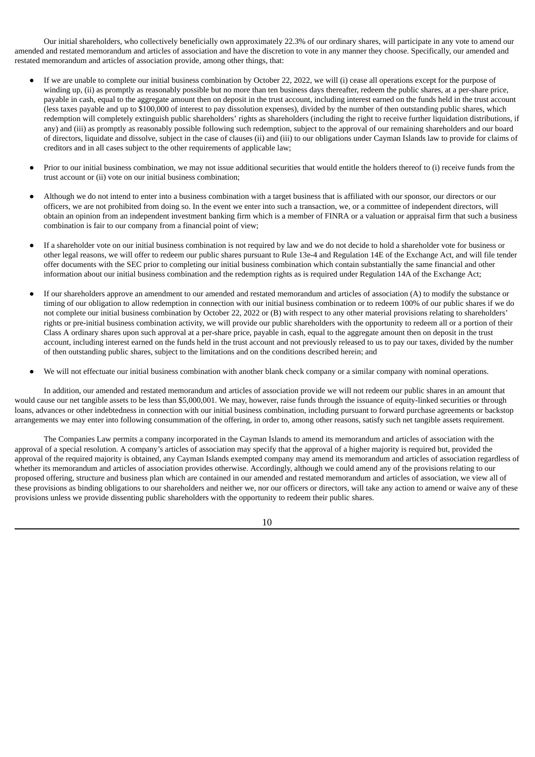Our initial shareholders, who collectively beneficially own approximately 22.3% of our ordinary shares, will participate in any vote to amend our amended and restated memorandum and articles of association and have the discretion to vote in any manner they choose. Specifically, our amended and restated memorandum and articles of association provide, among other things, that:

- If we are unable to complete our initial business combination by October 22, 2022, we will (i) cease all operations except for the purpose of winding up, (ii) as promptly as reasonably possible but no more than ten business days thereafter, redeem the public shares, at a per-share price, payable in cash, equal to the aggregate amount then on deposit in the trust account, including interest earned on the funds held in the trust account (less taxes payable and up to \$100,000 of interest to pay dissolution expenses), divided by the number of then outstanding public shares, which redemption will completely extinguish public shareholders' rights as shareholders (including the right to receive further liquidation distributions, if any) and (iii) as promptly as reasonably possible following such redemption, subject to the approval of our remaining shareholders and our board of directors, liquidate and dissolve, subject in the case of clauses (ii) and (iii) to our obligations under Cayman Islands law to provide for claims of creditors and in all cases subject to the other requirements of applicable law;
- Prior to our initial business combination, we may not issue additional securities that would entitle the holders thereof to (i) receive funds from the trust account or (ii) vote on our initial business combination;
- Although we do not intend to enter into a business combination with a target business that is affiliated with our sponsor, our directors or our officers, we are not prohibited from doing so. In the event we enter into such a transaction, we, or a committee of independent directors, will obtain an opinion from an independent investment banking firm which is a member of FINRA or a valuation or appraisal firm that such a business combination is fair to our company from a financial point of view;
- If a shareholder vote on our initial business combination is not required by law and we do not decide to hold a shareholder vote for business or other legal reasons, we will offer to redeem our public shares pursuant to Rule 13e-4 and Regulation 14E of the Exchange Act, and will file tender offer documents with the SEC prior to completing our initial business combination which contain substantially the same financial and other information about our initial business combination and the redemption rights as is required under Regulation 14A of the Exchange Act;
- If our shareholders approve an amendment to our amended and restated memorandum and articles of association (A) to modify the substance or timing of our obligation to allow redemption in connection with our initial business combination or to redeem 100% of our public shares if we do not complete our initial business combination by October 22, 2022 or (B) with respect to any other material provisions relating to shareholders' rights or pre-initial business combination activity, we will provide our public shareholders with the opportunity to redeem all or a portion of their Class A ordinary shares upon such approval at a per-share price, payable in cash, equal to the aggregate amount then on deposit in the trust account, including interest earned on the funds held in the trust account and not previously released to us to pay our taxes, divided by the number of then outstanding public shares, subject to the limitations and on the conditions described herein; and
- We will not effectuate our initial business combination with another blank check company or a similar company with nominal operations.

In addition, our amended and restated memorandum and articles of association provide we will not redeem our public shares in an amount that would cause our net tangible assets to be less than \$5,000,001. We may, however, raise funds through the issuance of equity-linked securities or through loans, advances or other indebtedness in connection with our initial business combination, including pursuant to forward purchase agreements or backstop arrangements we may enter into following consummation of the offering, in order to, among other reasons, satisfy such net tangible assets requirement.

The Companies Law permits a company incorporated in the Cayman Islands to amend its memorandum and articles of association with the approval of a special resolution. A company's articles of association may specify that the approval of a higher majority is required but, provided the approval of the required majority is obtained, any Cayman Islands exempted company may amend its memorandum and articles of association regardless of whether its memorandum and articles of association provides otherwise. Accordingly, although we could amend any of the provisions relating to our proposed offering, structure and business plan which are contained in our amended and restated memorandum and articles of association, we view all of these provisions as binding obligations to our shareholders and neither we, nor our officers or directors, will take any action to amend or waive any of these provisions unless we provide dissenting public shareholders with the opportunity to redeem their public shares.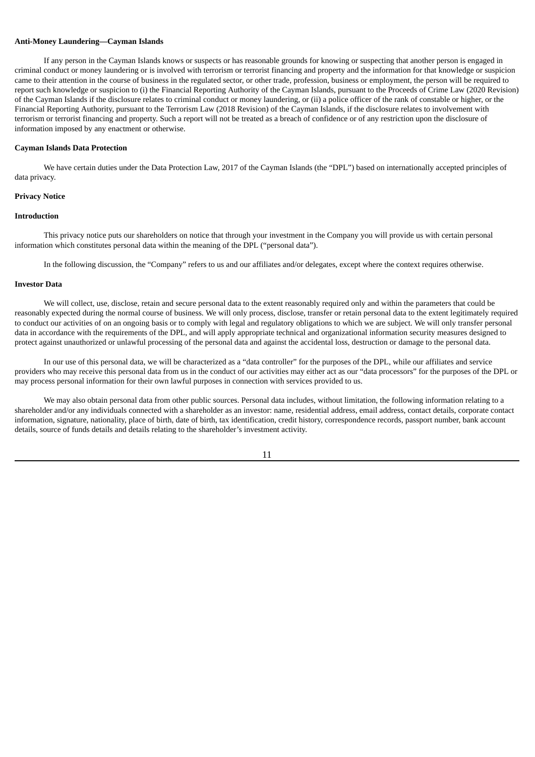## **Anti-Money Laundering—Cayman Islands**

If any person in the Cayman Islands knows or suspects or has reasonable grounds for knowing or suspecting that another person is engaged in criminal conduct or money laundering or is involved with terrorism or terrorist financing and property and the information for that knowledge or suspicion came to their attention in the course of business in the regulated sector, or other trade, profession, business or employment, the person will be required to report such knowledge or suspicion to (i) the Financial Reporting Authority of the Cayman Islands, pursuant to the Proceeds of Crime Law (2020 Revision) of the Cayman Islands if the disclosure relates to criminal conduct or money laundering, or (ii) a police officer of the rank of constable or higher, or the Financial Reporting Authority, pursuant to the Terrorism Law (2018 Revision) of the Cayman Islands, if the disclosure relates to involvement with terrorism or terrorist financing and property. Such a report will not be treated as a breach of confidence or of any restriction upon the disclosure of information imposed by any enactment or otherwise.

#### **Cayman Islands Data Protection**

We have certain duties under the Data Protection Law, 2017 of the Cayman Islands (the "DPL") based on internationally accepted principles of data privacy.

### **Privacy Notice**

#### **Introduction**

This privacy notice puts our shareholders on notice that through your investment in the Company you will provide us with certain personal information which constitutes personal data within the meaning of the DPL ("personal data").

In the following discussion, the "Company" refers to us and our affiliates and/or delegates, except where the context requires otherwise.

### **Investor Data**

We will collect, use, disclose, retain and secure personal data to the extent reasonably required only and within the parameters that could be reasonably expected during the normal course of business. We will only process, disclose, transfer or retain personal data to the extent legitimately required to conduct our activities of on an ongoing basis or to comply with legal and regulatory obligations to which we are subject. We will only transfer personal data in accordance with the requirements of the DPL, and will apply appropriate technical and organizational information security measures designed to protect against unauthorized or unlawful processing of the personal data and against the accidental loss, destruction or damage to the personal data.

In our use of this personal data, we will be characterized as a "data controller" for the purposes of the DPL, while our affiliates and service providers who may receive this personal data from us in the conduct of our activities may either act as our "data processors" for the purposes of the DPL or may process personal information for their own lawful purposes in connection with services provided to us.

We may also obtain personal data from other public sources. Personal data includes, without limitation, the following information relating to a shareholder and/or any individuals connected with a shareholder as an investor: name, residential address, email address, contact details, corporate contact information, signature, nationality, place of birth, date of birth, tax identification, credit history, correspondence records, passport number, bank account details, source of funds details and details relating to the shareholder's investment activity.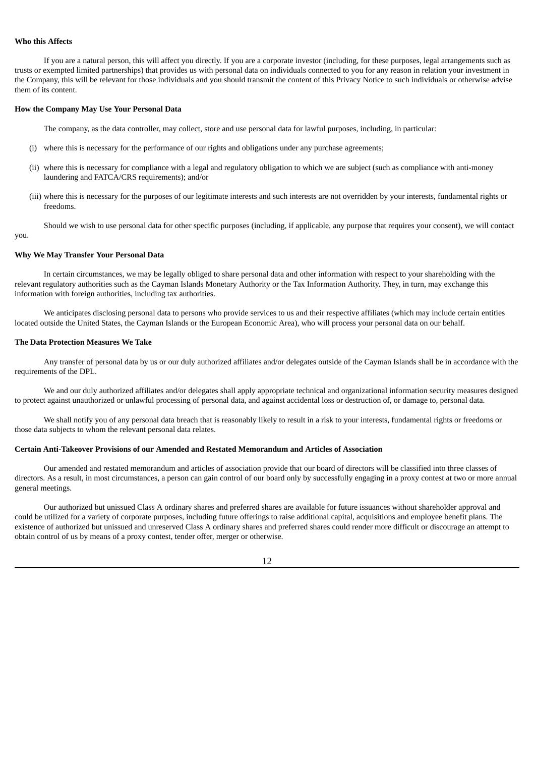### **Who this Affects**

you.

If you are a natural person, this will affect you directly. If you are a corporate investor (including, for these purposes, legal arrangements such as trusts or exempted limited partnerships) that provides us with personal data on individuals connected to you for any reason in relation your investment in the Company, this will be relevant for those individuals and you should transmit the content of this Privacy Notice to such individuals or otherwise advise them of its content.

### **How the Company May Use Your Personal Data**

The company, as the data controller, may collect, store and use personal data for lawful purposes, including, in particular:

- (i) where this is necessary for the performance of our rights and obligations under any purchase agreements;
- (ii) where this is necessary for compliance with a legal and regulatory obligation to which we are subject (such as compliance with anti-money laundering and FATCA/CRS requirements); and/or
- (iii) where this is necessary for the purposes of our legitimate interests and such interests are not overridden by your interests, fundamental rights or freedoms.

Should we wish to use personal data for other specific purposes (including, if applicable, any purpose that requires your consent), we will contact

#### **Why We May Transfer Your Personal Data**

In certain circumstances, we may be legally obliged to share personal data and other information with respect to your shareholding with the relevant regulatory authorities such as the Cayman Islands Monetary Authority or the Tax Information Authority. They, in turn, may exchange this information with foreign authorities, including tax authorities.

We anticipates disclosing personal data to persons who provide services to us and their respective affiliates (which may include certain entities located outside the United States, the Cayman Islands or the European Economic Area), who will process your personal data on our behalf.

#### **The Data Protection Measures We Take**

Any transfer of personal data by us or our duly authorized affiliates and/or delegates outside of the Cayman Islands shall be in accordance with the requirements of the DPL.

We and our duly authorized affiliates and/or delegates shall apply appropriate technical and organizational information security measures designed to protect against unauthorized or unlawful processing of personal data, and against accidental loss or destruction of, or damage to, personal data.

We shall notify you of any personal data breach that is reasonably likely to result in a risk to your interests, fundamental rights or freedoms or those data subjects to whom the relevant personal data relates.

## **Certain Anti-Takeover Provisions of our Amended and Restated Memorandum and Articles of Association**

Our amended and restated memorandum and articles of association provide that our board of directors will be classified into three classes of directors. As a result, in most circumstances, a person can gain control of our board only by successfully engaging in a proxy contest at two or more annual general meetings.

Our authorized but unissued Class A ordinary shares and preferred shares are available for future issuances without shareholder approval and could be utilized for a variety of corporate purposes, including future offerings to raise additional capital, acquisitions and employee benefit plans. The existence of authorized but unissued and unreserved Class A ordinary shares and preferred shares could render more difficult or discourage an attempt to obtain control of us by means of a proxy contest, tender offer, merger or otherwise.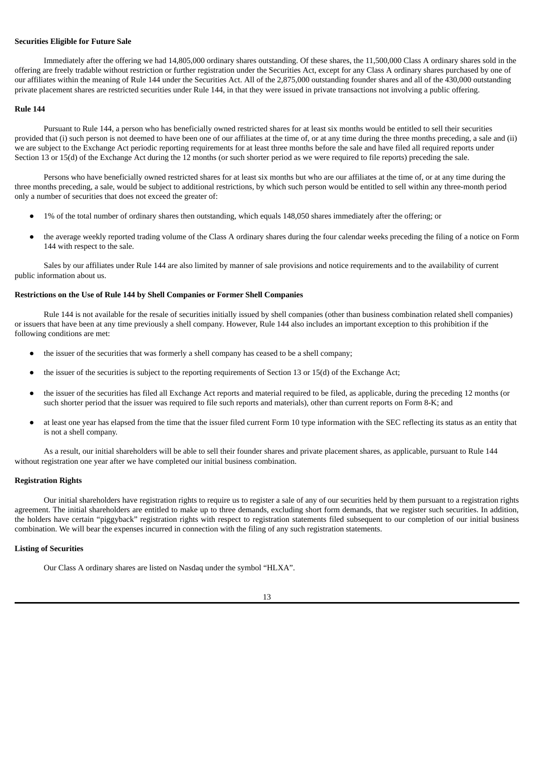### **Securities Eligible for Future Sale**

Immediately after the offering we had 14,805,000 ordinary shares outstanding. Of these shares, the 11,500,000 Class A ordinary shares sold in the offering are freely tradable without restriction or further registration under the Securities Act, except for any Class A ordinary shares purchased by one of our affiliates within the meaning of Rule 144 under the Securities Act. All of the 2,875,000 outstanding founder shares and all of the 430,000 outstanding private placement shares are restricted securities under Rule 144, in that they were issued in private transactions not involving a public offering.

#### **Rule 144**

Pursuant to Rule 144, a person who has beneficially owned restricted shares for at least six months would be entitled to sell their securities provided that (i) such person is not deemed to have been one of our affiliates at the time of, or at any time during the three months preceding, a sale and (ii) we are subject to the Exchange Act periodic reporting requirements for at least three months before the sale and have filed all required reports under Section 13 or 15(d) of the Exchange Act during the 12 months (or such shorter period as we were required to file reports) preceding the sale.

Persons who have beneficially owned restricted shares for at least six months but who are our affiliates at the time of, or at any time during the three months preceding, a sale, would be subject to additional restrictions, by which such person would be entitled to sell within any three-month period only a number of securities that does not exceed the greater of:

- 1% of the total number of ordinary shares then outstanding, which equals 148,050 shares immediately after the offering; or
- the average weekly reported trading volume of the Class A ordinary shares during the four calendar weeks preceding the filing of a notice on Form 144 with respect to the sale.

Sales by our affiliates under Rule 144 are also limited by manner of sale provisions and notice requirements and to the availability of current public information about us.

### **Restrictions on the Use of Rule 144 by Shell Companies or Former Shell Companies**

Rule 144 is not available for the resale of securities initially issued by shell companies (other than business combination related shell companies) or issuers that have been at any time previously a shell company. However, Rule 144 also includes an important exception to this prohibition if the following conditions are met:

- the issuer of the securities that was formerly a shell company has ceased to be a shell company;
- the issuer of the securities is subject to the reporting requirements of Section 13 or 15(d) of the Exchange Act;
- the issuer of the securities has filed all Exchange Act reports and material required to be filed, as applicable, during the preceding 12 months (or such shorter period that the issuer was required to file such reports and materials), other than current reports on Form 8-K; and
- at least one year has elapsed from the time that the issuer filed current Form 10 type information with the SEC reflecting its status as an entity that is not a shell company.

As a result, our initial shareholders will be able to sell their founder shares and private placement shares, as applicable, pursuant to Rule 144 without registration one year after we have completed our initial business combination.

#### **Registration Rights**

Our initial shareholders have registration rights to require us to register a sale of any of our securities held by them pursuant to a registration rights agreement. The initial shareholders are entitled to make up to three demands, excluding short form demands, that we register such securities. In addition, the holders have certain "piggyback" registration rights with respect to registration statements filed subsequent to our completion of our initial business combination. We will bear the expenses incurred in connection with the filing of any such registration statements.

### **Listing of Securities**

Our Class A ordinary shares are listed on Nasdaq under the symbol "HLXA".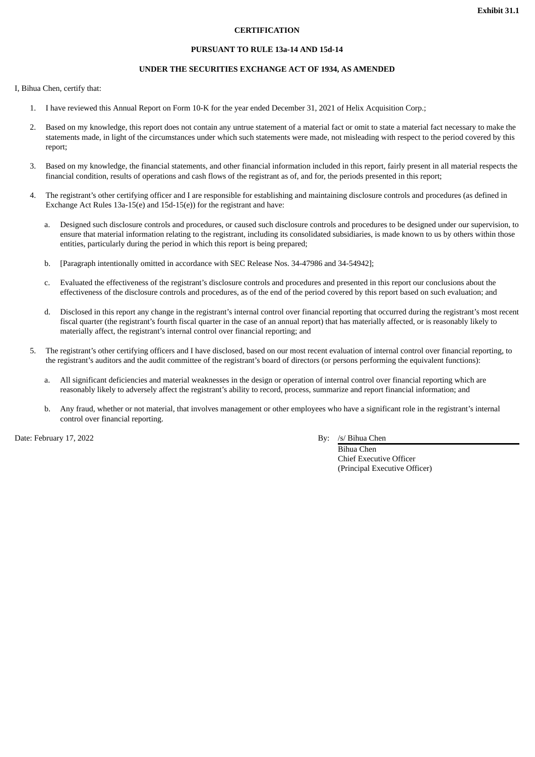## **CERTIFICATION**

### **PURSUANT TO RULE 13a-14 AND 15d-14**

## **UNDER THE SECURITIES EXCHANGE ACT OF 1934, AS AMENDED**

I, Bihua Chen, certify that:

- 1. I have reviewed this Annual Report on Form 10-K for the year ended December 31, 2021 of Helix Acquisition Corp.;
- 2. Based on my knowledge, this report does not contain any untrue statement of a material fact or omit to state a material fact necessary to make the statements made, in light of the circumstances under which such statements were made, not misleading with respect to the period covered by this report;
- 3. Based on my knowledge, the financial statements, and other financial information included in this report, fairly present in all material respects the financial condition, results of operations and cash flows of the registrant as of, and for, the periods presented in this report;
- 4. The registrant's other certifying officer and I are responsible for establishing and maintaining disclosure controls and procedures (as defined in Exchange Act Rules 13a-15(e) and 15d-15(e)) for the registrant and have:
	- a. Designed such disclosure controls and procedures, or caused such disclosure controls and procedures to be designed under our supervision, to ensure that material information relating to the registrant, including its consolidated subsidiaries, is made known to us by others within those entities, particularly during the period in which this report is being prepared;
	- b. [Paragraph intentionally omitted in accordance with SEC Release Nos. 34-47986 and 34-54942];
	- c. Evaluated the effectiveness of the registrant's disclosure controls and procedures and presented in this report our conclusions about the effectiveness of the disclosure controls and procedures, as of the end of the period covered by this report based on such evaluation; and
	- d. Disclosed in this report any change in the registrant's internal control over financial reporting that occurred during the registrant's most recent fiscal quarter (the registrant's fourth fiscal quarter in the case of an annual report) that has materially affected, or is reasonably likely to materially affect, the registrant's internal control over financial reporting; and
- 5. The registrant's other certifying officers and I have disclosed, based on our most recent evaluation of internal control over financial reporting, to the registrant's auditors and the audit committee of the registrant's board of directors (or persons performing the equivalent functions):
	- a. All significant deficiencies and material weaknesses in the design or operation of internal control over financial reporting which are reasonably likely to adversely affect the registrant's ability to record, process, summarize and report financial information; and
	- b. Any fraud, whether or not material, that involves management or other employees who have a significant role in the registrant's internal control over financial reporting.

Date: February 17, 2022 By: /s/ Bihua Chen

Bihua Chen Chief Executive Officer (Principal Executive Officer)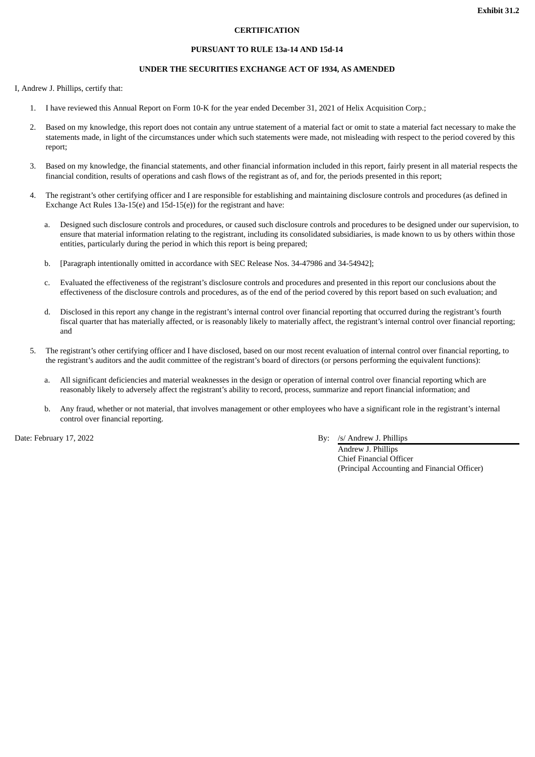## **CERTIFICATION**

#### **PURSUANT TO RULE 13a-14 AND 15d-14**

## **UNDER THE SECURITIES EXCHANGE ACT OF 1934, AS AMENDED**

I, Andrew J. Phillips, certify that:

- 1. I have reviewed this Annual Report on Form 10-K for the year ended December 31, 2021 of Helix Acquisition Corp.;
- 2. Based on my knowledge, this report does not contain any untrue statement of a material fact or omit to state a material fact necessary to make the statements made, in light of the circumstances under which such statements were made, not misleading with respect to the period covered by this report;
- 3. Based on my knowledge, the financial statements, and other financial information included in this report, fairly present in all material respects the financial condition, results of operations and cash flows of the registrant as of, and for, the periods presented in this report;
- 4. The registrant's other certifying officer and I are responsible for establishing and maintaining disclosure controls and procedures (as defined in Exchange Act Rules 13a-15(e) and 15d-15(e)) for the registrant and have:
	- a. Designed such disclosure controls and procedures, or caused such disclosure controls and procedures to be designed under our supervision, to ensure that material information relating to the registrant, including its consolidated subsidiaries, is made known to us by others within those entities, particularly during the period in which this report is being prepared;
	- b. [Paragraph intentionally omitted in accordance with SEC Release Nos. 34-47986 and 34-54942];
	- c. Evaluated the effectiveness of the registrant's disclosure controls and procedures and presented in this report our conclusions about the effectiveness of the disclosure controls and procedures, as of the end of the period covered by this report based on such evaluation; and
	- d. Disclosed in this report any change in the registrant's internal control over financial reporting that occurred during the registrant's fourth fiscal quarter that has materially affected, or is reasonably likely to materially affect, the registrant's internal control over financial reporting; and
- 5. The registrant's other certifying officer and I have disclosed, based on our most recent evaluation of internal control over financial reporting, to the registrant's auditors and the audit committee of the registrant's board of directors (or persons performing the equivalent functions):
	- a. All significant deficiencies and material weaknesses in the design or operation of internal control over financial reporting which are reasonably likely to adversely affect the registrant's ability to record, process, summarize and report financial information; and
	- b. Any fraud, whether or not material, that involves management or other employees who have a significant role in the registrant's internal control over financial reporting.

# Date: February 17, 2022 By: /s/ Andrew J. Phillips

Andrew J. Phillips Chief Financial Officer (Principal Accounting and Financial Officer)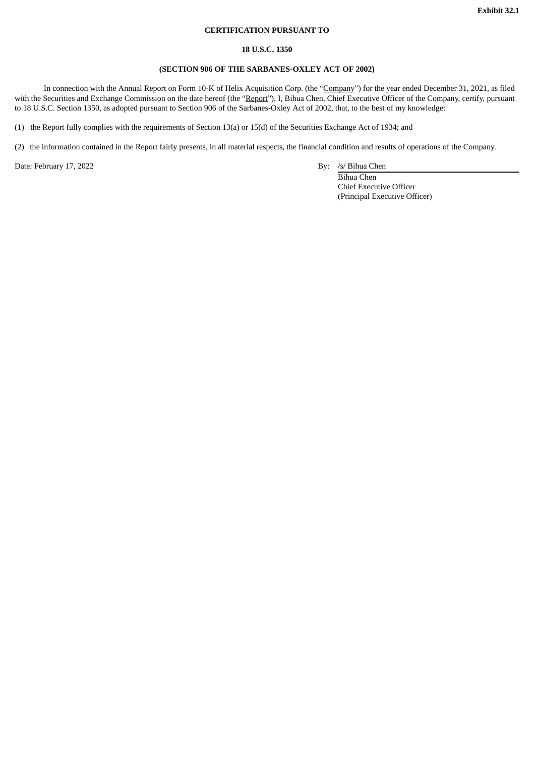# **CERTIFICATION PURSUANT TO**

## **18 U.S.C. 1350**

# **(SECTION 906 OF THE SARBANES-OXLEY ACT OF 2002)**

In connection with the Annual Report on Form 10-K of Helix Acquisition Corp. (the "Company") for the year ended December 31, 2021, as filed with the Securities and Exchange Commission on the date hereof (the "Report"), I, Bihua Chen, Chief Executive Officer of the Company, certify, pursuant to 18 U.S.C. Section 1350, as adopted pursuant to Section 906 of the Sarbanes-Oxley Act of 2002, that, to the best of my knowledge:

(1) the Report fully complies with the requirements of Section 13(a) or 15(d) of the Securities Exchange Act of 1934; and

(2) the information contained in the Report fairly presents, in all material respects, the financial condition and results of operations of the Company.

Date: February 17, 2022 By: /s/ Bihua Chen

Bihua Chen Chief Executive Officer (Principal Executive Officer)